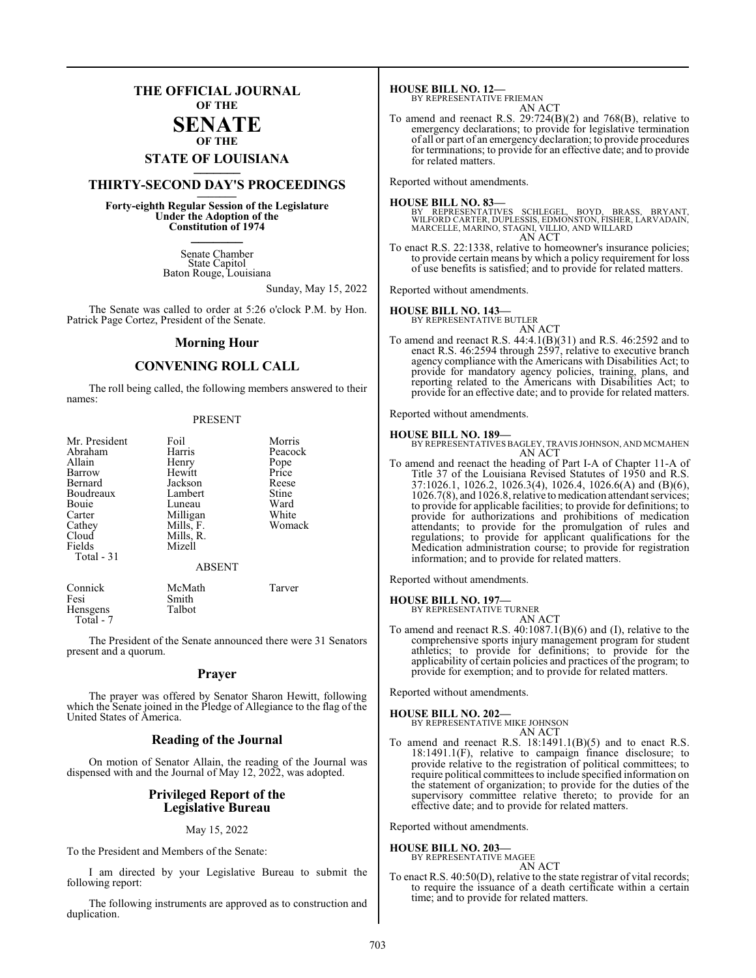## **THE OFFICIAL JOURNAL OF THE**

### **SENATE OF THE**

# **STATE OF LOUISIANA \_\_\_\_\_\_\_**

## **THIRTY-SECOND DAY'S PROCEEDINGS \_\_\_\_\_\_\_**

**Forty-eighth Regular Session of the Legislature Under the Adoption of the Constitution of 1974 \_\_\_\_\_\_\_**

> Senate Chamber State Capitol Baton Rouge, Louisiana

> > Sunday, May 15, 2022

The Senate was called to order at 5:26 o'clock P.M. by Hon. Patrick Page Cortez, President of the Senate.

#### **Morning Hour**

## **CONVENING ROLL CALL**

The roll being called, the following members answered to their names:

#### PRESENT

| Mr. President<br>Abraham<br>Allain<br>Barrow<br>Bernard<br>Boudreaux<br>Bouie<br>Carter<br>Cathey<br>Cloud<br>Fields<br>Total $-31$ | Foil<br>Harris<br>Henry<br>Hewitt<br>Jackson<br>Lambert<br>Luneau<br>Milligan<br>Mills, F.<br>Mills, R.<br>Mizell<br><b>ABSENT</b> | Morris<br>Peacock<br>Pope<br>Price<br>Reese<br>Stine<br>Ward<br>White<br>Womack |
|-------------------------------------------------------------------------------------------------------------------------------------|------------------------------------------------------------------------------------------------------------------------------------|---------------------------------------------------------------------------------|
| Connick                                                                                                                             | McMath                                                                                                                             | Tarver                                                                          |
|                                                                                                                                     |                                                                                                                                    |                                                                                 |

|           | .      | - - - - - - |
|-----------|--------|-------------|
| Fesi      | Smith  |             |
| Hensgens  | Talbot |             |
| Total - 7 |        |             |

The President of the Senate announced there were 31 Senators present and a quorum.

#### **Prayer**

The prayer was offered by Senator Sharon Hewitt, following which the Senate joined in the Pledge of Allegiance to the flag of the United States of America.

### **Reading of the Journal**

On motion of Senator Allain, the reading of the Journal was dispensed with and the Journal of May 12, 2022, was adopted.

### **Privileged Report of the Legislative Bureau**

#### May 15, 2022

To the President and Members of the Senate:

I am directed by your Legislative Bureau to submit the following report:

The following instruments are approved as to construction and duplication.

**HOUSE BILL NO. 12—** BY REPRESENTATIVE FRIEMAN

- AN ACT
- To amend and reenact R.S. 29:724(B)(2) and 768(B), relative to emergency declarations; to provide for legislative termination of all or part of an emergency declaration; to provide procedures for terminations; to provide for an effective date; and to provide for related matters.

Reported without amendments.

#### **HOUSE BILL NO. 83—**

BY REPRESENTATIVES SCHLEGEL, BOYD, BRASS, BRYANT,<br>WILFORD CARTER,DUPLESSIS,EDMONSTON,FISHER,LARVADAIN,<br>MARCELLE,MARINO,STAGNI,VILLIO,ANDWILLARD AN ACT

To enact R.S. 22:1338, relative to homeowner's insurance policies; to provide certain means by which a policy requirement for loss of use benefits is satisfied; and to provide for related matters.

Reported without amendments.

## **HOUSE BILL NO. 143—** BY REPRESENTATIVE BUTLER

AN ACT To amend and reenact R.S. 44:4.1(B)(31) and R.S. 46:2592 and to enact R.S. 46:2594 through 2597, relative to executive branch agency compliance with the Americans with Disabilities Act; to provide for mandatory agency policies, training, plans, and reporting related to the Americans with Disabilities Act; to provide for an effective date; and to provide for related matters.

Reported without amendments.

## **HOUSE BILL NO. 189—**

- BY REPRESENTATIVES BAGLEY, TRAVIS JOHNSON, AND MCMAHEN AN ACT
- To amend and reenact the heading of Part I-A of Chapter 11-A of Title 37 of the Louisiana Revised Statutes of 1950 and R.S. 37:1026.1, 1026.2, 1026.3(4), 1026.4, 1026.6(A) and (B)(6), 1026.7(8), and 1026.8, relative to medication attendant services; to provide for applicable facilities; to provide for definitions; to provide for authorizations and prohibitions of medication attendants; to provide for the promulgation of rules and regulations; to provide for applicant qualifications for the Medication administration course; to provide for registration information; and to provide for related matters.

Reported without amendments.

#### **HOUSE BILL NO. 197—** BY REP

AN ACT

To amend and reenact R.S. 40:1087.1(B)(6) and (I), relative to the comprehensive sports injury management program for student athletics; to provide for definitions; to provide for the applicability of certain policies and practices of the program; to provide for exemption; and to provide for related matters.

Reported without amendments.

**HOUSE BILL NO. 202—** BY REPRESENTATIVE MIKE JOHNSON AN ACT

To amend and reenact R.S. 18:1491.1(B)(5) and to enact R.S. 18:1491.1(F), relative to campaign finance disclosure; to provide relative to the registration of political committees; to require political committees to include specified information on the statement of organization; to provide for the duties of the supervisory committee relative thereto; to provide for an effective date; and to provide for related matters.

Reported without amendments.

#### **HOUSE BILL NO. 203—**

BY REPRESENTATIVE MAGEE AN ACT

To enact R.S. 40:50(D), relative to the state registrar of vital records; to require the issuance of a death certificate within a certain time; and to provide for related matters.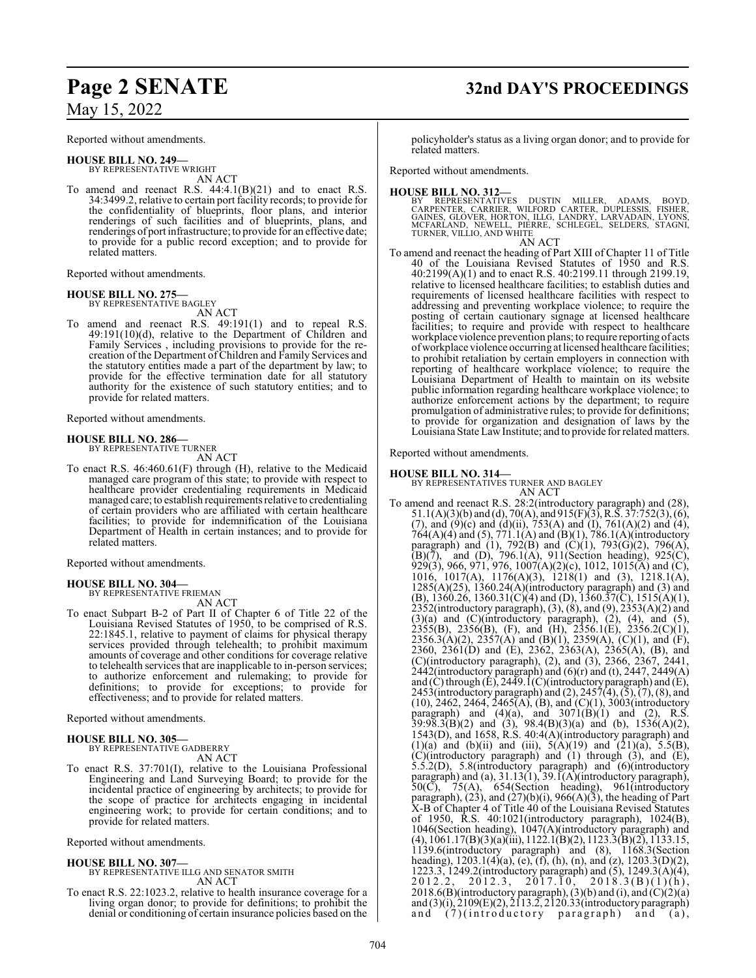Reported without amendments.

**HOUSE BILL NO. 249—** BY REPRESENTATIVE WRIGHT AN ACT

To amend and reenact R.S.  $44:4.1(B)(21)$  and to enact R.S. 34:3499.2, relative to certain port facility records; to provide for the confidentiality of blueprints, floor plans, and interior renderings of such facilities and of blueprints, plans, and renderings of port infrastructure; to provide for an effective date; to provide for a public record exception; and to provide for related matters.

Reported without amendments.

## **HOUSE BILL NO. 275—** BY REPRESENTATIVE BAGLEY

AN ACT

To amend and reenact R.S. 49:191(1) and to repeal R.S. 49:191(10)(d), relative to the Department of Children and Family Services , including provisions to provide for the recreation of the Department of Children and Family Services and the statutory entities made a part of the department by law; to provide for the effective termination date for all statutory authority for the existence of such statutory entities; and to provide for related matters.

Reported without amendments.

#### **HOUSE BILL NO. 286—**

BY REPRESENTATIVE TURNER AN ACT

To enact R.S. 46:460.61(F) through (H), relative to the Medicaid managed care program of this state; to provide with respect to healthcare provider credentialing requirements in Medicaid managed care; to establish requirements relative to credentialing of certain providers who are affiliated with certain healthcare facilities; to provide for indemnification of the Louisiana Department of Health in certain instances; and to provide for related matters.

Reported without amendments.

#### **HOUSE BILL NO. 304—** BY REPRESENTATIVE FRIEMAN

AN ACT

To enact Subpart B-2 of Part II of Chapter 6 of Title 22 of the Louisiana Revised Statutes of 1950, to be comprised of R.S. 22:1845.1, relative to payment of claims for physical therapy services provided through telehealth; to prohibit maximum amounts of coverage and other conditions for coverage relative to telehealth services that are inapplicable to in-person services; to authorize enforcement and rulemaking; to provide for definitions; to provide for exceptions; to provide for effectiveness; and to provide for related matters.

Reported without amendments.

#### **HOUSE BILL NO. 305—**

BY REPRESENTATIVE GADBERRY AN ACT

To enact R.S. 37:701(I), relative to the Louisiana Professional Engineering and Land Surveying Board; to provide for the incidental practice of engineering by architects; to provide for the scope of practice for architects engaging in incidental engineering work; to provide for certain conditions; and to provide for related matters.

Reported without amendments.

#### **HOUSE BILL NO. 307—**

- BY REPRESENTATIVE ILLG AND SENATOR SMITH AN ACT
- To enact R.S. 22:1023.2, relative to health insurance coverage for a living organ donor; to provide for definitions; to prohibit the denial or conditioning of certain insurance policies based on the

**Page 2 SENATE 32nd DAY'S PROCEEDINGS**

policyholder's status as a living organ donor; and to provide for related matters.

Reported without amendments.

**HOUSE BILL NO. 312—**<br>BY REPRESENTATIVES DUSTIN MILLER, ADAMS, BOYD,<br>CARPENTER, CARRIER, WILFORD CARTER, DUPLESSIS, FISHER,<br>GAINES, GLÖVER, HORTON, ILLG, LANDRY, LARVADAIN, LYONS,<br>MCFARLAND, NEWELL, PIERRE, SCHLEGEL, SELDE

AN ACT

To amend and reenact the heading of Part XIII of Chapter 11 of Title 40 of the Louisiana Revised Statutes of 1950 and R.S. 40:2199(A)(1) and to enact R.S. 40:2199.11 through 2199.19, relative to licensed healthcare facilities; to establish duties and requirements of licensed healthcare facilities with respect to addressing and preventing workplace violence; to require the posting of certain cautionary signage at licensed healthcare facilities; to require and provide with respect to healthcare workplace violence prevention plans; to require reporting of acts ofworkplace violence occurring at licensed healthcare facilities; to prohibit retaliation by certain employers in connection with reporting of healthcare workplace violence; to require the Louisiana Department of Health to maintain on its website public information regarding healthcare workplace violence; to authorize enforcement actions by the department; to require promulgation of administrative rules; to provide for definitions; to provide for organization and designation of laws by the Louisiana State LawInstitute; and to provide for related matters.

Reported without amendments.

**HOUSE BILL NO. 314—** BY REPRESENTATIVES TURNER AND BAGLEY

AN ACT To amend and reenact R.S. 28:2(introductory paragraph) and (28), 51.1(A)(3)(b) and (d), 70(A), and 915(F)(3), R.S. 37:752(3), (6), (7), and  $(9)(c)$  and  $(d)(ii)$ , 753(A) and  $(I)$ , 761(A)(2) and (4),  $764(A)(4)$  and (5),  $771.1(A)$  and (B)(1),  $786.1(A)$ (introductory paragraph) and (1), 792(B) and (C)(1), 793(G)(2), 796(A),  $(B)(\bar{7})$ , and  $(D)$ , 796.1(A), 911(Section heading), 925(C), 929(3), 966, 971, 976, 1007(A)(2)(c), 1012, 1015(A) and (C), 1016, 1017(A), 1176(A)(3), 1218(1) and (3), 1218.1(A),  $1285(A)(25)$ ,  $1360.24(A)$ (introductory paragraph) and (3) and (B), 1360.26, 1360.31(C)(4) and (D), 1360.37(C), 1515(A)(1), 2352(introductory paragraph), (3), (8), and (9), 2353(A)(2) and  $(3)(a)$  and  $(C)(introducing paragramh), (2), (4), and (5),$  $2355(B)$ ,  $2356(B)$ , (F), and (H),  $2356.1(E)$ ,  $2356.2(C)(1)$ , 2356.3(A)(2), 2357(A) and (B)(1), 2359(A), (C)(1), and (F), 2360, 2361(D) and (E), 2362, 2363(A), 2365(A), (B), and (C)(introductory paragraph), (2), and (3), 2366, 2367, 2441, 2442(introductory paragraph) and (6)(r) and (t), 2447, 2449(A) and (C) through (E), 2449.1(C)(introductory paragraph) and (E), 2453(introductory paragraph) and  $(2)$ , 2457 $(4)$ ,  $(5)$ ,  $(7)$ ,  $(8)$ , and  $(10)$ , 2462, 2464, 2465(A), (B), and  $(C)(1)$ , 3003(introductory paragraph) and  $(4)(a)$ , and  $3071(B)(1)$  and  $(2)$ , R.S.  $39:98.3(B)(2)$  and  $(3)$ ,  $98.4(B)(3)(a)$  and  $(b)$ ,  $1536(A)(2)$ , 1543(D), and 1658, R.S. 40:4(A)(introductory paragraph) and  $(1)(a)$  and  $(b)(ii)$  and  $(iii)$ ,  $5(A)(19)$  and  $(21)(a)$ ,  $5.5(B)$ , (C)(introductory paragraph) and (1) through (3), and (E), 5.5.2(D), 5.8(introductory paragraph) and (6)(introductory paragraph) and (a),  $31.13(1)$ ,  $39.1(A)$ (introductory paragraph),  $50(\overline{C})$ ,  $75(A)$ ,  $654(Section$  heading),  $961(introductor)$ paragraph),  $(23)$ , and  $(27)(b)(i)$ , 966 $(A)(3)$ , the heading of Part X-B of Chapter 4 of Title 40 of the Louisiana Revised Statutes of 1950, R.S. 40:1021(introductory paragraph), 1024(B), 1046(Section heading), 1047(A)(introductory paragraph) and  $(4)$ , 1061.17(B)(3)(a)(iii), 1122.1(B)(2), 1123.3(B)(2), 1133.15, 1139.6(introductory paragraph) and (8), 1168.3(Section heading),  $1203.1(4)(a)$ , (e), (f), (h), (n), and (z),  $1203.3(D)(2)$ , 1223.3, 1249.2(introductory paragraph) and (5), 1249.3(A)(4),  $2012.2, 2012.3, 2017.10, 2018.3(B)(1)(h),$  $2018.6(B)$ (introductory paragraph), (3)(b) and (i), and (C)(2)(a) and (3)(i), 2109(E)(2), 2113.2, 2120.33(introductory paragraph) and  $(7)$ (introductory paragraph) and  $(a)$ ,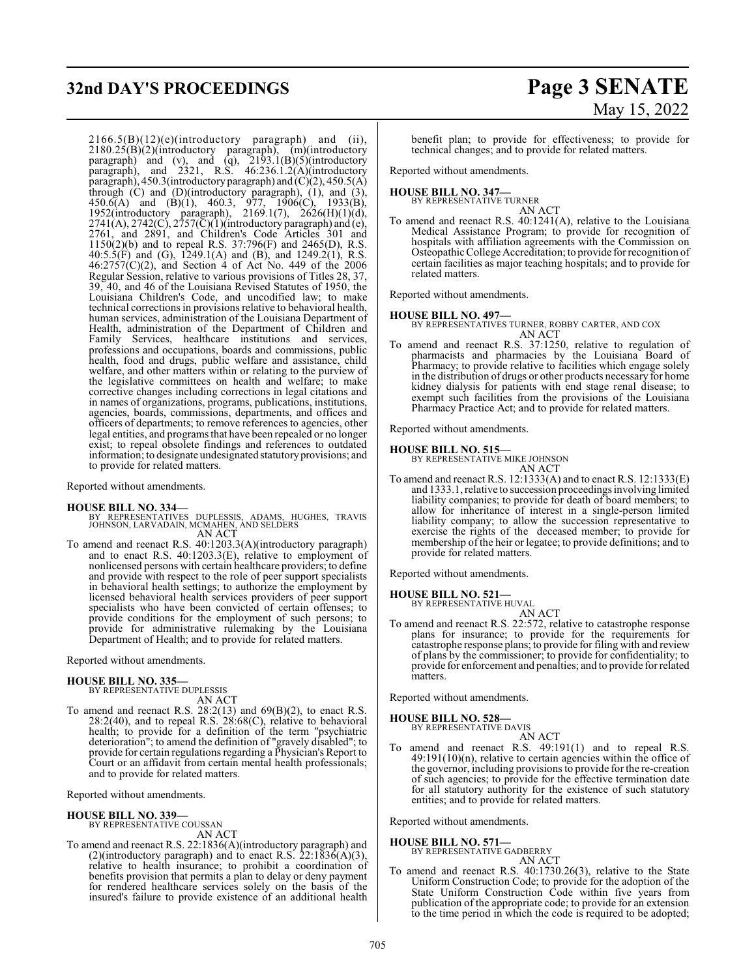# **32nd DAY'S PROCEEDINGS Page 3 SENATE**

 $2166.5(B)(12)(e)$ (introductory paragraph) and (ii), 2180.25(B)(2)(introductory paragraph), (m)(introductory paragraph) and (v), and (q),  $2193.1(B)(5)$ (introductory paragraph), and 2321, R.S. 46:236.1.2(A)(introductory paragraph), 450.3(introductory paragraph) and  $(C)(2)$ , 450.5(A) through (C) and (D)(introductory paragraph), (1), and (3),  $450.6(A)$  and  $(B)(1)$ ,  $460.3$ ,  $977$ ,  $1906(C)$ ,  $1933(B)$ , 1952(introductory paragraph), 2169.1(7), 2626(H)(1)(d),  $2741(A), 2742(C), 2757(\overline{C})(1)$ (introductory paragraph) and (e), 2761, and 2891, and Children's Code Articles 301 and 1150(2)(b) and to repeal R.S. 37:796(F) and 2465(D), R.S. 40:5.5(F) and (G), 1249.1(A) and (B), and 1249.2(1), R.S. 46:2757(C)(2), and Section 4 of Act No. 449 of the 2006 Regular Session, relative to various provisions of Titles 28, 37, 39, 40, and 46 of the Louisiana Revised Statutes of 1950, the Louisiana Children's Code, and uncodified law; to make technical corrections in provisions relative to behavioral health, human services, administration of the Louisiana Department of Health, administration of the Department of Children and Family Services, healthcare institutions and services, professions and occupations, boards and commissions, public health, food and drugs, public welfare and assistance, child welfare, and other matters within or relating to the purview of the legislative committees on health and welfare; to make corrective changes including corrections in legal citations and in names of organizations, programs, publications, institutions, agencies, boards, commissions, departments, and offices and officers of departments; to remove references to agencies, other legal entities, and programs that have been repealed or no longer exist; to repeal obsolete findings and references to outdated information; to designate undesignated statutoryprovisions; and to provide for related matters.

Reported without amendments.

### **HOUSE BILL NO. 334—**

BY REPRESENTATIVES DUPLESSIS, ADAMS, HUGHES, TRAVIS JOHNSON, LARVADAIN, MCMAHEN, AND SELDERS AN ACT

To amend and reenact R.S. 40:1203.3(A)(introductory paragraph) and to enact R.S. 40:1203.3(E), relative to employment of nonlicensed persons with certain healthcare providers; to define and provide with respect to the role of peer support specialists in behavioral health settings; to authorize the employment by licensed behavioral health services providers of peer support specialists who have been convicted of certain offenses; to provide conditions for the employment of such persons; to provide for administrative rulemaking by the Louisiana Department of Health; and to provide for related matters.

Reported without amendments.

#### **HOUSE BILL NO. 335—**

BY REPRESENTATIVE DUPLESSIS AN ACT

To amend and reenact R.S.  $28:2(13)$  and  $69(B)(2)$ , to enact R.S.  $28:2(40)$ , and to repeal R.S.  $28:68(C)$ , relative to behavioral health; to provide for a definition of the term "psychiatric deterioration"; to amend the definition of "gravely disabled"; to provide for certain regulations regarding a Physician's Report to Court or an affidavit from certain mental health professionals; and to provide for related matters.

Reported without amendments.

## **HOUSE BILL NO. 339—**

BY REPRESENTATIVE COUSSAN AN ACT

To amend and reenact R.S. 22:1836(A)(introductory paragraph) and (2)(introductory paragraph) and to enact R.S.  $22:1836(A)(3)$ , relative to health insurance; to prohibit a coordination of benefits provision that permits a plan to delay or deny payment for rendered healthcare services solely on the basis of the insured's failure to provide existence of an additional health

# May 15, 2022

benefit plan; to provide for effectiveness; to provide for technical changes; and to provide for related matters.

Reported without amendments.

**HOUSE BILL NO. 347—**

BY REPRESENTATIVE TURNER

AN ACT To amend and reenact R.S. 40:1241(A), relative to the Louisiana Medical Assistance Program; to provide for recognition of hospitals with affiliation agreements with the Commission on Osteopathic College Accreditation; to provide for recognition of certain facilities as major teaching hospitals; and to provide for related matters.

Reported without amendments.

#### **HOUSE BILL NO. 497—**

BY REPRESENTATIVES TURNER, ROBBY CARTER, AND COX AN ACT

To amend and reenact R.S. 37:1250, relative to regulation of pharmacists and pharmacies by the Louisiana Board of Pharmacy; to provide relative to facilities which engage solely in the distribution of drugs or other products necessary for home kidney dialysis for patients with end stage renal disease; to exempt such facilities from the provisions of the Louisiana Pharmacy Practice Act; and to provide for related matters.

Reported without amendments.

**HOUSE BILL NO. 515—**

BY REPRESENTATIVE MIKE JOHNSON

AN ACT

To amend and reenact R.S. 12:1333(A) and to enact R.S. 12:1333(E) and 1333.1, relative to succession proceedings involving limited liability companies; to provide for death of board members; to allow for inheritance of interest in a single-person limited liability company; to allow the succession representative to exercise the rights of the deceased member; to provide for membership of the heir or legatee; to provide definitions; and to provide for related matters.

Reported without amendments.

## **HOUSE BILL NO. 521—** BY REPRESENTATIVE HUVAL

AN ACT

To amend and reenact R.S. 22:572, relative to catastrophe response plans for insurance; to provide for the requirements for catastrophe response plans; to provide for filing with and review of plans by the commissioner; to provide for confidentiality; to provide for enforcement and penalties; and to provide for related matters.

Reported without amendments.

**HOUSE BILL NO. 528—** BY REPRESENTATIVE DAVIS

AN ACT

To amend and reenact R.S. 49:191(1) and to repeal R.S.  $49:191(10)(n)$ , relative to certain agencies within the office of the governor, including provisions to provide for the re-creation of such agencies; to provide for the effective termination date for all statutory authority for the existence of such statutory entities; and to provide for related matters.

Reported without amendments.

**HOUSE BILL NO. 571—** BY REPRESENTATIVE GADBERRY

AN ACT

To amend and reenact R.S. 40:1730.26(3), relative to the State Uniform Construction Code; to provide for the adoption of the State Uniform Construction Code within five years from publication of the appropriate code; to provide for an extension to the time period in which the code is required to be adopted;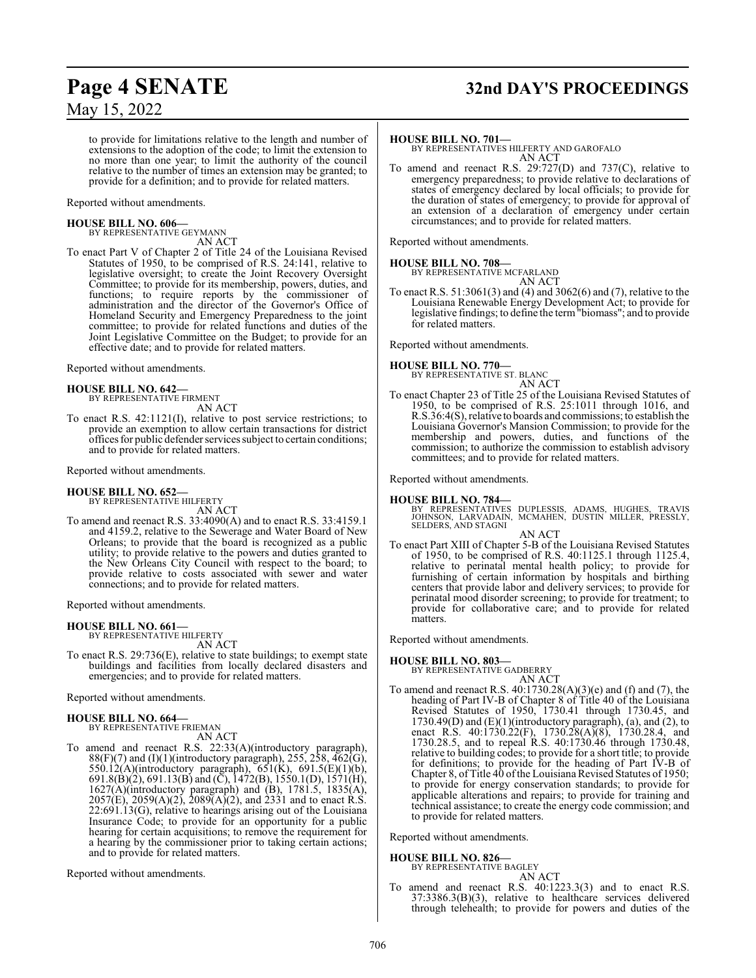# **Page 4 SENATE 32nd DAY'S PROCEEDINGS**

to provide for limitations relative to the length and number of extensions to the adoption of the code; to limit the extension to no more than one year; to limit the authority of the council relative to the number of times an extension may be granted; to provide for a definition; and to provide for related matters.

#### Reported without amendments.

**HOUSE BILL NO. 606—** BY REPRESENTATIVE GEYMANN

AN ACT

To enact Part V of Chapter 2 of Title 24 of the Louisiana Revised Statutes of 1950, to be comprised of R.S. 24:141, relative to legislative oversight; to create the Joint Recovery Oversight Committee; to provide for its membership, powers, duties, and functions; to require reports by the commissioner of administration and the director of the Governor's Office of Homeland Security and Emergency Preparedness to the joint committee; to provide for related functions and duties of the Joint Legislative Committee on the Budget; to provide for an effective date; and to provide for related matters.

Reported without amendments.

#### **HOUSE BILL NO. 642—**

BY REPRESENTATIVE FIRMENT AN ACT

To enact R.S. 42:1121(I), relative to post service restrictions; to provide an exemption to allow certain transactions for district offices for public defender services subject to certain conditions; and to provide for related matters.

Reported without amendments.

#### **HOUSE BILL NO. 652—**

BY REPRESENTATIVE HILFERTY AN ACT

To amend and reenact R.S. 33:4090(A) and to enact R.S. 33:4159.1 and 4159.2, relative to the Sewerage and Water Board of New Orleans; to provide that the board is recognized as a public utility; to provide relative to the powers and duties granted to the New Orleans City Council with respect to the board; to provide relative to costs associated with sewer and water connections; and to provide for related matters.

Reported without amendments.

**HOUSE BILL NO. 661—** BY REPRESENTATIVE HILFERTY

AN ACT

To enact R.S. 29:736(E), relative to state buildings; to exempt state buildings and facilities from locally declared disasters and emergencies; and to provide for related matters.

Reported without amendments.

# **HOUSE BILL NO. 664—** BY REPRESENTATIVE FRIEMAN

AN ACT

To amend and reenact R.S. 22:33(A)(introductory paragraph),  $88(F)(7)$  and (I)(1)(introductory paragraph), 255, 258, 462(G), 550.12(A)(introductory paragraph), 651(K), 691.5(E)(1)(b), 691.8(B)(2), 691.13(B) and (C), 1472(B), 1550.1(D), 1571(H), 1627(A)(introductory paragraph) and (B), 1781.5, 1835(A),  $2057(E)$ ,  $2059(A)(2)$ ,  $2089(A)(2)$ , and  $2331$  and to enact R.S. 22:691.13(G), relative to hearings arising out of the Louisiana Insurance Code; to provide for an opportunity for a public hearing for certain acquisitions; to remove the requirement for a hearing by the commissioner prior to taking certain actions; and to provide for related matters.

Reported without amendments.

#### **HOUSE BILL NO. 701—**

BY REPRESENTATIVES HILFERTY AND GAROFALO AN ACT

To amend and reenact R.S. 29:727(D) and 737(C), relative to emergency preparedness; to provide relative to declarations of states of emergency declared by local officials; to provide for the duration of states of emergency; to provide for approval of an extension of a declaration of emergency under certain circumstances; and to provide for related matters.

Reported without amendments.

**HOUSE BILL NO. 708—** BY REPRESENTATIVE MCFARLAND AN ACT

To enact R.S. 51:3061(3) and (4) and 3062(6) and (7), relative to the Louisiana Renewable Energy Development Act; to provide for legislative findings; to define the term"biomass"; and to provide for related matters.

Reported without amendments.

**HOUSE BILL NO. 770—** BY REPRESENTATIVE ST. BLANC

- AN ACT
- To enact Chapter 23 of Title 25 of the Louisiana Revised Statutes of 1950, to be comprised of R.S. 25:1011 through 1016, and R.S.36:4(S), relative to boards and commissions; to establish the Louisiana Governor's Mansion Commission; to provide for the membership and powers, duties, and functions of the commission; to authorize the commission to establish advisory committees; and to provide for related matters.

Reported without amendments.

**HOUSE BILL NO. 784—**<br>BY REPRESENTATIVES DUPLESSIS, ADAMS, HUGHES, TRAVIS<br>JOHNSON, LARVADAIN, MCMAHEN, DUSTIN MILLER, PRESSLY,<br>SELDERS, AND STAGNI AN ACT

To enact Part XIII of Chapter 5-B of the Louisiana Revised Statutes of 1950, to be comprised of R.S. 40:1125.1 through 1125.4, relative to perinatal mental health policy; to provide for furnishing of certain information by hospitals and birthing centers that provide labor and delivery services; to provide for perinatal mood disorder screening; to provide for treatment; to provide for collaborative care; and to provide for related matters.

Reported without amendments.

#### **HOUSE BILL NO. 803—**

BY REPRESENTATIVE GADBERRY AN ACT

To amend and reenact R.S. 40:1730.28(A)(3)(e) and (f) and (7), the heading of Part IV-B of Chapter 8 of Title 40 of the Louisiana Revised Statutes of 1950, 1730.41 through 1730.45, and  $1730.49(D)$  and  $(E)(1)(introductory paragraph)$ , (a), and (2), to enact R.S. 40:1730.22(F), 1730.28(A)(8), 1730.28.4, and 1730.28.5, and to repeal R.S. 40:1730.46 through 1730.48, relative to building codes; to provide for a short title; to provide for definitions; to provide for the heading of Part IV-B of Chapter 8, of Title 40 ofthe Louisiana Revised Statutes of 1950; to provide for energy conservation standards; to provide for applicable alterations and repairs; to provide for training and technical assistance; to create the energy code commission; and to provide for related matters.

Reported without amendments.

#### **HOUSE BILL NO. 826—**

BY REPRESENTATIVE BAGLEY

AN ACT To amend and reenact R.S. 40:1223.3(3) and to enact R.S. 37:3386.3(B)(3), relative to healthcare services delivered through telehealth; to provide for powers and duties of the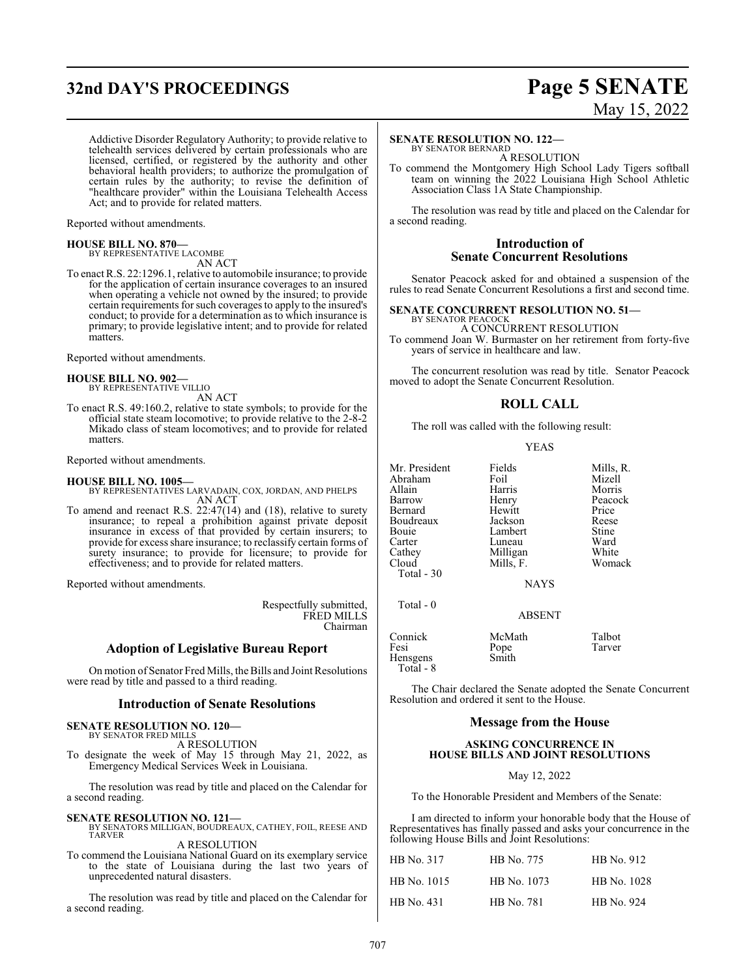# **32nd DAY'S PROCEEDINGS Page 5 SENATE**

# May 15, 2022

Addictive Disorder Regulatory Authority; to provide relative to telehealth services delivered by certain professionals who are licensed, certified, or registered by the authority and other behavioral health providers; to authorize the promulgation of certain rules by the authority; to revise the definition of "healthcare provider" within the Louisiana Telehealth Access Act; and to provide for related matters.

Reported without amendments.

## **HOUSE BILL NO. 870—**

BY REPRESENTATIVE LACOMBE AN ACT

To enact R.S. 22:1296.1, relative to automobile insurance; to provide for the application of certain insurance coverages to an insured when operating a vehicle not owned by the insured; to provide certain requirements for such coverages to apply to the insured's conduct; to provide for a determination as to which insurance is primary; to provide legislative intent; and to provide for related matters.

Reported without amendments.

#### **HOUSE BILL NO. 902—** BY REPRESENTATIVE VILLIO

AN ACT

To enact R.S. 49:160.2, relative to state symbols; to provide for the official state steam locomotive; to provide relative to the 2-8-2 Mikado class of steam locomotives; and to provide for related matters.

Reported without amendments.

#### **HOUSE BILL NO. 1005—**

BY REPRESENTATIVES LARVADAIN, COX, JORDAN, AND PHELPS AN ACT

To amend and reenact R.S. 22:47(14) and (18), relative to surety insurance; to repeal a prohibition against private deposit insurance in excess of that provided by certain insurers; to provide for excess share insurance; to reclassify certain forms of surety insurance; to provide for licensure; to provide for effectiveness; and to provide for related matters.

Reported without amendments.

Respectfully submitted, FRED MILLS Chairman

## **Adoption of Legislative Bureau Report**

On motion of Senator Fred Mills, the Bills and Joint Resolutions were read by title and passed to a third reading.

#### **Introduction of Senate Resolutions**

#### **SENATE RESOLUTION NO. 120—**

BY SENATOR FRED MILLS A RESOLUTION

To designate the week of May 15 through May 21, 2022, as Emergency Medical Services Week in Louisiana.

The resolution was read by title and placed on the Calendar for a second reading.

**SENATE RESOLUTION NO. 121—**<br>BY SENATORS MILLIGAN, BOUDREAUX, CATHEY, FOIL, REESE AND<br>TARVER A RESOLUTION

To commend the Louisiana National Guard on its exemplary service to the state of Louisiana during the last two years of unprecedented natural disasters.

The resolution was read by title and placed on the Calendar for a second reading.

#### **SENATE RESOLUTION NO. 122—**

BY SENATOR BERNARD A RESOLUTION

To commend the Montgomery High School Lady Tigers softball team on winning the 2022 Louisiana High School Athletic Association Class 1A State Championship.

The resolution was read by title and placed on the Calendar for a second reading.

### **Introduction of Senate Concurrent Resolutions**

Senator Peacock asked for and obtained a suspension of the rules to read Senate Concurrent Resolutions a first and second time.

#### **SENATE CONCURRENT RESOLUTION NO. 51—**

BY SENATOR PEACOCK A CONCURRENT RESOLUTION To commend Joan W. Burmaster on her retirement from forty-five years of service in healthcare and law.

The concurrent resolution was read by title. Senator Peacock moved to adopt the Senate Concurrent Resolution.

## **ROLL CALL**

The roll was called with the following result:

#### YEAS

Mr. President Fields Mills, R.<br>Abraham Foil Mizell Abraham Foil<br>Allain Harris Allain Harris Morris Bernard Hewitt Price Boudreaux Jackson Reese Bouie Lambert Stine Cathey Milligan<br>Cloud Mills, F. Total - 30

Total - 0

Henry Peacock<br>Hewitt Price Luneau Ward<br>Millioan White Womack

**NAYS** 

ABSENT

| Connick               | McMath | Talbot |
|-----------------------|--------|--------|
| Fesi                  | Pope   | Tarver |
| Hensgens<br>Total - 8 | Smith  |        |

The Chair declared the Senate adopted the Senate Concurrent Resolution and ordered it sent to the House.

#### **Message from the House**

#### **ASKING CONCURRENCE IN HOUSE BILLS AND JOINT RESOLUTIONS**

May 12, 2022

To the Honorable President and Members of the Senate:

I am directed to inform your honorable body that the House of Representatives has finally passed and asks your concurrence in the following House Bills and Joint Resolutions:

| HB No. 317  | HB No. 775  | HB No. 912  |
|-------------|-------------|-------------|
| HB No. 1015 | HB No. 1073 | HB No. 1028 |
| HB No. 431  | HB No. 781  | HB No. 924  |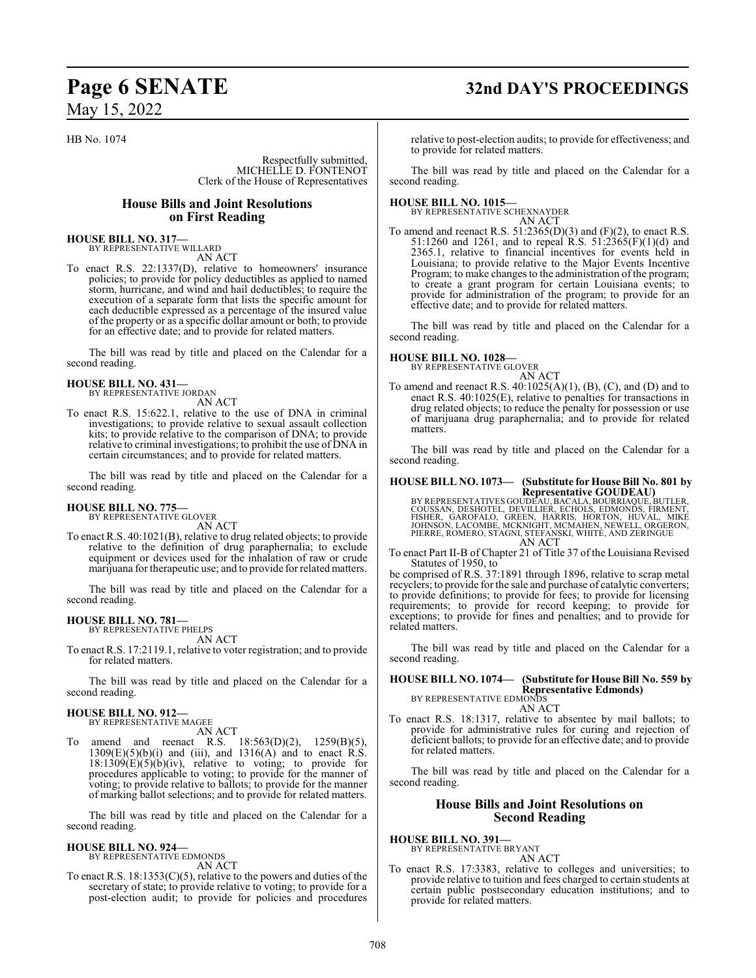# **Page 6 SENATE 32nd DAY'S PROCEEDINGS**

HB No. 1074

Respectfully submitted, MICHELLE D. FONTENOT Clerk of the House of Representatives

## **House Bills and Joint Resolutions on First Reading**

**HOUSE BILL NO. 317—** BY REPRESENTATIVE WILLARD AN ACT

To enact R.S. 22:1337(D), relative to homeowners' insurance policies; to provide for policy deductibles as applied to named storm, hurricane, and wind and hail deductibles; to require the execution of a separate form that lists the specific amount for each deductible expressed as a percentage of the insured value of the property or as a specific dollar amount or both; to provide for an effective date; and to provide for related matters.

The bill was read by title and placed on the Calendar for a second reading.

#### **HOUSE BILL NO. 431—** BY REPRESENTATIVE JORDAN

AN ACT

To enact R.S. 15:622.1, relative to the use of DNA in criminal investigations; to provide relative to sexual assault collection kits; to provide relative to the comparison of DNA; to provide relative to criminal investigations; to prohibit the use of DNA in certain circumstances; and to provide for related matters.

The bill was read by title and placed on the Calendar for a second reading.

#### **HOUSE BILL NO. 775—** BY REPRESENTATIVE GLOVER

AN ACT

To enact R.S. 40:1021(B), relative to drug related objects; to provide relative to the definition of drug paraphernalia; to exclude equipment or devices used for the inhalation of raw or crude marijuana for therapeutic use; and to provide forrelated matters.

The bill was read by title and placed on the Calendar for a second reading.

#### **HOUSE BILL NO. 781—**

BY REPRESENTATIVE PHELPS AN ACT

To enact R.S. 17:2119.1, relative to voter registration; and to provide for related matters.

The bill was read by title and placed on the Calendar for a second reading.

## **HOUSE BILL NO. 912—**

BY REPRESENTATIVE MAGEE

AN ACT To amend and reenact R.S. 18:563(D)(2), 1259(B)(5),  $1309(E)(5)(b)(i)$  and (iii), and  $1316(A)$  and to enact R.S.  $18:1309(E)(5)(b)(iv)$ , relative to voting; to provide for procedures applicable to voting; to provide for the manner of voting; to provide relative to ballots; to provide for the manner of marking ballot selections; and to provide for related matters.

The bill was read by title and placed on the Calendar for a second reading.

#### **HOUSE BILL NO. 924—** BY REPRESENTATIVE EDMONDS

AN ACT

To enact R.S. 18:1353(C)(5), relative to the powers and duties of the secretary of state; to provide relative to voting; to provide for a post-election audit; to provide for policies and procedures

relative to post-election audits; to provide for effectiveness; and to provide for related matters.

The bill was read by title and placed on the Calendar for a second reading.

**HOUSE BILL NO. 1015—** BY REPRESENTATIVE SCHEXNAYDER AN ACT

To amend and reenact R.S.  $51:2365(D)(3)$  and  $(F)(2)$ , to enact R.S. 51:1260 and 1261, and to repeal R.S. 51:2365(F)(1)(d) and 2365.1, relative to financial incentives for events held in Louisiana; to provide relative to the Major Events Incentive Program; to make changes to the administration of the program; to create a grant program for certain Louisiana events; to provide for administration of the program; to provide for an effective date; and to provide for related matters.

The bill was read by title and placed on the Calendar for a second reading.

# **HOUSE BILL NO. 1028—** BY REPRESENTATIVE GLOVER

AN ACT

To amend and reenact R.S.  $40:1025(A)(1)$ ,  $(B)$ ,  $(C)$ , and  $(D)$  and to enact R.S. 40:1025(E), relative to penalties for transactions in drug related objects; to reduce the penalty for possession or use of marijuana drug paraphernalia; and to provide for related matters.

The bill was read by title and placed on the Calendar for a second reading.

# **HOUSE BILL NO. 1073— (Substitute for House Bill No. 801 by**

**Representative GOUDEAU)<br>BY REPRESENTATIVES GOUDEAU, BACALA, BOURRIAQUE, BUTLER<br>COUSSAN, DESHOTEL, DEVILLIER, ECHOLS, EDMONDS, FIRMENT,<br>FISHER, GAROFALO, GREEN, HARRIS, HORTON, HUVAL, MIKE<br>JOHNSON, LACOMBE, MCKNIGHT, MCMAH** PIERRE, ROMERO, STAGNI, STEFANSKI, WHITE, AND ZERINGUE AN ACT

To enact Part II-B of Chapter 21 of Title 37 of the Louisiana Revised Statutes of 1950, to

be comprised of R.S. 37:1891 through 1896, relative to scrap metal recyclers; to provide for the sale and purchase of catalytic converters; to provide definitions; to provide for fees; to provide for licensing requirements; to provide for record keeping; to provide for exceptions; to provide for fines and penalties; and to provide for related matters.

The bill was read by title and placed on the Calendar for a second reading.

#### **HOUSE BILL NO. 1074— (Substitute for House Bill No. 559 by Representative Edmonds)** BY REPRESENTATIVE EDMONDS

AN ACT

To enact R.S. 18:1317, relative to absentee by mail ballots; to provide for administrative rules for curing and rejection of deficient ballots; to provide for an effective date; and to provide for related matters.

The bill was read by title and placed on the Calendar for a second reading.

## **House Bills and Joint Resolutions on Second Reading**

**HOUSE BILL NO. 391—** BY REPRESENTATIVE BRYANT

AN ACT

To enact R.S. 17:3383, relative to colleges and universities; to provide relative to tuition and fees charged to certain students at certain public postsecondary education institutions; and to provide for related matters.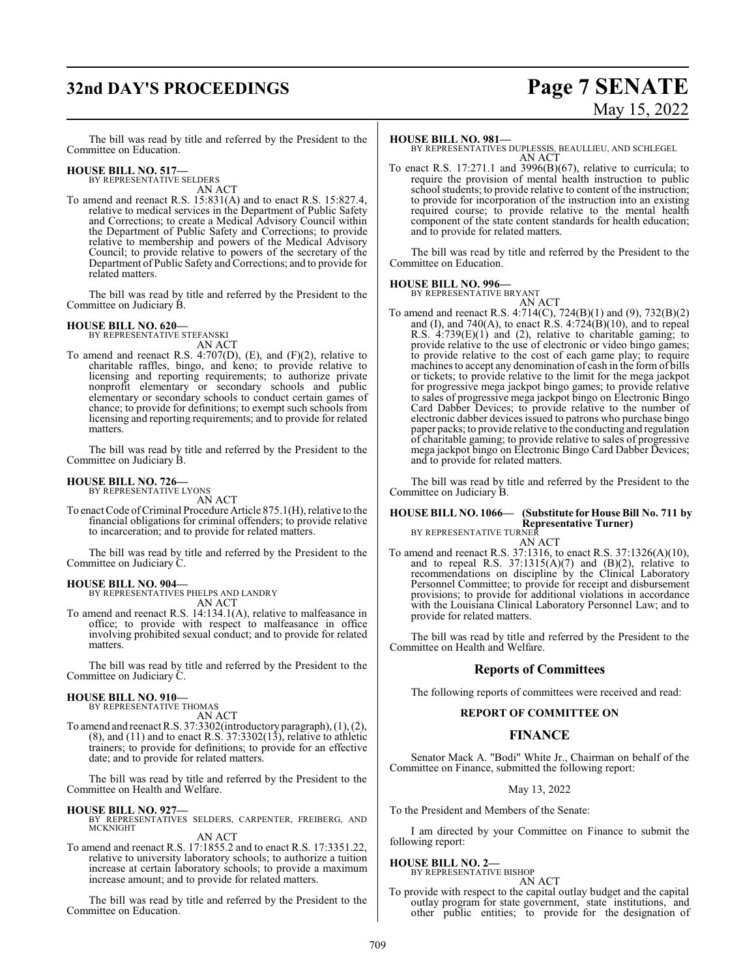# **32nd DAY'S PROCEEDINGS Page 7 SENATE**

# May 15, 2022

The bill was read by title and referred by the President to the Committee on Education.

#### **HOUSE BILL NO. 517—**

BY REPRESENTATIVE SELDERS AN ACT

To amend and reenact R.S. 15:831(A) and to enact R.S. 15:827.4, relative to medical services in the Department of Public Safety and Corrections; to create a Medical Advisory Council within the Department of Public Safety and Corrections; to provide relative to membership and powers of the Medical Advisory Council; to provide relative to powers of the secretary of the Department of Public Safety and Corrections; and to provide for related matters.

The bill was read by title and referred by the President to the Committee on Judiciary B.

#### **HOUSE BILL NO. 620—**

BY REPRESENTATIVE STEFANSKI AN ACT

To amend and reenact R.S. 4:707(D), (E), and (F)(2), relative to charitable raffles, bingo, and keno; to provide relative to licensing and reporting requirements; to authorize private nonprofit elementary or secondary schools and public elementary or secondary schools to conduct certain games of chance; to provide for definitions; to exempt such schools from licensing and reporting requirements; and to provide for related matters.

The bill was read by title and referred by the President to the Committee on Judiciary B.

### **HOUSE BILL NO. 726—**

BY REPRESENTATIVE LYONS AN ACT

To enact Code of Criminal Procedure Article 875.1(H), relative to the financial obligations for criminal offenders; to provide relative to incarceration; and to provide for related matters.

The bill was read by title and referred by the President to the Committee on Judiciary C.

**HOUSE BILL NO. 904—** BY REPRESENTATIVES PHELPS AND LANDRY AN ACT

To amend and reenact R.S. 14:134.1(A), relative to malfeasance in office; to provide with respect to malfeasance in office involving prohibited sexual conduct; and to provide for related matters.

The bill was read by title and referred by the President to the Committee on Judiciary C.

# **HOUSE BILL NO. 910—** BY REPRESENTATIVE THOMAS

AN ACT

To amend and reenact R.S. 37:3302(introductory paragraph), (1), (2),  $(8)$ , and  $(11)$  and to enact R.S. 37:3302 $(13)$ , relative to athletic trainers; to provide for definitions; to provide for an effective date; and to provide for related matters.

The bill was read by title and referred by the President to the Committee on Health and Welfare.

**HOUSE BILL NO. 927—** BY REPRESENTATIVES SELDERS, CARPENTER, FREIBERG, AND MCKNIGHT AN ACT

To amend and reenact R.S. 17:1855.2 and to enact R.S. 17:3351.22, relative to university laboratory schools; to authorize a tuition increase at certain laboratory schools; to provide a maximum increase amount; and to provide for related matters.

The bill was read by title and referred by the President to the Committee on Education.

#### **HOUSE BILL NO. 981—**

BY REPRESENTATIVES DUPLESSIS, BEAULLIEU, AND SCHLEGEL AN ACT

To enact R.S. 17:271.1 and 3996(B)(67), relative to curricula; to require the provision of mental health instruction to public school students; to provide relative to content of the instruction; to provide for incorporation of the instruction into an existing required course; to provide relative to the mental health component of the state content standards for health education; and to provide for related matters.

The bill was read by title and referred by the President to the Committee on Education.

#### **HOUSE BILL NO. 996—**

BY REPRESENTATIVE BRYANT

AN ACT To amend and reenact R.S. 4:714(C), 724(B)(1) and (9), 732(B)(2) and (I), and 740(A), to enact R.S.  $4:724(B)(10)$ , and to repeal R.S. 4:739(E)(1) and (2), relative to charitable gaming; to provide relative to the use of electronic or video bingo games; to provide relative to the cost of each game play; to require machines to accept any denomination of cash in the form of bills or tickets; to provide relative to the limit for the mega jackpot for progressive mega jackpot bingo games; to provide relative to sales of progressive mega jackpot bingo on Electronic Bingo Card Dabber Devices; to provide relative to the number of electronic dabber devices issued to patrons who purchase bingo paper packs; to provide relative to the conducting and regulation of charitable gaming; to provide relative to sales of progressive mega jackpot bingo on Electronic Bingo Card Dabber Devices; and to provide for related matters.

The bill was read by title and referred by the President to the Committee on Judiciary B.

## **HOUSE BILL NO. 1066— (Substitute for House Bill No. 711 by Representative Turner)** BY REPRESENTATIVE TURNER

AN ACT

To amend and reenact R.S. 37:1316, to enact R.S. 37:1326(A)(10), and to repeal R.S.  $37:1315(A)(7)$  and  $(B)(2)$ , relative to recommendations on discipline by the Clinical Laboratory Personnel Committee; to provide for receipt and disbursement provisions; to provide for additional violations in accordance with the Louisiana Clinical Laboratory Personnel Law; and to provide for related matters.

The bill was read by title and referred by the President to the Committee on Health and Welfare.

## **Reports of Committees**

The following reports of committees were received and read:

#### **REPORT OF COMMITTEE ON**

## **FINANCE**

Senator Mack A. "Bodi" White Jr., Chairman on behalf of the Committee on Finance, submitted the following report:

#### May 13, 2022

To the President and Members of the Senate:

I am directed by your Committee on Finance to submit the following report:

#### **HOUSE BILL NO. 2—**

BY REPRESENTATIVE BISHOP AN ACT

To provide with respect to the capital outlay budget and the capital outlay program for state government, state institutions, and other public entities; to provide for the designation of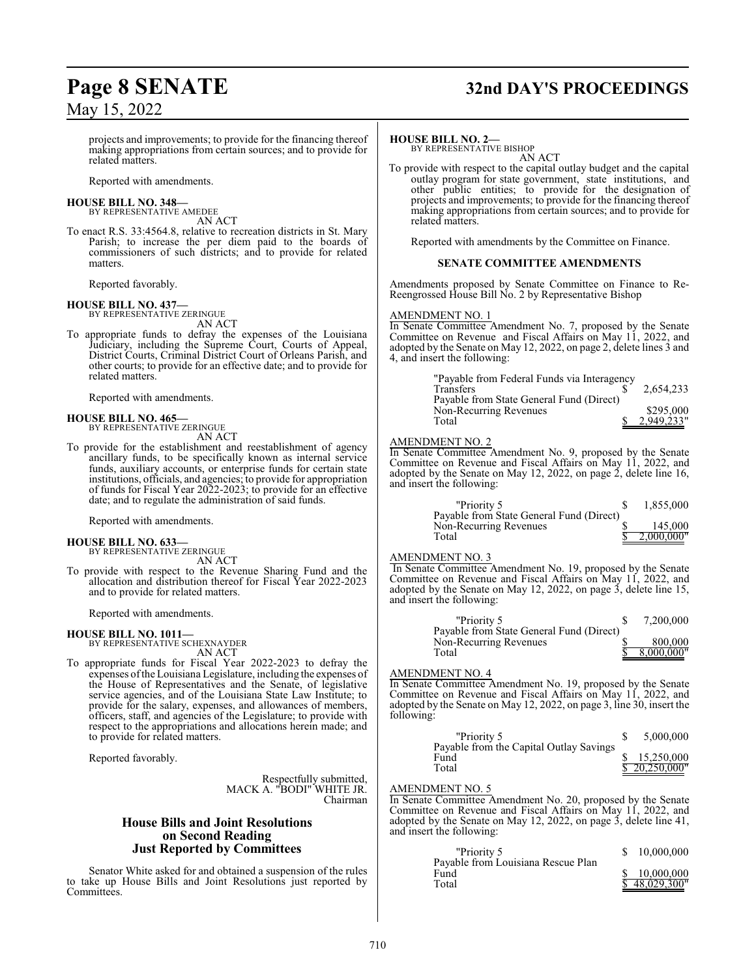# **Page 8 SENATE 32nd DAY'S PROCEEDINGS**

May 15, 2022

projects and improvements; to provide for the financing thereof making appropriations from certain sources; and to provide for related matters.

Reported with amendments.

#### **HOUSE BILL NO. 348—** BY REPRESENTATIVE AMEDEE

AN ACT

To enact R.S. 33:4564.8, relative to recreation districts in St. Mary Parish; to increase the per diem paid to the boards of commissioners of such districts; and to provide for related matters.

Reported favorably.

**HOUSE BILL NO. 437—** BY REPRESENTATIVE ZERINGUE AN ACT

To appropriate funds to defray the expenses of the Louisiana Judiciary, including the Supreme Court, Courts of Appeal, District Courts, Criminal District Court of Orleans Parish, and other courts; to provide for an effective date; and to provide for related matters.

Reported with amendments.

#### **HOUSE BILL NO. 465—** BY REPRESENTATIVE ZERINGUE

AN ACT

To provide for the establishment and reestablishment of agency ancillary funds, to be specifically known as internal service funds, auxiliary accounts, or enterprise funds for certain state institutions, officials, and agencies; to provide for appropriation of funds for Fiscal Year 2022-2023; to provide for an effective date; and to regulate the administration of said funds.

Reported with amendments.

#### **HOUSE BILL NO. 633—** BY REPRESENTATIVE ZERINGUE

AN ACT

To provide with respect to the Revenue Sharing Fund and the allocation and distribution thereof for Fiscal Year 2022-2023 and to provide for related matters.

Reported with amendments.

#### **HOUSE BILL NO. 1011—**

BY REPRESENTATIVE SCHEXNAYDER AN ACT

To appropriate funds for Fiscal Year 2022-2023 to defray the expenses ofthe Louisiana Legislature, including the expenses of the House of Representatives and the Senate, of legislative service agencies, and of the Louisiana State Law Institute; to provide for the salary, expenses, and allowances of members, officers, staff, and agencies of the Legislature; to provide with respect to the appropriations and allocations herein made; and to provide for related matters.

Reported favorably.

Respectfully submitted, MACK A. "BODI" WHITE JR. Chairman

### **House Bills and Joint Resolutions on Second Reading Just Reported by Committees**

Senator White asked for and obtained a suspension of the rules to take up House Bills and Joint Resolutions just reported by Committees.

#### **HOUSE BILL NO. 2—**

BY REPRESENTATIVE BISHOP AN ACT

To provide with respect to the capital outlay budget and the capital outlay program for state government, state institutions, and other public entities; to provide for the designation of projects and improvements; to provide for the financing thereof making appropriations from certain sources; and to provide for related matters.

Reported with amendments by the Committee on Finance.

#### **SENATE COMMITTEE AMENDMENTS**

Amendments proposed by Senate Committee on Finance to Re-Reengrossed House Bill No. 2 by Representative Bishop

#### AMENDMENT NO. 1

In Senate Committee Amendment No. 7, proposed by the Senate Committee on Revenue and Fiscal Affairs on May 11, 2022, and adopted by the Senate on May 12, 2022, on page 2, delete lines 3 and 4, and insert the following:

| "Payable from Federal Funds via Interagency |            |
|---------------------------------------------|------------|
| <b>Transfers</b>                            | 2.654.233  |
| Payable from State General Fund (Direct)    |            |
| Non-Recurring Revenues                      | \$295,000  |
| Total                                       | 2,949,233" |

#### AMENDMENT NO. 2

In Senate Committee Amendment No. 9, proposed by the Senate Committee on Revenue and Fiscal Affairs on May 11, 2022, and adopted by the Senate on May 12, 2022, on page 2, delete line 16, and insert the following:

| "Priority 5                              | 1,855,000  |
|------------------------------------------|------------|
| Payable from State General Fund (Direct) |            |
| Non-Recurring Revenues                   | 145,000    |
| Total                                    | 2,000,000" |

#### AMENDMENT NO. 3

In Senate Committee Amendment No. 19, proposed by the Senate Committee on Revenue and Fiscal Affairs on May 11, 2022, and adopted by the Senate on May 12, 2022, on page 3, delete line 15, and insert the following:

| "Priority 5                              | 7.200.000  |
|------------------------------------------|------------|
| Payable from State General Fund (Direct) |            |
| Non-Recurring Revenues                   | 800,000    |
| Total                                    | 8,000,000" |

#### AMENDMENT NO. 4

In Senate Committee Amendment No. 19, proposed by the Senate Committee on Revenue and Fiscal Affairs on May 11, 2022, and adopted by the Senate on May 12, 2022, on page 3, line 30, insert the following:

| "Priority 5                             | 5,000,000     |
|-----------------------------------------|---------------|
| Payable from the Capital Outlay Savings |               |
| Fund                                    | 15.250,000    |
| Total                                   | \$20.250.000" |

#### AMENDMENT NO. 5

In Senate Committee Amendment No. 20, proposed by the Senate Committee on Revenue and Fiscal Affairs on May 11, 2022, and adopted by the Senate on May 12, 2022, on page 3, delete line 41, and insert the following:

| "Priority 5                                | 10,000,000    |
|--------------------------------------------|---------------|
| Payable from Louisiana Rescue Plan<br>Fund | 10,000,000    |
| Total                                      | \$48,029,300" |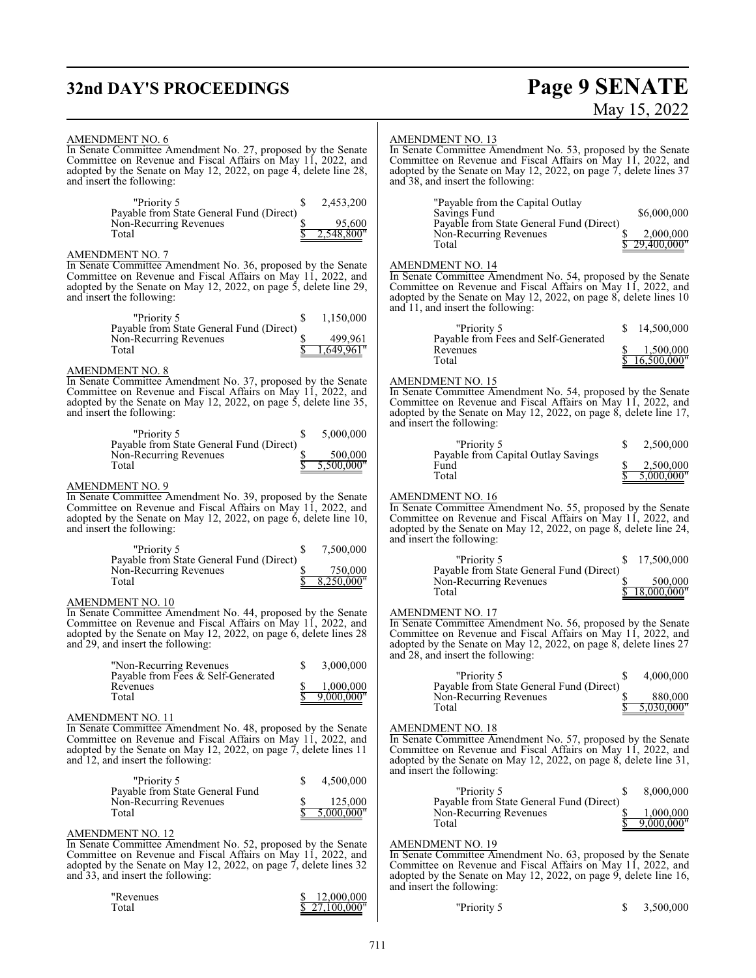# **32nd DAY'S PROCEEDINGS**

# **Page 9 SENATE**<br>May 15, 2022

| <b>AMENDMENT NO. 6</b><br>In Senate Committee Amendment No. 27, proposed by the Senate<br>Committee on Revenue and Fiscal Affairs on May 11, 2022, and<br>adopted by the Senate on May 12, 2022, on page $\overline{4}$ , delete line 28,<br>and insert the following: |                                                  | <b>AMENDMENT NO. 13</b><br>In Senate Committee Amendment No. 53, proposed by the Senate<br>Committee on Revenue and Fiscal Affairs on May 11, 2022, and<br>adopted by the Senate on May 12, 2022, on page 7, delete lines 37<br>and 38, and insert the following: |                                            |
|------------------------------------------------------------------------------------------------------------------------------------------------------------------------------------------------------------------------------------------------------------------------|--------------------------------------------------|-------------------------------------------------------------------------------------------------------------------------------------------------------------------------------------------------------------------------------------------------------------------|--------------------------------------------|
| "Priority 5<br>Payable from State General Fund (Direct)<br>Non-Recurring Revenues<br>Total                                                                                                                                                                             | 2,453,200<br>S<br>95,600<br>,548,800"            | "Payable from the Capital Outlay"<br>Savings Fund<br>Payable from State General Fund (Direct)<br>Non-Recurring Revenues<br>Total                                                                                                                                  | \$6,000,000<br>2,000,000<br>29,400,000"    |
| <b>AMENDMENT NO. 7</b><br>In Senate Committee Amendment No. 36, proposed by the Senate<br>Committee on Revenue and Fiscal Affairs on May 11, 2022, and<br>adopted by the Senate on May 12, 2022, on page 5, delete line 29,<br>and insert the following:               |                                                  | <b>AMENDMENT NO. 14</b><br>In Senate Committee Amendment No. 54, proposed by the Senate<br>Committee on Revenue and Fiscal Affairs on May 11, 2022, and<br>adopted by the Senate on May 12, 2022, on page 8, delete lines 10<br>and 11, and insert the following: |                                            |
| "Priority 5<br>Payable from State General Fund (Direct)<br>Non-Recurring Revenues<br>Total                                                                                                                                                                             | 1,150,000<br>\$<br>499,961<br>,649,961"          | "Priority 5<br>Payable from Fees and Self-Generated<br>Revenues<br>Total                                                                                                                                                                                          | 14,500,000<br>1,500,000<br>16,500,000"     |
| AMENDMENT NO. 8<br>In Senate Committee Amendment No. 37, proposed by the Senate<br>Committee on Revenue and Fiscal Affairs on May 11, 2022, and<br>adopted by the Senate on May 12, 2022, on page 5, delete line 35,<br>and insert the following:                      |                                                  | <b>AMENDMENT NO. 15</b><br>In Senate Committee Amendment No. 54, proposed by the Senate<br>Committee on Revenue and Fiscal Affairs on May 11, 2022, and<br>adopted by the Senate on May 12, 2022, on page 8, delete line 17,<br>and insert the following:         |                                            |
| "Priority 5<br>Payable from State General Fund (Direct)<br>Non-Recurring Revenues<br>Total                                                                                                                                                                             | 5,000,000<br>\$<br>500,000<br>5,500,000"         | "Priority 5<br>Payable from Capital Outlay Savings<br>Fund<br>Total                                                                                                                                                                                               | 2,500,000<br>2,500,000<br>5,000,000"       |
| <b>AMENDMENT NO. 9</b><br>In Senate Committee Amendment No. 39, proposed by the Senate<br>Committee on Revenue and Fiscal Affairs on May 11, 2022, and<br>adopted by the Senate on May 12, 2022, on page 6, delete line 10,<br>and insert the following:               |                                                  | <b>AMENDMENT NO. 16</b><br>In Senate Committee Amendment No. 55, proposed by the Senate<br>Committee on Revenue and Fiscal Affairs on May 11, 2022, and<br>adopted by the Senate on May 12, 2022, on page 8, delete line 24,<br>and insert the following:         |                                            |
| "Priority 5<br>Payable from State General Fund (Direct)<br>Non-Recurring Revenues<br>Total                                                                                                                                                                             | 7,500,000<br>\$<br>750,000<br>8,250,000"         | "Priority 5<br>Payable from State General Fund (Direct)<br>Non-Recurring Revenues<br>Total                                                                                                                                                                        | 17,500,000<br>S.<br>500,000<br>18,000,000" |
| AMENDMENT NO. 10<br>In Senate Committee Amendment No. 44, proposed by the Senate<br>Committee on Revenue and Fiscal Affairs on May 11, 2022, and<br>adopted by the Senate on May 12, 2022, on page 6, delete lines 28<br>and 29, and insert the following:             |                                                  | <b>AMENDMENT NO. 17</b><br>In Senate Committee Amendment No. 56, proposed by the Senate<br>Committee on Revenue and Fiscal Affairs on May 11, 2022, and<br>adopted by the Senate on May 12, 2022, on page 8, delete lines 27<br>and 28, and insert the following: |                                            |
| "Non-Recurring Revenues"<br>Payable from Fees & Self-Generated<br>Revenues<br>Total                                                                                                                                                                                    | \$<br>3,000,000<br>1,000,000<br>\$<br>9,000,000" | "Priority 5<br>S<br>Payable from State General Fund (Direct)<br>Non-Recurring Revenues<br>Total                                                                                                                                                                   | 4,000,000<br>880,000<br>5,030,000"         |
| AMENDMENT NO. 11<br>In Senate Committee Amendment No. 48, proposed by the Senate<br>Committee on Revenue and Fiscal Affairs on May 11, 2022, and<br>adopted by the Senate on May 12, 2022, on page 7, delete lines 11<br>and 12, and insert the following:             |                                                  | <b>AMENDMENT NO. 18</b><br>In Senate Committee Amendment No. 57, proposed by the Senate<br>Committee on Revenue and Fiscal Affairs on May 11, 2022, and<br>adopted by the Senate on May 12, 2022, on page 8, delete line 31,<br>and insert the following:         |                                            |
| "Priority 5<br>Payable from State General Fund<br>Non-Recurring Revenues<br>Total                                                                                                                                                                                      | \$<br>4,500,000<br>125,000<br>5.000.000"         | "Priority 5<br>\$<br>Payable from State General Fund (Direct)<br>Non-Recurring Revenues<br>Total                                                                                                                                                                  | 8,000,000<br>1,000,000<br>9,000,000"       |
| <b>AMENDMENT NO. 12</b><br>In Senate Committee Amendment No. 52, proposed by the Senate<br>Committee on Revenue and Fiscal Affairs on May 11, 2022, and<br>adopted by the Senate on May 12, 2022, on page 7, delete lines 32<br>and 33, and insert the following:      |                                                  | <b>AMENDMENT NO. 19</b><br>In Senate Committee Amendment No. 63, proposed by the Senate<br>Committee on Revenue and Fiscal Affairs on May 11, 2022, and<br>adopted by the Senate on May 12, 2022, on page 9, delete line 16,<br>and insert the following:         |                                            |
| "Revenues<br>Total                                                                                                                                                                                                                                                     | 12,000,000<br>27.100.000"                        | "Priority 5<br>S                                                                                                                                                                                                                                                  | 3,500,000                                  |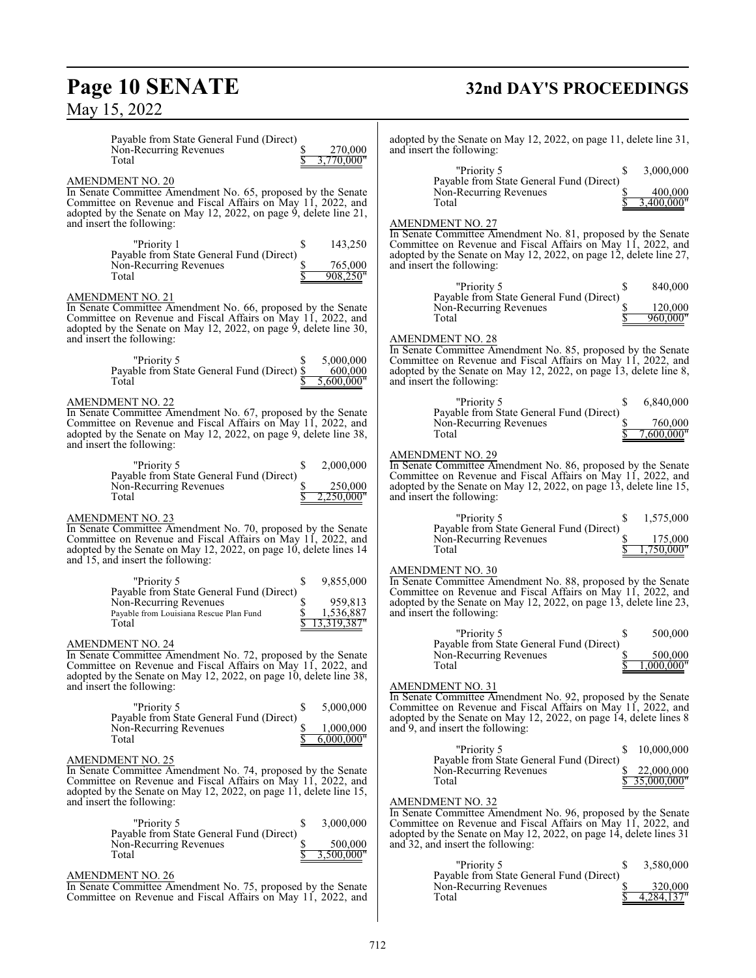# **Page 10 SENATE**<br>May 15, 2022

# **32nd DAY'S PROCEEDINGS**

| Payable from State General Fund (Direct)<br>270,000<br>Non-Recurring Revenues<br>3,770,000"<br>Total                                                                                                                                                        | adopted by the Senate on May 12, 2022, on page 11, delete line 31,<br>and insert the following:                                                                                                                                                                    |
|-------------------------------------------------------------------------------------------------------------------------------------------------------------------------------------------------------------------------------------------------------------|--------------------------------------------------------------------------------------------------------------------------------------------------------------------------------------------------------------------------------------------------------------------|
| <b>AMENDMENT NO. 20</b><br>In Senate Committee Amendment No. 65, proposed by the Senate<br>Committee on Revenue and Fiscal Affairs on May 11, 2022, and                                                                                                     | 3,000,000<br>"Priority 5<br>Payable from State General Fund (Direct)<br>Non-Recurring Revenues<br>400,000<br>3.400.000"<br>Total                                                                                                                                   |
| adopted by the Senate on May 12, 2022, on page 9, delete line 21,<br>and insert the following:<br>"Priority 1<br>143,250<br>\$<br>Payable from State General Fund (Direct)                                                                                  | <b>AMENDMENT NO. 27</b><br>In Senate Committee Amendment No. 81, proposed by the Senate<br>Committee on Revenue and Fiscal Affairs on May 11, 2022, and<br>adopted by the Senate on May 12, 2022, on page 12, delete line 27,                                      |
| Non-Recurring Revenues<br>765,000<br>Total<br>908.250"                                                                                                                                                                                                      | and insert the following:<br>840,000<br>"Priority 5                                                                                                                                                                                                                |
| AMENDMENT NO. 21<br>In Senate Committee Amendment No. 66, proposed by the Senate<br>Committee on Revenue and Fiscal Affairs on May 11, 2022, and<br>adopted by the Senate on May 12, 2022, on page 9, delete line 30,                                       | Payable from State General Fund (Direct)<br>Non-Recurring Revenues<br>120,000<br>960,000"<br>Total                                                                                                                                                                 |
| and insert the following:<br>5,000,000<br>"Priority 5<br>Payable from State General Fund (Direct) \$<br>600,000<br>Total<br>5,600,000"                                                                                                                      | <b>AMENDMENT NO. 28</b><br>In Senate Committee Amendment No. 85, proposed by the Senate<br>Committee on Revenue and Fiscal Affairs on May 11, 2022, and<br>adopted by the Senate on May 12, 2022, on page 13, delete line 8,<br>and insert the following:          |
| AMENDMENT NO. 22<br>In Senate Committee Amendment No. 67, proposed by the Senate<br>Committee on Revenue and Fiscal Affairs on May 11, 2022, and<br>adopted by the Senate on May 12, 2022, on page 9, delete line 38,<br>and insert the following:          | 6,840,000<br>"Priority 5<br>Payable from State General Fund (Direct)<br>760,000<br>Non-Recurring Revenues<br>7.600.000"<br>Total                                                                                                                                   |
| 2,000,000<br>"Priority 5<br>S<br>Payable from State General Fund (Direct)<br>250,000<br>Non-Recurring Revenues<br>2.250.000"<br>Total                                                                                                                       | <b>AMENDMENT NO. 29</b><br>In Senate Committee Amendment No. 86, proposed by the Senate<br>Committee on Revenue and Fiscal Affairs on May 11, 2022, and<br>adopted by the Senate on May 12, 2022, on page 13, delete line 15,<br>and insert the following:         |
| AMENDMENT NO. 23<br>In Senate Committee Amendment No. 70, proposed by the Senate<br>Committee on Revenue and Fiscal Affairs on May 11, 2022, and<br>adopted by the Senate on May 12, 2022, on page 10, delete lines 14<br>and 15, and insert the following: | "Priority 5<br>1,575,000<br>Payable from State General Fund (Direct)<br>Non-Recurring Revenues<br>175,000<br>Total<br>750,000"                                                                                                                                     |
| "Priority 5<br>9,855,000<br>S<br>Payable from State General Fund (Direct)<br>959,813<br>Non-Recurring Revenues<br>1,536,887<br>Payable from Louisiana Rescue Plan Fund<br>13,319,387"<br>Total                                                              | <b>AMENDMENT NO. 30</b><br>In Senate Committee Amendment No. 88, proposed by the Senate<br>Committee on Revenue and Fiscal Affairs on May 11, 2022, and<br>adopted by the Senate on May 12, 2022, on page 13, delete line 23,<br>and insert the following:         |
| <u>AMENDMENT NO. 24</u><br>In Senate Committee Amendment No. 72, proposed by the Senate<br>Committee on Revenue and Fiscal Affairs on May 11, 2022, and<br>adopted by the Senate on May 12, 2022, on page 10, delete line 38,                               | "Priority 5<br>500,000<br>Payable from State General Fund (Direct)<br>Non-Recurring Revenues<br>500,000<br>000.000"<br>Total                                                                                                                                       |
| and insert the following:<br>"Priority 5<br>5,000,000<br>\$<br>Payable from State General Fund (Direct)<br>1,000,000<br>Non-Recurring Revenues<br>6,000,000"<br>Total                                                                                       | <b>AMENDMENT NO. 31</b><br>In Senate Committee Amendment No. 92, proposed by the Senate<br>Committee on Revenue and Fiscal Affairs on May 11, 2022, and<br>adopted by the Senate on May 12, 2022, on page 14, delete lines 8<br>and 9, and insert the following:   |
| AMENDMENT NO. 25<br>In Senate Committee Amendment No. 74, proposed by the Senate<br>Committee on Revenue and Fiscal Affairs on May 11, 2022, and<br>adopted by the Senate on May 12, 2022, on page 11, delete line 15,                                      | "Priority 5<br>10,000,000<br>S.<br>Payable from State General Fund (Direct)<br>22,000,000<br>Non-Recurring Revenues<br>35,000,000"<br>Total                                                                                                                        |
| and insert the following:<br>"Priority 5<br>\$<br>3,000,000<br>Payable from State General Fund (Direct)<br>Non-Recurring Revenues<br>500,000<br>3,500,000"                                                                                                  | <b>AMENDMENT NO. 32</b><br>In Senate Committee Amendment No. 96, proposed by the Senate<br>Committee on Revenue and Fiscal Affairs on May 11, 2022, and<br>adopted by the Senate on May 12, 2022, on page 14, delete lines 31<br>and 32, and insert the following: |
| Total<br>AMENDMENT NO. 26<br>In Senate Committee Amendment No. 75, proposed by the Senate<br>Committee on Revenue and Fiscal Affairs on May 11, 2022, and                                                                                                   | "Priority 5<br>3,580,000<br>S<br>Payable from State General Fund (Direct)<br>Non-Recurring Revenues<br>320,000<br>4,284,137"<br>Total                                                                                                                              |
|                                                                                                                                                                                                                                                             |                                                                                                                                                                                                                                                                    |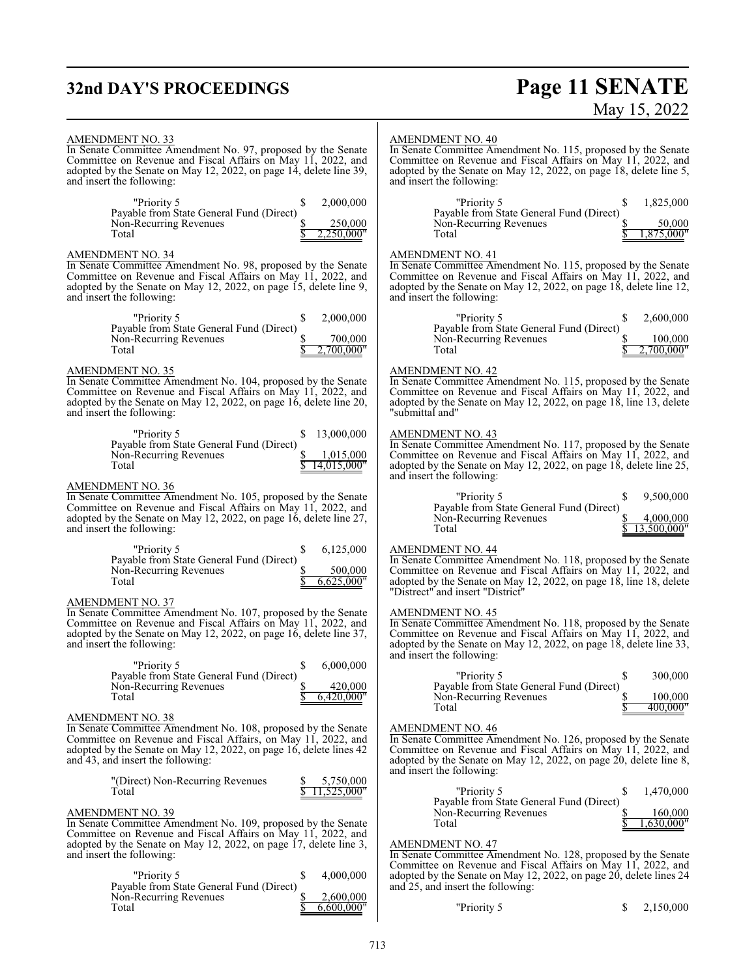# **32nd DAY'S PROCEEDINGS**

# **Page 11 SENATE**<br>May 15, 2022

| AMENDMENT NO. 33<br>In Senate Committee Amendment No. 97, proposed by the Senate<br>Committee on Revenue and Fiscal Affairs on May 11, 2022, and<br>adopted by the Senate on May 12, 2022, on page 14, delete line 39,<br>and insert the following:                  | <b>AMENDMENT NO. 40</b><br>In Senate Committee Amendment No. 115, proposed by the Senate<br>Committee on Revenue and Fiscal Affairs on May 11, 2022, and<br>adopted by the Senate on May 12, 2022, on page 18, delete line 5,<br>and insert the following:         |
|----------------------------------------------------------------------------------------------------------------------------------------------------------------------------------------------------------------------------------------------------------------------|--------------------------------------------------------------------------------------------------------------------------------------------------------------------------------------------------------------------------------------------------------------------|
| "Priority 5<br>2,000,000<br>\$<br>Payable from State General Fund (Direct)<br>Non-Recurring Revenues<br>250,000<br>Total<br>,250,000"                                                                                                                                | 1,825,000<br>"Priority 5<br>S<br>Payable from State General Fund (Direct)<br>Non-Recurring Revenues<br>50,000<br>Total<br>"875,000.                                                                                                                                |
| <b>AMENDMENT NO. 34</b><br>In Senate Committee Amendment No. 98, proposed by the Senate<br>Committee on Revenue and Fiscal Affairs on May 11, 2022, and<br>adopted by the Senate on May 12, 2022, on page 15, delete line 9,<br>and insert the following:            | <b>AMENDMENT NO. 41</b><br>In Senate Committee Amendment No. 115, proposed by the Senate<br>Committee on Revenue and Fiscal Affairs on May 11, 2022, and<br>adopted by the Senate on May 12, 2022, on page 18, delete line 12,<br>and insert the following:        |
| 2,000,000<br>"Priority 5<br>S<br>Payable from State General Fund (Direct)<br>700,000<br>Non-Recurring Revenues<br>Total<br>2,700,000"                                                                                                                                | "Priority 5<br>2,600,000<br>S<br>Payable from State General Fund (Direct)<br>Non-Recurring Revenues<br>100,000<br>Total<br>2,700,000"                                                                                                                              |
| <b>AMENDMENT NO. 35</b><br>In Senate Committee Amendment No. 104, proposed by the Senate<br>Committee on Revenue and Fiscal Affairs on May 11, 2022, and<br>adopted by the Senate on May 12, 2022, on page 16, delete line 20,<br>and insert the following:          | <b>AMENDMENT NO. 42</b><br>In Senate Committee Amendment No. 115, proposed by the Senate<br>Committee on Revenue and Fiscal Affairs on May 11, 2022, and<br>adopted by the Senate on May 12, 2022, on page 18, line 13, delete<br>"submittal and"                  |
| 13,000,000<br>"Priority 5<br>S.<br>Payable from State General Fund (Direct)<br>Non-Recurring Revenues<br>1,015,000<br>14,015,000"<br>Total                                                                                                                           | <b>AMENDMENT NO. 43</b><br>In Senate Committee Amendment No. 117, proposed by the Senate<br>Committee on Revenue and Fiscal Affairs on May 11, 2022, and<br>adopted by the Senate on May 12, 2022, on page 18, delete line 25,<br>and insert the following:        |
| <b>AMENDMENT NO. 36</b><br>In Senate Committee Amendment No. 105, proposed by the Senate<br>Committee on Revenue and Fiscal Affairs on May 11, 2022, and<br>adopted by the Senate on May 12, 2022, on page 16, delete line 27,<br>and insert the following:          | 9,500,000<br>"Priority 5<br>S<br>Payable from State General Fund (Direct)<br>Non-Recurring Revenues<br>4,000,000<br>13,500,000"<br>Total                                                                                                                           |
| 6,125,000<br>"Priority 5<br>\$<br>Payable from State General Fund (Direct)<br>Non-Recurring Revenues<br>500,000<br>6,625,000"<br>Total                                                                                                                               | <b>AMENDMENT NO. 44</b><br>In Senate Committee Amendment No. 118, proposed by the Senate<br>Committee on Revenue and Fiscal Affairs on May 11, 2022, and<br>adopted by the Senate on May 12, 2022, on page 18, line 18, delete<br>"Distrect" and insert "District" |
| <b>AMENDMENT NO. 37</b><br>In Senate Committee Amendment No. 107, proposed by the Senate<br>Committee on Revenue and Fiscal Affairs on May 11, 2022, and<br>adopted by the Senate on May 12, 2022, on page 16, delete line 37,<br>and insert the following:          | <b>AMENDMENT NO. 45</b><br>In Senate Committee Amendment No. 118, proposed by the Senate<br>Committee on Revenue and Fiscal Affairs on May 11, 2022, and<br>adopted by the Senate on May 12, 2022, on page 18, delete line 33,<br>and insert the following:        |
| "Priority 5<br>6,000,000<br>S<br>Payable from State General Fund (Direct)<br>\$<br>420,000<br>Non-Recurring Revenues<br>6,420,000"<br>Total                                                                                                                          | "Priority 5<br>300,000<br>Payable from State General Fund (Direct)<br>Non-Recurring Revenues<br>100,000<br>400.000"<br>Total                                                                                                                                       |
| <b>AMENDMENT NO. 38</b><br>In Senate Committee Amendment No. 108, proposed by the Senate<br>Committee on Revenue and Fiscal Affairs, on May 11, 2022, and<br>adopted by the Senate on May 12, 2022, on page 16, delete lines 42<br>and 43, and insert the following: | <b>AMENDMENT NO. 46</b><br>In Senate Committee Amendment No. 126, proposed by the Senate<br>Committee on Revenue and Fiscal Affairs on May 11, 2022, and<br>adopted by the Senate on May 12, 2022, on page 20, delete line 8,<br>and insert the following:         |
| "(Direct) Non-Recurring Revenues<br>5,750,000<br>11,525,000"<br>Total<br><b>AMENDMENT NO. 39</b><br>In Senate Committee Amendment No. 109, proposed by the Senate                                                                                                    | "Priority 5<br>1,470,000<br>S<br>Payable from State General Fund (Direct)<br>Non-Recurring Revenues<br>160,000<br>,630,000"<br>Total                                                                                                                               |
| Committee on Revenue and Fiscal Affairs on May 11, 2022, and<br>adopted by the Senate on May 12, 2022, on page 17, delete line 3,<br>and insert the following:<br>"Priority 5<br>\$<br>4,000,000                                                                     | <b>AMENDMENT NO. 47</b><br>In Senate Committee Amendment No. 128, proposed by the Senate<br>Committee on Revenue and Fiscal Affairs on May 11, 2022, and<br>adopted by the Senate on May 12, 2022, on page 20, delete lines 24                                     |
| Payable from State General Fund (Direct)<br>Non-Recurring Revenues<br>2,600,000<br>Total<br>6,600,000"                                                                                                                                                               | and 25, and insert the following:<br>"Priority 5<br>2,150,000<br>S.                                                                                                                                                                                                |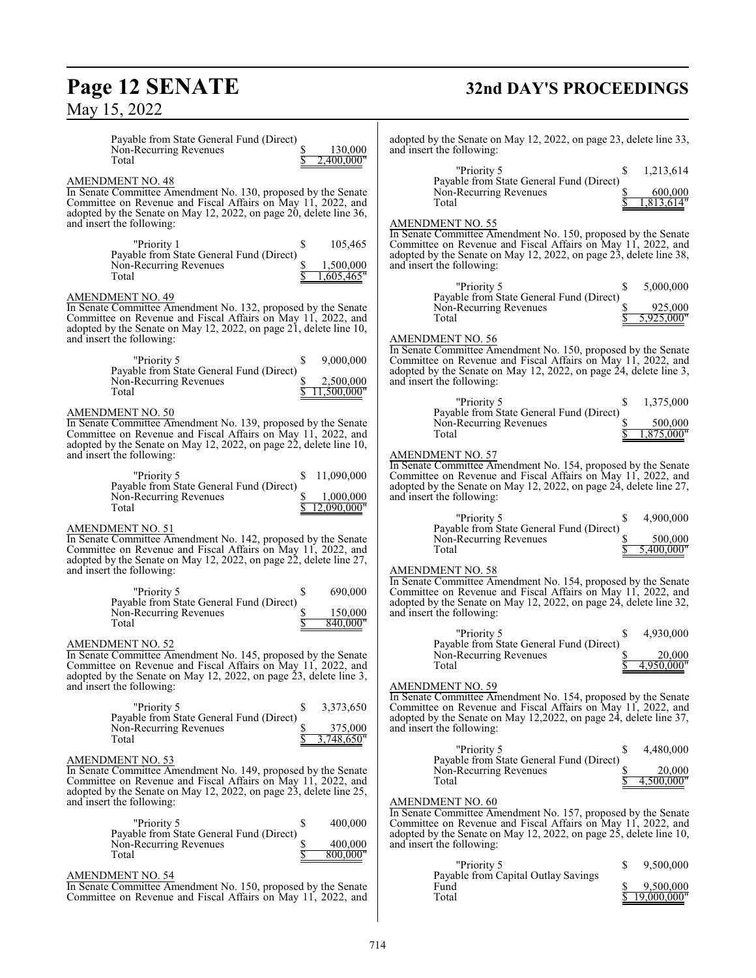# **Page 12 SENATE**<br>May 15, 2022

# **32nd DAY'S PROCEEDINGS**

| Payable from State General Fund (Direct)<br>130,000<br>Non-Recurring Revenues<br>2,400,000"<br>Total | adopted by the Senate on May 12, 2022, on page 23, delete line 33,<br>and insert the following:                               |
|------------------------------------------------------------------------------------------------------|-------------------------------------------------------------------------------------------------------------------------------|
|                                                                                                      | "Priority 5<br>1,213,614<br>S                                                                                                 |
| AMENDMENT NO. 48                                                                                     | Payable from State General Fund (Direct)                                                                                      |
| In Senate Committee Amendment No. 130, proposed by the Senate                                        | Non-Recurring Revenues<br>600,000                                                                                             |
| Committee on Revenue and Fiscal Affairs on May 11, 2022, and                                         | 1,813,614"<br>Total                                                                                                           |
| adopted by the Senate on May 12, 2022, on page 20, delete line 36,                                   |                                                                                                                               |
| and insert the following:                                                                            | <b>AMENDMENT NO. 55</b>                                                                                                       |
| 105,465                                                                                              | In Senate Committee Amendment No. 150, proposed by the Senate<br>Committee on Revenue and Fiscal Affairs on May 11, 2022, and |
| "Priority 1<br>S                                                                                     |                                                                                                                               |
| Payable from State General Fund (Direct)<br>1,500,000<br>Non-Recurring Revenues                      | adopted by the Senate on May 12, 2022, on page 23, delete line 38,<br>and insert the following:                               |
| ,605,465"<br>Total                                                                                   |                                                                                                                               |
|                                                                                                      | 5,000,000<br>"Priority 5                                                                                                      |
| <b>AMENDMENT NO. 49</b>                                                                              | Payable from State General Fund (Direct)                                                                                      |
| In Senate Committee Amendment No. 132, proposed by the Senate                                        | 925,000<br>Non-Recurring Revenues                                                                                             |
| Committee on Revenue and Fiscal Affairs on May 11, 2022, and                                         | 5,925,000"<br>Total                                                                                                           |
| adopted by the Senate on May 12, 2022, on page 21, delete line 10,                                   |                                                                                                                               |
| and insert the following:                                                                            | <b>AMENDMENT NO. 56</b>                                                                                                       |
|                                                                                                      | In Senate Committee Amendment No. 150, proposed by the Senate                                                                 |
| 9,000,000<br>"Priority 5<br>S                                                                        | Committee on Revenue and Fiscal Affairs on May 11, 2022, and                                                                  |
| Payable from State General Fund (Direct)                                                             | adopted by the Senate on May 12, 2022, on page 24, delete line 3,                                                             |
| Non-Recurring Revenues<br>2,500,000                                                                  | and insert the following:                                                                                                     |
| Total<br>11.500.000"                                                                                 |                                                                                                                               |
|                                                                                                      | 1,375,000<br>"Priority 5                                                                                                      |
| AMENDMENT NO. 50                                                                                     | Payable from State General Fund (Direct)                                                                                      |
| In Senate Committee Amendment No. 139, proposed by the Senate                                        | Non-Recurring Revenues<br>500,000                                                                                             |
| Committee on Revenue and Fiscal Affairs on May 11, 2022, and                                         | Total<br>1,875,000"                                                                                                           |
| adopted by the Senate on May 12, 2022, on page 22, delete line 10,                                   |                                                                                                                               |
| and insert the following:                                                                            | <b>AMENDMENT NO. 57</b>                                                                                                       |
| 11.090.000                                                                                           | In Senate Committee Amendment No. 154, proposed by the Senate                                                                 |
| "Priority 5<br>Payable from State General Fund (Direct)                                              | Committee on Revenue and Fiscal Affairs on May 11, 2022, and                                                                  |
| 1,000,000<br>Non-Recurring Revenues                                                                  | adopted by the Senate on May 12, 2022, on page 24, delete line 27,<br>and insert the following:                               |
| 12,090,000"<br>Total                                                                                 |                                                                                                                               |
|                                                                                                      | 4,900,000<br>"Priority 5                                                                                                      |
| AMENDMENT NO. 51                                                                                     | Payable from State General Fund (Direct)                                                                                      |
| In Senate Committee Amendment No. 142, proposed by the Senate                                        | Non-Recurring Revenues<br>500,000                                                                                             |
| Committee on Revenue and Fiscal Affairs on May 11, 2022, and                                         | 5.400.000"<br>Total                                                                                                           |
| adopted by the Senate on May 12, 2022, on page 22, delete line 27,                                   |                                                                                                                               |
| and insert the following:                                                                            | <b>AMENDMENT NO. 58</b>                                                                                                       |
|                                                                                                      | In Senate Committee Amendment No. 154, proposed by the Senate                                                                 |
| 690,000<br>"Priority 5                                                                               | Committee on Revenue and Fiscal Affairs on May 11, 2022, and                                                                  |
| Payable from State General Fund (Direct)                                                             | adopted by the Senate on May 12, 2022, on page 24, delete line 32,                                                            |
| Non-Recurring Revenues<br>150,000<br>840,000"<br>Total                                               | and insert the following:                                                                                                     |
|                                                                                                      | 4,930,000<br>"Priority 5<br>S                                                                                                 |
| AMENDMENT NO. 52                                                                                     | Payable from State General Fund (Direct)                                                                                      |
| In Senate Committee Amendment No. 145, proposed by the Senate                                        | Non-Recurring Revenues<br>20,000                                                                                              |
| Committee on Revenue and Fiscal Affairs on May 11, 2022, and                                         | 4,950,000"<br>Total                                                                                                           |
| adopted by the Senate on May 12, 2022, on page 23, delete line 3,                                    |                                                                                                                               |
| and insert the following:                                                                            | <b>AMENDMENT NO. 59</b>                                                                                                       |
|                                                                                                      | In Senate Committee Amendment No. 154, proposed by the Senate                                                                 |
| "Priority 5<br>\$<br>3,373,650                                                                       | Committee on Revenue and Fiscal Affairs on May 11, 2022, and                                                                  |
| Payable from State General Fund (Direct)                                                             | adopted by the Senate on May 12,2022, on page 24, delete line 37,                                                             |
| 375,000<br>Non-Recurring Revenues                                                                    | and insert the following:                                                                                                     |
| Total<br>3,748,650"                                                                                  |                                                                                                                               |
|                                                                                                      | "Priority 5<br>4,480,000<br>S<br>Payable from State General Fund (Direct)                                                     |
| AMENDMENT NO. 53<br>In Senate Committee Amendment No. 149, proposed by the Senate                    | Non-Recurring Revenues<br>20,000                                                                                              |
| Committee on Revenue and Fiscal Affairs on May 11, 2022, and                                         | 4,500,000"<br>Total                                                                                                           |
| adopted by the Senate on May 12, 2022, on page 23, delete line 25,                                   |                                                                                                                               |
| and insert the following:                                                                            | <b>AMENDMENT NO. 60</b>                                                                                                       |
|                                                                                                      | In Senate Committee Amendment No. 157, proposed by the Senate                                                                 |
| "Priority 5<br>\$<br>400,000                                                                         | Committee on Revenue and Fiscal Affairs on May 11, 2022, and                                                                  |
| Payable from State General Fund (Direct)                                                             | adopted by the Senate on May 12, 2022, on page 25, delete line 10,                                                            |
| Non-Recurring Revenues<br>400,000                                                                    | and insert the following:                                                                                                     |
| 800.000"<br>Total                                                                                    |                                                                                                                               |
|                                                                                                      | "Priority 5<br>9,500,000<br>S                                                                                                 |
| AMENDMENT NO. 54                                                                                     | Payable from Capital Outlay Savings                                                                                           |
| In Senate Committee Amendment No. 150, proposed by the Senate                                        | Fund<br>9,500,000                                                                                                             |
| Committee on Revenue and Fiscal Affairs on May 11, 2022, and                                         | Total<br>19,000,000"                                                                                                          |
|                                                                                                      |                                                                                                                               |
|                                                                                                      |                                                                                                                               |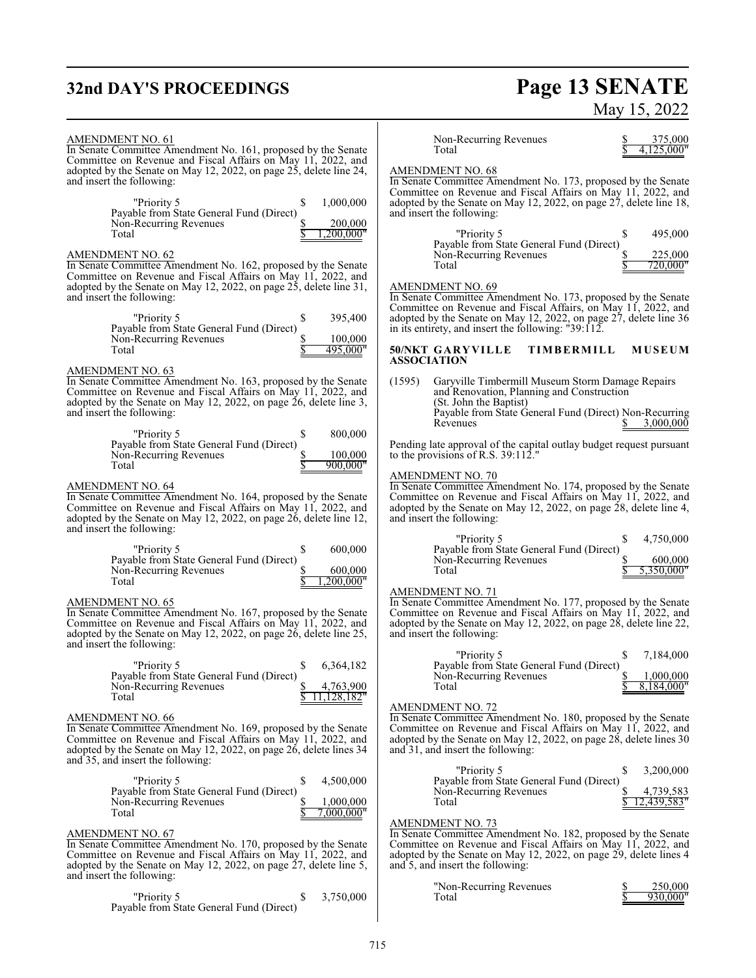# **32nd DAY'S PROCEEDINGS**

# **Page 13 SENATE**<br>May 15, 2022

| <b>AMENDMENT NO. 61</b><br>In Senate Committee Amendment No. 161, proposed by the Senate<br>Committee on Revenue and Fiscal Affairs on May 11, 2022, and                                                                                                      | Non-Recurring Revenues<br>375,000<br>4.125.000"<br>Total                                                                                                                                                                                                            |
|---------------------------------------------------------------------------------------------------------------------------------------------------------------------------------------------------------------------------------------------------------------|---------------------------------------------------------------------------------------------------------------------------------------------------------------------------------------------------------------------------------------------------------------------|
| adopted by the Senate on May 12, 2022, on page 25, delete line 24,<br>and insert the following:<br>"Priority 5<br>1,000,000<br>\$                                                                                                                             | <b>AMENDMENT NO. 68</b><br>In Senate Committee Amendment No. 173, proposed by the Senate<br>Committee on Revenue and Fiscal Affairs on May 11, 2022, and<br>adopted by the Senate on May 12, 2022, on page 27, delete line 18,                                      |
| Payable from State General Fund (Direct)<br>Non-Recurring Revenues<br>200,000<br>200.000"<br>Total                                                                                                                                                            | and insert the following:<br>"Priority 5<br>495,000<br>S<br>Payable from State General Fund (Direct)                                                                                                                                                                |
| <b>AMENDMENT NO. 62</b><br>In Senate Committee Amendment No. 162, proposed by the Senate<br>Committee on Revenue and Fiscal Affairs on May 11, 2022, and<br>adopted by the Senate on May 12, 2022, on page 25, delete line 31,                                | Non-Recurring Revenues<br>225,000<br>720.000"<br>Total<br><b>AMENDMENT NO. 69</b>                                                                                                                                                                                   |
| and insert the following:<br>"Priority 5<br>\$<br>395,400<br>Payable from State General Fund (Direct)                                                                                                                                                         | In Senate Committee Amendment No. 173, proposed by the Senate<br>Committee on Revenue and Fiscal Affairs, on May 11, 2022, and<br>adopted by the Senate on May 12, 2022, on page 27, delete line 36<br>in its entirety, and insert the following: $"39:112$ .       |
| \$<br>100,000<br>Non-Recurring Revenues<br>495,000"<br>Total                                                                                                                                                                                                  | 50/NKT GARYVILLE<br>TIMBERMILL<br><b>MUSEUM</b><br><b>ASSOCIATION</b>                                                                                                                                                                                               |
| <b>AMENDMENT NO. 63</b><br>In Senate Committee Amendment No. 163, proposed by the Senate<br>Committee on Revenue and Fiscal Affairs on May 11, 2022, and<br>adopted by the Senate on May 12, 2022, on page $26$ , delete line 3,<br>and insert the following: | (1595)<br>Garyville Timbermill Museum Storm Damage Repairs<br>and Renovation, Planning and Construction<br>(St. John the Baptist)<br>Payable from State General Fund (Direct) Non-Recurring<br>3,000,000<br>Revenues                                                |
| "Priority 5<br>800,000<br>S<br>Payable from State General Fund (Direct)<br>Non-Recurring Revenues<br>100,000<br>Total<br>900.000"                                                                                                                             | Pending late approval of the capital outlay budget request pursuant<br>to the provisions of R.S. $39:112."$                                                                                                                                                         |
| AMENDMENT NO. 64<br>In Senate Committee Amendment No. 164, proposed by the Senate<br>Committee on Revenue and Fiscal Affairs on May 11, 2022, and<br>adopted by the Senate on May 12, 2022, on page 26, delete line 12,<br>and insert the following:          | AMENDMENT NO. 70<br>In Senate Committee Amendment No. 174, proposed by the Senate<br>Committee on Revenue and Fiscal Affairs on May 11, 2022, and<br>adopted by the Senate on May 12, 2022, on page 28, delete line 4,<br>and insert the following:                 |
| 600,000<br>"Priority 5<br>S<br>Payable from State General Fund (Direct)<br>Non-Recurring Revenues<br>600,000<br>Total<br>200.000"                                                                                                                             | "Priority 5<br>4,750,000<br>Payable from State General Fund (Direct)<br>Non-Recurring Revenues<br>600,000<br>Total<br>5,350,000"                                                                                                                                    |
| AMENDMENT NO. 65<br>In Senate Committee Amendment No. 167, proposed by the Senate<br>Committee on Revenue and Fiscal Affairs on May 11, 2022, and<br>adopted by the Senate on May 12, 2022, on page 26, delete line 25,<br>and insert the following:          | <b>AMENDMENT NO. 71</b><br>In Senate Committee Amendment No. 177, proposed by the Senate<br>Committee on Revenue and Fiscal Affairs on May 11, 2022, and<br>adopted by the Senate on May 12, 2022, on page 28, delete line 22,<br>and insert the following:         |
| \$<br>6,364,182<br>"Priority 5<br>Payable from State General Fund (Direct)<br>4,763,900<br>Non-Recurring Revenues<br>,128,182"<br>Total                                                                                                                       | 7,184,000<br>"Priority 5<br>Payable from State General Fund (Direct)<br>1,000,000<br>Non-Recurring Revenues<br>P<br>8,184,000"<br>Total                                                                                                                             |
| AMENDMENT NO. 66<br>In Senate Committee Amendment No. 169, proposed by the Senate<br>Committee on Revenue and Fiscal Affairs on May 11, 2022, and<br>adopted by the Senate on May 12, 2022, on page 26, delete lines 34<br>and 35, and insert the following:  | <b>AMENDMENT NO. 72</b><br>In Senate Committee Amendment No. 180, proposed by the Senate<br>Committee on Revenue and Fiscal Affairs on May 11, 2022, and<br>adopted by the Senate on May 12, 2022, on page 28, delete lines 30<br>and 31, and insert the following: |
| "Priority 5<br>\$<br>4,500,000<br>Payable from State General Fund (Direct)<br>Non-Recurring Revenues<br>\$<br>1,000,000<br>7,000,000"<br>Total                                                                                                                | "Priority 5<br>3,200,000<br>S<br>Payable from State General Fund (Direct)<br>Non-Recurring Revenues<br>4,739,583<br>12,439,583"<br>Total                                                                                                                            |
| <b>AMENDMENT NO. 67</b><br>In Senate Committee Amendment No. 170, proposed by the Senate<br>Committee on Revenue and Fiscal Affairs on May 11, 2022, and<br>adopted by the Senate on May 12, 2022, on page 27, delete line 5,                                 | <b>AMENDMENT NO. 73</b><br>In Senate Committee Amendment No. 182, proposed by the Senate<br>Committee on Revenue and Fiscal Affairs on May 11, 2022, and<br>adopted by the Senate on May 12, 2022, on page 29, delete lines 4<br>and 5, and insert the following:   |
| and insert the following:<br>"Priority 5<br>\$<br>3,750,000<br>Payable from State General Fund (Direct)                                                                                                                                                       | "Non-Recurring Revenues"<br>250,000<br>Total<br>930.000'                                                                                                                                                                                                            |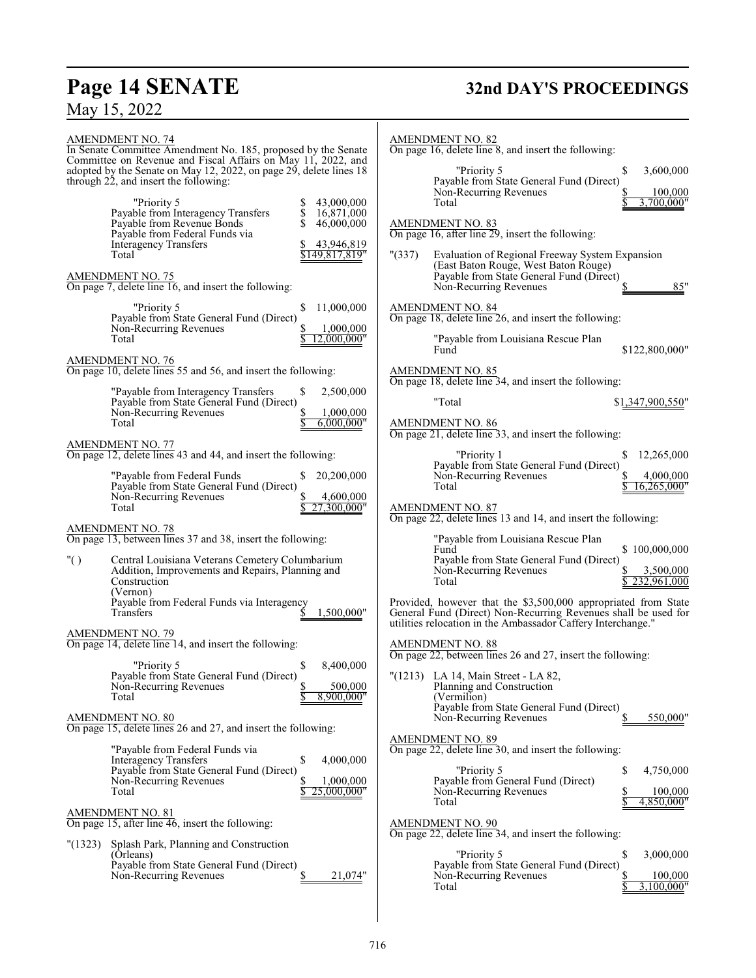# **Page 14 SENATE 32nd DAY'S PROCEEDINGS**

| <b>AMENDMENT NO. 74</b><br>In Senate Committee Amendment No. 185, proposed by the Senate<br>Committee on Revenue and Fiscal Affairs on May 11, 2022, and<br>adopted by the Senate on May 12, 2022, on page 29, delete lines 18<br>through 22, and insert the following:<br>"Priority 5<br>43,000,000<br>Payable from Interagency Transfers<br>\$<br>16,871,000<br>Payable from Revenue Bonds<br>S<br>46,000,000<br>Payable from Federal Funds via<br><b>Interagency Transfers</b><br>43,946,819<br>\$149,817,819"<br>Total<br><b>AMENDMENT NO. 75</b><br>On page 7, delete line 16, and insert the following: | <b>AMENDMENT NO. 82</b><br>On page 16, delete line 8, and insert the following:<br>"Priority 5<br>\$<br>3,600,000<br>Payable from State General Fund (Direct)<br>Non-Recurring Revenues<br>100,000<br>3,700,000"<br>Total<br><b>AMENDMENT NO. 83</b><br>On page 16, after line 29, insert the following:<br>" (337)<br>Evaluation of Regional Freeway System Expansion<br>(East Baton Rouge, West Baton Rouge)<br>Payable from State General Fund (Direct)<br>85"<br>\$<br>Non-Recurring Revenues |
|---------------------------------------------------------------------------------------------------------------------------------------------------------------------------------------------------------------------------------------------------------------------------------------------------------------------------------------------------------------------------------------------------------------------------------------------------------------------------------------------------------------------------------------------------------------------------------------------------------------|---------------------------------------------------------------------------------------------------------------------------------------------------------------------------------------------------------------------------------------------------------------------------------------------------------------------------------------------------------------------------------------------------------------------------------------------------------------------------------------------------|
| "Priority 5<br>11,000,000<br>\$<br>Payable from State General Fund (Direct)<br>Non-Recurring Revenues<br>1,000,000<br>2,000,000"<br>Total                                                                                                                                                                                                                                                                                                                                                                                                                                                                     | AMENDMENT NO. 84<br>On page 18, delete line 26, and insert the following:<br>"Payable from Louisiana Rescue Plan<br>Fund<br>\$122,800,000"                                                                                                                                                                                                                                                                                                                                                        |
| $\frac{\text{AMENDMENT NO. 76}}{\text{On page 10, delete lines 55 and 56, and insert the following:}}$<br>2,500,000<br>"Payable from Interagency Transfers<br>\$<br>Payable from State General Fund (Direct)<br>1,000,000<br>Non-Recurring Revenues<br>Total<br>6,000,000"                                                                                                                                                                                                                                                                                                                                    | <b>AMENDMENT NO. 85</b><br>On page 18, delete line 34, and insert the following:<br>"Total<br>\$1,347,900,550"<br>AMENDMENT NO. 86<br>On page 21, delete line 33, and insert the following:                                                                                                                                                                                                                                                                                                       |
| AMENDMENT NO. 77<br>On page 12, delete lines 43 and 44, and insert the following:<br>"Payable from Federal Funds<br>20,200,000<br>S.<br>Payable from State General Fund (Direct)<br>Non-Recurring Revenues<br>4,600,000<br>27.300.000"<br>Total                                                                                                                                                                                                                                                                                                                                                               | "Priority 1<br>12,265,000<br>\$<br>Payable from State General Fund (Direct)<br>Non-Recurring Revenues<br>4,000,000<br>16.265.000"<br>Total<br><b>AMENDMENT NO. 87</b><br>On page 22, delete lines 13 and 14, and insert the following:                                                                                                                                                                                                                                                            |
| AMENDMENT NO. 78<br>On page 13, between lines 37 and 38, insert the following:<br>" $()$<br>Central Louisiana Veterans Cemetery Columbarium<br>Addition, Improvements and Repairs, Planning and<br>Construction<br>(Vernon)<br>Payable from Federal Funds via Interagency<br>1,500,000"<br>Transfers                                                                                                                                                                                                                                                                                                          | "Payable from Louisiana Rescue Plan<br>\$100,000,000<br>Fund<br>Payable from State General Fund (Direct)<br>Non-Recurring Revenues<br>3,500,000<br>232,961,000<br>Total<br>Provided, however that the \$3,500,000 appropriated from State<br>General Fund (Direct) Non-Recurring Revenues shall be used for                                                                                                                                                                                       |
| <b>AMENDMENT NO. 79</b><br>On page 14, delete line 14, and insert the following:<br>8,400,000<br>"Priority 5<br>\$<br>Payable from State General Fund (Direct)<br>\$<br>500,000<br>Non-Recurring Revenues<br>8,900,000"<br>Total                                                                                                                                                                                                                                                                                                                                                                              | utilities relocation in the Ambassador Caffery Interchange."<br><b>AMENDMENT NO. 88</b><br>On page 22, between lines 26 and 27, insert the following:<br>"(1213) LA 14, Main Street - LA 82,<br>Planning and Construction<br>(Vermilion)<br>Payable from State General Fund (Direct)                                                                                                                                                                                                              |
| <b>AMENDMENT NO. 80</b><br>On page 15, delete lines 26 and 27, and insert the following:<br>"Payable from Federal Funds via<br>\$<br>4,000,000<br><b>Interagency Transfers</b><br>Payable from State General Fund (Direct)<br>Non-Recurring Revenues<br>1,000,000<br>25,000,000"<br>Total                                                                                                                                                                                                                                                                                                                     | 550,000"<br>Non-Recurring Revenues<br><b>AMENDMENT NO. 89</b><br>On page 22, delete line 30, and insert the following:<br>"Priority 5<br>\$<br>4,750,000<br>Payable from General Fund (Direct)<br>Non-Recurring Revenues<br>100,000<br>Total<br>4,850,000"                                                                                                                                                                                                                                        |
| AMENDMENT NO. 81<br>On page 15, after line 46, insert the following:<br>Splash Park, Planning and Construction<br>" (1323)<br>(Orleans)<br>Payable from State General Fund (Direct)<br>Non-Recurring Revenues<br>21,074"                                                                                                                                                                                                                                                                                                                                                                                      | <b>AMENDMENT NO. 90</b><br>On page 22, delete line 34, and insert the following:<br>"Priority 5<br>\$<br>3,000,000<br>Payable from State General Fund (Direct)<br>Non-Recurring Revenues<br>100,000<br>3,100,000"<br>Total                                                                                                                                                                                                                                                                        |

 $\overline{\phantom{a}}$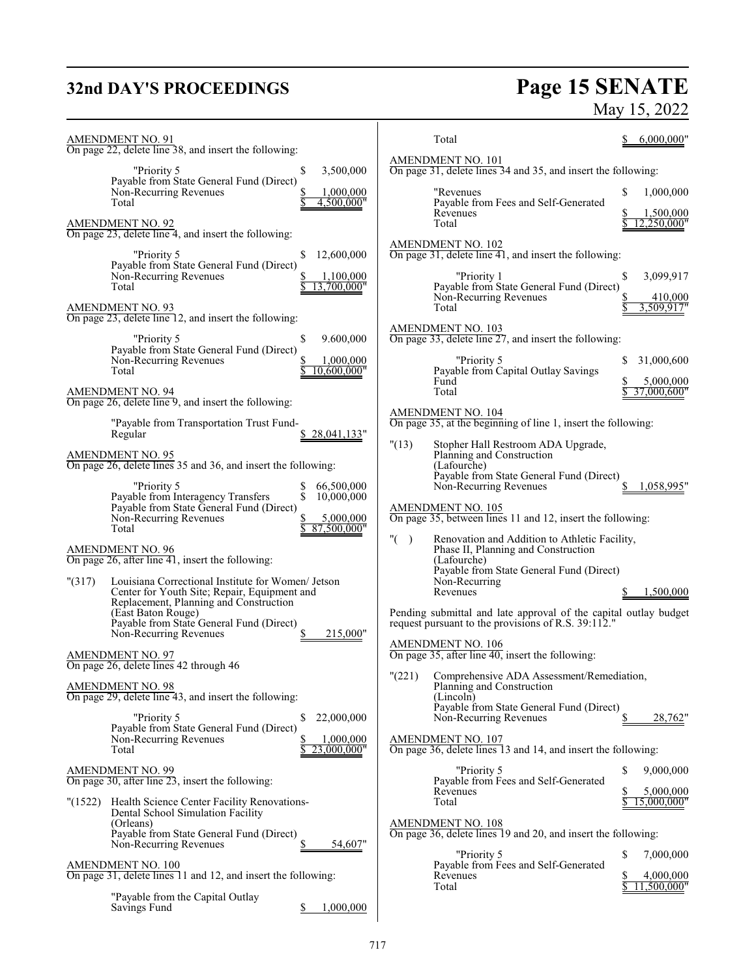# **32nd DAY'S PROCEEDINGS**

# **Page 15 SENATE**<br>May 15, 2022

| <b>AMENDMENT NO. 91</b><br>On page 22, delete line 38, and insert the following:                                                                                                                  | Total<br>6,000,000"                                                                                                                                 |
|---------------------------------------------------------------------------------------------------------------------------------------------------------------------------------------------------|-----------------------------------------------------------------------------------------------------------------------------------------------------|
| 3,500,000<br>"Priority 5<br>\$<br>Payable from State General Fund (Direct)                                                                                                                        | <b>AMENDMENT NO. 101</b><br>On page 31, delete lines 34 and 35, and insert the following:                                                           |
| Non-Recurring Revenues<br>1,000,000<br>4,500,000"<br>Total                                                                                                                                        | "Revenues<br>S<br>1,000,000<br>Payable from Fees and Self-Generated<br>Revenues<br>1,500,000<br>2.250.000"<br>Total                                 |
| <b>AMENDMENT NO. 92</b><br>On page 23, delete line 4, and insert the following:<br>"Priority 5                                                                                                    | <b>AMENDMENT NO. 102</b><br>On page 31, delete line $\overline{41}$ , and insert the following:                                                     |
| 12,600,000<br>S<br>Payable from State General Fund (Direct)<br>Non-Recurring Revenues<br>1,100,000<br>Total<br>3.700.000"                                                                         | "Priority 1<br>\$<br>3,099,917<br>Payable from State General Fund (Direct)                                                                          |
| <b>AMENDMENT NO. 93</b><br>On page 23, delete line 12, and insert the following:                                                                                                                  | Non-Recurring Revenues<br>410,000<br>3,509,917"<br>Total                                                                                            |
| 9.600,000<br>"Priority 5<br>S<br>Payable from State General Fund (Direct)<br>Non-Recurring Revenues<br>1,000,000                                                                                  | $\frac{\text{AMENDMENT NO. 103}}{\text{On page 33, delete line 27, and insert the following:}}$<br>"Priority 5<br>31,000,600<br>S                   |
| 10,600,000"<br>Total<br>$\frac{\text{AMENDMENT NO. 94}}{\text{On page 26, delete line 9}}$ , and insert the following:                                                                            | Payable from Capital Outlay Savings<br>5,000,000<br>Fund<br>Total<br>37,000,600"                                                                    |
| "Payable from Transportation Trust Fund-<br>\$28,041,133"<br>Regular                                                                                                                              | <b>AMENDMENT NO. 104</b><br>On page 35, at the beginning of line 1, insert the following:                                                           |
| <b>AMENDMENT NO. 95</b><br>On page 26, delete lines 35 and 36, and insert the following:                                                                                                          | "(13)<br>Stopher Hall Restroom ADA Upgrade,<br>Planning and Construction<br>(Lafourche)<br>Payable from State General Fund (Direct)                 |
| "Priority 5<br>66,500,000<br>Տ<br>Տ<br>Payable from Interagency Transfers<br>10,000,000<br>Payable from State General Fund (Direct)<br>Non-Recurring Revenues<br>5,000,000<br>87,500,000<br>Total | Non-Recurring Revenues<br>1,058,995"<br>AMENDMENT NO. 105<br>On page 35, between lines 11 and 12, insert the following:                             |
| <b>AMENDMENT NO. 96</b><br>On page $26$ , after line $41$ , insert the following:                                                                                                                 | " $($ )<br>Renovation and Addition to Athletic Facility,<br>Phase II, Planning and Construction<br>(Lafourche)                                      |
| "(317)<br>Louisiana Correctional Institute for Women/ Jetson<br>Center for Youth Site; Repair, Equipment and<br>Replacement, Planning and Construction                                            | Payable from State General Fund (Direct)<br>Non-Recurring<br>Revenues<br>1,500,000<br>S                                                             |
| (East Baton Rouge)<br>Payable from State General Fund (Direct)<br>Non-Recurring Revenues<br>215,000"                                                                                              | Pending submittal and late approval of the capital outlay budget<br>request pursuant to the provisions of R.S. 39:112."<br><b>AMENDMENT NO. 106</b> |
| <b>AMENDMENT NO. 97</b><br>On page 26, delete lines 42 through 46                                                                                                                                 | On page 35, after line 40, insert the following:                                                                                                    |
| <b>AMENDMENT NO. 98</b><br>On page 29, delete line 43, and insert the following:                                                                                                                  | "(221) Comprehensive ADA Assessment/Remediation,<br>Planning and Construction<br>(Lincoln)<br>Payable from State General Fund (Direct)              |
| "Priority 5<br>22,000,000<br>\$<br>Payable from State General Fund (Direct)<br>Non-Recurring Revenues<br>1,000,000                                                                                | 28,762"<br>Non-Recurring Revenues<br>AMENDMENT NO. 107                                                                                              |
| 3.000.000"<br>Total                                                                                                                                                                               | On page 36, delete lines 13 and 14, and insert the following:<br>"Priority 5<br>9,000,000<br>S                                                      |
| AMENDMENT NO. 99<br>On page 30, after line 23, insert the following:                                                                                                                              | Payable from Fees and Self-Generated<br>5,000,000<br>Revenues<br>S<br>Total<br>15,000,000"                                                          |
| "(1522) Health Science Center Facility Renovations-<br>Dental School Simulation Facility<br>(Orleans)<br>Payable from State General Fund (Direct)                                                 | AMENDMENT NO. 108<br>On page 36, delete lines 19 and 20, and insert the following:                                                                  |
| 54,607"<br>Non-Recurring Revenues                                                                                                                                                                 | "Priority 5<br>7,000,000<br>S                                                                                                                       |
| AMENDMENT NO. 100<br>On page 31, delete lines 11 and 12, and insert the following:                                                                                                                | Payable from Fees and Self-Generated<br>Revenues<br>4,000,000<br>11,500,000"<br>Total                                                               |
| "Payable from the Capital Outlay<br>Savings Fund<br>1,000,000                                                                                                                                     |                                                                                                                                                     |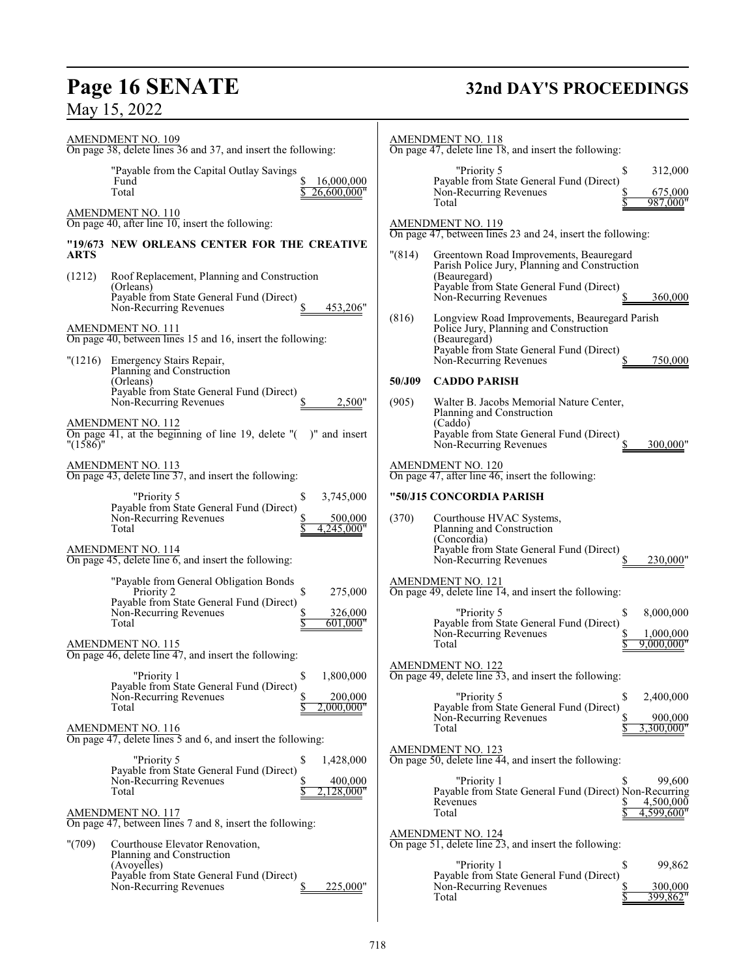# **Page 16 SENATE**<br>May 15, 2022

# **32nd DAY'S PROCEEDINGS**

| AMENDMENT NO. 109<br>On page 38, delete lines 36 and 37, and insert the following:                                                                                                                                               | AMENDMENT NO. 118<br>On page 47, delete line 18, and insert the following:                                                                                                                      |
|----------------------------------------------------------------------------------------------------------------------------------------------------------------------------------------------------------------------------------|-------------------------------------------------------------------------------------------------------------------------------------------------------------------------------------------------|
| "Payable from the Capital Outlay Savings<br>Fund<br>16,000,000<br>Total<br>26,600,000"                                                                                                                                           | "Priority 5<br>\$<br>312,000<br>Payable from State General Fund (Direct)<br>Non-Recurring Revenues<br>675,000<br>987,000"<br>Total                                                              |
| AMENDMENT NO. 110<br>On page 40, after line $10$ , insert the following:                                                                                                                                                         | AMENDMENT NO. 119                                                                                                                                                                               |
| "19/673 NEW ORLEANS CENTER FOR THE CREATIVE<br><b>ARTS</b>                                                                                                                                                                       | On page 47, between lines 23 and 24, insert the following:<br>"(814)<br>Greentown Road Improvements, Beauregard                                                                                 |
| (1212)<br>Roof Replacement, Planning and Construction<br>(Orleans)<br>Payable from State General Fund (Direct)<br>Non-Recurring Revenues<br>453,206"                                                                             | Parish Police Jury, Planning and Construction<br>(Beauregard)<br>Payable from State General Fund (Direct)<br>Non-Recurring Revenues<br>360,000                                                  |
| AMENDMENT NO. 111<br>On page 40, between lines 15 and 16, insert the following:                                                                                                                                                  | Longview Road Improvements, Beauregard Parish<br>(816)<br>Police Jury, Planning and Construction<br>(Beauregard)<br>Payable from State General Fund (Direct)                                    |
| "(1216) Emergency Stairs Repair,<br>Planning and Construction                                                                                                                                                                    | Non-Recurring Revenues<br>750,000                                                                                                                                                               |
| (Orleans)<br>Payable from State General Fund (Direct)<br>Non-Recurring Revenues<br>2,500"                                                                                                                                        | 50/J09<br><b>CADDO PARISH</b><br>(905)<br>Walter B. Jacobs Memorial Nature Center,                                                                                                              |
| <b>AMENDMENT NO. 112</b><br>On page 41, at the beginning of line 19, delete $"$ ( $"$ )" and insert<br>" $(1586)$ "                                                                                                              | Planning and Construction<br>(Caddo)<br>Payable from State General Fund (Direct)<br>Non-Recurring Revenues<br>300,000'                                                                          |
| <b>AMENDMENT NO. 113</b><br>On page 43, delete line 37, and insert the following:                                                                                                                                                | <b>AMENDMENT NO. 120</b><br>On page 47, after line $46$ , insert the following:                                                                                                                 |
| "Priority 5<br>3,745,000<br>\$<br>Payable from State General Fund (Direct)<br>Non-Recurring Revenues<br>500,000<br>Total<br>4,245,000"<br><b>AMENDMENT NO. 114</b><br>On page $45$ , delete line $6$ , and insert the following: | "50/J15 CONCORDIA PARISH<br>(370)<br>Courthouse HVAC Systems,<br>Planning and Construction<br>(Concordia)<br>Payable from State General Fund (Direct)<br>Non-Recurring Revenues<br>230,000"     |
| "Payable from General Obligation Bonds<br>\$<br>275,000<br>Priority 2<br>Payable from State General Fund (Direct)<br>Non-Recurring Revenues<br>326,000<br>Total<br>601,000"                                                      | AMENDMENT NO. 121<br>On page 49, delete line 14, and insert the following:<br>"Priority 5<br>\$<br>8,000,000<br>Payable from State General Fund (Direct)<br>Non-Recurring Revenues<br>1,000,000 |
| <b>AMENDMENT NO. 115</b><br>On page 46, delete line 47, and insert the following:                                                                                                                                                | 9,000,000"<br>Total                                                                                                                                                                             |
| "Priority 1<br>\$<br>1,800,000<br>Payable from State General Fund (Direct)                                                                                                                                                       | <b>AMENDMENT NO. 122</b><br>On page 49, delete line 33, and insert the following:                                                                                                               |
| Non-Recurring Revenues<br>200,000<br>Total<br>2.000.000"<br>AMENDMENT NO. 116                                                                                                                                                    | "Priority 5<br>S<br>2,400,000<br>Payable from State General Fund (Direct)<br>Non-Recurring Revenues<br>900,000<br>3,300,000"<br>Total                                                           |
| On page $47$ , delete lines 5 and 6, and insert the following:<br>"Priority 5<br>S<br>1,428,000                                                                                                                                  | <b>AMENDMENT NO. 123</b><br>On page 50, delete line 44, and insert the following:                                                                                                               |
| Payable from State General Fund (Direct)<br>400,000<br>Non-Recurring Revenues<br>2,128,000"<br>Total                                                                                                                             | "Priority 1<br>99,600<br>Payable from State General Fund (Direct) Non-Recurring<br>Revenues<br>4,500,000                                                                                        |
| AMENDMENT NO. 117<br>On page 47, between lines 7 and 8, insert the following:                                                                                                                                                    | 4,599,600"<br>Total<br>AMENDMENT NO. 124                                                                                                                                                        |
| "(709)<br>Courthouse Elevator Renovation,<br>Planning and Construction<br>(Avoyelles)<br>Payable from State General Fund (Direct)<br>225,000"<br>Non-Recurring Revenues                                                          | On page 51, delete line 23, and insert the following:<br>\$<br>"Priority 1<br>99,862<br>Payable from State General Fund (Direct)<br>300,000<br>Non-Recurring Revenues<br>Total<br>399.862"      |
|                                                                                                                                                                                                                                  |                                                                                                                                                                                                 |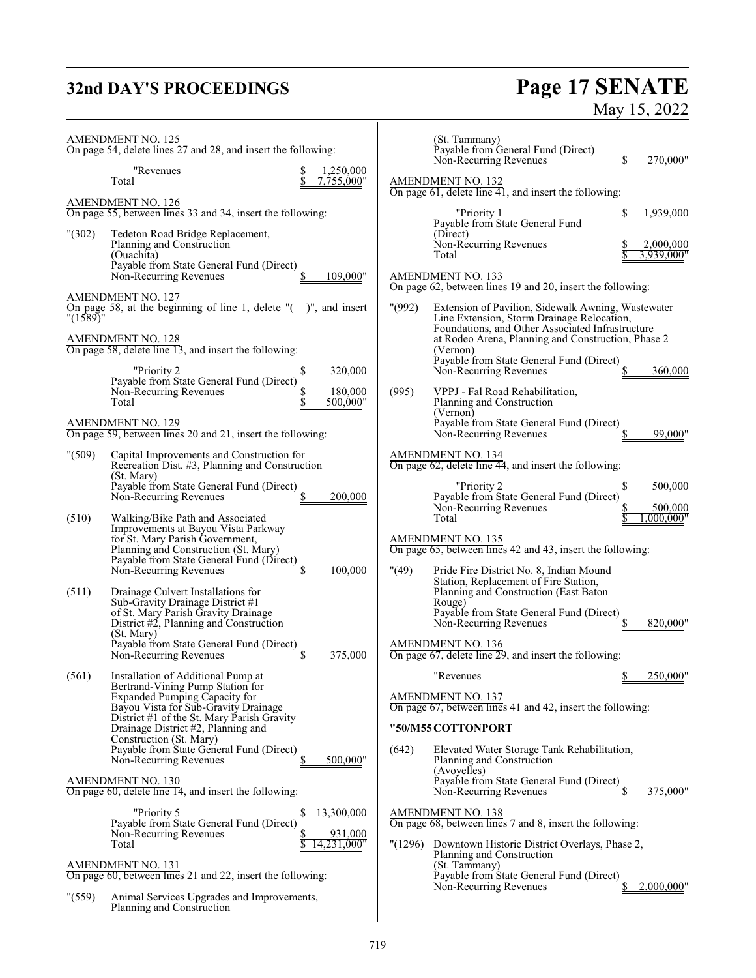# **32nd DAY'S PROCEEDINGS Page 17 SENATE** May 15, 2022

|              | <b>AMENDMENT NO. 125</b><br>On page 54, delete lines 27 and 28, and insert the following:                                                               |         | (St. Tammany)<br>Payable from General Fund (Direct)<br>Non-Recurring Revenues                                                                                   | 270,000"                 |
|--------------|---------------------------------------------------------------------------------------------------------------------------------------------------------|---------|-----------------------------------------------------------------------------------------------------------------------------------------------------------------|--------------------------|
|              | "Revenues<br>1,250,000<br>,755,000"<br>Total                                                                                                            |         | <b>AMENDMENT NO. 132</b><br>On page 61, delete line 41, and insert the following:                                                                               |                          |
|              | <b>AMENDMENT NO. 126</b><br>On page 55, between lines 33 and 34, insert the following:                                                                  |         | "Priority 1                                                                                                                                                     | \$<br>1,939,000          |
| "(302)       | Tedeton Road Bridge Replacement,<br>Planning and Construction<br>(Ouachita)                                                                             |         | Payable from State General Fund<br>(Direct)<br>Non-Recurring Revenues<br>Total                                                                                  | 2,000,000<br>3.939.000"  |
|              | Payable from State General Fund (Direct)<br>Non-Recurring Revenues<br>109,000"                                                                          |         | AMENDMENT NO. 133<br>On page 62, between lines 19 and 20, insert the following:                                                                                 |                          |
| " $(1589)$ " | <b>AMENDMENT NO. 127</b><br>On page 58, at the beginning of line 1, delete $"$ ( $"$ )", and insert                                                     | " (992) | Extension of Pavilion, Sidewalk Awning, Wastewater<br>Line Extension, Storm Drainage Relocation,                                                                |                          |
|              | <b>AMENDMENT NO. 128</b><br>On page 58, delete line 13, and insert the following:                                                                       |         | Foundations, and Other Associated Infrastructure<br>at Rodeo Arena, Planning and Construction, Phase 2<br>(Vernon)                                              |                          |
|              | "Priority 2<br>320,000<br>\$<br>Payable from State General Fund (Direct)                                                                                |         | Payable from State General Fund (Direct)<br>Non-Recurring Revenues                                                                                              | 360,000                  |
|              | Non-Recurring Revenues<br>180,000<br>500,000"<br>Total                                                                                                  | (995)   | VPPJ - Fal Road Rehabilitation,<br>Planning and Construction<br>(Vernon)                                                                                        |                          |
|              | AMENDMENT NO. 129<br>On page 59, between lines 20 and 21, insert the following:                                                                         |         | Payable from State General Fund (Direct)<br>Non-Recurring Revenues                                                                                              | 99,000"                  |
| " (509)      | Capital Improvements and Construction for<br>Recreation Dist. #3, Planning and Construction<br>(St. Mary)                                               |         | <b>AMENDMENT NO. 134</b><br>On page 62, delete line 44, and insert the following:                                                                               |                          |
|              | Payable from State General Fund (Direct)<br>Non-Recurring Revenues<br>200,000                                                                           |         | "Priority 2<br>Payable from State General Fund (Direct)<br>Non-Recurring Revenues                                                                               | \$<br>500,000<br>500,000 |
| (510)        | Walking/Bike Path and Associated<br>Improvements at Bayou Vista Parkway<br>for St. Mary Parish Government,                                              |         | Total<br>AMENDMENT NO. 135                                                                                                                                      | ,000,000"                |
|              | Planning and Construction (St. Mary)<br>Payable from State General Fund (Direct)<br>Non-Recurring Revenues<br>100,000                                   | "(49)   | On page 65, between lines 42 and 43, insert the following:<br>Pride Fire District No. 8, Indian Mound                                                           |                          |
| (511)        | Drainage Culvert Installations for<br>Sub-Gravity Drainage District #1<br>of St. Mary Parish Gravity Drainage<br>District #2, Planning and Construction |         | Station, Replacement of Fire Station,<br>Planning and Construction (East Baton)<br>Rouge)<br>Payable from State General Fund (Direct)<br>Non-Recurring Revenues | 820,000"                 |
|              | (St. Mary)<br>Payable from State General Fund (Direct)<br>Non-Recurring Revenues<br>375,000                                                             |         | <b>AMENDMENT NO. 136</b><br>On page 67, delete line 29, and insert the following:                                                                               |                          |
| (561)        | Installation of Additional Pump at<br>Bertrand-Vining Pump Station for                                                                                  |         | "Revenues                                                                                                                                                       | 250,000"                 |
|              | Expanded Pumping Capacity for<br>Bayou Vista for Sub-Gravity Drainage<br>District #1 of the St. Mary Parish Gravity                                     |         | <b>AMENDMENT NO. 137</b><br>On page 67, between lines 41 and 42, insert the following:                                                                          |                          |
|              | Drainage District #2, Planning and<br>Construction (St. Mary)<br>Payable from State General Fund (Direct)                                               | (642)   | "50/M55 COTTONPORT<br>Elevated Water Storage Tank Rehabilitation,                                                                                               |                          |
|              | Non-Recurring Revenues<br>500,000"<br><b>AMENDMENT NO. 130</b>                                                                                          |         | Planning and Construction<br>(Avoyelles)<br>Payable from State General Fund (Direct)                                                                            |                          |
|              | On page 60, delete line 14, and insert the following:                                                                                                   |         | Non-Recurring Revenues                                                                                                                                          | 375,000"                 |
|              | "Priority 5<br>\$<br>13,300,000<br>Payable from State General Fund (Direct)<br>Non-Recurring Revenues<br>931,000                                        |         | <b>AMENDMENT NO. 138</b><br>On page 68, between lines 7 and 8, insert the following:                                                                            |                          |
|              | Total<br>14,231,000"<br>AMENDMENT NO. 131<br>On page 60, between lines 21 and 22, insert the following:                                                 |         | "(1296) Downtown Historic District Overlays, Phase 2,<br>Planning and Construction<br>(St. Tammany)<br>Payable from State General Fund (Direct)                 |                          |
| " (559)      | Animal Services Upgrades and Improvements,<br>Planning and Construction                                                                                 |         | Non-Recurring Revenues                                                                                                                                          | 2,000,000"               |
|              |                                                                                                                                                         |         |                                                                                                                                                                 |                          |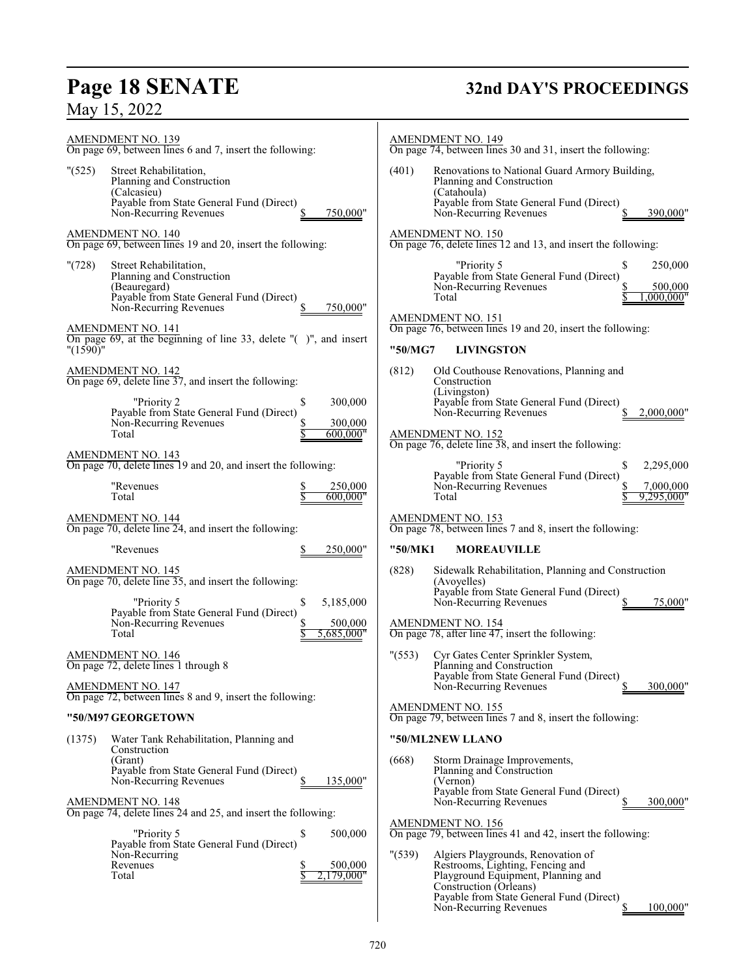# **Page 18 SENATE 32nd DAY'S PROCEEDINGS**

| AMENDMENT NO. 139                                                                                                                                                                                                | <b>AMENDMENT NO. 149</b>                                                                                                                                                                                                                                                                                                      |
|------------------------------------------------------------------------------------------------------------------------------------------------------------------------------------------------------------------|-------------------------------------------------------------------------------------------------------------------------------------------------------------------------------------------------------------------------------------------------------------------------------------------------------------------------------|
| On page 69, between lines 6 and 7, insert the following:                                                                                                                                                         | On page 74, between lines 30 and 31, insert the following:                                                                                                                                                                                                                                                                    |
| " (525)                                                                                                                                                                                                          | (401)                                                                                                                                                                                                                                                                                                                         |
| Street Rehabilitation,                                                                                                                                                                                           | Renovations to National Guard Armory Building,                                                                                                                                                                                                                                                                                |
| Planning and Construction                                                                                                                                                                                        | Planning and Construction                                                                                                                                                                                                                                                                                                     |
| (Calcasieu)                                                                                                                                                                                                      | (Catahoula)                                                                                                                                                                                                                                                                                                                   |
| Payable from State General Fund (Direct)                                                                                                                                                                         | Payable from State General Fund (Direct)                                                                                                                                                                                                                                                                                      |
| Non-Recurring Revenues                                                                                                                                                                                           | Non-Recurring Revenues                                                                                                                                                                                                                                                                                                        |
| 750,000"                                                                                                                                                                                                         | 390,000"                                                                                                                                                                                                                                                                                                                      |
| <b>AMENDMENT NO. 140</b>                                                                                                                                                                                         | AMENDMENT NO. 150                                                                                                                                                                                                                                                                                                             |
| On page 69, between lines 19 and 20, insert the following:                                                                                                                                                       | On page 76, delete lines 12 and 13, and insert the following:                                                                                                                                                                                                                                                                 |
| "(728)<br>Street Rehabilitation,<br>Planning and Construction<br>(Beauregard)<br>Payable from State General Fund (Direct)<br>Non-Recurring Revenues<br>750,000"                                                  | "Priority 5<br>250,000<br>Payable from State General Fund (Direct)<br>Non-Recurring Revenues<br>500,000<br>,000,000"<br>Total<br>AMENDMENT NO. 151                                                                                                                                                                            |
| AMENDMENT NO. 141                                                                                                                                                                                                | On page 76, between lines 19 and 20, insert the following:                                                                                                                                                                                                                                                                    |
| On page 69, at the beginning of line 33, delete "()", and insert                                                                                                                                                 | "50/MG7                                                                                                                                                                                                                                                                                                                       |
| "(1590)"                                                                                                                                                                                                         | <b>LIVINGSTON</b>                                                                                                                                                                                                                                                                                                             |
| AMENDMENT NO. 142<br>On page 69, delete line 37, and insert the following:<br>"Priority 2<br>\$<br>300,000<br>Payable from State General Fund (Direct)<br>Non-Recurring Revenues<br>300,000<br>Total<br>600,000" | (812)<br>Old Couthouse Renovations, Planning and<br>Construction<br>(Livingston)<br>Payable from State General Fund (Direct)<br>Non-Recurring Revenues<br>2,000,000"<br>$\frac{\text{AMENDMENT NO. 152}}{\text{On page 76, delete line 38, and insert the following:}}$                                                       |
| AMENDMENT NO. 143<br>On page 70, delete lines 19 and 20, and insert the following:<br>"Revenues<br>250,000<br>600,000"<br>Total                                                                                  | "Priority 5<br>2,295,000<br>\$<br>Payable from State General Fund (Direct)<br>Non-Recurring Revenues<br>7,000,000<br>9,295,000"<br>Total                                                                                                                                                                                      |
| <b>AMENDMENT NO. 144</b>                                                                                                                                                                                         | AMENDMENT NO. 153                                                                                                                                                                                                                                                                                                             |
| On page 70, delete line 24, and insert the following:                                                                                                                                                            | On page 78, between lines 7 and 8, insert the following:                                                                                                                                                                                                                                                                      |
| "Revenues                                                                                                                                                                                                        | "50/MK1                                                                                                                                                                                                                                                                                                                       |
| 250,000"                                                                                                                                                                                                         | <b>MOREAUVILLE</b>                                                                                                                                                                                                                                                                                                            |
| AMENDMENT NO. 145<br>On page 70, delete line 35, and insert the following:<br>"Priority 5<br>5,185,000<br>\$<br>Payable from State General Fund (Direct)<br>Non-Recurring Revenues<br>500,000                    | (828)<br>Sidewalk Rehabilitation, Planning and Construction<br>(Avoyelles)<br>Payable from State General Fund (Direct)<br>Non-Recurring Revenues<br>75,000"<br><b>AMENDMENT NO. 154</b>                                                                                                                                       |
| 5,685,000"<br>Total<br>AMENDMENT NO. 146<br>On page 72, delete lines 1 through 8<br>AMENDMENT NO. 147                                                                                                            | On page 78, after line 47, insert the following:<br>" (553)<br>Cyr Gates Center Sprinkler System,<br>Planning and Construction<br>Payable from State General Fund (Direct)<br>300,000"<br>Non-Recurring Revenues                                                                                                              |
| On page 72, between lines 8 and 9, insert the following:                                                                                                                                                         | AMENDMENT NO. 155                                                                                                                                                                                                                                                                                                             |
| "50/M97 GEORGETOWN                                                                                                                                                                                               | On page 79, between lines 7 and 8, insert the following:                                                                                                                                                                                                                                                                      |
| Water Tank Rehabilitation, Planning and<br>(1375)<br>Construction                                                                                                                                                | "50/ML2NEW LLANO                                                                                                                                                                                                                                                                                                              |
| (Grant)                                                                                                                                                                                                          | (668)                                                                                                                                                                                                                                                                                                                         |
| Payable from State General Fund (Direct)                                                                                                                                                                         | Storm Drainage Improvements,                                                                                                                                                                                                                                                                                                  |
| Non-Recurring Revenues                                                                                                                                                                                           | Planning and Construction                                                                                                                                                                                                                                                                                                     |
| 135,000"                                                                                                                                                                                                         | (Vernon)                                                                                                                                                                                                                                                                                                                      |
| S                                                                                                                                                                                                                | Payable from State General Fund (Direct)                                                                                                                                                                                                                                                                                      |
| <b>AMENDMENT NO. 148</b>                                                                                                                                                                                         | Non-Recurring Revenues                                                                                                                                                                                                                                                                                                        |
| On page 74, delete lines 24 and 25, and insert the following:                                                                                                                                                    | 300,000"                                                                                                                                                                                                                                                                                                                      |
| "Priority 5<br>500,000<br>\$<br>Payable from State General Fund (Direct)<br>Non-Recurring<br>Revenues<br>500,000<br>Total<br>2,179,000"                                                                          | <b>AMENDMENT NO. 156</b><br>On page 79, between lines 41 and 42, insert the following:<br>" (539)<br>Algiers Playgrounds, Renovation of<br>Restrooms, Lighting, Fencing and<br>Playground Equipment, Planning and<br>Construction (Orleans)<br>Payable from State General Fund (Direct)<br>100,000"<br>Non-Recurring Revenues |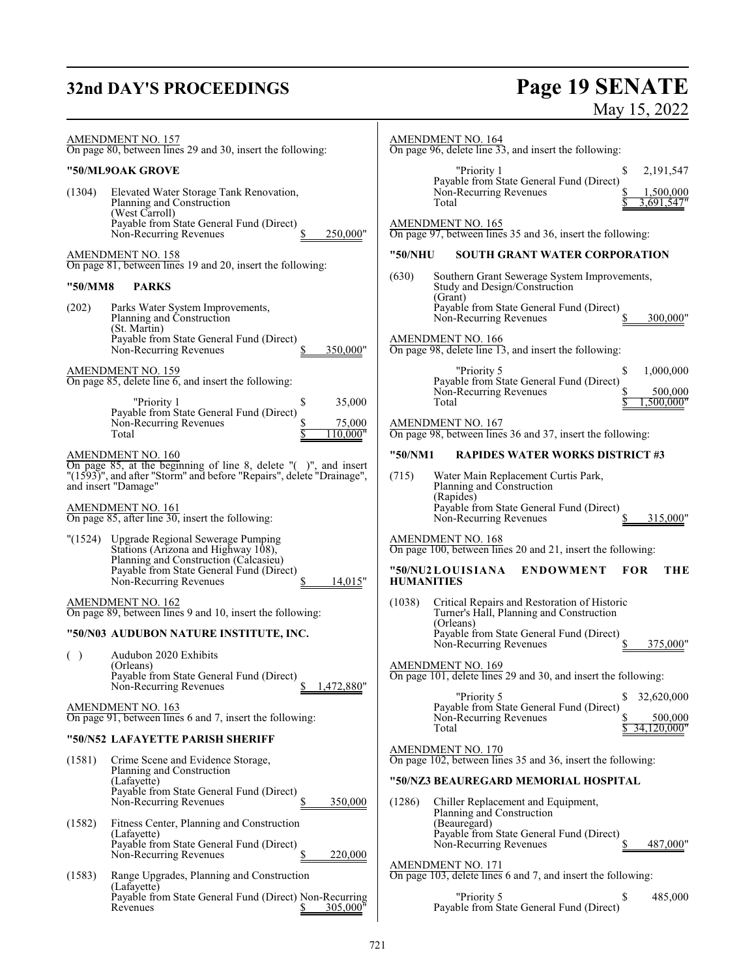# **32nd DAY'S PROCEEDINGS**

# **Page 19 SENATE**<br>May 15, 2022

| AMENDMENT NO. 157<br>On page 80, between lines 29 and 30, insert the following:                                                                                | <b>AMENDMENT NO. 164</b><br>On page 96, delete line 33, and insert the following:                                                     |
|----------------------------------------------------------------------------------------------------------------------------------------------------------------|---------------------------------------------------------------------------------------------------------------------------------------|
| "50/ML9OAK GROVE                                                                                                                                               | "Priority 1<br>2,191,547<br>\$                                                                                                        |
| (1304)<br>Elevated Water Storage Tank Renovation,<br>Planning and Construction<br>(West Carroll)<br>Payable from State General Fund (Direct)                   | Payable from State General Fund (Direct)<br>Non-Recurring Revenues<br>1,500,000<br>3,691,547"<br>Total<br>AMENDMENT NO. 165           |
| Non-Recurring Revenues<br>250,000"                                                                                                                             | On page 97, between lines 35 and 36, insert the following:                                                                            |
| AMENDMENT NO. 158<br>On page 81, between lines 19 and 20, insert the following:                                                                                | <b>SOUTH GRANT WATER CORPORATION</b><br>"50/NHU                                                                                       |
| "50/MM8<br><b>PARKS</b>                                                                                                                                        | (630)<br>Southern Grant Sewerage System Improvements,<br>Study and Design/Construction                                                |
| (202)<br>Parks Water System Improvements,                                                                                                                      | (Grant)<br>Payable from State General Fund (Direct)                                                                                   |
| Planning and Construction<br>(St. Martin)                                                                                                                      | Non-Recurring Revenues<br>300,000"                                                                                                    |
| Payable from State General Fund (Direct)<br>350,000"<br>Non-Recurring Revenues                                                                                 | <b>AMENDMENT NO. 166</b><br>On page 98, delete line 13, and insert the following:                                                     |
| <b>AMENDMENT NO. 159</b><br>On page 85, delete line 6, and insert the following:<br>"Priority 1<br>35,000<br>S                                                 | "Priority 5<br>\$<br>1,000,000<br>Payable from State General Fund (Direct)<br>Non-Recurring Revenues<br>500,000<br>Total<br>.500.000" |
| Payable from State General Fund (Direct)<br>Non-Recurring Revenues<br>75,000<br>Total<br>110.000"                                                              | <b>AMENDMENT NO. 167</b><br>On page 98, between lines 36 and 37, insert the following:                                                |
| AMENDMENT NO. 160                                                                                                                                              | "50/NM1<br><b>RAPIDES WATER WORKS DISTRICT #3</b>                                                                                     |
| On page 85, at the beginning of line 8, delete "()", and insert<br>"(1593)", and after "Storm" and before "Repairs", delete "Drainage",<br>and insert "Damage" | (715)<br>Water Main Replacement Curtis Park,<br>Planning and Construction<br>(Rapides)                                                |
| AMENDMENT NO. 161<br>On page 85, after line 30, insert the following:                                                                                          | Payable from State General Fund (Direct)<br>Non-Recurring Revenues<br>315,000"                                                        |
| Upgrade Regional Sewerage Pumping<br>"(1524)<br>Stations (Arizona and Highway 108),                                                                            | AMENDMENT NO. 168<br>On page 100, between lines 20 and 21, insert the following:                                                      |
| Planning and Construction (Calcasieu)<br>Payable from State General Fund (Direct)<br>Non-Recurring Revenues<br>14,015"                                         | "50/NU2LOUISIANA<br><b>ENDOWMENT</b><br>THE<br><b>FOR</b><br><b>HUMANITIES</b>                                                        |
| <b>AMENDMENT NO. 162</b><br>On page 89, between lines 9 and 10, insert the following:                                                                          | (1038)<br>Critical Repairs and Restoration of Historic<br>Turner's Hall, Planning and Construction                                    |
| "50/N03 AUDUBON NATURE INSTITUTE, INC.                                                                                                                         | (Orleans)<br>Payable from State General Fund (Direct)                                                                                 |
| Audubon 2020 Exhibits<br>( )                                                                                                                                   | Non-Recurring Revenues<br>375,000"                                                                                                    |
| (Orleans)<br>Payable from State General Fund (Direct)<br>1,472,880"<br>Non-Recurring Revenues                                                                  | <b>AMENDMENT NO. 169</b><br>On page 101, delete lines 29 and 30, and insert the following:                                            |
| AMENDMENT NO. 163                                                                                                                                              | "Priority 5<br>\$<br>32,620,000<br>Payable from State General Fund (Direct)                                                           |
| On page 91, between lines 6 and 7, insert the following:                                                                                                       | Non-Recurring Revenues<br>500,000<br>34,120,000"<br>Total                                                                             |
| "50/N52 LAFAYETTE PARISH SHERIFF                                                                                                                               | AMENDMENT NO. 170                                                                                                                     |
| Crime Scene and Evidence Storage,<br>(1581)<br>Planning and Construction                                                                                       | On page 102, between lines 35 and 36, insert the following:                                                                           |
| (Lafayette)<br>Payable from State General Fund (Direct)<br>Non-Recurring Revenues<br>350,000                                                                   | "50/NZ3 BEAUREGARD MEMORIAL HOSPITAL<br>Chiller Replacement and Equipment,                                                            |
| (1582)<br>Fitness Center, Planning and Construction                                                                                                            | (1286)<br>Planning and Construction<br>(Beauregard)                                                                                   |
| (Lafayette)<br>Payable from State General Fund (Direct)                                                                                                        | Payable from State General Fund (Direct)<br>487,000"<br>Non-Recurring Revenues                                                        |
| Non-Recurring Revenues<br>220,000                                                                                                                              | AMENDMENT NO. 171                                                                                                                     |
| Range Upgrades, Planning and Construction<br>(1583)<br>(Lafayette)                                                                                             | On page 103, delete lines 6 and 7, and insert the following:                                                                          |
| Payable from State General Fund (Direct) Non-Recurring<br>Revenues<br>305,000"                                                                                 | "Priority 5<br>\$<br>485,000<br>Payable from State General Fund (Direct)                                                              |
|                                                                                                                                                                |                                                                                                                                       |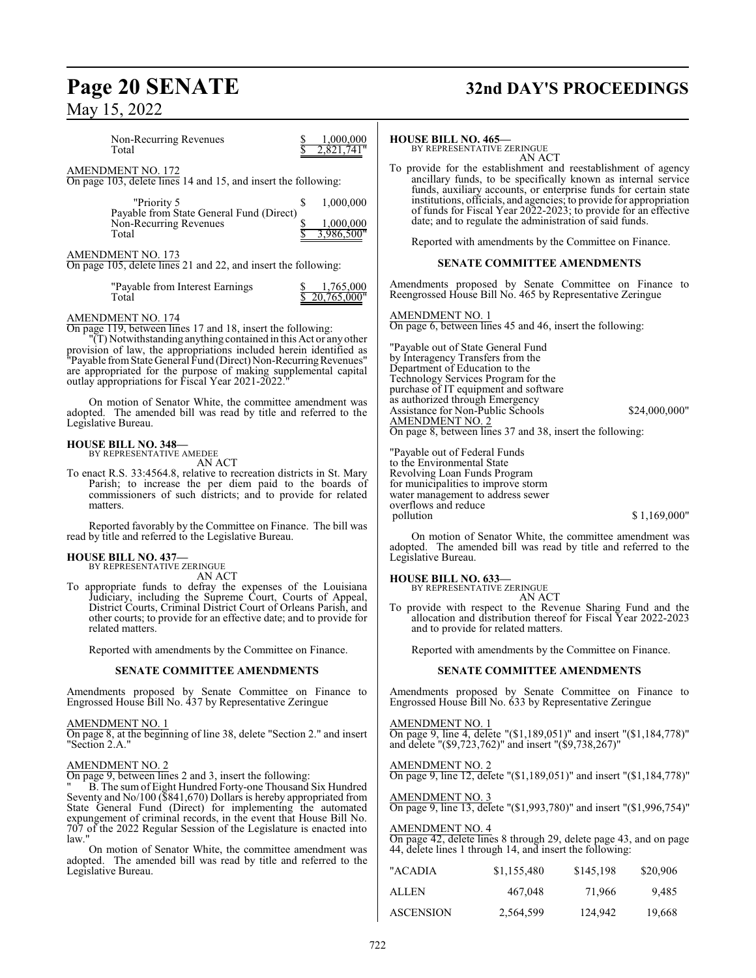# **Page 20 SENATE 32nd DAY'S PROCEEDINGS**

Non-Recurring Revenues  $\frac{\$}{\$}$  1,000,000<br>Total  $\frac{\$}{\$}$  2,821,741<sup>"</sup>  $2,821,741"$ AMENDMENT NO. 172 On page 103, delete lines 14 and 15, and insert the following: "Priority 5 \$ 1,000,000 Payable from State General Fund (Direct) Non-Recurring Revenues<br>
Total  $\frac{$1,000,000}{$3,986,500"$ 3,986,500" AMENDMENT NO. 173 On page 105, delete lines 21 and 22, and insert the following: "Payable from Interest Earnings  $\frac{\$}{\$}$  1,765,000<br>Total  $\frac{\$}{\$}$  20.765,000  $20.765,000"$ AMENDMENT NO. 174 On page 119, between lines 17 and 18, insert the following: "(T) Notwithstanding anything contained in this Act or anyother provision of law, the appropriations included herein identified as "Payable fromState General Fund (Direct) Non-RecurringRevenues" are appropriated for the purpose of making supplemental capital outlay appropriations for Fiscal Year 2021-2022." On motion of Senator White, the committee amendment was adopted. The amended bill was read by title and referred to the Legislative Bureau. **HOUSE BILL NO. 348—** BY REPRESENTATIVE AMEDEE AN ACT To enact R.S. 33:4564.8, relative to recreation districts in St. Mary Parish; to increase the per diem paid to the boards of commissioners of such districts; and to provide for related matters. Reported favorably by the Committee on Finance. The bill was read by title and referred to the Legislative Bureau. **HOUSE BILL NO. 437—** BY REPRESENTATIVE ZERINGUE AN ACT To appropriate funds to defray the expenses of the Louisiana Judiciary, including the Supreme Court, Courts of Appeal, District Courts, Criminal District Court of Orleans Parish, and other courts; to provide for an effective date; and to provide for related matters. Reported with amendments by the Committee on Finance. **SENATE COMMITTEE AMENDMENTS** Amendments proposed by Senate Committee on Finance to Engrossed House Bill No. 437 by Representative Zeringue AMENDMENT NO. 1 On page 8, at the beginning of line 38, delete "Section 2." and insert "Section 2.A." AMENDMENT NO. 2 On page 9, between lines 2 and 3, insert the following: " B. The sum of Eight Hundred Forty-one Thousand Six Hundred Seventy and No/100 (\$841,670) Dollars is hereby appropriated from State General Fund (Direct) for implementing the automated expungement of criminal records, in the event that House Bill No. 707 of the 2022 Regular Session of the Legislature is enacted into law." On motion of Senator White, the committee amendment was adopted. The amended bill was read by title and referred to the Legislative Bureau. **HOUSE BILL NO. 465—** BY REPRESENTATIVE ZERINGUE AN ACT To provide for the establishment and reestablishment of agency ancillary funds, to be specifically known as internal service funds, auxiliary accounts, or enterprise funds for certain state institutions, officials, and agencies; to provide for appropriation of funds for Fiscal Year 2022-2023; to provide for an effective date; and to regulate the administration of said funds. Reported with amendments by the Committee on Finance. **SENATE COMMITTEE AMENDMENTS** Amendments proposed by Senate Committee on Finance to Reengrossed House Bill No. 465 by Representative Zeringue AMENDMENT NO. 1 On page 6, between lines 45 and 46, insert the following: "Payable out of State General Fund by Interagency Transfers from the Department of Education to the Technology Services Program for the purchase of IT equipment and software as authorized through Emergency Assistance for Non-Public Schools \$24,000,000" AMENDMENT NO. 2 On page 8, between lines 37 and 38, insert the following: "Payable out of Federal Funds to the Environmental State Revolving Loan Funds Program for municipalities to improve storm water management to address sewer overflows and reduce \$ 1,169,000" On motion of Senator White, the committee amendment was adopted. The amended bill was read by title and referred to the Legislative Bureau. **HOUSE BILL NO. 633—** BY REPRESENTATIVE ZERINGUE AN ACT To provide with respect to the Revenue Sharing Fund and the allocation and distribution thereof for Fiscal Year 2022-2023 and to provide for related matters. Reported with amendments by the Committee on Finance. **SENATE COMMITTEE AMENDMENTS** Amendments proposed by Senate Committee on Finance to Engrossed House Bill No. 633 by Representative Zeringue AMENDMENT NO. 1 On page 9, line 4, delete "(\$1,189,051)" and insert "(\$1,184,778)" and delete "(\$9,723,762)" and insert "(\$9,738,267)" AMENDMENT NO. 2 On page 9, line 12, delete "(\$1,189,051)" and insert "(\$1,184,778)" AMENDMENT NO. 3 On page 9, line 13, delete "(\$1,993,780)" and insert "(\$1,996,754)" AMENDMENT NO. 4 On page 42, delete lines 8 through 29, delete page 43, and on page 44, delete lines 1 through 14, and insert the following: "ACADIA \$1,155,480 \$145,198 \$20,906 ALLEN 467,048 71,966 9,485

ASCENSION 2,564,599 124,942 19,668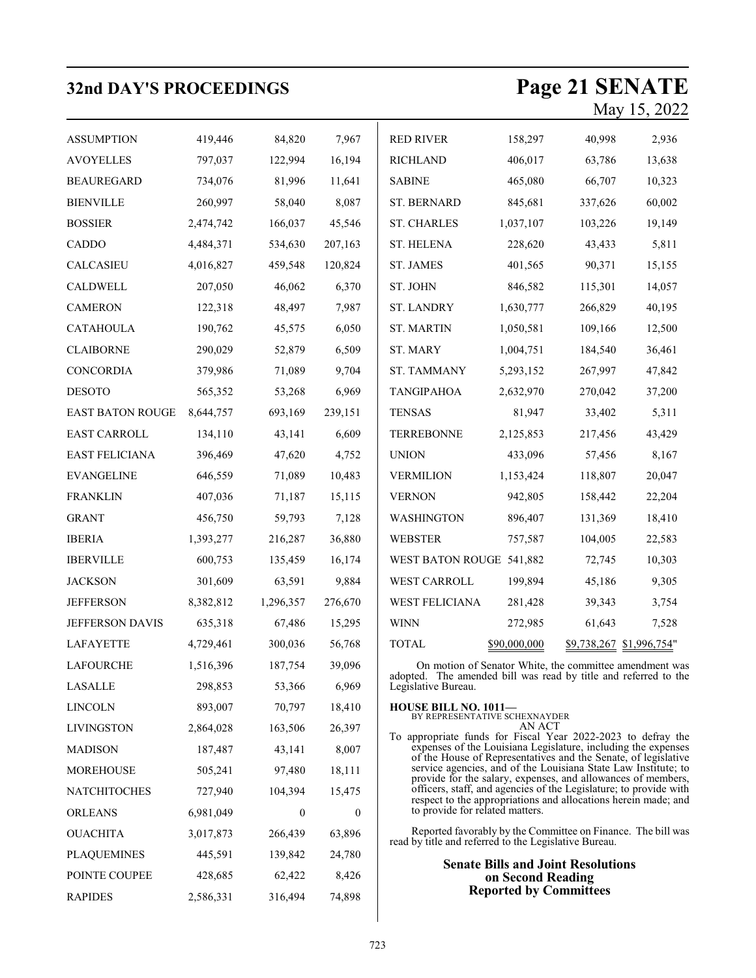| <b>32nd DAY'S PROCEEDINGS</b> |           |              |              |                                                                                                                                                                                                                                                                                                                                                                                                                                                                                                                                                    |                                           |         | Page 21 SENATE<br>May 15, 2022 |
|-------------------------------|-----------|--------------|--------------|----------------------------------------------------------------------------------------------------------------------------------------------------------------------------------------------------------------------------------------------------------------------------------------------------------------------------------------------------------------------------------------------------------------------------------------------------------------------------------------------------------------------------------------------------|-------------------------------------------|---------|--------------------------------|
| <b>ASSUMPTION</b>             | 419,446   | 84,820       | 7,967        | <b>RED RIVER</b>                                                                                                                                                                                                                                                                                                                                                                                                                                                                                                                                   | 158,297                                   | 40,998  | 2,936                          |
| <b>AVOYELLES</b>              | 797,037   | 122,994      | 16,194       | <b>RICHLAND</b>                                                                                                                                                                                                                                                                                                                                                                                                                                                                                                                                    | 406,017                                   | 63,786  | 13,638                         |
| <b>BEAUREGARD</b>             | 734,076   | 81,996       | 11,641       | <b>SABINE</b>                                                                                                                                                                                                                                                                                                                                                                                                                                                                                                                                      | 465,080                                   | 66,707  | 10,323                         |
| <b>BIENVILLE</b>              | 260,997   | 58,040       | 8,087        | ST. BERNARD                                                                                                                                                                                                                                                                                                                                                                                                                                                                                                                                        | 845,681                                   | 337,626 | 60,002                         |
| <b>BOSSIER</b>                | 2,474,742 | 166,037      | 45,546       | <b>ST. CHARLES</b>                                                                                                                                                                                                                                                                                                                                                                                                                                                                                                                                 | 1,037,107                                 | 103,226 | 19,149                         |
| CADDO                         | 4,484,371 | 534,630      | 207,163      | <b>ST. HELENA</b>                                                                                                                                                                                                                                                                                                                                                                                                                                                                                                                                  | 228,620                                   | 43,433  | 5,811                          |
| CALCASIEU                     | 4,016,827 | 459,548      | 120,824      | ST. JAMES                                                                                                                                                                                                                                                                                                                                                                                                                                                                                                                                          | 401,565                                   | 90,371  | 15,155                         |
| CALDWELL                      | 207,050   | 46,062       | 6,370        | ST. JOHN                                                                                                                                                                                                                                                                                                                                                                                                                                                                                                                                           | 846,582                                   | 115,301 | 14,057                         |
| <b>CAMERON</b>                | 122,318   | 48,497       | 7,987        | <b>ST. LANDRY</b>                                                                                                                                                                                                                                                                                                                                                                                                                                                                                                                                  | 1,630,777                                 | 266,829 | 40,195                         |
| <b>CATAHOULA</b>              | 190,762   | 45,575       | 6,050        | <b>ST. MARTIN</b>                                                                                                                                                                                                                                                                                                                                                                                                                                                                                                                                  | 1,050,581                                 | 109,166 | 12,500                         |
| <b>CLAIBORNE</b>              | 290,029   | 52,879       | 6,509        | ST. MARY                                                                                                                                                                                                                                                                                                                                                                                                                                                                                                                                           | 1,004,751                                 | 184,540 | 36,461                         |
| CONCORDIA                     | 379,986   | 71,089       | 9,704        | ST. TAMMANY                                                                                                                                                                                                                                                                                                                                                                                                                                                                                                                                        | 5,293,152                                 | 267,997 | 47,842                         |
| <b>DESOTO</b>                 | 565,352   | 53,268       | 6,969        | <b>TANGIPAHOA</b>                                                                                                                                                                                                                                                                                                                                                                                                                                                                                                                                  | 2,632,970                                 | 270,042 | 37,200                         |
| <b>EAST BATON ROUGE</b>       | 8,644,757 | 693,169      | 239,151      | <b>TENSAS</b>                                                                                                                                                                                                                                                                                                                                                                                                                                                                                                                                      | 81,947                                    | 33,402  | 5,311                          |
| <b>EAST CARROLL</b>           | 134,110   | 43,141       | 6,609        | <b>TERREBONNE</b>                                                                                                                                                                                                                                                                                                                                                                                                                                                                                                                                  | 2,125,853                                 | 217,456 | 43,429                         |
| <b>EAST FELICIANA</b>         | 396,469   | 47,620       | 4,752        | <b>UNION</b>                                                                                                                                                                                                                                                                                                                                                                                                                                                                                                                                       | 433,096                                   | 57,456  | 8,167                          |
| <b>EVANGELINE</b>             | 646,559   | 71,089       | 10,483       | <b>VERMILION</b>                                                                                                                                                                                                                                                                                                                                                                                                                                                                                                                                   | 1,153,424                                 | 118,807 | 20,047                         |
| <b>FRANKLIN</b>               | 407,036   | 71,187       | 15,115       | <b>VERNON</b>                                                                                                                                                                                                                                                                                                                                                                                                                                                                                                                                      | 942,805                                   | 158,442 | 22,204                         |
| <b>GRANT</b>                  | 456,750   | 59,793       | 7,128        | <b>WASHINGTON</b>                                                                                                                                                                                                                                                                                                                                                                                                                                                                                                                                  | 896,407                                   | 131,369 | 18,410                         |
| <b>IBERIA</b>                 | 1,393,277 | 216,287      | 36,880       | <b>WEBSTER</b>                                                                                                                                                                                                                                                                                                                                                                                                                                                                                                                                     | 757,587                                   | 104,005 | 22,583                         |
| <b>IBERVILLE</b>              | 600,753   | 135,459      | 16,174       | WEST BATON ROUGE 541,882                                                                                                                                                                                                                                                                                                                                                                                                                                                                                                                           |                                           | 72,745  | 10,303                         |
| <b>JACKSON</b>                | 301,609   | 63,591       | 9,884        | WEST CARROLL                                                                                                                                                                                                                                                                                                                                                                                                                                                                                                                                       | 199,894                                   | 45,186  | 9,305                          |
| <b>JEFFERSON</b>              | 8,382,812 | 1,296,357    | 276,670      | WEST FELICIANA                                                                                                                                                                                                                                                                                                                                                                                                                                                                                                                                     | 281,428                                   | 39,343  | 3,754                          |
| JEFFERSON DAVIS               | 635,318   | 67,486       | 15,295       | <b>WINN</b>                                                                                                                                                                                                                                                                                                                                                                                                                                                                                                                                        | 272,985                                   | 61,643  | 7,528                          |
| LAFAYETTE                     | 4,729,461 | 300,036      | 56,768       | TOTAL                                                                                                                                                                                                                                                                                                                                                                                                                                                                                                                                              | \$90,000,000                              |         | \$9,738,267 \$1,996,754"       |
| <b>LAFOURCHE</b>              | 1,516,396 | 187,754      | 39,096       | On motion of Senator White, the committee amendment was<br>adopted. The amended bill was read by title and referred to the                                                                                                                                                                                                                                                                                                                                                                                                                         |                                           |         |                                |
| <b>LASALLE</b>                | 298,853   | 53,366       | 6,969        | Legislative Bureau.                                                                                                                                                                                                                                                                                                                                                                                                                                                                                                                                |                                           |         |                                |
| <b>LINCOLN</b>                | 893,007   | 70,797       | 18,410       | <b>HOUSE BILL NO. 1011-</b><br>BY REPRESENTATIVE SCHEXNAYDER<br>AN ACT<br>To appropriate funds for Fiscal Year 2022-2023 to defray the<br>expenses of the Louisiana Legislature, including the expenses<br>of the House of Representatives and the Senate, of legislative<br>service agencies, and of the Louisiana State Law Institute; to<br>provide for the salary, expenses, and allowances of members,<br>officers, staff, and agencies of the Legislature; to provide with<br>respect to the appropriations and allocations herein made; and |                                           |         |                                |
| <b>LIVINGSTON</b>             | 2,864,028 | 163,506      | 26,397       |                                                                                                                                                                                                                                                                                                                                                                                                                                                                                                                                                    |                                           |         |                                |
| <b>MADISON</b>                | 187,487   | 43,141       | 8,007        |                                                                                                                                                                                                                                                                                                                                                                                                                                                                                                                                                    |                                           |         |                                |
| <b>MOREHOUSE</b>              | 505,241   | 97,480       | 18,111       |                                                                                                                                                                                                                                                                                                                                                                                                                                                                                                                                                    |                                           |         |                                |
| <b>NATCHITOCHES</b>           | 727,940   | 104,394      | 15,475       |                                                                                                                                                                                                                                                                                                                                                                                                                                                                                                                                                    |                                           |         |                                |
| <b>ORLEANS</b>                | 6,981,049 | $\mathbf{0}$ | $\mathbf{0}$ | to provide for related matters.                                                                                                                                                                                                                                                                                                                                                                                                                                                                                                                    |                                           |         |                                |
| <b>OUACHITA</b>               | 3,017,873 | 266,439      | 63,896       | Reported favorably by the Committee on Finance. The bill was<br>read by title and referred to the Legislative Bureau.                                                                                                                                                                                                                                                                                                                                                                                                                              |                                           |         |                                |
| <b>PLAQUEMINES</b>            | 445,591   | 139,842      | 24,780       |                                                                                                                                                                                                                                                                                                                                                                                                                                                                                                                                                    | <b>Senate Bills and Joint Resolutions</b> |         |                                |
| POINTE COUPEE                 | 428,685   | 62,422       | 8,426        |                                                                                                                                                                                                                                                                                                                                                                                                                                                                                                                                                    | on Second Reading                         |         |                                |
| <b>RAPIDES</b>                | 2,586,331 | 316,494      | 74,898       |                                                                                                                                                                                                                                                                                                                                                                                                                                                                                                                                                    | <b>Reported by Committees</b>             |         |                                |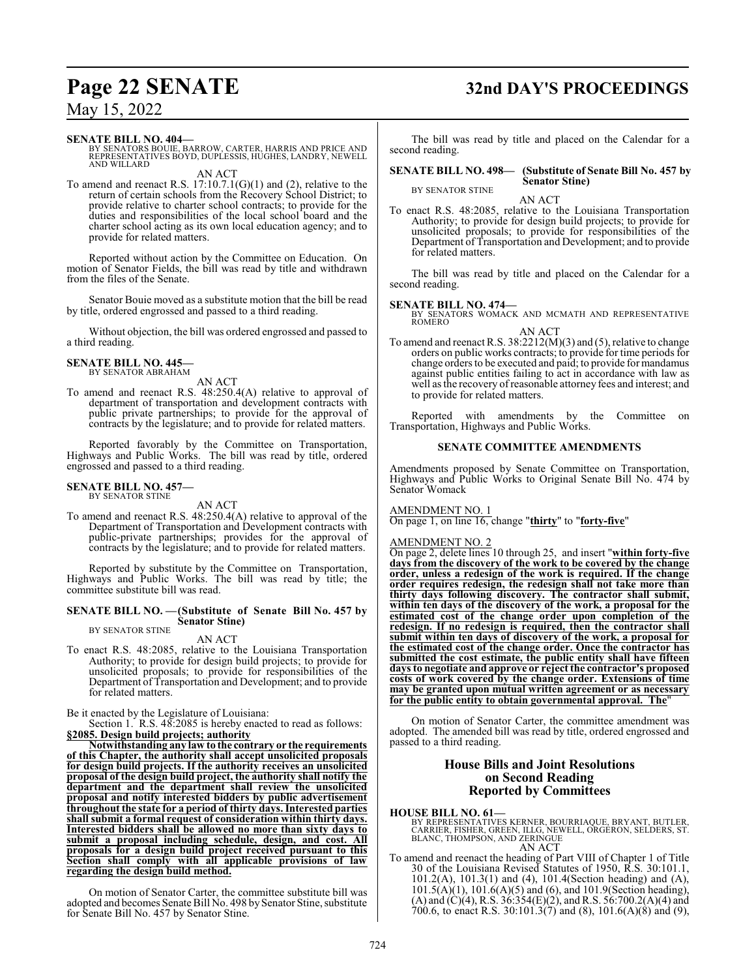#### **SENATE BILL NO. 404—**

BY SENATORS BOUIE, BARROW, CARTER, HARRIS AND PRICE AND REPRESENTATIVES BOYD, DUPLESSIS, HUGHES, LANDRY, NEWELL AND WILLARD

AN ACT

To amend and reenact R.S.  $17:10.7.1(G)(1)$  and  $(2)$ , relative to the return of certain schools from the Recovery School District; to provide relative to charter school contracts; to provide for the duties and responsibilities of the local school board and the charter school acting as its own local education agency; and to provide for related matters.

Reported without action by the Committee on Education. On motion of Senator Fields, the bill was read by title and withdrawn from the files of the Senate.

Senator Bouie moved as a substitute motion that the bill be read by title, ordered engrossed and passed to a third reading.

Without objection, the bill was ordered engrossed and passed to a third reading.

## **SENATE BILL NO. 445—** BY SENATOR ABRAHAM

AN ACT

To amend and reenact R.S. 48:250.4(A) relative to approval of department of transportation and development contracts with public private partnerships; to provide for the approval of contracts by the legislature; and to provide for related matters.

Reported favorably by the Committee on Transportation, Highways and Public Works. The bill was read by title, ordered engrossed and passed to a third reading.

#### **SENATE BILL NO. 457—** BY SENATOR STINE

AN ACT To amend and reenact R.S. 48:250.4(A) relative to approval of the Department of Transportation and Development contracts with public-private partnerships; provides for the approval of contracts by the legislature; and to provide for related matters.

Reported by substitute by the Committee on Transportation, Highways and Public Works. The bill was read by title; the committee substitute bill was read.

#### **SENATE BILL NO. —(Substitute of Senate Bill No. 457 by Senator Stine)** BY SENATOR STINE

## AN ACT

To enact R.S. 48:2085, relative to the Louisiana Transportation Authority; to provide for design build projects; to provide for unsolicited proposals; to provide for responsibilities of the Department of Transportation and Development; and to provide for related matters.

Be it enacted by the Legislature of Louisiana:

Section 1. R.S.  $48:2085$  is hereby enacted to read as follows: **§2085. Design build projects; authority**

**Notwithstanding any law to the contrary or the requirements of this Chapter, the authority shall accept unsolicited proposals for design build projects. If the authority receives an unsolicited proposal of the design build project, the authority shall notify the department and the department shall review the unsolicited proposal and notify interested bidders by public advertisement throughout the state for a period of thirty days. Interested parties shall submit a formal request of consideration within thirty days. Interested bidders shall be allowed no more than sixty days to submit a proposal including schedule, design, and cost. All proposals for a design build project received pursuant to this Section shall comply with all applicable provisions of law regarding the design build method.**

On motion of Senator Carter, the committee substitute bill was adopted and becomes Senate Bill No. 498 by Senator Stine, substitute for Senate Bill No. 457 by Senator Stine.

# **Page 22 SENATE 32nd DAY'S PROCEEDINGS**

The bill was read by title and placed on the Calendar for a second reading.

#### **SENATE BILL NO. 498— (Substitute of Senate Bill No. 457 by Senator Stine)**

BY SENATOR STINE

AN ACT To enact R.S. 48:2085, relative to the Louisiana Transportation Authority; to provide for design build projects; to provide for unsolicited proposals; to provide for responsibilities of the Department of Transportation and Development; and to provide for related matters.

The bill was read by title and placed on the Calendar for a second reading.

## **SENATE BILL NO. 474—**

BY SENATORS WOMACK AND MCMATH AND REPRESENTATIVE ROMERO

AN ACT To amend and reenact R.S. 38:2212(M)(3) and (5), relative to change orders on public works contracts; to provide for time periods for change orders to be executed and paid; to provide for mandamus against public entities failing to act in accordance with law as well as the recovery ofreasonable attorney fees and interest; and to provide for related matters.

Reported with amendments by the Committee on Transportation, Highways and Public Works.

#### **SENATE COMMITTEE AMENDMENTS**

Amendments proposed by Senate Committee on Transportation, Highways and Public Works to Original Senate Bill No. 474 by Senator Womack

#### AMENDMENT NO. 1

On page 1, on line 16, change "**thirty**" to "**forty-five**"

#### AMENDMENT NO. 2

On page 2, delete lines 10 through 25, and insert "**within forty-five days from the discovery of the work to be covered by the change order, unless a redesign of the work is required. If the change order requires redesign, the redesign shall not take more than thirty days following discovery. The contractor shall submit, within ten days of the discovery of the work, a proposal for the estimated cost of the change order upon completion of the redesign. If no redesign is required, then the contractor shall submit within ten days of discovery of the work, a proposal for the estimated cost of the change order. Once the contractor has submitted the cost estimate, the public entity shall have fifteen days to negotiate and approve or reject the contractor's proposed costs of work covered by the change order. Extensions of time may be granted upon mutual written agreement or as necessary for the public entity to obtain governmental approval. The**"

On motion of Senator Carter, the committee amendment was adopted. The amended bill was read by title, ordered engrossed and passed to a third reading.

#### **House Bills and Joint Resolutions on Second Reading Reported by Committees**

- **HOUSE BILL NO. 61—** BY REPRESENTATIVES KERNER, BOURRIAQUE, BRYANT, BUTLER, CARRIER, FISHER, GREEN, ILLG, NEWELL, ORGERON, SELDERS, ST. BLANC, THOMPSON, AND ZERINGUE AN ACT
- To amend and reenact the heading of Part VIII of Chapter 1 of Title 30 of the Louisiana Revised Statutes of 1950, R.S. 30:101.1, 101.2(A), 101.3(1) and (4), 101.4(Section heading) and (A),  $101.5(A)(1)$ ,  $101.6(A)(5)$  and  $(6)$ , and  $101.9$ (Section heading), (A) and (C)(4), R.S. 36:354(E)(2), and R.S. 56:700.2(A)(4) and 700.6, to enact R.S. 30:101.3(7) and (8), 101.6(A)(8) and (9),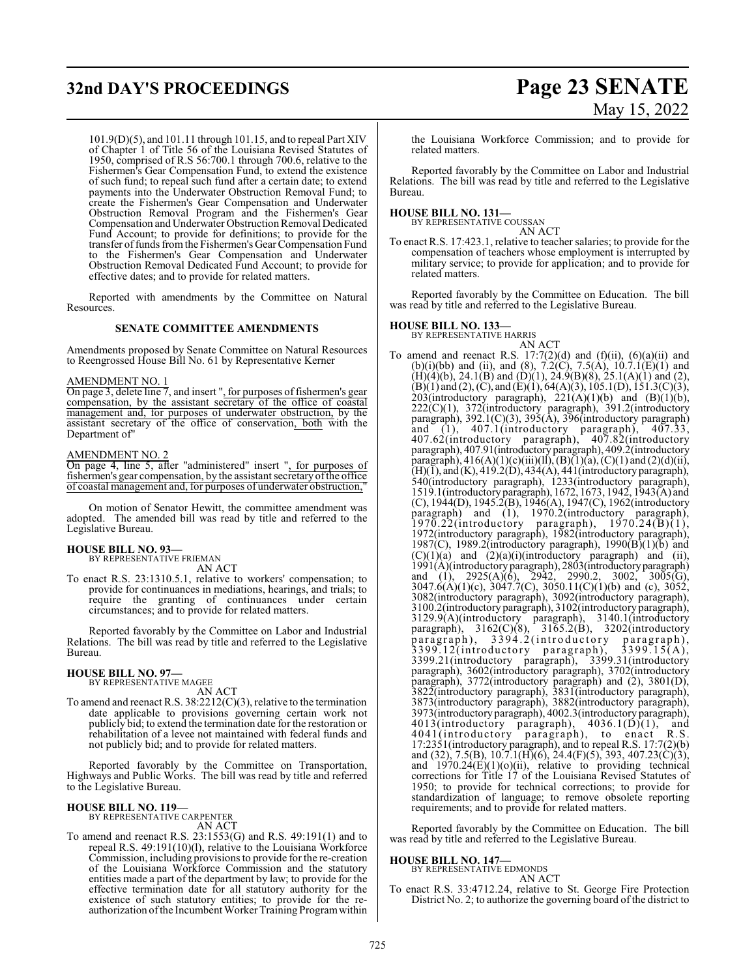# **32nd DAY'S PROCEEDINGS Page 23 SENATE**

# May 15, 2022

101.9(D)(5), and 101.11 through 101.15, and to repeal Part XIV of Chapter 1 of Title 56 of the Louisiana Revised Statutes of 1950, comprised of R.S 56:700.1 through 700.6, relative to the Fishermen's Gear Compensation Fund, to extend the existence of such fund; to repeal such fund after a certain date; to extend payments into the Underwater Obstruction Removal Fund; to create the Fishermen's Gear Compensation and Underwater Obstruction Removal Program and the Fishermen's Gear Compensation and Underwater Obstruction Removal Dedicated Fund Account; to provide for definitions; to provide for the transfer of funds from the Fishermen's Gear Compensation Fund to the Fishermen's Gear Compensation and Underwater Obstruction Removal Dedicated Fund Account; to provide for effective dates; and to provide for related matters.

Reported with amendments by the Committee on Natural Resources.

#### **SENATE COMMITTEE AMENDMENTS**

Amendments proposed by Senate Committee on Natural Resources to Reengrossed House Bill No. 61 by Representative Kerner

#### AMENDMENT NO. 1

On page 3, delete line 7, and insert ", for purposes of fishermen's gear compensation, by the assistant secretary of the office of coastal management and, for purposes of underwater obstruction, by the assistant secretary of the office of conservation, both with the Department of"

#### AMENDMENT NO. 2

On page 4, line 5, after "administered" insert ", for purposes of fishermen's gear compensation, by the assistant secretaryofthe office of coastal management and, for purposes of underwater obstruction,

On motion of Senator Hewitt, the committee amendment was adopted. The amended bill was read by title and referred to the Legislative Bureau.

### **HOUSE BILL NO. 93—**

BY REPRESENTATIVE FRIEMAN AN ACT

To enact R.S. 23:1310.5.1, relative to workers' compensation; to provide for continuances in mediations, hearings, and trials; to require the granting of continuances under certain circumstances; and to provide for related matters.

Reported favorably by the Committee on Labor and Industrial Relations. The bill was read by title and referred to the Legislative Bureau.

# **HOUSE BILL NO. 97—** BY REPRESENTATIVE MAGEE

AN ACT To amend and reenact R.S. 38:2212(C)(3), relative to the termination date applicable to provisions governing certain work not publicly bid; to extend the termination date for the restoration or rehabilitation of a levee not maintained with federal funds and not publicly bid; and to provide for related matters.

Reported favorably by the Committee on Transportation, Highways and Public Works. The bill was read by title and referred to the Legislative Bureau.

#### **HOUSE BILL NO. 119—**

BY REPRESENTATIVE CARPENTER AN ACT

To amend and reenact R.S. 23:1553(G) and R.S. 49:191(1) and to repeal R.S. 49:191(10)(l), relative to the Louisiana Workforce Commission, including provisions to provide for the re-creation of the Louisiana Workforce Commission and the statutory entities made a part of the department by law; to provide for the effective termination date for all statutory authority for the existence of such statutory entities; to provide for the reauthorization ofthe Incumbent Worker Training Programwithin

the Louisiana Workforce Commission; and to provide for related matters.

Reported favorably by the Committee on Labor and Industrial Relations. The bill was read by title and referred to the Legislative Bureau.

#### **HOUSE BILL NO. 131—** BY REPRESENTATIVE COUSSAN

AN ACT

To enact R.S. 17:423.1, relative to teacher salaries; to provide for the compensation of teachers whose employment is interrupted by military service; to provide for application; and to provide for related matters.

Reported favorably by the Committee on Education. The bill was read by title and referred to the Legislative Bureau.

#### **HOUSE BILL NO. 133—**

BY REPRESENTATIVE HARRIS

AN ACT To amend and reenact R.S.  $17:7(2)(d)$  and  $(f)(ii)$ ,  $(6)(a)(ii)$  and (b)(i)(bb) and (ii), and (8),  $7.2(\text{C})$ ,  $7.5(\text{A})$ ,  $10.7.1(\text{E})(1)$  and  $(H)(4)(b)$ , 24.1(B) and (D)(1), 24.9(B)(8), 25.1(A)(1) and (2),  $(B)(1)$  and  $(2)$ ,  $(C)$ , and  $(E)(1)$ , 64(A)(3), 105.1(D), 151.3(C)(3), 203(introductory paragraph),  $221(A)(1)(b)$  and  $(B)(1)(b)$ , 222(C)(1), 372(introductory paragraph), 391.2(introductory paragraph), 392.1(C)(3), 395(A), 396(introductory paragraph) and (1), 407.1(introductory paragraph), 407.33, 407.62(introductory paragraph), 407.82(introductory paragraph), 407.91(introductory paragraph), 409.2(introductory paragraph),  $416(A)(1)(c)(iii)(ll), (B)(1)(a), (C)(1)$  and  $(2)(d)(ii),$  $(H)(I)$ , and  $(K)$ , 419.2(D), 434(A), 441(introductory paragraph), 540(introductory paragraph), 1233(introductory paragraph), 1519.1(introductory paragraph), 1672, 1673, 1942, 1943(A) and (C), 1944(D), 1945.2(B), 1946(A), 1947(C), 1962(introductory paragraph) and (1), 1970.2(introductory paragraph),  $1970.22$ (introductory paragraph),  $1970.24$ (B)(1), 1972(introductory paragraph), 1982(introductory paragraph), 1987(C), 1989.2(introductory paragraph), 1990( $\overline{B}(1)$ ( $\overline{b}$ ) and  $(C)(1)(a)$  and  $(2)(a)(i)$ (introductory paragraph) and (ii), 1991(A)(introductory paragraph), 2803(introductoryparagraph) and (1), 2925(A)(6), 2942, 2990.2, 3002, 3005(G), 3047.6(A)(1)(c), 3047.7(C), 3050.11(C)(1)(b) and (c), 3052, 3082(introductory paragraph), 3092(introductory paragraph), 3100.2(introductory paragraph), 3102(introductory paragraph), 3129.9(A)(introductory paragraph), 3140.1(introductory paragraph), 3162(C)(8), 3165.2(B), 3202(introductory paragraph), 3394.2(introductory paragraph),  $3399.12$ (introductory paragraph),  $3399.15(A)$ , 3399.21(introductory paragraph), 3399.31(introductory paragraph), 3602(introductory paragraph), 3702(introductory paragraph), 3772(introductory paragraph) and (2), 3801(D), 3822(introductory paragraph), 3831(introductory paragraph), 3873(introductory paragraph), 3882(introductory paragraph), 3973(introductory paragraph), 4002.3(introductory paragraph),  $4013$ (introductory paragraph),  $4036.1(D)(1)$ , and 4041(introductory paragraph), to enact R.S. 17:2351(introductory paragraph), and to repeal R.S. 17:7(2)(b) and (32), 7.5(B), 10.7.1(H)(6), 24.4(F)(5), 393, 407.23(C)(3), and  $1970.24(E)(1)(o)(ii)$ , relative to providing technical corrections for Title 17 of the Louisiana Revised Statutes of 1950; to provide for technical corrections; to provide for standardization of language; to remove obsolete reporting requirements; and to provide for related matters.

Reported favorably by the Committee on Education. The bill was read by title and referred to the Legislative Bureau.

### **HOUSE BILL NO. 147—**

BY REPRESENTATIVE EDMONDS AN ACT

To enact R.S. 33:4712.24, relative to St. George Fire Protection District No. 2; to authorize the governing board of the district to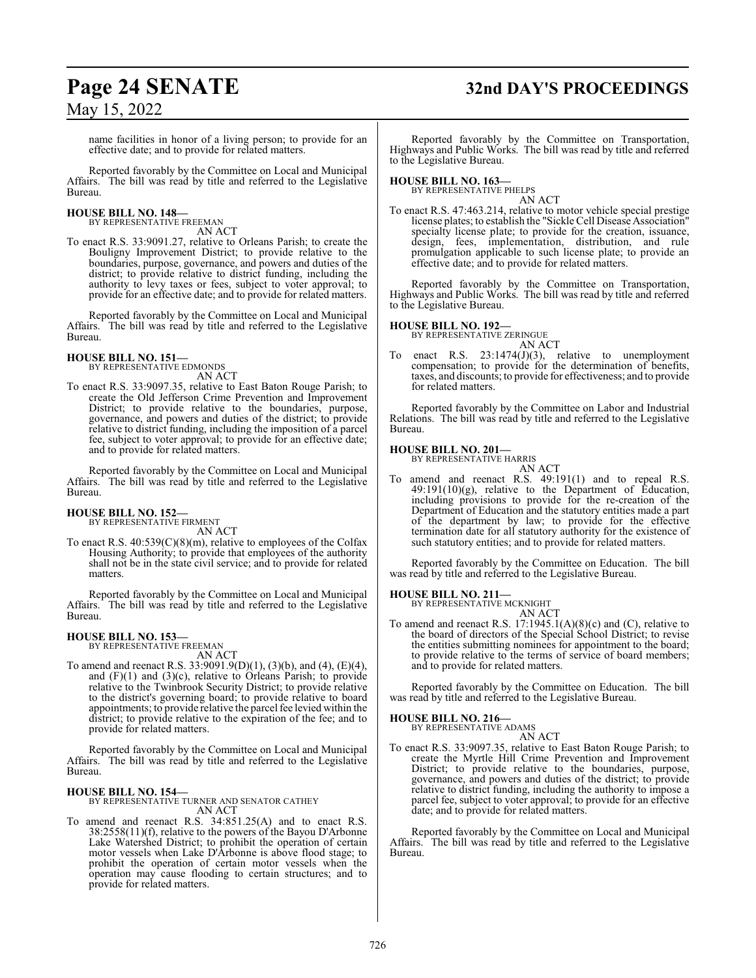# **Page 24 SENATE 32nd DAY'S PROCEEDINGS**

May 15, 2022

name facilities in honor of a living person; to provide for an effective date; and to provide for related matters.

Reported favorably by the Committee on Local and Municipal Affairs. The bill was read by title and referred to the Legislative Bureau.

#### **HOUSE BILL NO. 148—** BY REPRESENTATIVE FREEMAN

AN ACT

To enact R.S. 33:9091.27, relative to Orleans Parish; to create the Bouligny Improvement District; to provide relative to the boundaries, purpose, governance, and powers and duties of the district; to provide relative to district funding, including the authority to levy taxes or fees, subject to voter approval; to provide for an effective date; and to provide for related matters.

Reported favorably by the Committee on Local and Municipal Affairs. The bill was read by title and referred to the Legislative Bureau.

## **HOUSE BILL NO. 151—** BY REPRESENTATIVE EDMONDS

AN ACT

To enact R.S. 33:9097.35, relative to East Baton Rouge Parish; to create the Old Jefferson Crime Prevention and Improvement District; to provide relative to the boundaries, purpose, governance, and powers and duties of the district; to provide relative to district funding, including the imposition of a parcel fee, subject to voter approval; to provide for an effective date; and to provide for related matters.

Reported favorably by the Committee on Local and Municipal Affairs. The bill was read by title and referred to the Legislative Bureau.

# **HOUSE BILL NO. 152—** BY REPRESENTATIVE FIRMENT

AN ACT

To enact R.S. 40:539(C)(8)(m), relative to employees of the Colfax Housing Authority; to provide that employees of the authority shall not be in the state civil service; and to provide for related matters.

Reported favorably by the Committee on Local and Municipal Affairs. The bill was read by title and referred to the Legislative Bureau.

## **HOUSE BILL NO. 153—** BY REPRESENTATIVE FREEMAN

AN ACT

To amend and reenact R.S. 33:9091.9(D)(1), (3)(b), and (4), (E)(4), and (F)(1) and (3)(c), relative to Orleans Parish; to provide relative to the Twinbrook Security District; to provide relative to the district's governing board; to provide relative to board appointments; to provide relative the parcel fee levied within the district; to provide relative to the expiration of the fee; and to provide for related matters.

Reported favorably by the Committee on Local and Municipal Affairs. The bill was read by title and referred to the Legislative Bureau.

#### **HOUSE BILL NO. 154—**

BY REPRESENTATIVE TURNER AND SENATOR CATHEY AN ACT

To amend and reenact R.S. 34:851.25(A) and to enact R.S. 38:2558(11)(f), relative to the powers of the Bayou D'Arbonne Lake Watershed District; to prohibit the operation of certain motor vessels when Lake D'Arbonne is above flood stage; to prohibit the operation of certain motor vessels when the operation may cause flooding to certain structures; and to provide for related matters.

Reported favorably by the Committee on Transportation, Highways and Public Works. The bill was read by title and referred to the Legislative Bureau.

## **HOUSE BILL NO. 163—**

BY REPRESENTATIVE PHELPS AN ACT

To enact R.S. 47:463.214, relative to motor vehicle special prestige license plates; to establish the "Sickle Cell Disease Association" specialty license plate; to provide for the creation, issuance, design, fees, implementation, distribution, and rule promulgation applicable to such license plate; to provide an effective date; and to provide for related matters.

Reported favorably by the Committee on Transportation, Highways and Public Works. The bill was read by title and referred to the Legislative Bureau.

#### **HOUSE BILL NO. 192—**

BY REPRESENTATIVE ZERINGUE

- AN ACT
- To enact R.S. 23:1474(J)(3), relative to unemployment compensation; to provide for the determination of benefits, taxes, and discounts; to provide for effectiveness; and to provide for related matters.

Reported favorably by the Committee on Labor and Industrial Relations. The bill was read by title and referred to the Legislative Bureau.

#### **HOUSE BILL NO. 201—**

BY REPRESENTATIVE HARRIS AN ACT

To amend and reenact R.S. 49:191(1) and to repeal R.S. 49:191(10)(g), relative to the Department of Education, including provisions to provide for the re-creation of the Department of Education and the statutory entities made a part of the department by law; to provide for the effective termination date for all statutory authority for the existence of such statutory entities; and to provide for related matters.

Reported favorably by the Committee on Education. The bill was read by title and referred to the Legislative Bureau.

**HOUSE BILL NO. 211—** BY REPRESENTATIVE MCKNIGHT

AN ACT To amend and reenact R.S. 17:1945.1(A)(8)(c) and (C), relative to the board of directors of the Special School District; to revise the entities submitting nominees for appointment to the board; to provide relative to the terms of service of board members; and to provide for related matters.

Reported favorably by the Committee on Education. The bill was read by title and referred to the Legislative Bureau.

**HOUSE BILL NO. 216—** BY REPRESENTATIVE ADAMS

- AN ACT
- To enact R.S. 33:9097.35, relative to East Baton Rouge Parish; to create the Myrtle Hill Crime Prevention and Improvement District; to provide relative to the boundaries, purpose, governance, and powers and duties of the district; to provide relative to district funding, including the authority to impose a parcel fee, subject to voter approval; to provide for an effective date; and to provide for related matters.

Reported favorably by the Committee on Local and Municipal Affairs. The bill was read by title and referred to the Legislative Bureau.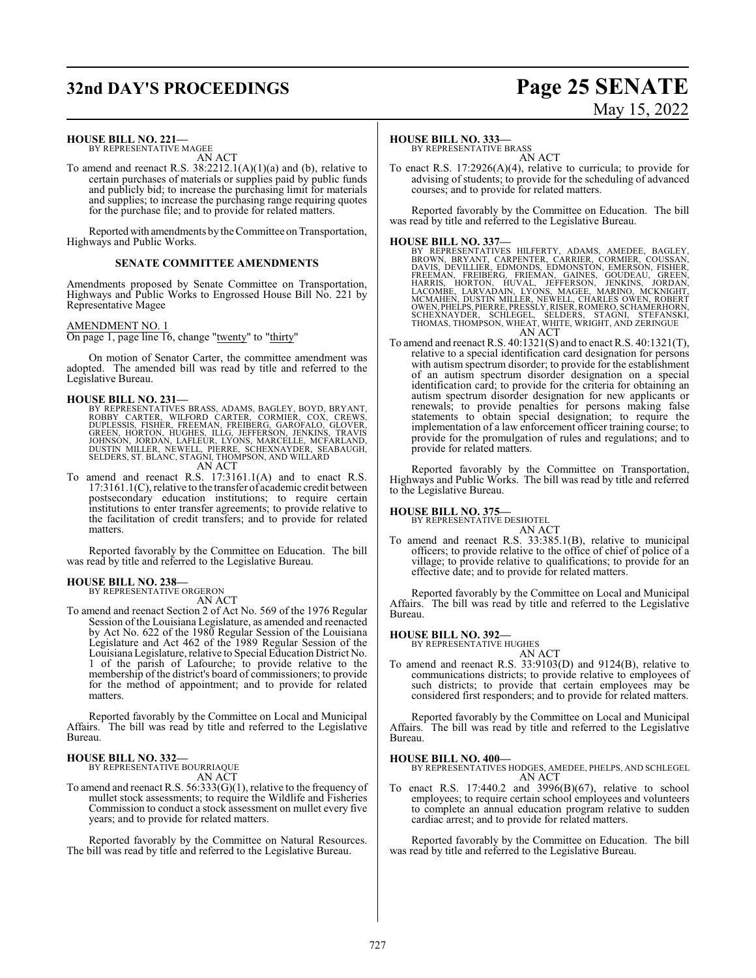# **32nd DAY'S PROCEEDINGS Page 25 SENATE**

# May 15, 2022

**HOUSE BILL NO. 221—** BY REPRESENTATIVE MAGEE AN ACT

To amend and reenact R.S. 38:2212.1(A)(1)(a) and (b), relative to certain purchases of materials or supplies paid by public funds and publicly bid; to increase the purchasing limit for materials and supplies; to increase the purchasing range requiring quotes for the purchase file; and to provide for related matters.

Reported with amendments by the Committee on Transportation, Highways and Public Works.

#### **SENATE COMMITTEE AMENDMENTS**

Amendments proposed by Senate Committee on Transportation, Highways and Public Works to Engrossed House Bill No. 221 by Representative Magee

#### AMENDMENT NO. 1

On page 1, page line 16, change "twenty" to "thirty"

On motion of Senator Carter, the committee amendment was adopted. The amended bill was read by title and referred to the Legislative Bureau.

- **HOUSE BILL NO. 231—**<br>BY REPRESENTATIVES BRASS, ADAMS, BAGLEY, BOYD, BRYANT, ROBBY CARTER, WILFORD CARTER, CORMIER, COX, CREWS,<br>DUPLESSIS, FISHER, FREEMAN, FREIBERG, GAROFALO, GLOVER,<br>GREEN, HORTON, HUGHES, ILLG, JEFFERSON
- To amend and reenact R.S. 17:3161.1(A) and to enact R.S. 17:3161.1(C), relative to the transfer of academic credit between postsecondary education institutions; to require certain institutions to enter transfer agreements; to provide relative to the facilitation of credit transfers; and to provide for related matters.

Reported favorably by the Committee on Education. The bill was read by title and referred to the Legislative Bureau.

#### **HOUSE BILL NO. 238—**

BY REPRESENTATIVE ORGERON AN ACT

To amend and reenact Section 2 of Act No. 569 of the 1976 Regular Session of the Louisiana Legislature, as amended and reenacted by Act No. 622 of the 1980 Regular Session of the Louisiana Legislature and Act 462 of the 1989 Regular Session of the LouisianaLegislature, relative to Special Education District No. 1 of the parish of Lafourche; to provide relative to the membership of the district's board of commissioners; to provide for the method of appointment; and to provide for related matters.

Reported favorably by the Committee on Local and Municipal Affairs. The bill was read by title and referred to the Legislative Bureau.

### **HOUSE BILL NO. 332—**

BY REPRESENTATIVE BOURRIAQUE AN ACT

To amend and reenact R.S. 56:333(G)(1), relative to the frequency of mullet stock assessments; to require the Wildlife and Fisheries Commission to conduct a stock assessment on mullet every five years; and to provide for related matters.

Reported favorably by the Committee on Natural Resources. The bill was read by title and referred to the Legislative Bureau.

#### **HOUSE BILL NO. 333—**

BY REPRESENTATIVE BRASS AN ACT

To enact R.S. 17:2926(A)(4), relative to curricula; to provide for advising of students; to provide for the scheduling of advanced courses; and to provide for related matters.

Reported favorably by the Committee on Education. The bill was read by title and referred to the Legislative Bureau.

- HOUSE BILL NO. 337—<br>
BY REPRESENTATIVES HILFERTY, ADAMS, AMEDEE, BAGLEY, BROWN, BRYANT, CARPENTER, CARRIER, CORMIER, COUSSAN,<br>
DAVIS, DEVILLIER, EDMONDS, EDMONSTON, EMERSON, FISHER,<br>
FREEMAN, FREIBERG, FRIEMAN, GAINES, GOU
- To amend and reenact R.S. 40:1321(S) and to enact R.S. 40:1321(T), relative to a special identification card designation for persons with autism spectrum disorder; to provide for the establishment of an autism spectrum disorder designation on a special identification card; to provide for the criteria for obtaining an autism spectrum disorder designation for new applicants or renewals; to provide penalties for persons making false statements to obtain special designation; to require the implementation of a law enforcement officer training course; to provide for the promulgation of rules and regulations; and to provide for related matters.

Reported favorably by the Committee on Transportation, Highways and Public Works. The bill was read by title and referred to the Legislative Bureau.

#### **HOUSE BILL NO. 375—**

BY REPRESENTATIVE DESHOTEL

AN ACT

To amend and reenact R.S. 33:385.1(B), relative to municipal officers; to provide relative to the office of chief of police of a village; to provide relative to qualifications; to provide for an effective date; and to provide for related matters.

Reported favorably by the Committee on Local and Municipal Affairs. The bill was read by title and referred to the Legislative Bureau.

#### **HOUSE BILL NO. 392—**

BY REPRESENTATIVE HUGHES

AN ACT To amend and reenact R.S. 33:9103(D) and 9124(B), relative to communications districts; to provide relative to employees of such districts; to provide that certain employees may be considered first responders; and to provide for related matters.

Reported favorably by the Committee on Local and Municipal Affairs. The bill was read by title and referred to the Legislative Bureau.

#### **HOUSE BILL NO. 400—**

BY REPRESENTATIVES HODGES, AMEDEE, PHELPS, AND SCHLEGEL AN ACT

To enact R.S.  $17:440.2$  and  $3996(B)(67)$ , relative to school employees; to require certain school employees and volunteers to complete an annual education program relative to sudden cardiac arrest; and to provide for related matters.

Reported favorably by the Committee on Education. The bill was read by title and referred to the Legislative Bureau.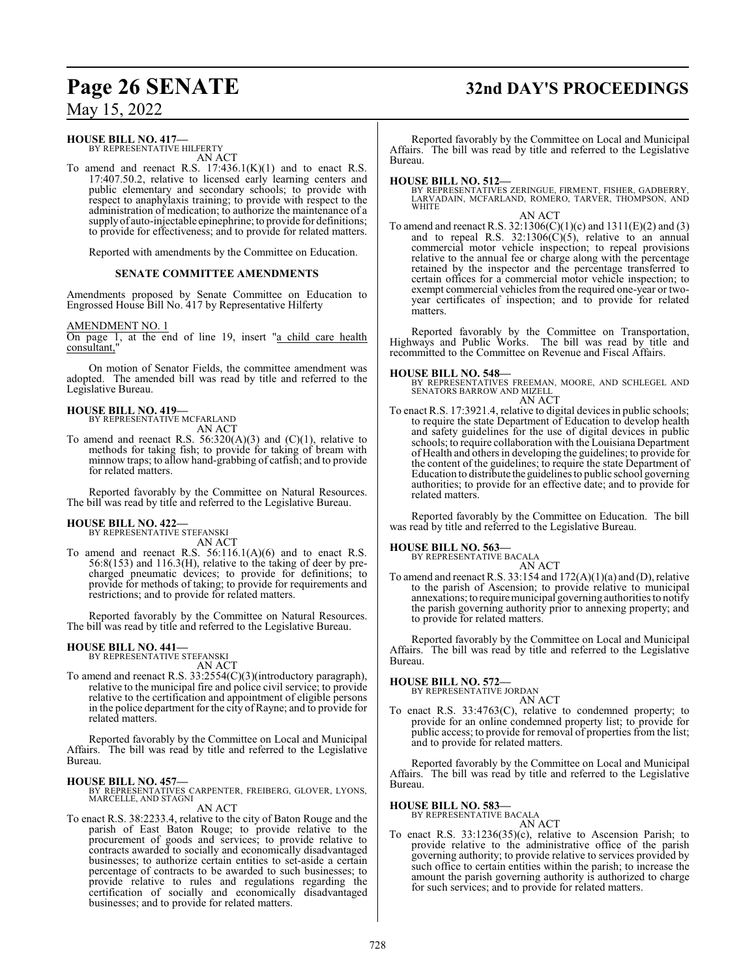# **Page 26 SENATE 32nd DAY'S PROCEEDINGS**

## May 15, 2022

## **HOUSE BILL NO. 417—**

BY REPRESENTATIVE HILFERTY AN ACT

To amend and reenact R.S.  $17:436.1(K)(1)$  and to enact R.S. 17:407.50.2, relative to licensed early learning centers and public elementary and secondary schools; to provide with respect to anaphylaxis training; to provide with respect to the administration of medication; to authorize the maintenance of a supply of auto-injectable epinephrine; to provide for definitions; to provide for effectiveness; and to provide for related matters.

Reported with amendments by the Committee on Education.

#### **SENATE COMMITTEE AMENDMENTS**

Amendments proposed by Senate Committee on Education to Engrossed House Bill No. 417 by Representative Hilferty

#### AMENDMENT NO. 1

On page 1, at the end of line 19, insert "a child care health consultant,

On motion of Senator Fields, the committee amendment was adopted. The amended bill was read by title and referred to the Legislative Bureau.

#### **HOUSE BILL NO. 419—**

BY REPRESENTATIVE MCFARLAND AN ACT

To amend and reenact R.S.  $56:320(A)(3)$  and  $(C)(1)$ , relative to methods for taking fish; to provide for taking of bream with minnow traps; to allow hand-grabbing of catfish; and to provide for related matters.

Reported favorably by the Committee on Natural Resources. The bill was read by title and referred to the Legislative Bureau.

# **HOUSE BILL NO. 422—** BY REPRESENTATIVE STEFANSKI

AN ACT

To amend and reenact R.S. 56:116.1(A)(6) and to enact R.S. 56:8(153) and 116.3(H), relative to the taking of deer by precharged pneumatic devices; to provide for definitions; to provide for methods of taking; to provide for requirements and restrictions; and to provide for related matters.

Reported favorably by the Committee on Natural Resources. The bill was read by title and referred to the Legislative Bureau.

#### **HOUSE BILL NO. 441—**

BY REPRESENTATIVE STEFANSKI AN ACT

To amend and reenact R.S. 33:2554(C)(3)(introductory paragraph), relative to the municipal fire and police civil service; to provide relative to the certification and appointment of eligible persons in the police department for the city of Rayne; and to provide for related matters.

Reported favorably by the Committee on Local and Municipal Affairs. The bill was read by title and referred to the Legislative Bureau.

### **HOUSE BILL NO. 457—**

BY REPRESENTATIVES CARPENTER, FREIBERG, GLOVER, LYONS, MARCELLE, AND STAGNI AN ACT

To enact R.S. 38:2233.4, relative to the city of Baton Rouge and the parish of East Baton Rouge; to provide relative to the procurement of goods and services; to provide relative to contracts awarded to socially and economically disadvantaged businesses; to authorize certain entities to set-aside a certain percentage of contracts to be awarded to such businesses; to provide relative to rules and regulations regarding the certification of socially and economically disadvantaged businesses; and to provide for related matters.

Reported favorably by the Committee on Local and Municipal Affairs. The bill was read by title and referred to the Legislative Bureau.

**HOUSE BILL NO. 512—** BY REPRESENTATIVES ZERINGUE, FIRMENT, FISHER, GADBERRY, LARVADAIN, MCFARLAND, ROMERO, TARVER, THOMPSON, AND WHITE

AN ACT To amend and reenact R.S. 32:1306(C)(1)(c) and 1311(E)(2) and (3) and to repeal R.S.  $32:1306(\dot{C})(5)$ , relative to an annual commercial motor vehicle inspection; to repeal provisions relative to the annual fee or charge along with the percentage retained by the inspector and the percentage transferred to certain offices for a commercial motor vehicle inspection; to exempt commercial vehicles from the required one-year or twoyear certificates of inspection; and to provide for related matters.

Reported favorably by the Committee on Transportation, Highways and Public Works. The bill was read by title and recommitted to the Committee on Revenue and Fiscal Affairs.

#### **HOUSE BILL NO. 548—**

BY REPRESENTATIVES FREEMAN, MOORE, AND SCHLEGEL AND SENATORS BARROW AND MIZELL AN ACT

To enact R.S. 17:3921.4, relative to digital devices in public schools; to require the state Department of Education to develop health and safety guidelines for the use of digital devices in public schools; to require collaboration with the Louisiana Department of Health and others in developing the guidelines; to provide for the content of the guidelines; to require the state Department of Education to distribute the guidelines to public school governing authorities; to provide for an effective date; and to provide for related matters.

Reported favorably by the Committee on Education. The bill was read by title and referred to the Legislative Bureau.

#### **HOUSE BILL NO. 563—**

BY REPRESENTATIVE BACALA AN ACT

To amend and reenact R.S. 33:154 and 172(A)(1)(a) and (D), relative to the parish of Ascension; to provide relative to municipal annexations; to require municipal governing authorities to notify the parish governing authority prior to annexing property; and to provide for related matters.

Reported favorably by the Committee on Local and Municipal Affairs. The bill was read by title and referred to the Legislative Bureau.

#### **HOUSE BILL NO. 572—**

BY REPRESENTATIVE JORDAN AN ACT

To enact R.S. 33:4763(C), relative to condemned property; to provide for an online condemned property list; to provide for public access; to provide for removal of properties from the list; and to provide for related matters.

Reported favorably by the Committee on Local and Municipal Affairs. The bill was read by title and referred to the Legislative Bureau.

#### **HOUSE BILL NO. 583—**

BY REPRESENTATIVE BACALA AN ACT

To enact R.S. 33:1236(35)(c), relative to Ascension Parish; to provide relative to the administrative office of the parish governing authority; to provide relative to services provided by such office to certain entities within the parish; to increase the amount the parish governing authority is authorized to charge for such services; and to provide for related matters.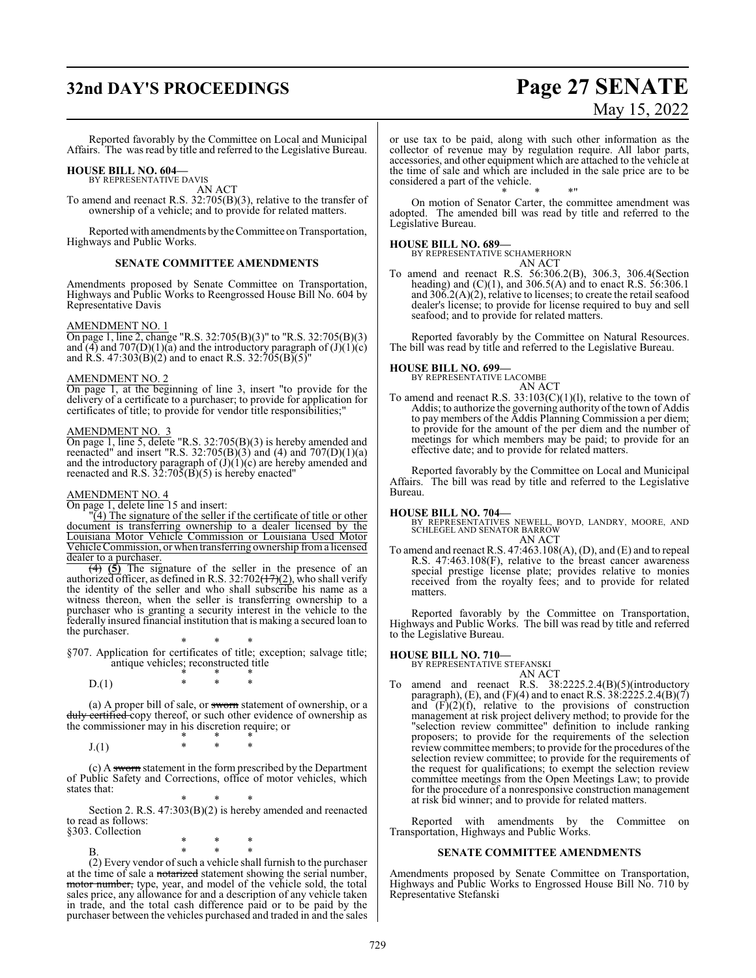# **32nd DAY'S PROCEEDINGS Page 27 SENATE**

# May 15, 2022

Reported favorably by the Committee on Local and Municipal Affairs. The was read by title and referred to the Legislative Bureau.

#### **HOUSE BILL NO. 604—** BY REPRESENTATIVE DAVIS

AN ACT

To amend and reenact R.S. 32:705(B)(3), relative to the transfer of ownership of a vehicle; and to provide for related matters.

Reported with amendments by the Committee on Transportation, Highways and Public Works.

#### **SENATE COMMITTEE AMENDMENTS**

Amendments proposed by Senate Committee on Transportation, Highways and Public Works to Reengrossed House Bill No. 604 by Representative Davis

#### AMENDMENT NO. 1

On page 1, line 2, change "R.S. 32:705(B)(3)" to "R.S. 32:705(B)(3) and  $(4)$  and  $707(D)(1)(a)$  and the introductory paragraph of  $(J)(1)(c)$ and R.S. 47:303(B)(2) and to enact R.S. 32:705(B)(5)"

#### AMENDMENT NO. 2

On page 1, at the beginning of line 3, insert "to provide for the delivery of a certificate to a purchaser; to provide for application for certificates of title; to provide for vendor title responsibilities;"

#### AMENDMENT NO. 3

On page 1, line 5, delete "R.S. 32:705(B)(3) is hereby amended and reenacted" and insert "R.S.  $32:705(B)(3)$  and (4) and  $707(D)(1)(a)$ and the introductory paragraph of  $(J)(1)(c)$  are hereby amended and reenacted and R.S.  $32:705(B)(5)$  is hereby enacted"

#### AMENDMENT NO. 4

On page 1, delete line 15 and insert:

"(4) The signature of the seller if the certificate of title or other document is transferring ownership to a dealer licensed by the Louisiana Motor Vehicle Commission or Louisiana Used Motor Vehicle Commission, or when transferring ownership froma licensed dealer to a purchaser.

(4) **(5)** The signature of the seller in the presence of an authorized officer, as defined in R.S. 32:702( $\frac{17}{2}$ ), who shall verify the identity of the seller and who shall subscribe his name as a witness thereon, when the seller is transferring ownership to a purchaser who is granting a security interest in the vehicle to the federally insured financial institution that is making a secured loan to the purchaser.

\* \* \* §707. Application for certificates of title; exception; salvage title; antique vehicles; reconstructed title

\* \* \*  $D(1)$ 

(a) A proper bill of sale, or sworn statement of ownership, or a duly certified copy thereof, or such other evidence of ownership as the commissioner may in his discretion require; or

\* \* \* J.(1) \* \* \*

(c) A sworn statement in the form prescribed by the Department of Public Safety and Corrections, office of motor vehicles, which states that:

\* \* \* Section 2. R.S. 47:303(B)(2) is hereby amended and reenacted to read as follows: §303. Collection

\* \* \* B. \* \* \*

(2) Every vendor of such a vehicle shall furnish to the purchaser at the time of sale a notarized statement showing the serial number, motor number, type, year, and model of the vehicle sold, the total sales price, any allowance for and a description of any vehicle taken in trade, and the total cash difference paid or to be paid by the purchaser between the vehicles purchased and traded in and the sales or use tax to be paid, along with such other information as the collector of revenue may by regulation require. All labor parts, accessories, and other equipment which are attached to the vehicle at the time of sale and which are included in the sale price are to be considered a part of the vehicle.

\* \* \*" On motion of Senator Carter, the committee amendment was adopted. The amended bill was read by title and referred to the Legislative Bureau.

#### **HOUSE BILL NO. 689—**

BY REPRESENTATIVE SCHAMERHORN

- AN ACT
- To amend and reenact R.S. 56:306.2(B), 306.3, 306.4(Section heading) and  $(C)(1)$ , and  $306.5(A)$  and to enact R.S.  $56:306.1$ and 306.2(A)(2), relative to licenses; to create the retail seafood dealer's license; to provide for license required to buy and sell seafood; and to provide for related matters.

Reported favorably by the Committee on Natural Resources. The bill was read by title and referred to the Legislative Bureau.

#### **HOUSE BILL NO. 699—**

BY REPRESENTATIVE LACOMBE

#### AN ACT

To amend and reenact R.S.  $33:103(C)(1)(1)$ , relative to the town of Addis; to authorize the governing authority of the town of Addis to pay members of the Addis Planning Commission a per diem; to provide for the amount of the per diem and the number of meetings for which members may be paid; to provide for an effective date; and to provide for related matters.

Reported favorably by the Committee on Local and Municipal Affairs. The bill was read by title and referred to the Legislative Bureau.

- **HOUSE BILL NO. 704—** BY REPRESENTATIVES NEWELL, BOYD, LANDRY, MOORE, AND SCHLEGEL AND SENATOR BARROW AN ACT
- To amend and reenact R.S. 47:463.108(A), (D), and (E) and to repeal R.S. 47:463.108(F), relative to the breast cancer awareness special prestige license plate; provides relative to monies received from the royalty fees; and to provide for related matters.

Reported favorably by the Committee on Transportation, Highways and Public Works. The bill was read by title and referred to the Legislative Bureau.

#### **HOUSE BILL NO. 710—**

BY REPRESENTATIVE STEFANSKI

- AN ACT
- To amend and reenact R.S. 38:2225.2.4(B)(5)(introductory paragraph), (E), and (F)(4) and to enact R.S.  $38:2225.2.4(B)(7)$ and  $(F)(2)(f)$ , relative to the provisions of construction management at risk project delivery method; to provide for the "selection review committee" definition to include ranking proposers; to provide for the requirements of the selection review committee members; to provide for the procedures ofthe selection review committee; to provide for the requirements of the request for qualifications; to exempt the selection review committee meetings from the Open Meetings Law; to provide for the procedure of a nonresponsive construction management at risk bid winner; and to provide for related matters.

Reported with amendments by the Committee on Transportation, Highways and Public Works.

#### **SENATE COMMITTEE AMENDMENTS**

Amendments proposed by Senate Committee on Transportation, Highways and Public Works to Engrossed House Bill No. 710 by Representative Stefanski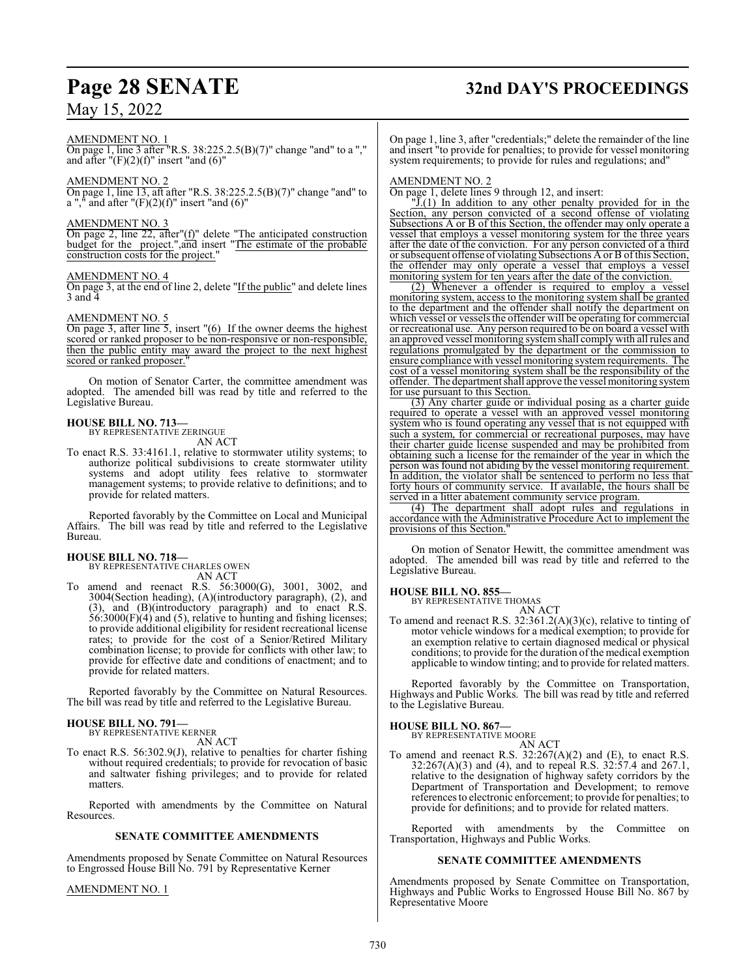#### AMENDMENT NO. 1

On page 1, line 3 after "R.S. 38:225.2.5(B)(7)" change "and" to a "," and after  $"(\mathrm{F})(2)(\mathrm{f})"$  insert "and  $(6)"$ 

#### AMENDMENT NO. 2

On page 1, line 13, aft after "R.S. 38:225.2.5(B)(7)" change "and" to a "," and after " $(F)(2)(f)$ " insert "and  $(6)$ "

#### AMENDMENT NO. 3

On page 2, line 22, after"(f)" delete "The anticipated construction budget for the project.",and insert "The estimate of the probable construction costs for the project."

#### AMENDMENT NO. 4

On page 3, at the end of line 2, delete "If the public" and delete lines 3 and 4

#### AMENDMENT NO. 5

On page 3, after line 5, insert "(6) If the owner deems the highest scored or ranked proposer to be non-responsive or non-responsible, then the public entity may award the project to the next highest scored or ranked proposer.

On motion of Senator Carter, the committee amendment was adopted. The amended bill was read by title and referred to the Legislative Bureau.

#### **HOUSE BILL NO. 713—** BY REPRESENTATIVE ZERINGUE

AN ACT

To enact R.S. 33:4161.1, relative to stormwater utility systems; to authorize political subdivisions to create stormwater utility systems and adopt utility fees relative to stormwater management systems; to provide relative to definitions; and to provide for related matters.

Reported favorably by the Committee on Local and Municipal Affairs. The bill was read by title and referred to the Legislative Bureau.

#### **HOUSE BILL NO. 718—**

BY REPRESENTATIVE CHARLES OWEN AN ACT

To amend and reenact R.S. 56:3000(G), 3001, 3002, and 3004(Section heading), (A)(introductory paragraph), (2), and (3), and (B)(introductory paragraph) and to enact R.S. 56:3000(F)(4) and (5), relative to hunting and fishing licenses; to provide additional eligibility for resident recreational license rates; to provide for the cost of a Senior/Retired Military combination license; to provide for conflicts with other law; to provide for effective date and conditions of enactment; and to provide for related matters.

Reported favorably by the Committee on Natural Resources. The bill was read by title and referred to the Legislative Bureau.

#### **HOUSE BILL NO. 791—** BY REPRESENTATIVE KERNER

AN ACT

To enact R.S. 56:302.9(J), relative to penalties for charter fishing without required credentials; to provide for revocation of basic and saltwater fishing privileges; and to provide for related matters.

Reported with amendments by the Committee on Natural Resources.

#### **SENATE COMMITTEE AMENDMENTS**

Amendments proposed by Senate Committee on Natural Resources to Engrossed House Bill No. 791 by Representative Kerner

#### AMENDMENT NO. 1

# **Page 28 SENATE 32nd DAY'S PROCEEDINGS**

On page 1, line 3, after "credentials;" delete the remainder of the line and insert "to provide for penalties; to provide for vessel monitoring system requirements; to provide for rules and regulations; and"

#### AMENDMENT NO. 2

On page 1, delete lines 9 through 12, and insert:

"J.(1) In addition to any other penalty provided for in the Section, any person convicted of a second offense of violating Subsections A or B of this Section, the offender may only operate a vessel that employs a vessel monitoring system for the three years after the date of the conviction. For any person convicted of a third or subsequent offense of violating Subsections A or B ofthis Section, the offender may only operate a vessel that employs a vessel monitoring system for ten years after the date of the conviction.

(2) Whenever a offender is required to employ a vessel monitoring system, access to the monitoring system shall be granted to the department and the offender shall notify the department on which vessel or vessels the offender will be operating for commercial or recreational use. Any person required to be on board a vessel with an approved vessel monitoring systemshall complywith all rules and regulations promulgated by the department or the commission to ensure compliance with vessel monitoring systemrequirements. The cost of a vessel monitoring system shall be the responsibility of the offender. The department shall approve the vessel monitoring system for use pursuant to this Section.

(3) Any charter guide or individual posing as a charter guide required to operate a vessel with an approved vessel monitoring system who is found operating any vessel that is not equipped with such a system, for commercial or recreational purposes, may have their charter guide license suspended and may be prohibited from obtaining such a license for the remainder of the year in which the person was found not abiding by the vessel monitoring requirement. In addition, the violator shall be sentenced to perform no less that forty hours of community service. If available, the hours shall be served in a litter abatement community service program.

(4) The department shall adopt rules and regulations in accordance with the Administrative Procedure Act to implement the provisions of this Section.

On motion of Senator Hewitt, the committee amendment was adopted. The amended bill was read by title and referred to the Legislative Bureau.

### **HOUSE BILL NO. 855—**

BY REPRESENTATIVE THOMAS

AN ACT To amend and reenact R.S. 32:361.2(A)(3)(c), relative to tinting of motor vehicle windows for a medical exemption; to provide for an exemption relative to certain diagnosed medical or physical conditions; to provide for the duration of the medical exemption applicable to window tinting; and to provide for related matters.

Reported favorably by the Committee on Transportation, Highways and Public Works. The bill was read by title and referred to the Legislative Bureau.

#### **HOUSE BILL NO. 867—**

BY REPRESENTATIVE MOORE AN ACT

To amend and reenact R.S.  $32:267(A)(2)$  and (E), to enact R.S. 32:267(A)(3) and (4), and to repeal R.S. 32:57.4 and 267.1, relative to the designation of highway safety corridors by the Department of Transportation and Development; to remove references to electronic enforcement; to provide for penalties; to provide for definitions; and to provide for related matters.

Reported with amendments by the Committee on Transportation, Highways and Public Works.

#### **SENATE COMMITTEE AMENDMENTS**

Amendments proposed by Senate Committee on Transportation, Highways and Public Works to Engrossed House Bill No. 867 by Representative Moore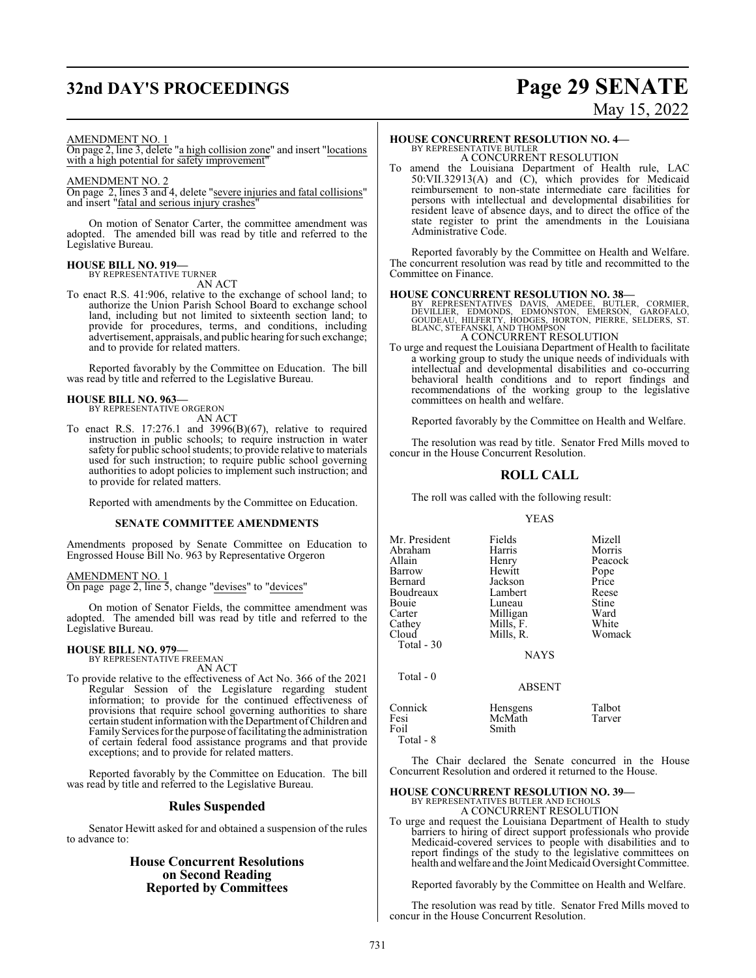# **32nd DAY'S PROCEEDINGS Page 29 SENATE**

# May 15, 2022

#### AMENDMENT NO. 1

On page 2, line 3, delete "a high collision zone" and insert "locations with a high potential for safety improvement

#### AMENDMENT NO. 2

On page 2, lines 3 and 4, delete "severe injuries and fatal collisions" and insert "fatal and serious injury crashes"

On motion of Senator Carter, the committee amendment was adopted. The amended bill was read by title and referred to the Legislative Bureau.

## **HOUSE BILL NO. 919—** BY REPRESENTATIVE TURNER

AN ACT

To enact R.S. 41:906, relative to the exchange of school land; to authorize the Union Parish School Board to exchange school land, including but not limited to sixteenth section land; to provide for procedures, terms, and conditions, including advertisement, appraisals, and public hearing for such exchange; and to provide for related matters.

Reported favorably by the Committee on Education. The bill was read by title and referred to the Legislative Bureau.

# **HOUSE BILL NO. 963—** BY REPRESENTATIVE ORGERON

AN ACT

To enact R.S. 17:276.1 and 3996(B)(67), relative to required instruction in public schools; to require instruction in water safety for public school students; to provide relative to materials used for such instruction; to require public school governing authorities to adopt policies to implement such instruction; and to provide for related matters.

Reported with amendments by the Committee on Education.

#### **SENATE COMMITTEE AMENDMENTS**

Amendments proposed by Senate Committee on Education to Engrossed House Bill No. 963 by Representative Orgeron

AMENDMENT NO. 1 On page page 2, line 5, change "devises" to "devices"

On motion of Senator Fields, the committee amendment was adopted. The amended bill was read by title and referred to the Legislative Bureau.

## **HOUSE BILL NO. 979—** BY REPRESENTATIVE FREEMAN

AN ACT

To provide relative to the effectiveness of Act No. 366 of the 2021 Regular Session of the Legislature regarding student information; to provide for the continued effectiveness of provisions that require school governing authorities to share certain student information with the Department ofChildren and Family Services for the purpose of facilitating the administration of certain federal food assistance programs and that provide exceptions; and to provide for related matters.

Reported favorably by the Committee on Education. The bill was read by title and referred to the Legislative Bureau.

### **Rules Suspended**

Senator Hewitt asked for and obtained a suspension of the rules to advance to:

## **House Concurrent Resolutions on Second Reading Reported by Committees**

### **HOUSE CONCURRENT RESOLUTION NO. 4—**

BY REPRESENTATIVE BUTLER A CONCURRENT RESOLUTION

To amend the Louisiana Department of Health rule, LAC 50:VII.32913(A) and (C), which provides for Medicaid reimbursement to non-state intermediate care facilities for persons with intellectual and developmental disabilities for resident leave of absence days, and to direct the office of the state register to print the amendments in the Louisiana Administrative Code.

Reported favorably by the Committee on Health and Welfare. The concurrent resolution was read by title and recommitted to the Committee on Finance.

**HOUSE CONCURRENT RESOLUTION NO. 38—**<br>BY REPRESENTATIVES DAVIS, AMEDEE, BUTLER, CORMIER, DEVILLER, EDMONDS, EDMONSTON, EMERSON, GAROFALO, GOUDEAU, HILFERTY, HODGES, HORTON, PIERRE, SELDERS, ST.<br>BLANC, STEFANSKI, AND THOMPS

To urge and request the Louisiana Department of Health to facilitate a working group to study the unique needs of individuals with intellectual and developmental disabilities and co-occurring behavioral health conditions and to report findings and recommendations of the working group to the legislative committees on health and welfare.

Reported favorably by the Committee on Health and Welfare.

The resolution was read by title. Senator Fred Mills moved to concur in the House Concurrent Resolution.

### **ROLL CALL**

The roll was called with the following result:

#### YEAS

| Mr. President | Fields        | Mizell  |
|---------------|---------------|---------|
| Abraham       | Harris        | Morris  |
| Allain        | Henry         | Peacock |
| Barrow        | Hewitt        | Pope    |
| Bernard       | Jackson       | Price   |
| Boudreaux     | Lambert       | Reese   |
| Bouie         | Luneau        | Stine   |
| Carter        | Milligan      | Ward    |
| Cathey        | Mills, F.     | White   |
| Cloud         | Mills, R.     | Womack  |
| Total $-30$   |               |         |
|               | <b>NAYS</b>   |         |
| Total $-0$    |               |         |
|               | <b>ABSENT</b> |         |
| Connick       | Hensgens      | Talbot  |
| Fesi          | McMath        | Tarver  |
| Foil          | Smith         |         |
|               |               |         |

Total - 8

The Chair declared the Senate concurred in the House Concurrent Resolution and ordered it returned to the House.

# **HOUSE CONCURRENT RESOLUTION NO. 39—**

BY REPRESENTATIVES BUTLER AND ECHOLS A CONCURRENT RESOLUTION

To urge and request the Louisiana Department of Health to study barriers to hiring of direct support professionals who provide Medicaid-covered services to people with disabilities and to report findings of the study to the legislative committees on health and welfare and the Joint Medicaid Oversight Committee.

Reported favorably by the Committee on Health and Welfare.

The resolution was read by title. Senator Fred Mills moved to concur in the House Concurrent Resolution.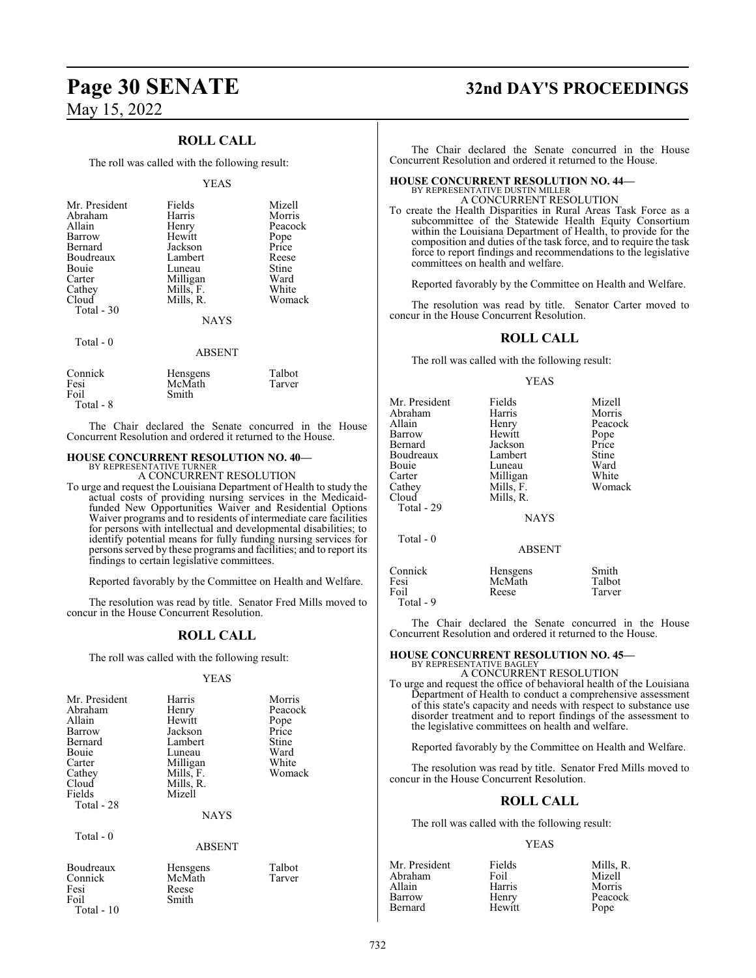## **ROLL CALL**

The roll was called with the following result:

#### YEAS

| Mr. President | Fields      | Mizell  |
|---------------|-------------|---------|
| Abraham       | Harris      | Morris  |
| Allain        | Henry       | Peacock |
| Barrow        | Hewitt      | Pope    |
| Bernard       | Jackson     | Price   |
| Boudreaux     | Lambert     | Reese   |
| Bouie         | Luneau      | Stine   |
| Carter        | Milligan    | Ward    |
| Cathey        | Mills, F.   | White   |
| Cloud         | Mills, R.   | Womack  |
| Total $-30$   |             |         |
|               | <b>NAYS</b> |         |
| Total - 0     |             |         |

| Connick   | Hensgens | Talbot |
|-----------|----------|--------|
| Fesi      | McMath   | Tarver |
| Foil      | Smith    |        |
| Total - 8 |          |        |

The Chair declared the Senate concurred in the House Concurrent Resolution and ordered it returned to the House.

ABSENT

#### **HOUSE CONCURRENT RESOLUTION NO. 40—** BY REPRESENTATIVE TURNER

A CONCURRENT RESOLUTION

To urge and request the Louisiana Department of Health to study the actual costs of providing nursing services in the Medicaidfunded New Opportunities Waiver and Residential Options Waiver programs and to residents of intermediate care facilities for persons with intellectual and developmental disabilities; to identify potential means for fully funding nursing services for persons served by these programs and facilities; and to report its findings to certain legislative committees.

Reported favorably by the Committee on Health and Welfare.

The resolution was read by title. Senator Fred Mills moved to concur in the House Concurrent Resolution.

## **ROLL CALL**

The roll was called with the following result:

#### YEAS

| Mr. President<br>Abraham<br>Allain<br>Barrow<br>Bernard<br>Bouie<br>Carter<br>Cathey<br>Cloud<br>Fields | Harris<br>Henry<br>Hewitt<br>Jackson<br>Lambert<br>Luneau<br>Milligan<br>Mills, F.<br>Mills, R.<br>Mizell | Morris<br>Peacock<br>Pope<br>Price<br>Stine<br>Ward<br>White<br>Womack |
|---------------------------------------------------------------------------------------------------------|-----------------------------------------------------------------------------------------------------------|------------------------------------------------------------------------|
| Total - 28                                                                                              | <b>NAYS</b>                                                                                               |                                                                        |
| Total $-0$                                                                                              | <b>ABSENT</b>                                                                                             |                                                                        |
| Boudreaux<br>Connick                                                                                    | Hensgens<br>McMath                                                                                        | Talbot<br>Tarver                                                       |

Smith

Fesi Reese<br>Foil Smith

Total - 10

# **Page 30 SENATE 32nd DAY'S PROCEEDINGS**

The Chair declared the Senate concurred in the House Concurrent Resolution and ordered it returned to the House.

## **HOUSE CONCURRENT RESOLUTION NO. 44—** BY REPRESENTATIVE DUSTIN MILLER A CONCURRENT RESOLUTION

To create the Health Disparities in Rural Areas Task Force as a subcommittee of the Statewide Health Equity Consortium within the Louisiana Department of Health, to provide for the composition and duties of the task force, and to require the task force to report findings and recommendations to the legislative committees on health and welfare.

Reported favorably by the Committee on Health and Welfare.

The resolution was read by title. Senator Carter moved to concur in the House Concurrent Resolution.

#### **ROLL CALL**

The roll was called with the following result:

#### YEAS

| Mr. President<br>Abraham<br>Allain<br>Barrow<br>Bernard<br>Boudreaux<br>Bouie | Fields<br>Harris<br>Henry<br>Hewitt<br>Jackson<br>Lambert<br>Luneau | Mizell<br>Morris<br>Peacock<br>Pope<br>Price<br>Stine<br>Ward |
|-------------------------------------------------------------------------------|---------------------------------------------------------------------|---------------------------------------------------------------|
| Carter<br>Cathey<br>Cloud<br>Total - 29                                       | Milligan<br>Mills, F.<br>Mills, R.<br><b>NAYS</b>                   | White<br>Womack                                               |
| Total - 0                                                                     | <b>ABSENT</b>                                                       |                                                               |
| Connick<br>Fesi<br>Foil<br>Total - 9                                          | Hensgens<br>McMath<br>Reese                                         | Smith<br>Talbot<br>Tarver                                     |

The Chair declared the Senate concurred in the House Concurrent Resolution and ordered it returned to the House.

#### **HOUSE CONCURRENT RESOLUTION NO. 45—**

BY REPRESENTATIVE BAGLEY A CONCURRENT RESOLUTION

To urge and request the office of behavioral health of the Louisiana Department of Health to conduct a comprehensive assessment of this state's capacity and needs with respect to substance use disorder treatment and to report findings of the assessment to the legislative committees on health and welfare.

Reported favorably by the Committee on Health and Welfare.

The resolution was read by title. Senator Fred Mills moved to concur in the House Concurrent Resolution.

#### **ROLL CALL**

The roll was called with the following result:

#### YEAS

| Mr. President | Fields | Mills. R. |
|---------------|--------|-----------|
| Abraham       | Foil   | Mizell    |
| Allain        | Harris | Morris    |
| Barrow        | Henry  | Peacock   |
| Bernard       | Hewitt | Pope      |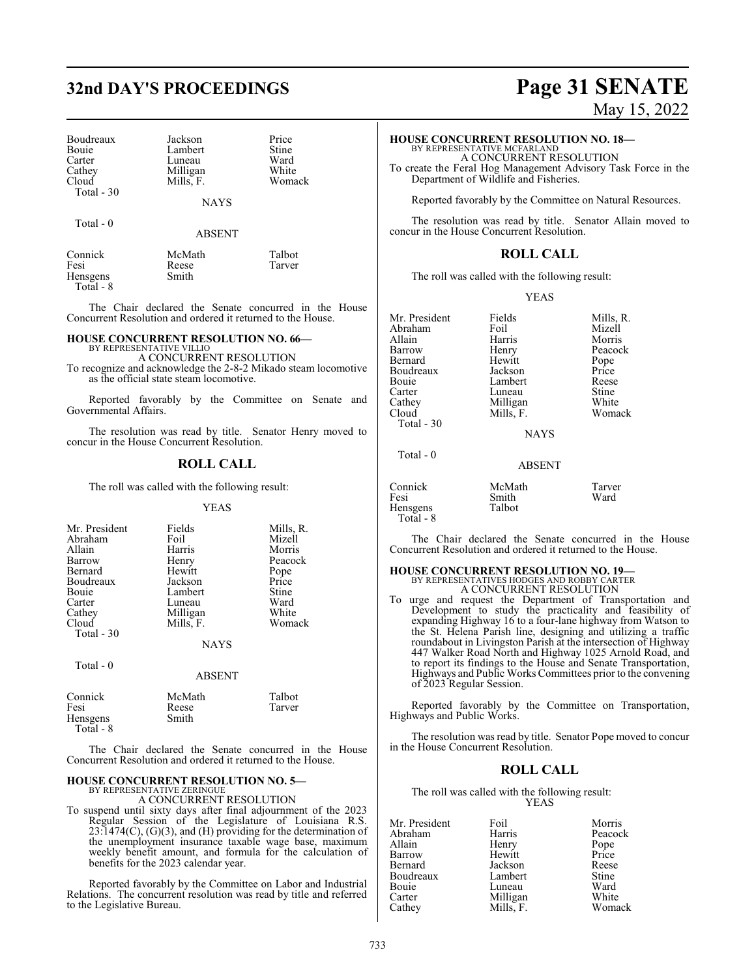# **32nd DAY'S PROCEEDINGS Page 31 SENATE**

| Boudreaux  |  |
|------------|--|
| Bouie      |  |
| Carter     |  |
| Cathey     |  |
| Cloud      |  |
| Total - 30 |  |

Total - 0

Jackson Price<br>
Lambert Stine Lambert Stine<br>
Luneau Ward Luneau Ward<br>
Milligan White Milligan White<br>
Mills, F. Womack Mills, F.

NAYS

ABSENT

| Connick   | McMath | Talbot |
|-----------|--------|--------|
| Fesi      | Reese  | Tarver |
| Hensgens  | Smith  |        |
| Total - 8 |        |        |

The Chair declared the Senate concurred in the House Concurrent Resolution and ordered it returned to the House.

#### **HOUSE CONCURRENT RESOLUTION NO. 66—**

BY REPRESENTATIVE VILLIO A CONCURRENT RESOLUTION

To recognize and acknowledge the 2-8-2 Mikado steam locomotive as the official state steam locomotive.

Reported favorably by the Committee on Senate and Governmental Affairs.

The resolution was read by title. Senator Henry moved to concur in the House Concurrent Resolution.

#### **ROLL CALL**

The roll was called with the following result:

#### YEAS

| Mr. President<br>Abraham<br>Allain<br>Barrow<br>Bernard<br>Boudreaux<br>Bouie<br>Carter<br>Cathey<br>Cloud<br>Total - 30 | Fields<br>Foil<br>Harris<br>Henry<br>Hewitt<br>Jackson<br>Lambert<br>Luneau<br>Milligan<br>Mills, F. | Mills, R.<br>Mizell<br>Morris<br>Peacock<br>Pope<br>Price<br>Stine<br>Ward<br>White<br>Womack |
|--------------------------------------------------------------------------------------------------------------------------|------------------------------------------------------------------------------------------------------|-----------------------------------------------------------------------------------------------|
|                                                                                                                          | <b>NAYS</b>                                                                                          |                                                                                               |

Total - 0

| Connick<br>Fesi<br>Hensgens | McMath<br>Reese<br>Smith | Talbot<br>Tarver |
|-----------------------------|--------------------------|------------------|
| Total - $8$                 |                          |                  |

The Chair declared the Senate concurred in the House Concurrent Resolution and ordered it returned to the House.

ABSENT

## **HOUSE CONCURRENT RESOLUTION NO. 5—**

BY REPRESENTATIVE ZERINGUE A CONCURRENT RESOLUTION

To suspend until sixty days after final adjournment of the 2023 Regular Session of the Legislature of Louisiana R.S.  $23:1474(C)$ ,  $(G)(3)$ , and  $(H)$  providing for the determination of the unemployment insurance taxable wage base, maximum weekly benefit amount, and formula for the calculation of benefits for the 2023 calendar year.

Reported favorably by the Committee on Labor and Industrial Relations. The concurrent resolution was read by title and referred to the Legislative Bureau.

May 15, 2022

#### **HOUSE CONCURRENT RESOLUTION NO. 18—**

BY REPRESENTATIVE MCFARLAND A CONCURRENT RESOLUTION

To create the Feral Hog Management Advisory Task Force in the Department of Wildlife and Fisheries.

Reported favorably by the Committee on Natural Resources.

The resolution was read by title. Senator Allain moved to concur in the House Concurrent Resolution.

### **ROLL CALL**

The roll was called with the following result:

YEAS

| Mr. President | Fields    | Mills, R. |
|---------------|-----------|-----------|
| Abraham       | Foil      | Mizell    |
| Allain        | Harris    | Morris    |
| Barrow        | Henry     | Peacock   |
| Bernard       | Hewitt    | Pope      |
| Boudreaux     | Jackson   | Price     |
| Bouie         | Lambert   | Reese     |
| Carter        | Luneau    | Stine     |
| Cathey        | Milligan  | White     |
| Cloud         | Mills, F. | Womack    |
| Total - 30    |           |           |

NAYS

ABSENT

## Total - 0

| Connick   | McMath | Tarver |
|-----------|--------|--------|
| Fesi      | Smith  | Ward   |
| Hensgens  | Talbot |        |
| Total - 8 |        |        |

The Chair declared the Senate concurred in the House Concurrent Resolution and ordered it returned to the House.

#### **HOUSE CONCURRENT RESOLUTION NO. 19—** BY REPRESENTATIVES HODGES AND ROBBY CARTER A CONCURRENT RESOLUTION

To urge and request the Department of Transportation and Development to study the practicality and feasibility of expanding Highway 16 to a four-lane highway from Watson to the St. Helena Parish line, designing and utilizing a traffic roundabout in Livingston Parish at the intersection of Highway 447 Walker Road North and Highway 1025 Arnold Road, and to report its findings to the House and Senate Transportation, Highways and Public Works Committees prior to the convening of 2023 Regular Session.

Reported favorably by the Committee on Transportation, Highways and Public Works.

The resolution was read by title. Senator Pope moved to concur in the House Concurrent Resolution.

#### **ROLL CALL**

The roll was called with the following result: YEAS

| Mr. President | Foil      | Morris  |
|---------------|-----------|---------|
| Abraham       | Harris    | Peacock |
| Allain        | Henry     | Pope    |
| Barrow        | Hewitt    | Price   |
| Bernard       | Jackson   | Reese   |
| Boudreaux     | Lambert   | Stine   |
| Bouie         | Luneau    | Ward    |
| Carter        | Milligan  | White   |
| Cathey        | Mills. F. | Womack  |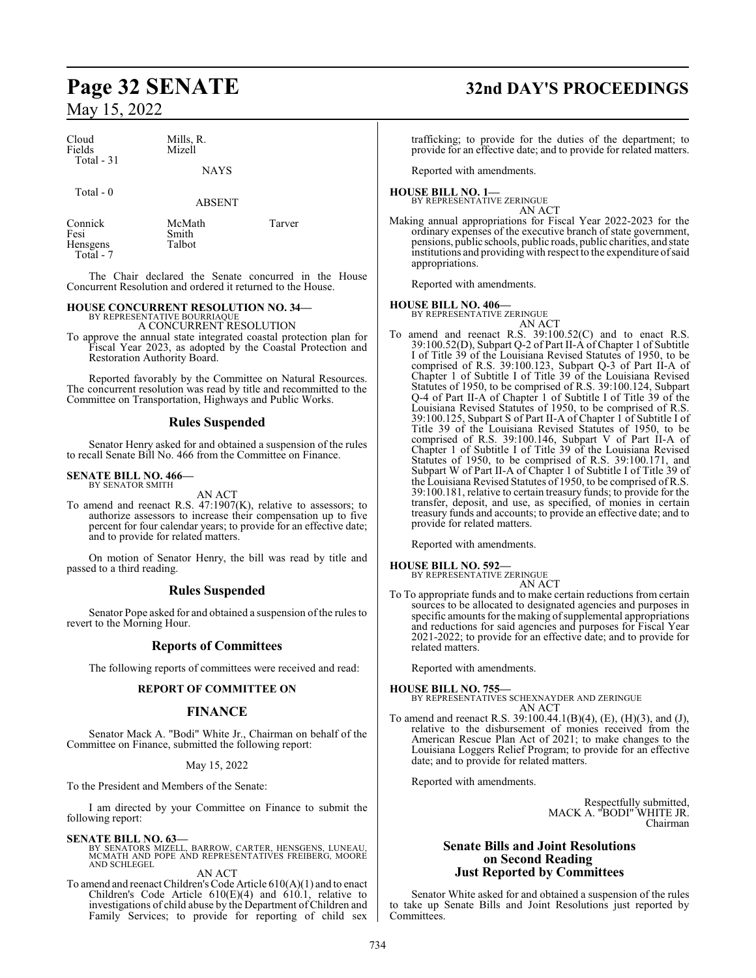| Cloud<br>Fields<br>Total $-31$ | Mills, R.<br>Mizell |  |
|--------------------------------|---------------------|--|
|                                | <b>NAYS</b>         |  |
| Total $-0$                     |                     |  |

Smith Talbot

ABSENT

| Connick   |
|-----------|
| Fesi      |
| Hensgens  |
| Total - 7 |
|           |

McMath Tarver

The Chair declared the Senate concurred in the House Concurrent Resolution and ordered it returned to the House.

## **HOUSE CONCURRENT RESOLUTION NO. 34—**

BY REPRESENTATIVE BOURRIAQUE A CONCURRENT RESOLUTION

To approve the annual state integrated coastal protection plan for Fiscal Year 2023, as adopted by the Coastal Protection and Restoration Authority Board.

Reported favorably by the Committee on Natural Resources. The concurrent resolution was read by title and recommitted to the Committee on Transportation, Highways and Public Works.

## **Rules Suspended**

Senator Henry asked for and obtained a suspension of the rules to recall Senate Bill No. 466 from the Committee on Finance.

#### **SENATE BILL NO. 466—** BY SENATOR SMITH

AN ACT

To amend and reenact R.S. 47:1907(K), relative to assessors; to authorize assessors to increase their compensation up to five percent for four calendar years; to provide for an effective date; and to provide for related matters.

On motion of Senator Henry, the bill was read by title and passed to a third reading.

## **Rules Suspended**

Senator Pope asked for and obtained a suspension of the rules to revert to the Morning Hour.

## **Reports of Committees**

The following reports of committees were received and read:

## **REPORT OF COMMITTEE ON**

## **FINANCE**

Senator Mack A. "Bodi" White Jr., Chairman on behalf of the Committee on Finance, submitted the following report:

#### May 15, 2022

To the President and Members of the Senate:

I am directed by your Committee on Finance to submit the following report:

**SENATE BILL NO. 63—** BY SENATORS MIZELL, BARROW, CARTER, HENSGENS, LUNEAU, MCMATH AND POPE AND REPRESENTATIVES FREIBERG, MOORE AND SCHLEGEL

#### AN ACT

To amend and reenact Children's Code Article 610(A)(1) and to enact Children's Code Article 610(E)(4) and 610.1, relative to investigations of child abuse by the Department of Children and Family Services; to provide for reporting of child sex

# **Page 32 SENATE 32nd DAY'S PROCEEDINGS**

trafficking; to provide for the duties of the department; to provide for an effective date; and to provide for related matters.

Reported with amendments.

# **HOUSE BILL NO. 1—** BY REPRESENTATIVE ZERINGUE

AN ACT

Making annual appropriations for Fiscal Year 2022-2023 for the ordinary expenses of the executive branch of state government, pensions, public schools, public roads, public charities, and state institutions and providing with respect to the expenditure ofsaid appropriations.

Reported with amendments.

#### **HOUSE BILL NO. 406—**

BY REPRESENTATIVE ZERINGUE AN ACT

To amend and reenact R.S. 39:100.52(C) and to enact R.S. 39:100.52(D), Subpart Q-2 of Part II-A of Chapter 1 of Subtitle I of Title 39 of the Louisiana Revised Statutes of 1950, to be comprised of R.S. 39:100.123, Subpart Q-3 of Part II-A of Chapter 1 of Subtitle I of Title 39 of the Louisiana Revised Statutes of 1950, to be comprised of R.S. 39:100.124, Subpart Q-4 of Part II-A of Chapter 1 of Subtitle I of Title 39 of the Louisiana Revised Statutes of 1950, to be comprised of R.S. 39:100.125, Subpart S of Part II-A of Chapter 1 of Subtitle I of Title 39 of the Louisiana Revised Statutes of 1950, to be comprised of R.S. 39:100.146, Subpart V of Part II-A of Chapter 1 of Subtitle I of Title 39 of the Louisiana Revised Statutes of 1950, to be comprised of R.S. 39:100.171, and Subpart W of Part II-A of Chapter 1 of Subtitle I of Title 39 of the Louisiana Revised Statutes of 1950, to be comprised of R.S. 39:100.181, relative to certain treasury funds; to provide for the transfer, deposit, and use, as specified, of monies in certain treasury funds and accounts; to provide an effective date; and to provide for related matters.

Reported with amendments.

**HOUSE BILL NO. 592—** BY REPRESENTATIVE ZERINGUE

AN ACT To To appropriate funds and to make certain reductions from certain sources to be allocated to designated agencies and purposes in specific amounts for the making of supplemental appropriations and reductions for said agencies and purposes for Fiscal Year 2021-2022; to provide for an effective date; and to provide for related matters.

Reported with amendments.

**HOUSE BILL NO. 755—** BY REPRESENTATIVES SCHEXNAYDER AND ZERINGUE AN ACT

To amend and reenact R.S. 39:100.44.1(B)(4), (E), (H)(3), and (J), relative to the disbursement of monies received from the American Rescue Plan Act of 2021; to make changes to the Louisiana Loggers Relief Program; to provide for an effective date; and to provide for related matters.

Reported with amendments.

Respectfully submitted, MACK A. "BODI" WHITE JR. Chairman

## **Senate Bills and Joint Resolutions on Second Reading Just Reported by Committees**

Senator White asked for and obtained a suspension of the rules to take up Senate Bills and Joint Resolutions just reported by Committees.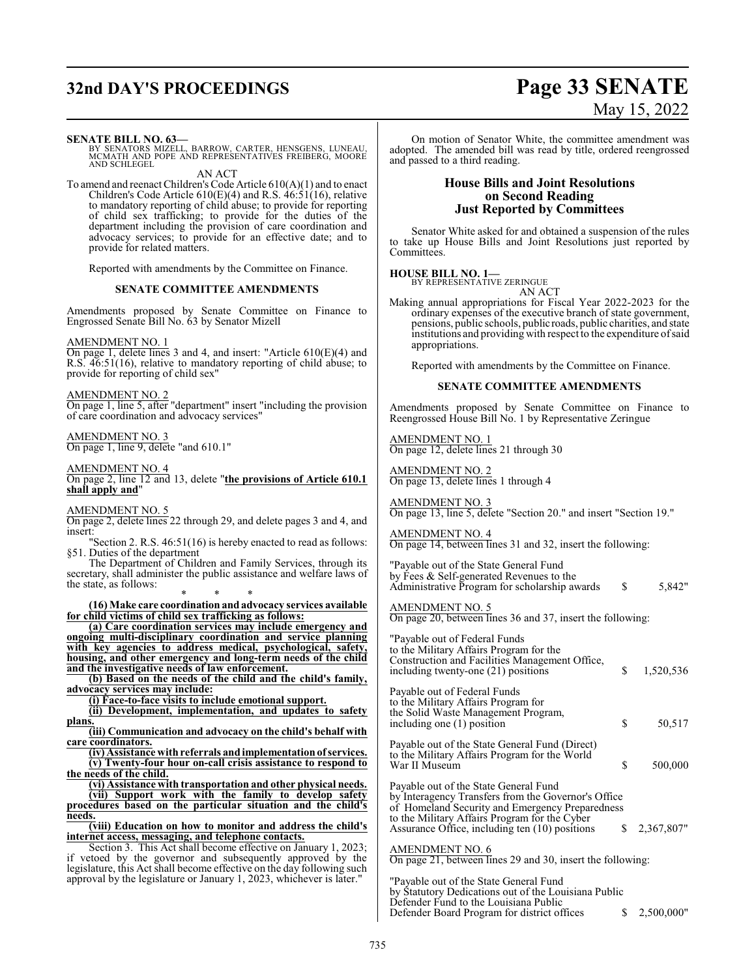# **32nd DAY'S PROCEEDINGS Page 33 SENATE**

#### **SENATE BILL NO. 63—**

BY SENATORS MIZELL, BARROW, CARTER, HENSGENS, LUNEAU, MCMATH AND POPE AND REPRESENTATIVES FREIBERG, MOORE AND SCHLEGEL

AN ACT

To amend and reenact Children's Code Article 610(A)(1) and to enact Children's Code Article 610(E)(4) and R.S. 46:51(16), relative to mandatory reporting of child abuse; to provide for reporting of child sex trafficking; to provide for the duties of the department including the provision of care coordination and advocacy services; to provide for an effective date; and to provide for related matters.

Reported with amendments by the Committee on Finance.

#### **SENATE COMMITTEE AMENDMENTS**

Amendments proposed by Senate Committee on Finance to Engrossed Senate Bill No. 63 by Senator Mizell

#### AMENDMENT NO. 1

On page 1, delete lines 3 and 4, and insert: "Article 610(E)(4) and R.S. 46:51(16), relative to mandatory reporting of child abuse; to provide for reporting of child sex"

#### AMENDMENT NO. 2

On page 1, line 5, after "department" insert "including the provision of care coordination and advocacy services"

#### AMENDMENT NO. 3

On page 1, line 9, delete "and 610.1"

#### AMENDMENT NO. 4

On page 2, line 12 and 13, delete "**the provisions of Article 610.1 shall apply and**"

#### AMENDMENT NO. 5

On page 2, delete lines 22 through 29, and delete pages 3 and 4, and insert:

"Section 2. R.S. 46:51(16) is hereby enacted to read as follows: §51. Duties of the department

The Department of Children and Family Services, through its secretary, shall administer the public assistance and welfare laws of the state, as follows: \* \* \*

#### **(16) Make care coordination and advocacy services available for child victims of child sex trafficking as follows:**

**(a) Care coordination services may include emergency and ongoing multi-disciplinary coordination and service planning with key agencies to address medical, psychological, safety, housing, and other emergency and long-term needs of the child and the investigative needs of law enforcement.**

**(b) Based on the needs of the child and the child's family, advocacy services may include:**

**(i) Face-to-face visits to include emotional support.**

**(ii) Development, implementation, and updates to safety plans.**

**(iii) Communication and advocacy on the child's behalf with care coordinators.**

**(iv) Assistance with referrals andimplementationof services. (v) Twenty-four hour on-call crisis assistance to respond to the needs of the child.**

**(vi) Assistance with transportation and other physical needs. (vii) Support work with the family to develop safety**

**procedures based on the particular situation and the child's needs.**

**(viii) Education on how to monitor and address the child's internet access, messaging, and telephone contacts.**

Section 3. This Act shall become effective on January 1, 2023; if vetoed by the governor and subsequently approved by the legislature, this Act shall become effective on the day following such approval by the legislature or January 1, 2023, whichever is later."

# May 15, 2022

On motion of Senator White, the committee amendment was adopted. The amended bill was read by title, ordered reengrossed and passed to a third reading.

### **House Bills and Joint Resolutions on Second Reading Just Reported by Committees**

Senator White asked for and obtained a suspension of the rules to take up House Bills and Joint Resolutions just reported by Committees.

**HOUSE BILL NO. 1—** BY REPRESENTATIVE ZERINGUE

AN ACT

Making annual appropriations for Fiscal Year 2022-2023 for the ordinary expenses of the executive branch of state government, pensions, public schools, public roads, public charities, and state institutions and providing with respect to the expenditure ofsaid appropriations.

Reported with amendments by the Committee on Finance.

#### **SENATE COMMITTEE AMENDMENTS**

Amendments proposed by Senate Committee on Finance to Reengrossed House Bill No. 1 by Representative Zeringue

AMENDMENT NO. 1 On page 12, delete lines 21 through 30

AMENDMENT NO. 2 On page 13, delete lines 1 through 4

AMENDMENT NO. 3 On page 13, line 5, delete "Section 20." and insert "Section 19."

AMENDMENT NO. 4 On page 14, between lines 31 and 32, insert the following:

"Payable out of the State General Fund by Fees & Self-generated Revenues to the

Administrative Program for scholarship awards  $\qquad$  \$ 5,842"

## AMENDMENT NO. 5

On page 20, between lines 36 and 37, insert the following:

| "Payable out of Federal Funds"<br>to the Military Affairs Program for the<br>Construction and Facilities Management Office,<br>including twenty-one (21) positions                                                                                 | S | 1,520,536    |
|----------------------------------------------------------------------------------------------------------------------------------------------------------------------------------------------------------------------------------------------------|---|--------------|
| Payable out of Federal Funds<br>to the Military Affairs Program for<br>the Solid Waste Management Program,<br>including one (1) position                                                                                                           | S | 50,517       |
| Payable out of the State General Fund (Direct)<br>to the Military Affairs Program for the World<br>War II Museum                                                                                                                                   | S | 500,000      |
| Payable out of the State General Fund<br>by Interagency Transfers from the Governor's Office<br>of Homeland Security and Emergency Preparedness<br>to the Military Affairs Program for the Cyber<br>Assurance Office, including ten (10) positions |   | \$2,367,807" |
| AMENDMENT NO. 6                                                                                                                                                                                                                                    |   |              |

On page 21, between lines 29 and 30, insert the following:

"Payable out of the State General Fund by Statutory Dedications out of the Louisiana Public Defender Fund to the Louisiana Public Defender Board Program for district offices \$ 2,500,000"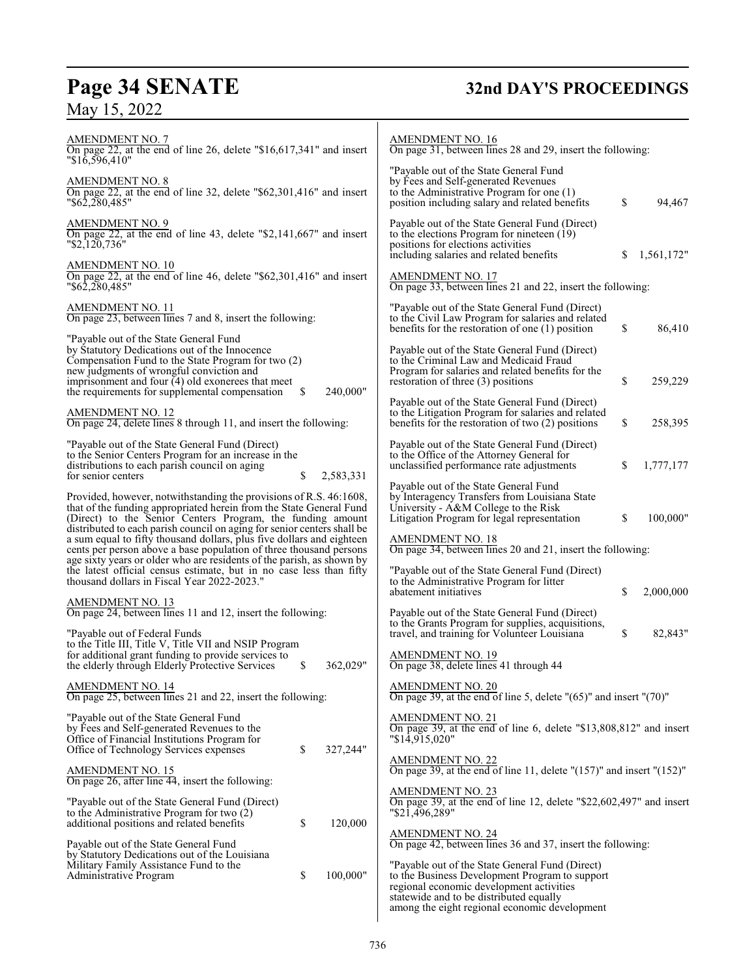# **Page 34 SENATE 32nd DAY'S PROCEEDINGS**

# May 15, 2022

| <b>AMENDMENT NO. 7</b><br>On page 22, at the end of line 26, delete " $$16,617,341$ " and insert<br>$"\$16,596,410"$                                                                                                                                                                                           |          |           | <b>AMENDMENT NO. 16</b><br>On page 31, between lines 28 and 29, insert the following:                                                                                                                                                     |    |            |
|----------------------------------------------------------------------------------------------------------------------------------------------------------------------------------------------------------------------------------------------------------------------------------------------------------------|----------|-----------|-------------------------------------------------------------------------------------------------------------------------------------------------------------------------------------------------------------------------------------------|----|------------|
| <b>AMENDMENT NO. 8</b><br>On page 22, at the end of line 32, delete "\$62,301,416" and insert<br>"\$62,280,485"                                                                                                                                                                                                |          |           | "Payable out of the State General Fund<br>by Fees and Self-generated Revenues<br>to the Administrative Program for one $(1)$<br>position including salary and related benefits                                                            | \$ | 94,467     |
| <b>AMENDMENT NO. 9</b><br>On page 22, at the end of line 43, delete "\$2,141,667" and insert<br>"\$2,120,736"                                                                                                                                                                                                  |          |           | Payable out of the State General Fund (Direct)<br>to the elections Program for nineteen (19)<br>positions for elections activities<br>including salaries and related benefits                                                             | \$ | 1,561,172" |
| <b>AMENDMENT NO. 10</b><br>On page 22, at the end of line 46, delete " $$62,301,416"$ and insert<br>"\$62,280,485"                                                                                                                                                                                             |          |           | AMENDMENT NO. 17<br>On page 33, between lines 21 and 22, insert the following:                                                                                                                                                            |    |            |
| AMENDMENT NO. 11<br>On page 23, between lines 7 and 8, insert the following:                                                                                                                                                                                                                                   |          |           | "Payable out of the State General Fund (Direct)<br>to the Civil Law Program for salaries and related<br>benefits for the restoration of one $(1)$ position                                                                                | \$ | 86,410     |
| "Payable out of the State General Fund"<br>by Statutory Dedications out of the Innocence<br>Compensation Fund to the State Program for two (2)<br>new judgments of wrongful conviction and<br>imprisonment and four $\overline{4}$ ) old exonerees that meet<br>the requirements for supplemental compensation | <b>S</b> | 240,000"  | Payable out of the State General Fund (Direct)<br>to the Criminal Law and Medicaid Fraud<br>Program for salaries and related benefits for the<br>restoration of three (3) positions                                                       | \$ | 259,229    |
| <b>AMENDMENT NO. 12</b><br>On page 24, delete lines 8 through 11, and insert the following:                                                                                                                                                                                                                    |          |           | Payable out of the State General Fund (Direct)<br>to the Litigation Program for salaries and related<br>benefits for the restoration of two $(2)$ positions                                                                               | \$ | 258,395    |
| "Payable out of the State General Fund (Direct)<br>to the Senior Centers Program for an increase in the<br>distributions to each parish council on aging<br>for senior centers                                                                                                                                 | \$       | 2,583,331 | Payable out of the State General Fund (Direct)<br>to the Office of the Attorney General for<br>unclassified performance rate adjustments                                                                                                  | S  | 1,777,177  |
| Provided, however, notwithstanding the provisions of R.S. 46:1608,<br>that of the funding appropriated herein from the State General Fund<br>(Direct) to the Senior Centers Program, the funding amount<br>distributed to each parish council on aging for senior centers shall be                             |          |           | Payable out of the State General Fund<br>by Interagency Transfers from Louisiana State<br>University - A&M College to the Risk<br>Litigation Program for legal representation                                                             | \$ | 100,000"   |
| a sum equal to fifty thousand dollars, plus five dollars and eighteen                                                                                                                                                                                                                                          |          |           | <b>AMENDMENT NO. 18</b><br>On page 34, between lines 20 and 21, insert the following:                                                                                                                                                     |    |            |
| cents per person above a base population of three thousand persons<br>age sixty years or older who are residents of the parish, as shown by<br>the latest official census estimate, but in no case less than fifty<br>thousand dollars in Fiscal Year 2022-2023."                                              |          |           | "Payable out of the State General Fund (Direct)<br>to the Administrative Program for litter<br>abatement initiatives                                                                                                                      | \$ | 2,000,000  |
| <b>AMENDMENT NO. 13</b><br>On page 24, between lines 11 and 12, insert the following:                                                                                                                                                                                                                          |          |           | Payable out of the State General Fund (Direct)<br>to the Grants Program for supplies, acquisitions,                                                                                                                                       |    |            |
| "Payable out of Federal Funds<br>to the Title III, Title V, Title VII and NSIP Program<br>for additional grant funding to provide services to<br>the elderly through Elderly Protective Services                                                                                                               | \$       | 362,029"  | travel, and training for Volunteer Louisiana<br><b>AMENDMENT NO. 19</b><br>On page 38, delete lines 41 through 44                                                                                                                         | \$ | 82,843"    |
| <b>AMENDMENT NO. 14</b><br>On page 25, between lines 21 and 22, insert the following:                                                                                                                                                                                                                          |          |           | <b>AMENDMENT NO. 20</b><br>On page 39, at the end of line 5, delete $"(65)"$ and insert $"(70)"$                                                                                                                                          |    |            |
| "Payable out of the State General Fund"<br>by Fees and Self-generated Revenues to the<br>Office of Financial Institutions Program for                                                                                                                                                                          | \$       | 327,244"  | AMENDMENT NO. 21<br>On page 39, at the end of line 6, delete "\$13,808,812" and insert<br>"\$14,915,020"                                                                                                                                  |    |            |
| Office of Technology Services expenses<br><u>AMENDMENT NO. 15</u><br>On page 26, after line $\overline{44}$ , insert the following:                                                                                                                                                                            |          |           | <b>AMENDMENT NO. 22</b><br>On page 39, at the end of line 11, delete " $(157)$ " and insert " $(152)$ "                                                                                                                                   |    |            |
| "Payable out of the State General Fund (Direct)<br>to the Administrative Program for two $(2)$<br>additional positions and related benefits                                                                                                                                                                    | \$       | 120,000   | <b>AMENDMENT NO. 23</b><br>On page 39, at the end of line 12, delete "\$22,602,497" and insert<br>"\$21,496,289"                                                                                                                          |    |            |
| Payable out of the State General Fund<br>by Statutory Dedications out of the Louisiana                                                                                                                                                                                                                         |          |           | <b>AMENDMENT NO. 24</b><br>On page 42, between lines 36 and 37, insert the following:                                                                                                                                                     |    |            |
| Military Family Assistance Fund to the<br>Administrative Program                                                                                                                                                                                                                                               | \$       | 100,000"  | "Payable out of the State General Fund (Direct)<br>to the Business Development Program to support<br>regional economic development activities<br>statewide and to be distributed equally<br>among the eight regional economic development |    |            |

 $\mathsf{l}$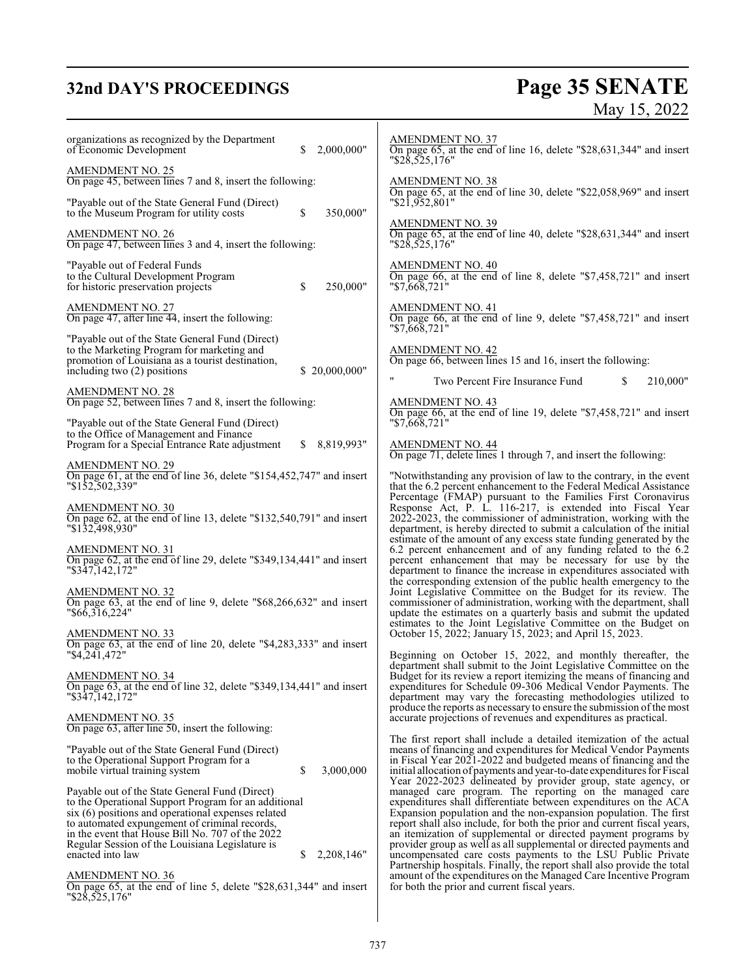# **32nd DAY'S PROCEEDINGS**

# **Page 35 SENATE**<br>May 15, 2022

| organizations as recognized by the Department<br>2,000,000"<br>of Economic Development<br>S.                                                                                                                                                                                                                                                                | <b>AMENDMENT NO. 37</b><br>On page 65, at the end of line 16, delete "\$28,631,344" and insert<br>$"\$2\overline{8},5\overline{2}5,176"$                                                                                                                                                                                                                                                                                                                                                                                                            |
|-------------------------------------------------------------------------------------------------------------------------------------------------------------------------------------------------------------------------------------------------------------------------------------------------------------------------------------------------------------|-----------------------------------------------------------------------------------------------------------------------------------------------------------------------------------------------------------------------------------------------------------------------------------------------------------------------------------------------------------------------------------------------------------------------------------------------------------------------------------------------------------------------------------------------------|
| <b>AMENDMENT NO. 25</b><br>On page 45, between lines 7 and 8, insert the following:                                                                                                                                                                                                                                                                         | <b>AMENDMENT NO. 38</b>                                                                                                                                                                                                                                                                                                                                                                                                                                                                                                                             |
| "Payable out of the State General Fund (Direct)<br>\$<br>350,000"<br>to the Museum Program for utility costs                                                                                                                                                                                                                                                | On page 65, at the end of line 30, delete "\$22,058,969" and insert<br>"\$21,952,801"                                                                                                                                                                                                                                                                                                                                                                                                                                                               |
| <b>AMENDMENT NO. 26</b><br>On page 47, between lines 3 and 4, insert the following:                                                                                                                                                                                                                                                                         | <b>AMENDMENT NO. 39</b><br>On page 65, at the end of line 40, delete "\$28,631,344" and insert<br>$"\$2\overline{8},5\overline{2}5,176"$                                                                                                                                                                                                                                                                                                                                                                                                            |
| "Payable out of Federal Funds<br>to the Cultural Development Program<br>\$<br>250,000"<br>for historic preservation projects                                                                                                                                                                                                                                | <b>AMENDMENT NO. 40</b><br>On page 66, at the end of line 8, delete "\$7,458,721" and insert<br>"\$7,668,721"                                                                                                                                                                                                                                                                                                                                                                                                                                       |
| <b>AMENDMENT NO. 27</b><br>On page 47, after line 44, insert the following:                                                                                                                                                                                                                                                                                 | <b>AMENDMENT NO. 41</b><br>On page 66, at the end of line 9, delete "\$7,458,721" and insert                                                                                                                                                                                                                                                                                                                                                                                                                                                        |
| "Payable out of the State General Fund (Direct)<br>to the Marketing Program for marketing and<br>promotion of Louisiana as a tourist destination,<br>including two (2) positions<br>\$20,000,000"                                                                                                                                                           | "\$7,668,721"<br><b>AMENDMENT NO. 42</b><br>On page 66, between lines 15 and 16, insert the following:                                                                                                                                                                                                                                                                                                                                                                                                                                              |
| <b>AMENDMENT NO. 28</b><br>On page 52, between lines 7 and 8, insert the following:                                                                                                                                                                                                                                                                         | $\pmb{\mathsf{H}}$<br>210,000"<br>Two Percent Fire Insurance Fund<br>\$.<br><b>AMENDMENT NO. 43</b>                                                                                                                                                                                                                                                                                                                                                                                                                                                 |
| "Payable out of the State General Fund (Direct)                                                                                                                                                                                                                                                                                                             | On page 66, at the end of line 19, delete "\$7,458,721" and insert<br>"\$7,668,721"                                                                                                                                                                                                                                                                                                                                                                                                                                                                 |
| to the Office of Management and Finance<br>\$8,819,993"<br>Program for a Special Entrance Rate adjustment                                                                                                                                                                                                                                                   | <b>AMENDMENT NO. 44</b><br>On page 71, delete lines 1 through 7, and insert the following:                                                                                                                                                                                                                                                                                                                                                                                                                                                          |
| $\frac{\text{AMENDMENT NO. 29}}{\text{On page 61, at the end of line 36, delete "$154,452,747" and insert}$<br>"\$152,502,339"                                                                                                                                                                                                                              | "Notwithstanding any provision of law to the contrary, in the event<br>that the 6.2 percent enhancement to the Federal Medical Assistance                                                                                                                                                                                                                                                                                                                                                                                                           |
| <b>AMENDMENT NO. 30</b><br>On page 62, at the end of line 13, delete "\$132,540,791" and insert<br>"\$132,498,930"                                                                                                                                                                                                                                          | Percentage (FMAP) pursuant to the Families First Coronavirus<br>Response Act, P. L. 116-217, is extended into Fiscal Year<br>2022-2023, the commissioner of administration, working with the<br>department, is hereby directed to submit a calculation of the initial                                                                                                                                                                                                                                                                               |
| <b>AMENDMENT NO. 31</b><br>On page 62, at the end of line 29, delete "\$349,134,441" and insert<br>$"$ \$347, 142, 172"                                                                                                                                                                                                                                     | estimate of the amount of any excess state funding generated by the<br>6.2 percent enhancement and of any funding related to the 6.2<br>percent enhancement that may be necessary for use by the<br>department to finance the increase in expenditures associated with                                                                                                                                                                                                                                                                              |
| AMENDMENT NO. 32<br>On page 63, at the end of line 9, delete "\$68,266,632" and insert<br>"\$66,316,224"                                                                                                                                                                                                                                                    | the corresponding extension of the public health emergency to the<br>Joint Legislative Committee on the Budget for its review. The<br>commissioner of administration, working with the department, shall<br>update the estimates on a quarterly basis and submit the updated<br>estimates to the Joint Legislative Committee on the Budget on                                                                                                                                                                                                       |
| <b>AMENDMENT NO. 33</b><br>On page 63, at the end of line 20, delete "\$4,283,333" and insert<br>"\$4,241,472"                                                                                                                                                                                                                                              | October 15, 2022; January 15, 2023; and April 15, 2023.<br>Beginning on October 15, 2022, and monthly thereafter, the                                                                                                                                                                                                                                                                                                                                                                                                                               |
| AMENDMENT NO. 34<br>On page 63, at the end of line 32, delete "\$349,134,441" and insert<br>"\$347,142,172"                                                                                                                                                                                                                                                 | department shall submit to the Joint Legislative Committee on the<br>Budget for its review a report itemizing the means of financing and<br>expenditures for Schedule 09-306 Medical Vendor Payments. The<br>department may vary the forecasting methodologies utilized to<br>produce the reports as necessary to ensure the submission of the most                                                                                                                                                                                                 |
| <b>AMENDMENT NO. 35</b><br>On page $63$ , after line $50$ , insert the following:                                                                                                                                                                                                                                                                           | accurate projections of revenues and expenditures as practical.                                                                                                                                                                                                                                                                                                                                                                                                                                                                                     |
| "Payable out of the State General Fund (Direct)<br>to the Operational Support Program for a<br>\$<br>3,000,000<br>mobile virtual training system                                                                                                                                                                                                            | The first report shall include a detailed itemization of the actual<br>means of financing and expenditures for Medical Vendor Payments<br>in Fiscal Year 2021-2022 and budgeted means of financing and the<br>initial allocation of payments and year-to-date expenditures for Fiscal                                                                                                                                                                                                                                                               |
| Payable out of the State General Fund (Direct)<br>to the Operational Support Program for an additional<br>six (6) positions and operational expenses related<br>to automated expungement of criminal records,<br>in the event that House Bill No. 707 of the 2022<br>Regular Session of the Louisiana Legislature is<br>enacted into law<br>2,208,146"<br>S | Year 2022-2023 delineated by provider group, state agency, or<br>managed care program. The reporting on the managed care<br>expenditures shall differentiate between expenditures on the ACA<br>Expansion population and the non-expansion population. The first<br>report shall also include, for both the prior and current fiscal years,<br>an itemization of supplemental or directed payment programs by<br>provider group as well as all supplemental or directed payments and<br>uncompensated care costs payments to the LSU Public Private |
| <b>AMENDMENT NO. 36</b><br>On page 65, at the end of line 5, delete "\$28,631,344" and insert<br>"\$28,525,176"                                                                                                                                                                                                                                             | Partnership hospitals. Finally, the report shall also provide the total<br>amount of the expenditures on the Managed Care Incentive Program<br>for both the prior and current fiscal years.                                                                                                                                                                                                                                                                                                                                                         |
|                                                                                                                                                                                                                                                                                                                                                             |                                                                                                                                                                                                                                                                                                                                                                                                                                                                                                                                                     |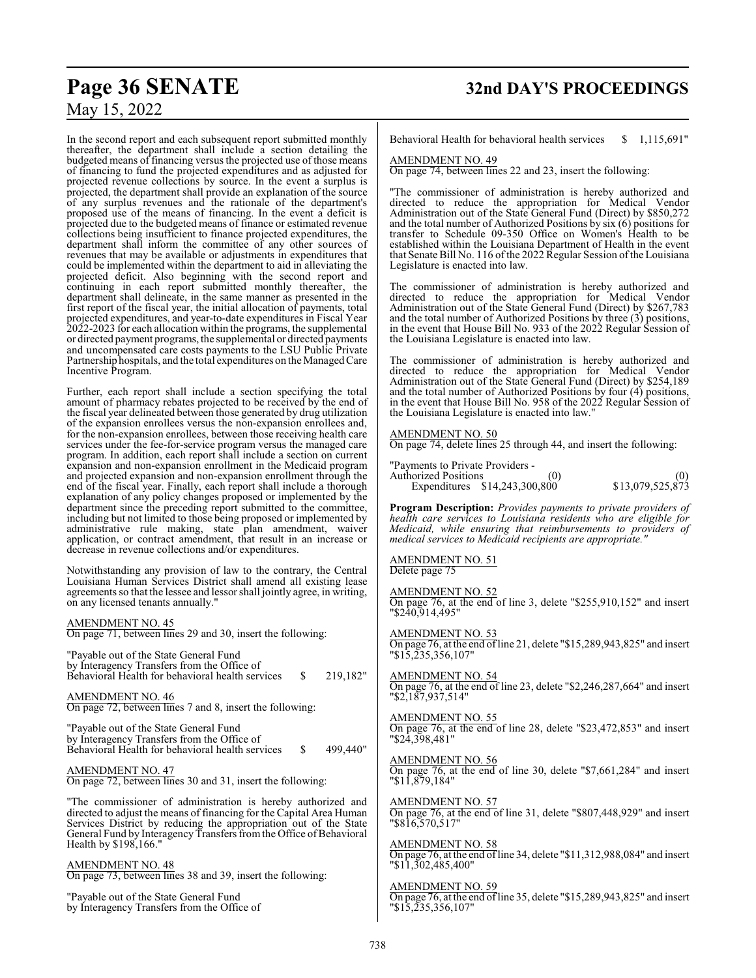In the second report and each subsequent report submitted monthly thereafter, the department shall include a section detailing the budgeted means of financing versus the projected use of those means of financing to fund the projected expenditures and as adjusted for projected revenue collections by source. In the event a surplus is projected, the department shall provide an explanation of the source of any surplus revenues and the rationale of the department's proposed use of the means of financing. In the event a deficit is projected due to the budgeted means of finance or estimated revenue collections being insufficient to finance projected expenditures, the department shall inform the committee of any other sources of revenues that may be available or adjustments in expenditures that could be implemented within the department to aid in alleviating the projected deficit. Also beginning with the second report and continuing in each report submitted monthly thereafter, the department shall delineate, in the same manner as presented in the first report of the fiscal year, the initial allocation of payments, total projected expenditures, and year-to-date expenditures in Fiscal Year 2022-2023 for each allocation within the programs, the supplemental or directed payment programs, the supplemental or directed payments and uncompensated care costs payments to the LSU Public Private Partnership hospitals, and the total expenditures on the ManagedCare Incentive Program.

Further, each report shall include a section specifying the total amount of pharmacy rebates projected to be received by the end of the fiscal year delineated between those generated by drug utilization of the expansion enrollees versus the non-expansion enrollees and, for the non-expansion enrollees, between those receiving health care services under the fee-for-service program versus the managed care program. In addition, each report shall include a section on current expansion and non-expansion enrollment in the Medicaid program and projected expansion and non-expansion enrollment through the end of the fiscal year. Finally, each report shall include a thorough explanation of any policy changes proposed or implemented by the department since the preceding report submitted to the committee, including but not limited to those being proposed or implemented by administrative rule making, state plan amendment, waiver application, or contract amendment, that result in an increase or decrease in revenue collections and/or expenditures.

Notwithstanding any provision of law to the contrary, the Central Louisiana Human Services District shall amend all existing lease agreements so that the lessee and lessorshall jointly agree, in writing, on any licensed tenants annually."

AMENDMENT NO. 45 On page 71, between lines 29 and 30, insert the following:

"Payable out of the State General Fund by Interagency Transfers from the Office of Behavioral Health for behavioral health services \$ 219,182"

AMENDMENT NO. 46 On page 72, between lines 7 and 8, insert the following:

"Payable out of the State General Fund by Interagency Transfers from the Office of Behavioral Health for behavioral health services \$ 499,440"

AMENDMENT NO. 47 On page 72, between lines 30 and 31, insert the following:

"The commissioner of administration is hereby authorized and directed to adjust the means of financing for the Capital Area Human Services District by reducing the appropriation out of the State General Fund by Interagency Transfers from the Office of Behavioral Health by \$198,166."

AMENDMENT NO. 48 On page 73, between lines 38 and 39, insert the following:

"Payable out of the State General Fund by Interagency Transfers from the Office of Behavioral Health for behavioral health services \$ 1,115,691"

#### AMENDMENT NO. 49

On page 74, between lines 22 and 23, insert the following:

"The commissioner of administration is hereby authorized and directed to reduce the appropriation for Medical Vendor Administration out of the State General Fund (Direct) by \$850,272 and the total number of Authorized Positions by six (6) positions for transfer to Schedule 09-350 Office on Women's Health to be established within the Louisiana Department of Health in the event that Senate Bill No. 116 ofthe 2022 Regular Session ofthe Louisiana Legislature is enacted into law.

The commissioner of administration is hereby authorized and directed to reduce the appropriation for Medical Vendor Administration out of the State General Fund (Direct) by \$267,783 and the total number of Authorized Positions by three (3) positions, in the event that House Bill No. 933 of the 2022 Regular Session of the Louisiana Legislature is enacted into law.

The commissioner of administration is hereby authorized and directed to reduce the appropriation for Medical Vendor Administration out of the State General Fund (Direct) by \$254,189 and the total number of Authorized Positions by four (4) positions, in the event that House Bill No. 958 of the 2022 Regular Session of the Louisiana Legislature is enacted into law."

#### AMENDMENT NO. 50

On page 74, delete lines 25 through 44, and insert the following:

| "Payments to Private Providers - |     |                  |
|----------------------------------|-----|------------------|
| <b>Authorized Positions</b>      | (0) | (0)              |
| Expenditures \$14,243,300,800    |     | \$13,079,525,873 |

**Program Description:** *Provides payments to private providers of health care services to Louisiana residents who are eligible for Medicaid, while ensuring that reimbursements to providers of medical services to Medicaid recipients are appropriate."*

#### AMENDMENT NO. 51 Delete page 75

AMENDMENT NO. 52 On page 76, at the end of line 3, delete "\$255,910,152" and insert "\$240,914,495"

AMENDMENT NO. 53 On page 76, at the end ofline 21, delete "\$15,289,943,825" and insert "\$15,235,356,107"

AMENDMENT NO. 54 On page 76, at the end of line 23, delete "\$2,246,287,664" and insert "\$2,187,937,514"

AMENDMENT NO. 55 On page 76, at the end of line 28, delete "\$23,472,853" and insert "\$24,398,481"

AMENDMENT NO. 56 On page 76, at the end of line 30, delete "\$7,661,284" and insert "\$11,879,184"

AMENDMENT NO. 57 On page 76, at the end of line 31, delete "\$807,448,929" and insert "\$816,570,517"

AMENDMENT NO. 58 On page 76, at the end ofline 34, delete "\$11,312,988,084" and insert "\$11,302,485,400"

#### AMENDMENT NO. 59

On page 76, at the end ofline 35, delete "\$15,289,943,825" and insert "\$15,235,356,107"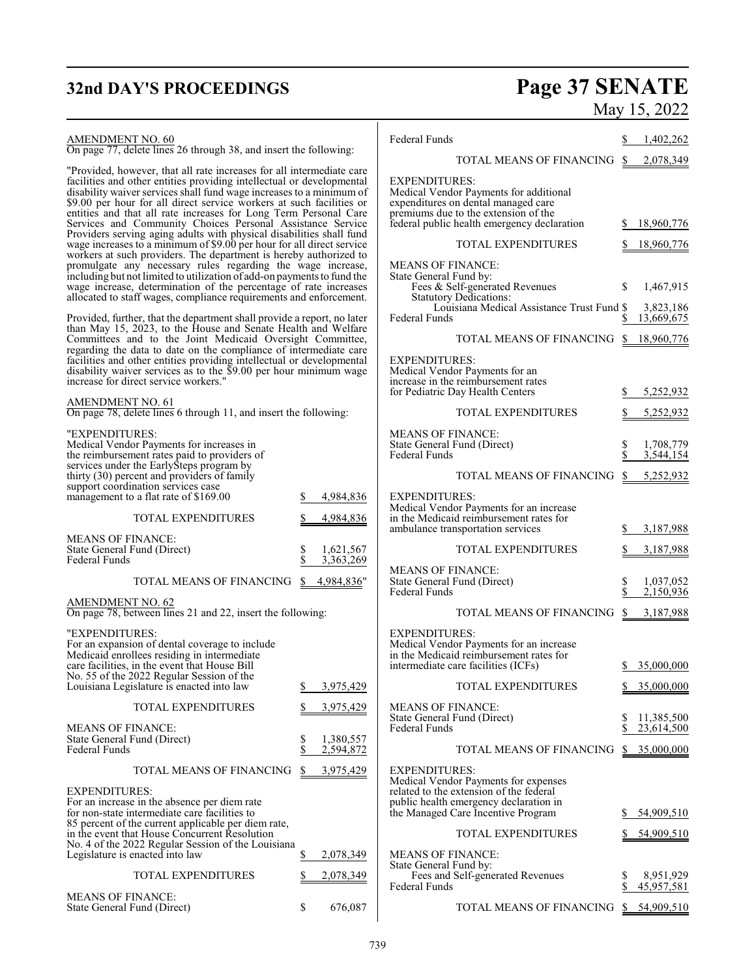# **32nd DAY'S PROCEEDINGS Page 37 SENATE**

## AMENDMENT NO. 60

On page 77, delete lines 26 through 38, and insert the following:

"Provided, however, that all rate increases for all intermediate care facilities and other entities providing intellectual or developmental disability waiver services shall fund wage increases to a minimum of \$9.00 per hour for all direct service workers at such facilities or entities and that all rate increases for Long Term Personal Care Services and Community Choices Personal Assistance Service Providers serving aging adults with physical disabilities shall fund wage increases to a minimum of \$9.00 per hour for all direct service workers at such providers. The department is hereby authorized to promulgate any necessary rules regarding the wage increase, including but not limited to utilization of add-on payments to fund the wage increase, determination of the percentage of rate increases allocated to staff wages, compliance requirements and enforcement.

Provided, further, that the department shall provide a report, no later than May 15, 2023, to the House and Senate Health and Welfare Committees and to the Joint Medicaid Oversight Committee, regarding the data to date on the compliance of intermediate care facilities and other entities providing intellectual or developmental disability waiver services as to the \$9.00 per hour minimum wage increase for direct service workers."

## AMENDMENT NO. 61

On page 78, delete lines 6 through 11, and insert the following:

| "EXPENDITURES:<br>Medical Vendor Payments for increases in<br>the reimbursement rates paid to providers of<br>services under the EarlySteps program by<br>thirty (30) percent and providers of family<br>support coordination services case<br>management to a flat rate of \$169.00                                   | \$<br>4,984,836                    |
|------------------------------------------------------------------------------------------------------------------------------------------------------------------------------------------------------------------------------------------------------------------------------------------------------------------------|------------------------------------|
| <b>TOTAL EXPENDITURES</b>                                                                                                                                                                                                                                                                                              | \$<br>4,984,836                    |
| <b>MEANS OF FINANCE:</b><br>State General Fund (Direct)<br>Federal Funds                                                                                                                                                                                                                                               | \$<br>1,621,567<br>\$<br>3,363,269 |
| TOTAL MEANS OF FINANCING                                                                                                                                                                                                                                                                                               | \$<br>4,984,836"                   |
| <b>AMENDMENT NO. 62</b><br>On page 78, between lines 21 and 22, insert the following:                                                                                                                                                                                                                                  |                                    |
| "EXPENDITURES:<br>For an expansion of dental coverage to include<br>Medicaid enrollees residing in intermediate<br>care facilities, in the event that House Bill<br>No. 55 of the 2022 Regular Session of the<br>Louisiana Legislature is enacted into law                                                             | \$<br>3,975,429                    |
| <b>TOTAL EXPENDITURES</b>                                                                                                                                                                                                                                                                                              | \$<br>3,975,429                    |
| <b>MEANS OF FINANCE:</b><br>State General Fund (Direct)<br><b>Federal Funds</b>                                                                                                                                                                                                                                        | 1,380,557<br>s<br>\$<br>2,594,872  |
| <b>TOTAL MEANS OF FINANCING</b>                                                                                                                                                                                                                                                                                        | \$<br>3,975,429                    |
| <b>EXPENDITURES:</b><br>For an increase in the absence per diem rate<br>for non-state intermediate care facilities to<br>85 percent of the current applicable per diem rate,<br>in the event that House Concurrent Resolution<br>No. 4 of the 2022 Regular Session of the Louisiana<br>Legislature is enacted into law | \$<br>2,078,349                    |
| <b>TOTAL EXPENDITURES</b>                                                                                                                                                                                                                                                                                              | \$<br>2,078,349                    |
| <b>MEANS OF FINANCE:</b><br>State General Fund (Direct)                                                                                                                                                                                                                                                                | \$<br>676,087                      |

|                              | May 15, 2022          |
|------------------------------|-----------------------|
|                              | $\frac{1,402,262}{2}$ |
| NS OF FINANCING $$2,078,349$ |                       |

Federal Funds

|                                                                                                                                                                                              | TOTAL MEANS OF FINANCING                   | \$       | 2,078,349                            |
|----------------------------------------------------------------------------------------------------------------------------------------------------------------------------------------------|--------------------------------------------|----------|--------------------------------------|
| <b>EXPENDITURES:</b><br>Medical Vendor Payments for additional<br>expenditures on dental managed care<br>premiums due to the extension of the<br>federal public health emergency declaration |                                            | \$       | 18,960,776                           |
| <b>TOTAL EXPENDITURES</b>                                                                                                                                                                    |                                            | S        | <u>18,960,776</u>                    |
| <b>MEANS OF FINANCE:</b><br>State General Fund by:<br>Fees & Self-generated Revenues<br><b>Statutory Dedications:</b><br><b>Federal Funds</b>                                                | Louisiana Medical Assistance Trust Fund \$ | \$<br>\$ | 1,467,915<br>3,823,186<br>13,669,675 |
|                                                                                                                                                                                              | TOTAL MEANS OF FINANCING                   | \$       | 18,960,776                           |
| <b>EXPENDITURES:</b><br>Medical Vendor Payments for an<br>increase in the reimbursement rates<br>for Pediatric Day Health Centers                                                            |                                            | \$       | 5,252,932                            |
| TOTAL EXPENDITURES                                                                                                                                                                           |                                            | S        | <u>5,252,932</u>                     |
| <b>MEANS OF FINANCE:</b><br>State General Fund (Direct)<br><b>Federal Funds</b>                                                                                                              |                                            | \$<br>\$ | 1,708,779<br>3,544,154               |
|                                                                                                                                                                                              | TOTAL MEANS OF FINANCING                   | \$       | <u>5,252,932</u>                     |
| EXPENDITURES:<br>Medical Vendor Payments for an increase<br>in the Medicaid reimbursement rates for<br>ambulance transportation services                                                     |                                            | \$       | 3,187,988                            |
| <b>TOTAL EXPENDITURES</b>                                                                                                                                                                    |                                            | \$       | 3,187,988                            |
| <b>MEANS OF FINANCE:</b><br>State General Fund (Direct)<br>Federal Funds                                                                                                                     |                                            | \$<br>\$ | 1,037,052<br>2,150,936               |
|                                                                                                                                                                                              | TOTAL MEANS OF FINANCING                   | \$       | 3,187,988                            |
| <b>EXPENDITURES:</b><br>Medical Vendor Payments for an increase<br>in the Medicaid reimbursement rates for<br>intermediate care facilities (ICFs)                                            |                                            | S        | 35,000,000                           |
| <b>TOTAL EXPENDITURES</b>                                                                                                                                                                    |                                            | S        | 35,000,000                           |
| <b>MEANS OF FINANCE:</b><br>State General Fund (Direct)<br><b>Federal Funds</b>                                                                                                              |                                            | \$<br>\$ | 11,385,500<br>23,614,500             |
|                                                                                                                                                                                              | TOTAL MEANS OF FINANCING                   |          | <u>\$35,000,000</u>                  |
| EXPENDITURES:<br>Medical Vendor Payments for expenses<br>related to the extension of the federal<br>public health emergency declaration in<br>the Managed Care Incentive Program             |                                            | S.       | 54,909,510                           |
| <b>TOTAL EXPENDITURES</b>                                                                                                                                                                    |                                            | S        | <u>54,909,510</u>                    |
| <b>MEANS OF FINANCE:</b><br>State General Fund by:<br>Fees and Self-generated Revenues<br>Federal Funds                                                                                      |                                            | \$<br>\$ | 8,951,929<br>45,957,581              |
|                                                                                                                                                                                              | TOTAL MEANS OF FINANCING                   | S.       | 54,909,510                           |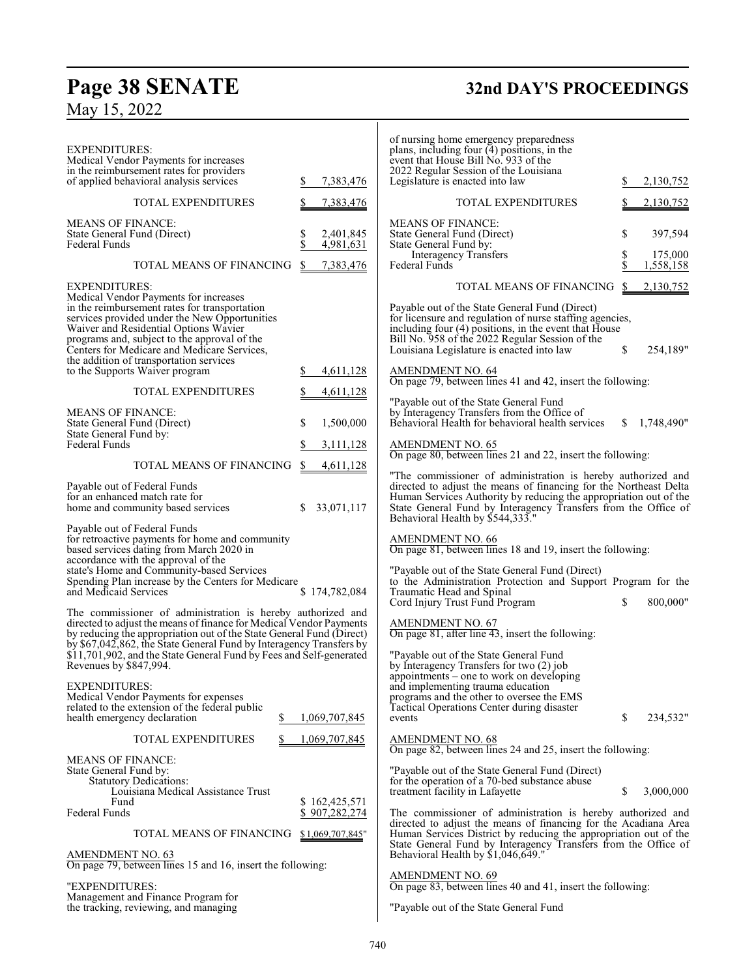# **Page 38 SENATE**<br>May 15, 2022

# **32nd DAY'S PROCEEDINGS**

| <b>EXPENDITURES:</b><br>Medical Vendor Payments for increases<br>in the reimbursement rates for providers<br>of applied behavioral analysis services                                                                                                                                                                                                                                                       | 7,383,476<br>\$                    | of nursing home emergency preparedness<br>plans, including four (4) positions, in the<br>event that House Bill No. 933 of the<br>2022 Regular Session of the Louisiana<br>Legislature is enacted into law                                                                                                    |          | 2,130,752            |
|------------------------------------------------------------------------------------------------------------------------------------------------------------------------------------------------------------------------------------------------------------------------------------------------------------------------------------------------------------------------------------------------------------|------------------------------------|--------------------------------------------------------------------------------------------------------------------------------------------------------------------------------------------------------------------------------------------------------------------------------------------------------------|----------|----------------------|
| <b>TOTAL EXPENDITURES</b>                                                                                                                                                                                                                                                                                                                                                                                  | 7,383,476                          | TOTAL EXPENDITURES                                                                                                                                                                                                                                                                                           |          | 2,130,752            |
| <b>MEANS OF FINANCE:</b><br>State General Fund (Direct)<br>Federal Funds                                                                                                                                                                                                                                                                                                                                   | \$<br>2,401,845<br>4,981,631       | <b>MEANS OF FINANCE:</b><br>State General Fund (Direct)<br>State General Fund by:                                                                                                                                                                                                                            | \$       | 397,594              |
| TOTAL MEANS OF FINANCING                                                                                                                                                                                                                                                                                                                                                                                   | S.<br>7,383,476                    | Interagency Transfers<br>Federal Funds                                                                                                                                                                                                                                                                       | \$<br>\$ | 175,000<br>1,558,158 |
| <b>EXPENDITURES:</b><br>Medical Vendor Payments for increases<br>in the reimbursement rates for transportation                                                                                                                                                                                                                                                                                             |                                    | TOTAL MEANS OF FINANCING<br>Payable out of the State General Fund (Direct)                                                                                                                                                                                                                                   | \$       | 2,130,752            |
| services provided under the New Opportunities<br>Waiver and Residential Options Wavier<br>programs and, subject to the approval of the<br>Centers for Medicare and Medicare Services,<br>the addition of transportation services                                                                                                                                                                           |                                    | for licensure and regulation of nurse staffing agencies,<br>including four (4) positions, in the event that House<br>Bill No. 958 of the 2022 Regular Session of the<br>Louisiana Legislature is enacted into law                                                                                            | \$       | 254,189"             |
| to the Supports Waiver program                                                                                                                                                                                                                                                                                                                                                                             | 4,611,128<br>\$                    | <b>AMENDMENT NO. 64</b><br>On page 79, between lines 41 and 42, insert the following:                                                                                                                                                                                                                        |          |                      |
| <b>TOTAL EXPENDITURES</b><br><b>MEANS OF FINANCE:</b><br>State General Fund (Direct)                                                                                                                                                                                                                                                                                                                       | \$<br>4,611,128<br>\$<br>1,500,000 | "Payable out of the State General Fund<br>by Interagency Transfers from the Office of<br>Behavioral Health for behavioral health services                                                                                                                                                                    | S        | 1,748,490"           |
| State General Fund by:<br><b>Federal Funds</b>                                                                                                                                                                                                                                                                                                                                                             | S<br>3,111,128                     | <b>AMENDMENT NO. 65</b>                                                                                                                                                                                                                                                                                      |          |                      |
| TOTAL MEANS OF FINANCING                                                                                                                                                                                                                                                                                                                                                                                   | \$<br>4,611,128                    | On page 80, between lines 21 and 22, insert the following:                                                                                                                                                                                                                                                   |          |                      |
| Payable out of Federal Funds<br>for an enhanced match rate for<br>home and community based services                                                                                                                                                                                                                                                                                                        | 33,071,117                         | "The commissioner of administration is hereby authorized and<br>directed to adjust the means of financing for the Northeast Delta<br>Human Services Authority by reducing the appropriation out of the<br>State General Fund by Interagency Transfers from the Office of<br>Behavioral Health by \$544,333." |          |                      |
| Payable out of Federal Funds<br>for retroactive payments for home and community<br>based services dating from March 2020 in<br>accordance with the approval of the<br>state's Home and Community-based Services<br>Spending Plan increase by the Centers for Medicare<br>and Medicaid Services                                                                                                             | \$174,782,084                      | <b>AMENDMENT NO. 66</b><br>On page 81, between lines 18 and 19, insert the following:<br>"Payable out of the State General Fund (Direct)<br>to the Administration Protection and Support Program for the<br>Traumatic Head and Spinal                                                                        |          |                      |
| The commissioner of administration is hereby authorized and<br>directed to adjust the means of finance for Medical Vendor Payments<br>by reducing the appropriation out of the State General Fund (Direct)<br>by \$67,042,862, the State General Fund by Interagency Transfers by<br>\$11,701,902, and the State General Fund by Fees and Self-generated<br>Revenues by \$847,994.<br><b>EXPENDITURES:</b> |                                    | Cord Injury Trust Fund Program<br><b>AMENDMENT NO. 67</b><br>On page 81, after line $\overline{43}$ , insert the following:<br>"Payable out of the State General Fund<br>by Interagency Transfers for two (2) job<br>appointments - one to work on developing<br>and implementing trauma education           | \$       | 800,000"             |
| Medical Vendor Payments for expenses<br>related to the extension of the federal public<br>health emergency declaration<br>\$                                                                                                                                                                                                                                                                               | 1,069,707,845                      | programs and the other to oversee the EMS<br>Tactical Operations Center during disaster<br>events                                                                                                                                                                                                            | \$       | 234,532"             |
| <b>TOTAL EXPENDITURES</b>                                                                                                                                                                                                                                                                                                                                                                                  | 1,069,707,845                      | AMENDMENT NO. 68<br>On page 82, between lines 24 and 25, insert the following:                                                                                                                                                                                                                               |          |                      |
| <b>MEANS OF FINANCE:</b><br>State General Fund by:<br><b>Statutory Dedications:</b><br>Louisiana Medical Assistance Trust<br>Fund                                                                                                                                                                                                                                                                          | \$162,425,571                      | "Payable out of the State General Fund (Direct)<br>for the operation of a 70-bed substance abuse<br>treatment facility in Lafayette                                                                                                                                                                          | \$       | 3,000,000            |
| Federal Funds                                                                                                                                                                                                                                                                                                                                                                                              | \$907,282,274                      | The commissioner of administration is hereby authorized and<br>directed to adjust the means of financing for the Acadiana Area                                                                                                                                                                               |          |                      |
| TOTAL MEANS OF FINANCING<br><b>AMENDMENT NO. 63</b>                                                                                                                                                                                                                                                                                                                                                        | \$1,069,707,845"                   | Human Services District by reducing the appropriation out of the<br>State General Fund by Interagency Transfers from the Office of<br>Behavioral Health by \$1,046,649."                                                                                                                                     |          |                      |
| On page 79, between lines 15 and 16, insert the following:                                                                                                                                                                                                                                                                                                                                                 |                                    | <b>AMENDMENT NO. 69</b>                                                                                                                                                                                                                                                                                      |          |                      |
| "EXPENDITURES:<br>Management and Finance Program for<br>the tracking, reviewing, and managing                                                                                                                                                                                                                                                                                                              |                                    | On page 83, between lines 40 and 41, insert the following:<br>"Payable out of the State General Fund                                                                                                                                                                                                         |          |                      |
|                                                                                                                                                                                                                                                                                                                                                                                                            |                                    |                                                                                                                                                                                                                                                                                                              |          |                      |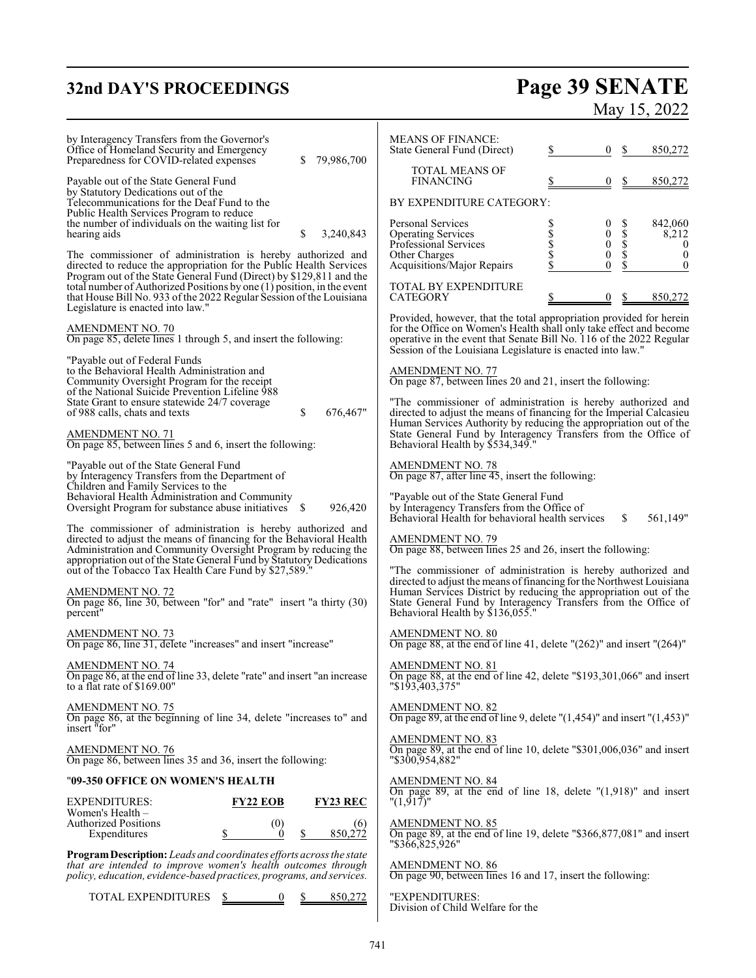# **32nd DAY'S PROCEEDINGS Page 39 SENATE** May 15, 2022

| by Interagency Transfers from the Governor's<br>Office of Homeland Security and Emergency<br>79,986,700<br>Preparedness for COVID-related expenses                                                                                                                                           | <b>MEANS OF FINANCE:</b><br>State General Fund (Direct)<br>0<br>850,272<br>\$<br>S                                                                                                                        |
|----------------------------------------------------------------------------------------------------------------------------------------------------------------------------------------------------------------------------------------------------------------------------------------------|-----------------------------------------------------------------------------------------------------------------------------------------------------------------------------------------------------------|
| Payable out of the State General Fund<br>by Statutory Dedications out of the                                                                                                                                                                                                                 | <b>TOTAL MEANS OF</b><br><b>FINANCING</b><br>0<br>850,272                                                                                                                                                 |
| Telecommunications for the Deaf Fund to the<br>Public Health Services Program to reduce<br>the number of individuals on the waiting list for<br>hearing aids<br>S<br>3,240,843                                                                                                               | BY EXPENDITURE CATEGORY:<br>Personal Services<br>0<br>842,060<br>$\boldsymbol{0}$<br><b>Operating Services</b><br>8,212                                                                                   |
| The commissioner of administration is hereby authorized and                                                                                                                                                                                                                                  | <b>ՏՏՏՏ</b><br>$\boldsymbol{0}$<br>Professional Services<br>$\bf{0}$<br>$\boldsymbol{0}$<br>Other Charges<br>$\mathbf{0}$                                                                                 |
| directed to reduce the appropriation for the Public Health Services<br>Program out of the State General Fund (Direct) by \$129,811 and the<br>total number of Authorized Positions by one (1) position, in the event<br>that House Bill No. 933 of the 2022 Regular Session of the Louisiana | $\ddot{\mathbf{0}}$<br>Acquisitions/Major Repairs<br>$\mathbf{0}$<br>TOTAL BY EXPENDITURE<br>850,272<br><b>CATEGORY</b><br>$\mathbf{0}$                                                                   |
| Legislature is enacted into law."                                                                                                                                                                                                                                                            | Provided, however, that the total appropriation provided for herein                                                                                                                                       |
| <b>AMENDMENT NO. 70</b><br>On page 85, delete lines 1 through 5, and insert the following:                                                                                                                                                                                                   | for the Office on Women's Health shall only take effect and become<br>operative in the event that Senate Bill No. 116 of the 2022 Regular<br>Session of the Louisiana Legislature is enacted into law."   |
| "Payable out of Federal Funds<br>to the Behavioral Health Administration and<br>Community Oversight Program for the receipt<br>of the National Suicide Prevention Lifeline 988                                                                                                               | <b>AMENDMENT NO. 77</b><br>On page 87, between lines 20 and 21, insert the following:                                                                                                                     |
| State Grant to ensure statewide 24/7 coverage<br>of 988 calls, chats and texts<br>\$<br>676,467"                                                                                                                                                                                             | "The commissioner of administration is hereby authorized and<br>directed to adjust the means of financing for the Imperial Calcasieu<br>Human Services Authority by reducing the appropriation out of the |
| <b>AMENDMENT NO. 71</b><br>On page 85, between lines 5 and 6, insert the following:                                                                                                                                                                                                          | State General Fund by Interagency Transfers from the Office of<br>Behavioral Health by \$534,349."                                                                                                        |
| "Payable out of the State General Fund<br>by Interagency Transfers from the Department of<br>Children and Family Services to the                                                                                                                                                             | AMENDMENT NO. 78<br>On page 87, after line 45, insert the following:                                                                                                                                      |
| Behavioral Health Administration and Community<br>Oversight Program for substance abuse initiatives \$<br>926,420                                                                                                                                                                            | "Payable out of the State General Fund<br>by Interagency Transfers from the Office of<br>Behavioral Health for behavioral health services<br>561,149"<br>\$                                               |
| The commissioner of administration is hereby authorized and<br>directed to adjust the means of financing for the Behavioral Health<br>Administration and Community Oversight Program by reducing the<br>appropriation out of the State General Fund by Statutory Dedications                 | <b>AMENDMENT NO. 79</b><br>On page 88, between lines 25 and 26, insert the following:                                                                                                                     |
| out of the Tobacco Tax Health Care Fund by \$27,589.                                                                                                                                                                                                                                         | "The commissioner of administration is hereby authorized and<br>directed to adjust the means of financing for the Northwest Louisiana                                                                     |
| AMENDMENT NO. 72<br>On page 86, line 30, between "for" and "rate" insert "a thirty (30)<br>percent"                                                                                                                                                                                          | Human Services District by reducing the appropriation out of the State General Fund by Interagency Transfers from the Office of<br>Behavioral Health by \$136,055."                                       |
| <b>AMENDMENT NO. 73</b><br>On page 86, line 31, delete "increases" and insert "increase"                                                                                                                                                                                                     | <b>AMENDMENT NO. 80</b><br>On page 88, at the end of line 41, delete $''(262)''$ and insert $''(264)''$                                                                                                   |
| AMENDMENT NO. 74<br>On page 86, at the end of line 33, delete "rate" and insert "an increase<br>to a flat rate of \$169.00"                                                                                                                                                                  | AMENDMENT NO. 81<br>On page 88, at the end of line 42, delete "\$193,301,066" and insert<br>"\$193,403,375"                                                                                               |
| <b>AMENDMENT NO. 75</b><br>On page 86, at the beginning of line 34, delete "increases to" and<br>insert "for"                                                                                                                                                                                | AMENDMENT NO. 82<br>On page 89, at the end of line 9, delete " $(1,454)$ " and insert " $(1,453)$ "                                                                                                       |
| <b>AMENDMENT NO. 76</b><br>On page 86, between lines 35 and 36, insert the following:                                                                                                                                                                                                        | <b>AMENDMENT NO. 83</b><br>On page 89, at the end of line 10, delete "\$301,006,036" and insert<br>"\$300,954,882"                                                                                        |
| "09-350 OFFICE ON WOMEN'S HEALTH                                                                                                                                                                                                                                                             | <b>AMENDMENT NO. 84</b><br>On page 89, at the end of line 18, delete $(1,918)$ " and insert                                                                                                               |
| <b>FY23 REC</b><br><b>EXPENDITURES:</b><br><b>FY22 EOB</b><br>Women's Health -                                                                                                                                                                                                               | " $(1,917)$ "                                                                                                                                                                                             |
| <b>Authorized Positions</b><br>(0)<br>(6)<br>\$<br>850,272<br>Expenditures<br>$\mathbf{0}$<br>\$                                                                                                                                                                                             | <b>AMENDMENT NO. 85</b><br>On page 89, at the end of line 19, delete "\$366,877,081" and insert<br>"\$366,825,926"                                                                                        |
| Program Description: Leads and coordinates efforts across the state<br>that are intended to improve women's health outcomes through<br>policy, education, evidence-based practices, programs, and services.                                                                                  | <b>AMENDMENT NO. 86</b><br>On page 90, between lines 16 and 17, insert the following:                                                                                                                     |
| TOTAL EXPENDITURES<br>850,272                                                                                                                                                                                                                                                                | "EXPENDITURES:<br>Division of Child Welfare for the                                                                                                                                                       |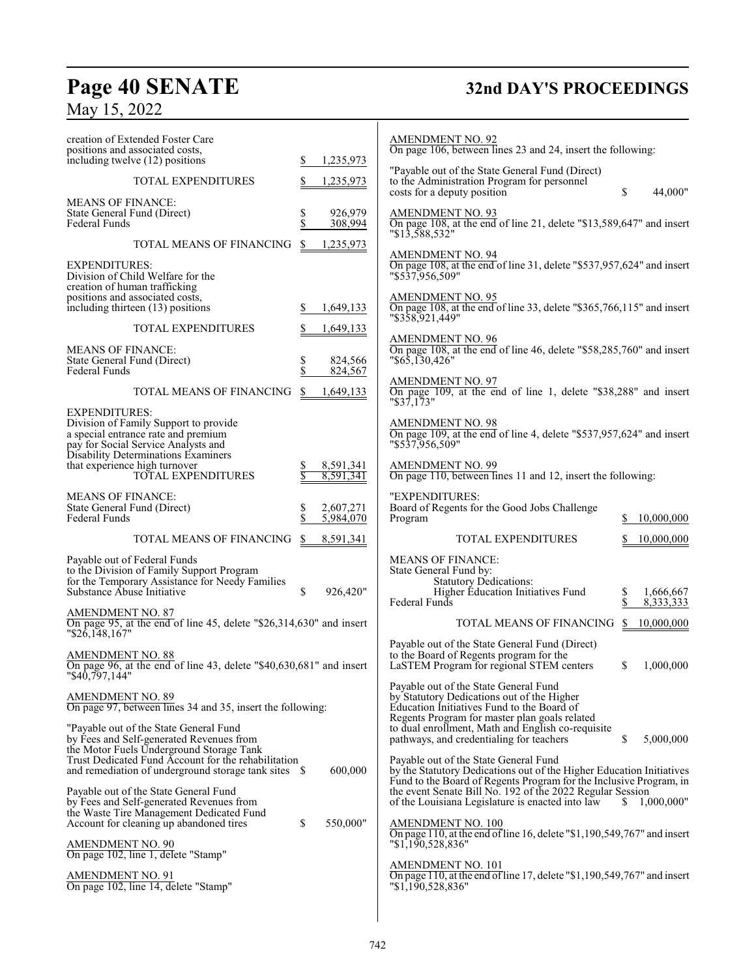# **Page 40 SENATE 32nd DAY'S PROCEEDINGS**

# May 15, 2022

| creation of Extended Foster Care<br>positions and associated costs,<br>including twelve (12) positions<br>\$<br>1,235,973<br>TOTAL EXPENDITURES<br>1,235,973<br><b>MEANS OF FINANCE:</b><br>\$<br>926,979<br>State General Fund (Direct)<br>\$<br><b>Federal Funds</b><br>308,994<br>TOTAL MEANS OF FINANCING<br>\$<br>1,235,973<br><b>EXPENDITURES:</b><br>Division of Child Welfare for the<br>creation of human trafficking<br>positions and associated costs, | <b>AMENDMENT NO. 92</b><br>On page 106, between lines 23 and 24, insert the following:<br>"Payable out of the State General Fund (Direct)<br>to the Administration Program for personnel<br>S<br>costs for a deputy position<br>44,000"<br><b>AMENDMENT NO. 93</b><br>On page 108, at the end of line 21, delete "\$13,589,647" and insert<br>"\$13,588,532"<br><b>AMENDMENT NO. 94</b><br>On page 108, at the end of line 31, delete "\$537,957,624" and insert<br>"\$537.956.509"<br><b>AMENDMENT NO. 95</b>                                             |
|-------------------------------------------------------------------------------------------------------------------------------------------------------------------------------------------------------------------------------------------------------------------------------------------------------------------------------------------------------------------------------------------------------------------------------------------------------------------|------------------------------------------------------------------------------------------------------------------------------------------------------------------------------------------------------------------------------------------------------------------------------------------------------------------------------------------------------------------------------------------------------------------------------------------------------------------------------------------------------------------------------------------------------------|
| including thirteen (13) positions<br>\$<br>1,649,133<br>TOTAL EXPENDITURES<br>1,649,133<br><b>MEANS OF FINANCE:</b>                                                                                                                                                                                                                                                                                                                                               | On page 108, at the end of line 33, delete "\$365,766,115" and insert<br>"\$358,921,449"<br><b>AMENDMENT NO. 96</b><br>On page 108, at the end of line 46, delete "\$58,285,760" and insert<br>$" $6\overline{5}, \overline{1}30,426"$                                                                                                                                                                                                                                                                                                                     |
| \$<br>State General Fund (Direct)<br>824,566<br>\$<br><b>Federal Funds</b><br>824,567<br>TOTAL MEANS OF FINANCING<br>\$<br>1,649,133                                                                                                                                                                                                                                                                                                                              | <b>AMENDMENT NO. 97</b><br>On page 109, at the end of line 1, delete "\$38,288" and insert<br>"\$37,173"                                                                                                                                                                                                                                                                                                                                                                                                                                                   |
| <b>EXPENDITURES:</b><br>Division of Family Support to provide<br>a special entrance rate and premium<br>pay for Social Service Analysts and<br>Disability Determinations Examiners<br>that experience high turnover<br>8,591,341<br>\$                                                                                                                                                                                                                            | <b>AMENDMENT NO. 98</b><br>On page 109, at the end of line 4, delete "\$537,957,624" and insert<br>"\$537.956.509"<br><b>AMENDMENT NO. 99</b>                                                                                                                                                                                                                                                                                                                                                                                                              |
| TOTAL EXPENDITURES<br>8,591,341<br><b>MEANS OF FINANCE:</b>                                                                                                                                                                                                                                                                                                                                                                                                       | On page 110, between lines 11 and 12, insert the following:<br>"EXPENDITURES:                                                                                                                                                                                                                                                                                                                                                                                                                                                                              |
| State General Fund (Direct)<br>\$<br>2,607,271<br>\$<br>Federal Funds<br>5,984,070                                                                                                                                                                                                                                                                                                                                                                                | Board of Regents for the Good Jobs Challenge<br>Program<br>10,000,000                                                                                                                                                                                                                                                                                                                                                                                                                                                                                      |
| TOTAL MEANS OF FINANCING<br>\$<br>8,591,341                                                                                                                                                                                                                                                                                                                                                                                                                       | <b>TOTAL EXPENDITURES</b><br>10,000,000                                                                                                                                                                                                                                                                                                                                                                                                                                                                                                                    |
| Payable out of Federal Funds<br>to the Division of Family Support Program<br>for the Temporary Assistance for Needy Families<br>Substance Abuse Initiative<br>\$<br>926,420"<br><b>AMENDMENT NO. 87</b><br>On page 95, at the end of line 45, delete "\$26,314,630" and insert                                                                                                                                                                                    | <b>MEANS OF FINANCE:</b><br>State General Fund by:<br><b>Statutory Dedications:</b><br>Higher Education Initiatives Fund<br>1,666,667<br>\$<br>Federal Funds<br>8,333,333<br>TOTAL MEANS OF FINANCING<br>S.<br>10,000,000                                                                                                                                                                                                                                                                                                                                  |
| $"\$26,148,167"$<br>AMENDMENT NO. 88<br>On page 96, at the end of line 43, delete "\$40,630,681" and insert<br>"\$40,797,144"                                                                                                                                                                                                                                                                                                                                     | Payable out of the State General Fund (Direct)<br>to the Board of Regents program for the<br>LaSTEM Program for regional STEM centers<br>S<br>1,000,000                                                                                                                                                                                                                                                                                                                                                                                                    |
| <b>AMENDMENT NO. 89</b><br>On page 97, between lines 34 and 35, insert the following:<br>"Payable out of the State General Fund"<br>by Fees and Self-generated Revenues from<br>the Motor Fuels Underground Storage Tank<br>Trust Dedicated Fund Account for the rehabilitation<br>600,000<br>Payable out of the State General Fund                                                                                                                               | Payable out of the State General Fund<br>by Statutory Dedications out of the Higher<br>Education Initiatives Fund to the Board of<br>Regents Program for master plan goals related<br>to dual enrollment, Math and English co-requisite<br>S.<br>5,000,000<br>pathways, and credentialing for teachers<br>Payable out of the State General Fund<br>by the Statutory Dedications out of the Higher Education Initiatives<br>Fund to the Board of Regents Program for the Inclusive Program, in<br>the event Senate Bill No. 192 of the 2022 Regular Session |
| by Fees and Self-generated Revenues from<br>the Waste Tire Management Dedicated Fund<br>\$<br>550,000"<br>Account for cleaning up abandoned tires<br><b>AMENDMENT NO. 90</b><br>On page 102, line 1, delete "Stamp"<br><b>AMENDMENT NO. 91</b><br>On page 102, line 14, delete "Stamp"                                                                                                                                                                            | of the Louisiana Legislature is enacted into law<br>S.<br>1,000,000"<br>AMENDMENT NO. 100<br>On page 110, at the end of line 16, delete "\$1,190,549,767" and insert<br>"\$1,190,528,836"<br>AMENDMENT NO. 101<br>On page 110, at the end of line 17, delete "\$1,190,549,767" and insert                                                                                                                                                                                                                                                                  |
|                                                                                                                                                                                                                                                                                                                                                                                                                                                                   | "\$1,190,528,836"                                                                                                                                                                                                                                                                                                                                                                                                                                                                                                                                          |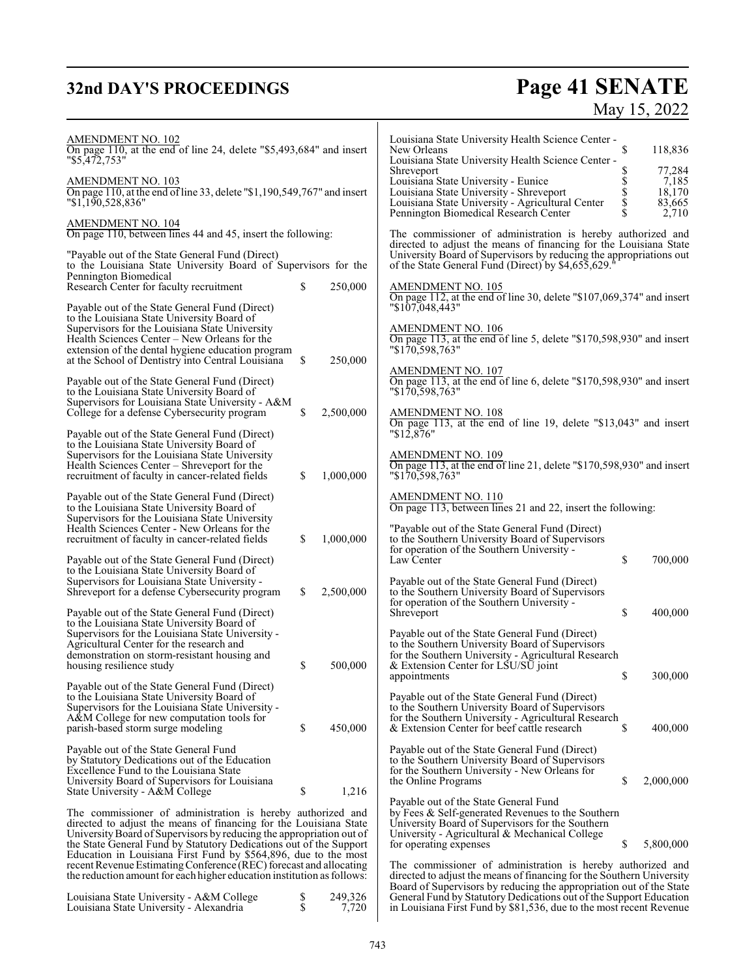# **32nd DAY'S PROCEEDINGS**

# **Page 41 SENATE**<br>May 15, 2022

| <b>AMENDMENT NO. 102</b><br>On page 110, at the end of line 24, delete " $$5,493,684"$ and insert<br>"\$5,472,753"<br>AMENDMENT NO. 103<br>On page 110, at the end of line 33, delete "\$1,190,549,767" and insert                                                             |          |                  | Louisiana State University Health Science Center -<br>\$<br>New Orleans<br>Louisiana State University Health Science Center -<br>Shreveport<br>Ş<br><b>S</b><br>S<br>S<br>Louisiana State University - Eunice<br>Louisiana State University - Shreveport | 118,836<br>77,284<br>7,185<br>18,170 |
|--------------------------------------------------------------------------------------------------------------------------------------------------------------------------------------------------------------------------------------------------------------------------------|----------|------------------|----------------------------------------------------------------------------------------------------------------------------------------------------------------------------------------------------------------------------------------------------------|--------------------------------------|
| "1,190,528,836"<br>AMENDMENT NO. 104<br>On page 110, between lines 44 and 45, insert the following:                                                                                                                                                                            |          |                  | Louisiana State University - Agricultural Center<br>\$<br>Pennington Biomedical Research Center<br>The commissioner of administration is hereby authorized and                                                                                           | 83,665<br>2,710                      |
| "Payable out of the State General Fund (Direct)<br>to the Louisiana State University Board of Supervisors for the<br>Pennington Biomedical                                                                                                                                     |          |                  | directed to adjust the means of financing for the Louisiana State<br>University Board of Supervisors by reducing the appropriations out<br>of the State General Fund (Direct) by \$4,655,629.                                                            |                                      |
| Research Center for faculty recruitment<br>Payable out of the State General Fund (Direct)                                                                                                                                                                                      | \$       | 250,000          | <b>AMENDMENT NO. 105</b><br>On page 112, at the end of line 30, delete "\$107,069,374" and insert<br>"\$107,048,443"                                                                                                                                     |                                      |
| to the Louisiana State University Board of<br>Supervisors for the Louisiana State University<br>Health Sciences Center - New Orleans for the<br>extension of the dental hygiene education program<br>at the School of Dentistry into Central Louisiana                         | \$       | 250,000          | <b>AMENDMENT NO. 106</b><br>On page 113, at the end of line 5, delete "\$170,598,930" and insert<br>"\$170,598,763"                                                                                                                                      |                                      |
| Payable out of the State General Fund (Direct)<br>to the Louisiana State University Board of                                                                                                                                                                                   |          |                  | AMENDMENT NO. 107<br>On page 113, at the end of line 6, delete "\$170,598,930" and insert<br>"\$170,598,763"                                                                                                                                             |                                      |
| Supervisors for Louisiana State University - A&M<br>College for a defense Cybersecurity program<br>Payable out of the State General Fund (Direct)                                                                                                                              | \$       | 2,500,000        | <b>AMENDMENT NO. 108</b><br>On page 113, at the end of line 19, delete "\$13,043" and insert<br>$"\$12,876"$                                                                                                                                             |                                      |
| to the Louisiana State University Board of<br>Supervisors for the Louisiana State University<br>Health Sciences Center – Shreveport for the<br>recruitment of faculty in cancer-related fields                                                                                 | \$       | 1,000,000        | <b>AMENDMENT NO. 109</b><br>On page 113, at the end of line 21, delete "\$170,598,930" and insert<br>"\$170,598,763"                                                                                                                                     |                                      |
| Payable out of the State General Fund (Direct)<br>to the Louisiana State University Board of<br>Supervisors for the Louisiana State University                                                                                                                                 |          |                  | <b>AMENDMENT NO. 110</b><br>On page 113, between lines 21 and 22, insert the following:                                                                                                                                                                  |                                      |
| Health Sciences Center - New Orleans for the<br>recruitment of faculty in cancer-related fields                                                                                                                                                                                | \$       | 1,000,000        | "Payable out of the State General Fund (Direct)<br>to the Southern University Board of Supervisors<br>for operation of the Southern University -                                                                                                         |                                      |
| Payable out of the State General Fund (Direct)<br>to the Louisiana State University Board of<br>Supervisors for Louisiana State University -<br>Shreveport for a defense Cybersecurity program                                                                                 | \$       | 2,500,000        | \$<br>Law Center<br>Payable out of the State General Fund (Direct)<br>to the Southern University Board of Supervisors<br>for operation of the Southern University -                                                                                      | 700,000                              |
| Payable out of the State General Fund (Direct)<br>to the Louisiana State University Board of<br>Supervisors for the Louisiana State University -                                                                                                                               |          |                  | \$<br>Shreveport<br>Payable out of the State General Fund (Direct)                                                                                                                                                                                       | 400,000                              |
| Agricultural Center for the research and<br>demonstration on storm-resistant housing and<br>housing resilience study                                                                                                                                                           | \$       | 500,000          | to the Southern University Board of Supervisors<br>for the Southern University - Agricultural Research<br>& Extension Center for LSU/SU joint<br>\$<br>appointments                                                                                      | 300,000                              |
| Payable out of the State General Fund (Direct)<br>to the Louisiana State University Board of<br>Supervisors for the Louisiana State University -<br>A&M College for new computation tools for<br>parish-based storm surge modeling                                             | \$       | 450,000          | Payable out of the State General Fund (Direct)<br>to the Southern University Board of Supervisors<br>for the Southern University - Agricultural Research<br>& Extension Center for beef cattle research<br>\$                                            | 400,000                              |
| Payable out of the State General Fund<br>by Statutory Dedications out of the Education<br>Excellence Fund to the Louisiana State<br>University Board of Supervisors for Louisiana<br>State University - A&M College                                                            | \$       | 1,216            | Payable out of the State General Fund (Direct)<br>to the Southern University Board of Supervisors<br>for the Southern University - New Orleans for<br>the Online Programs<br>\$                                                                          | 2,000,000                            |
| The commissioner of administration is hereby authorized and<br>directed to adjust the means of financing for the Louisiana State<br>University Board of Supervisors by reducing the appropriation out of<br>the State General Fund by Statutory Dedications out of the Support |          |                  | Payable out of the State General Fund<br>by Fees & Self-generated Revenues to the Southern<br>University Board of Supervisors for the Southern<br>University - Agricultural & Mechanical College<br>\$<br>for operating expenses                         | 5,800,000                            |
| Education in Louisiana First Fund by \$564,896, due to the most<br>recent Revenue Estimating Conference (REC) forecast and allocating<br>the reduction amount for each higher education institution as follows:                                                                |          |                  | The commissioner of administration is hereby authorized and<br>directed to adjust the means of financing for the Southern University                                                                                                                     |                                      |
| Louisiana State University - A&M College<br>Louisiana State University - Alexandria                                                                                                                                                                                            | \$<br>\$ | 249,326<br>7,720 | Board of Supervisors by reducing the appropriation out of the State<br>General Fund by Statutory Dedications out of the Support Education<br>in Louisiana First Fund by \$81,536, due to the most recent Revenue                                         |                                      |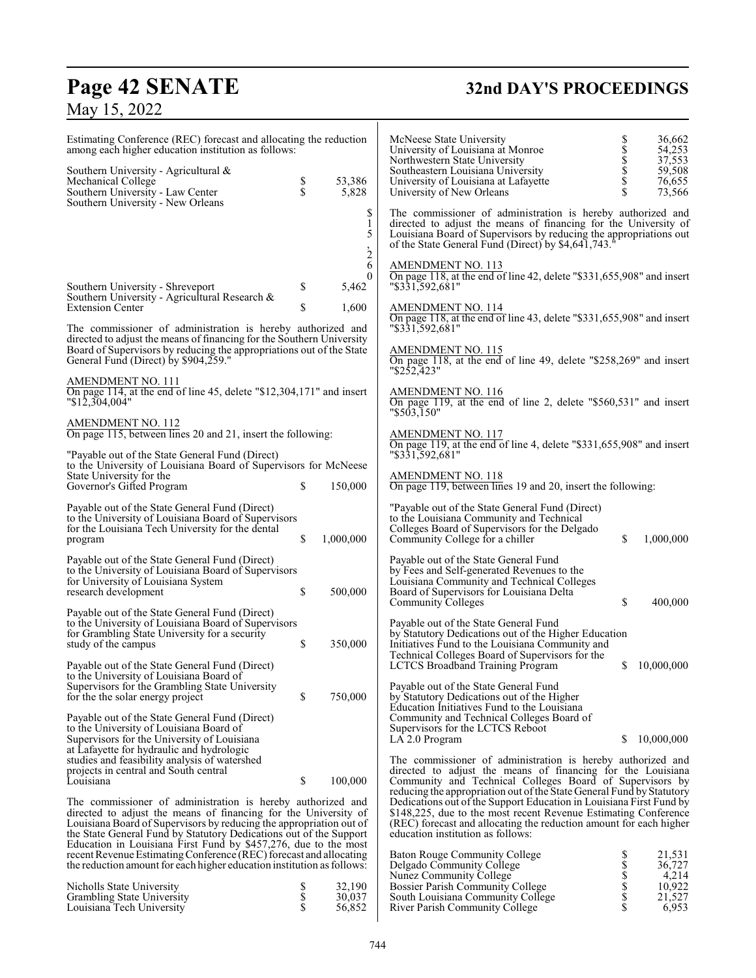# **Page 42 SENATE 32nd DAY'S PROCEEDINGS**

| Estimating Conference (REC) forecast and allocating the reduction<br>among each higher education institution as follows:                                             |               |                               | McNeese State University<br>36,662<br>54,253<br>University of Louisiana at Monroe<br>37,553<br>Northwestern State University                                                                                                                              |
|----------------------------------------------------------------------------------------------------------------------------------------------------------------------|---------------|-------------------------------|-----------------------------------------------------------------------------------------------------------------------------------------------------------------------------------------------------------------------------------------------------------|
| Southern University - Agricultural &<br>Mechanical College<br>Southern University - Law Center<br>Southern University - New Orleans                                  | $\frac{1}{3}$ | 53,386<br>5,828               | \$<br>\$\$\$\$<br>59,508<br>Southeastern Louisiana University<br>76,655<br>University of Louisiana at Lafayette<br>73,566<br>University of New Orleans                                                                                                    |
|                                                                                                                                                                      |               | \$<br>1<br>5<br>$\frac{1}{2}$ | The commissioner of administration is hereby authorized and<br>directed to adjust the means of financing for the University of<br>Louisiana Board of Supervisors by reducing the appropriations out<br>of the State General Fund (Direct) by \$4,641,743. |
| Southern University - Shreveport                                                                                                                                     | \$            | 6<br>0<br>5,462               | <b>AMENDMENT NO. 113</b><br>On page 118, at the end of line 42, delete "\$331,655,908" and insert<br>"\$331,592,681"                                                                                                                                      |
| Southern University - Agricultural Research &<br><b>Extension Center</b>                                                                                             | \$            | 1,600                         | <u>AMENDMENT NO. 114</u><br>On page 118, at the end of line 43, delete "\$331,655,908" and insert                                                                                                                                                         |
| The commissioner of administration is hereby authorized and<br>directed to adjust the means of financing for the Southern University                                 |               |                               | "\$331,592,681"                                                                                                                                                                                                                                           |
| Board of Supervisors by reducing the appropriations out of the State<br>General Fund (Direct) by \$904,259."                                                         |               |                               | <u>AMENDMENT NO. 115</u><br>On page 118, at the end of line 49, delete "\$258,269" and insert<br>"\$252,423"                                                                                                                                              |
| AMENDMENT NO. 111<br>On page 114, at the end of line 45, delete " $$12,304,171$ " and insert<br>"\$12,304,004"                                                       |               |                               | <b>AMENDMENT NO. 116</b><br>On page 119, at the end of line 2, delete "\$560,531" and insert<br>"\$503,150"                                                                                                                                               |
| AMENDMENT NO. 112<br>On page 115, between lines 20 and 21, insert the following:                                                                                     |               |                               | AMENDMENT NO. 117<br>On page 119, at the end of line 4, delete " $$331,655,908"$ and insert                                                                                                                                                               |
| "Payable out of the State General Fund (Direct)<br>to the University of Louisiana Board of Supervisors for McNeese<br>State University for the                       |               |                               | "\$331,592,681"<br>AMENDMENT NO. 118                                                                                                                                                                                                                      |
| Governor's Gifted Program                                                                                                                                            | \$            | 150,000                       | On page 119, between lines 19 and 20, insert the following:                                                                                                                                                                                               |
| Payable out of the State General Fund (Direct)<br>to the University of Louisiana Board of Supervisors<br>for the Louisiana Tech University for the dental<br>program | \$            | 1,000,000                     | "Payable out of the State General Fund (Direct)<br>to the Louisiana Community and Technical<br>Colleges Board of Supervisors for the Delgado<br>\$<br>Community College for a chiller<br>1,000,000                                                        |
| Payable out of the State General Fund (Direct)<br>to the University of Louisiana Board of Supervisors<br>for University of Louisiana System<br>research development  | \$            | 500,000                       | Payable out of the State General Fund<br>by Fees and Self-generated Revenues to the<br>Louisiana Community and Technical Colleges<br>Board of Supervisors for Louisiana Delta                                                                             |
| Payable out of the State General Fund (Direct)                                                                                                                       |               |                               | \$<br>400,000<br>Community Colleges                                                                                                                                                                                                                       |
| to the University of Louisiana Board of Supervisors<br>for Grambling State University for a security<br>study of the campus                                          | $\mathbb{S}$  | 350,000                       | Payable out of the State General Fund<br>by Statutory Dedications out of the Higher Education<br>Initiatives Fund to the Louisiana Community and<br>Technical Colleges Board of Supervisors for the                                                       |
| Payable out of the State General Fund (Direct)<br>to the University of Louisiana Board of<br>Supervisors for the Grambling State University                          |               |                               | <b>LCTCS Broadband Training Program</b><br>10,000,000<br>S<br>Payable out of the State General Fund                                                                                                                                                       |
| for the the solar energy project<br>Payable out of the State General Fund (Direct)                                                                                   | \$            | 750,000                       | by Statutory Dedications out of the Higher<br>Education Initiatives Fund to the Louisiana<br>Community and Technical Colleges Board of                                                                                                                    |
| to the University of Louisiana Board of<br>Supervisors for the University of Louisiana<br>at Lafayette for hydraulic and hydrologic                                  |               |                               | Supervisors for the LCTCS Reboot<br>S<br>10,000,000<br>LA 2.0 Program                                                                                                                                                                                     |
| studies and feasibility analysis of watershed<br>projects in central and South central<br>Louisiana                                                                  | \$            | 100,000                       | The commissioner of administration is hereby authorized and<br>directed to adjust the means of financing for the Louisiana<br>Community and Technical Colleges Board of Supervisors by                                                                    |
| The commissioner of administration is hereby authorized and<br>directed to adjust the means of financing for the University of                                       |               |                               | reducing the appropriation out of the State General Fund by Statutory<br>Dedications out of the Support Education in Louisiana First Fund by<br>\$148,225, due to the most recent Revenue Estimating Conference                                           |

 $\overline{\mathsf{I}}$ 

directed to adjust the means of financing for the University of Louisiana Board of Supervisors by reducing the appropriation out of the State General Fund by Statutory Dedications out of the Support Education in Louisiana First Fund by \$457,276, due to the most recent Revenue Estimating Conference (REC) forecast and allocating the reduction amount for each higher education institution as follows:

| Nicholls State University  | 32,190 |
|----------------------------|--------|
| Grambling State University | 30,037 |
| Louisiana Tech University  | 56,852 |

(REC) forecast and allocating the reduction amount for each higher

Baton Rouge Community College \$ 21,531 Delgado Community College \$ 36,727 Nunez Community College \$ 4,214 Bossier Parish Community College \$ 10,922 South Louisiana Community College  $\qquad \qquad$  \$ 21,527 River Parish Community College \$ 6,953

education institution as follows: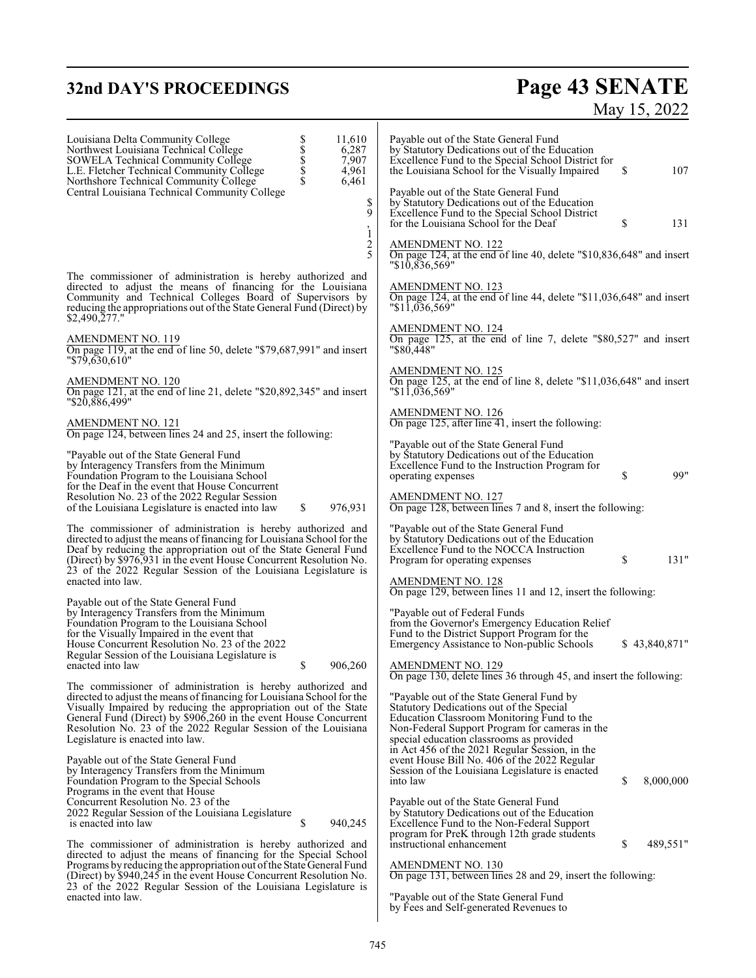# **32nd DAY'S PROCEEDINGS Page 43 SENATE**

# May 15, 2022

| S<br>S<br>S<br>S<br>S<br>S<br>S<br>S<br>S<br>S<br>S<br><br><br><br><br><br><br>11,610<br>Louisiana Delta Community College<br>Northwest Louisiana Technical College<br>6,287<br>SOWELA Technical Community College<br>7,907<br>4,961<br>L.E. Fletcher Technical Community College<br>6,461<br>Northshore Technical Community College<br>Central Louisiana Technical Community College<br>\$ | Payable out of the State General Fund<br>by Statutory Dedications out of the Education<br>Excellence Fund to the Special School District for<br>\$<br>107<br>the Louisiana School for the Visually Impaired<br>Payable out of the State General Fund<br>by Statutory Dedications out of the Education |
|---------------------------------------------------------------------------------------------------------------------------------------------------------------------------------------------------------------------------------------------------------------------------------------------------------------------------------------------------------------------------------------------|-------------------------------------------------------------------------------------------------------------------------------------------------------------------------------------------------------------------------------------------------------------------------------------------------------|
| 9<br>$\dot{1}$                                                                                                                                                                                                                                                                                                                                                                              | Excellence Fund to the Special School District<br>\$<br>for the Louisiana School for the Deaf<br>131                                                                                                                                                                                                  |
| 2<br>5                                                                                                                                                                                                                                                                                                                                                                                      | <b>AMENDMENT NO. 122</b><br>On page 124, at the end of line 40, delete " $$10,836,648"$ and insert<br>"\$10.836.569"                                                                                                                                                                                  |
| The commissioner of administration is hereby authorized and<br>directed to adjust the means of financing for the Louisiana<br>Community and Technical Colleges Board of Supervisors by<br>reducing the appropriations out of the State General Fund (Direct) by<br>$$2,490,\overline{2}77."$                                                                                                | <b>AMENDMENT NO. 123</b><br>On page 124, at the end of line 44, delete "\$11,036,648" and insert<br>"\$11,036,569"                                                                                                                                                                                    |
| <b>AMENDMENT NO. 119</b><br>On page 119, at the end of line 50, delete "\$79,687,991" and insert<br>$"$ \$79,630,610"                                                                                                                                                                                                                                                                       | <b>AMENDMENT NO. 124</b><br>On page 125, at the end of line 7, delete "\$80,527" and insert<br>"\$80,448"                                                                                                                                                                                             |
| <b>AMENDMENT NO. 120</b><br>On page 121, at the end of line 21, delete "\$20,892,345" and insert<br>"\$20,886,499"                                                                                                                                                                                                                                                                          | AMENDMENT NO. 125<br>On page 125, at the end of line 8, delete "\$11,036,648" and insert<br>"11,036,569"                                                                                                                                                                                              |
| AMENDMENT NO. 121<br>On page 124, between lines 24 and 25, insert the following:                                                                                                                                                                                                                                                                                                            | AMENDMENT NO. 126<br>On page 125, after line 41, insert the following:                                                                                                                                                                                                                                |
| "Payable out of the State General Fund<br>by Interagency Transfers from the Minimum<br>Foundation Program to the Louisiana School<br>for the Deaf in the event that House Concurrent                                                                                                                                                                                                        | "Payable out of the State General Fund<br>by Statutory Dedications out of the Education<br>Excellence Fund to the Instruction Program for<br>99"<br>\$<br>operating expenses                                                                                                                          |
| Resolution No. 23 of the 2022 Regular Session<br>976,931<br>of the Louisiana Legislature is enacted into law<br>\$                                                                                                                                                                                                                                                                          | AMENDMENT NO. 127<br>On page 128, between lines 7 and 8, insert the following:                                                                                                                                                                                                                        |
| The commissioner of administration is hereby authorized and<br>directed to adjust the means of financing for Louisiana School for the<br>Deaf by reducing the appropriation out of the State General Fund<br>(Direct) by \$976,931 in the event House Concurrent Resolution No.<br>23 of the 2022 Regular Session of the Louisiana Legislature is                                           | "Payable out of the State General Fund<br>by Statutory Dedications out of the Education<br>Excellence Fund to the NOCCA Instruction<br>\$<br>131"<br>Program for operating expenses                                                                                                                   |
| enacted into law.                                                                                                                                                                                                                                                                                                                                                                           | AMENDMENT NO. 128<br>On page 129, between lines 11 and 12, insert the following:                                                                                                                                                                                                                      |
| Payable out of the State General Fund<br>by Interagency Transfers from the Minimum<br>Foundation Program to the Louisiana School<br>for the Visually Impaired in the event that<br>House Concurrent Resolution No. 23 of the 2022<br>Regular Session of the Louisiana Legislature is                                                                                                        | "Payable out of Federal Funds<br>from the Governor's Emergency Education Relief<br>Fund to the District Support Program for the<br>Emergency Assistance to Non-public Schools<br>\$43,840,871"                                                                                                        |
| \$<br>enacted into law<br>906,260                                                                                                                                                                                                                                                                                                                                                           | AMENDMENT NO. 129<br>On page 130, delete lines 36 through 45, and insert the following:                                                                                                                                                                                                               |
| The commissioner of administration is hereby authorized and<br>directed to adjust the means of financing for Louisiana School for the<br>Visually Impaired by reducing the appropriation out of the State<br>General Fund (Direct) by \$906,260 in the event House Concurrent<br>Resolution No. 23 of the 2022 Regular Session of the Louisiana<br>Legislature is enacted into law.         | "Payable out of the State General Fund by<br>Statutory Dedications out of the Special<br>Education Classroom Monitoring Fund to the<br>Non-Federal Support Program for cameras in the<br>special education classrooms as provided<br>in Act 456 of the 2021 Regular Session, in the                   |
| Payable out of the State General Fund<br>by Interagency Transfers from the Minimum<br>Foundation Program to the Special Schools                                                                                                                                                                                                                                                             | event House Bill No. 406 of the 2022 Regular<br>Session of the Louisiana Legislature is enacted<br>\$<br>into law<br>8,000,000                                                                                                                                                                        |
| Programs in the event that House<br>Concurrent Resolution No. 23 of the<br>2022 Regular Session of the Louisiana Legislature<br>\$<br>940,245<br>is enacted into law                                                                                                                                                                                                                        | Payable out of the State General Fund<br>by Statutory Dedications out of the Education<br>Excellence Fund to the Non-Federal Support                                                                                                                                                                  |
| The commissioner of administration is hereby authorized and<br>directed to adjust the means of financing for the Special School<br>Programs by reducing the appropriation out of the State General Fund                                                                                                                                                                                     | program for PreK through 12th grade students<br>instructional enhancement<br>\$<br>489,551"<br><b>AMENDMENT NO. 130</b>                                                                                                                                                                               |
| (Direct) by \$940,245 in the event House Concurrent Resolution No.                                                                                                                                                                                                                                                                                                                          | On page 131, between lines 28 and 29, insert the following:                                                                                                                                                                                                                                           |

On page 131, between lines 28 and 29, insert the following:

"Payable out of the State General Fund by Fees and Self-generated Revenues to

23 of the 2022 Regular Session of the Louisiana Legislature is

enacted into law.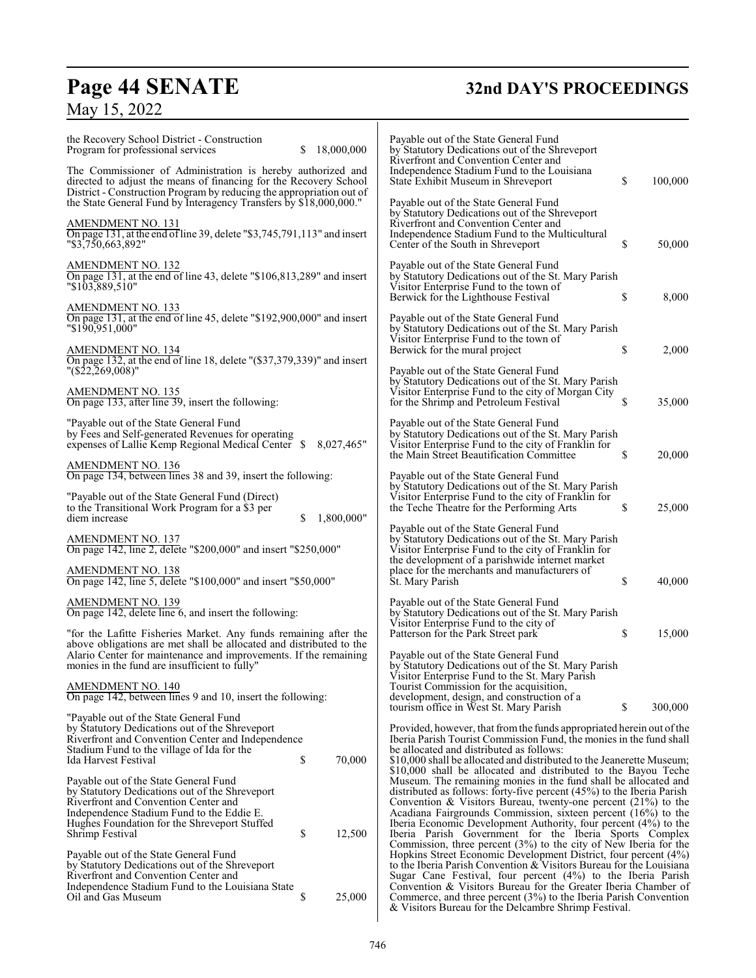# **Page 44 SENATE 32nd DAY'S PROCEEDINGS**

# May 15, 2022

| the Recovery School District - Construction<br>Program for professional services<br>The Commissioner of Administration is hereby authorized and<br>directed to adjust the means of financing for the Recovery School         | 18,000,000<br>S. |            | Payable out of the State General Fund<br>by Statutory Dedications out of the Shreveport<br>Riverfront and Convention Center and<br>Independence Stadium Fund to the Louisiana<br>State Exhibit Museum in Shreveport                                                                                                                                | \$ | 100,000 |
|------------------------------------------------------------------------------------------------------------------------------------------------------------------------------------------------------------------------------|------------------|------------|----------------------------------------------------------------------------------------------------------------------------------------------------------------------------------------------------------------------------------------------------------------------------------------------------------------------------------------------------|----|---------|
| District - Construction Program by reducing the appropriation out of<br>the State General Fund by Interagency Transfers by \$18,000,000."                                                                                    |                  |            | Payable out of the State General Fund<br>by Statutory Dedications out of the Shreveport                                                                                                                                                                                                                                                            |    |         |
| AMENDMENT NO. 131<br>On page 131, at the end of line 39, delete $\frac{1}{3}, 745, 791, 113$ and insert<br>"\$3,750,663,892"                                                                                                 |                  |            | Riverfront and Convention Center and<br>Independence Stadium Fund to the Multicultural<br>Center of the South in Shreveport                                                                                                                                                                                                                        | \$ | 50,000  |
| <b>AMENDMENT NO. 132</b><br>On page 131, at the end of line 43, delete " $$106,813,289"$ and insert<br>"\$103,889,510"                                                                                                       |                  |            | Payable out of the State General Fund<br>by Statutory Dedications out of the St. Mary Parish<br>Visitor Enterprise Fund to the town of<br>Berwick for the Lighthouse Festival                                                                                                                                                                      | \$ | 8,000   |
| <b>AMENDMENT NO. 133</b><br>On page 131, at the end of line 45, delete "\$192,900,000" and insert<br>"\$190,951,000"                                                                                                         |                  |            | Payable out of the State General Fund<br>by Statutory Dedications out of the St. Mary Parish                                                                                                                                                                                                                                                       |    |         |
| <b>AMENDMENT NO. 134</b><br>On page 132, at the end of line 18, delete "(\$37,379,339)" and insert                                                                                                                           |                  |            | Visitor Enterprise Fund to the town of<br>Berwick for the mural project                                                                                                                                                                                                                                                                            | \$ | 2,000   |
| " $(S22, 269, 008)$ "<br>AMENDMENT NO. 135<br>On page 133, after line 39, insert the following:                                                                                                                              |                  |            | Payable out of the State General Fund<br>by Statutory Dedications out of the St. Mary Parish<br>Visitor Enterprise Fund to the city of Morgan City<br>for the Shrimp and Petroleum Festival                                                                                                                                                        | S  | 35,000  |
| "Payable out of the State General Fund<br>by Fees and Self-generated Revenues for operating<br>expenses of Lallie Kemp Regional Medical Center \$                                                                            |                  | 8,027,465" | Payable out of the State General Fund<br>by Statutory Dedications out of the St. Mary Parish<br>Visitor Enterprise Fund to the city of Franklin for<br>the Main Street Beautification Committee                                                                                                                                                    | S  | 20,000  |
| <b>AMENDMENT NO. 136</b><br>On page 134, between lines 38 and 39, insert the following:                                                                                                                                      |                  |            | Payable out of the State General Fund                                                                                                                                                                                                                                                                                                              |    |         |
| "Payable out of the State General Fund (Direct)<br>to the Transitional Work Program for a \$3 per<br>diem increase                                                                                                           | \$               | 1,800,000" | by Statutory Dedications out of the St. Mary Parish<br>Visitor Enterprise Fund to the city of Franklin for<br>the Teche Theatre for the Performing Arts                                                                                                                                                                                            | S  | 25,000  |
| <b>AMENDMENT NO. 137</b><br>On page 142, line 2, delete "\$200,000" and insert "\$250,000"                                                                                                                                   |                  |            | Payable out of the State General Fund<br>by Statutory Dedications out of the St. Mary Parish<br>Visitor Enterprise Fund to the city of Franklin for<br>the development of a parishwide internet market                                                                                                                                             |    |         |
| <b>AMENDMENT NO. 138</b><br>On page 142, line 5, delete "\$100,000" and insert "\$50,000"                                                                                                                                    |                  |            | place for the merchants and manufacturers of<br>St. Mary Parish                                                                                                                                                                                                                                                                                    | \$ | 40,000  |
| <b>AMENDMENT NO. 139</b><br>On page 142, delete line 6, and insert the following:                                                                                                                                            |                  |            | Payable out of the State General Fund<br>by Statutory Dedications out of the St. Mary Parish<br>Visitor Enterprise Fund to the city of                                                                                                                                                                                                             |    |         |
| "for the Lafitte Fisheries Market. Any funds remaining after the<br>above obligations are met shall be allocated and distributed to the                                                                                      |                  |            | Patterson for the Park Street park<br>Payable out of the State General Fund                                                                                                                                                                                                                                                                        | \$ | 15,000  |
| Alario Center for maintenance and improvements. If the remaining<br>monies in the fund are insufficient to fully"<br>AMENDMENT NO. 140                                                                                       |                  |            | by Statutory Dedications out of the St. Mary Parish<br>Visitor Enterprise Fund to the St. Mary Parish<br>Tourist Commission for the acquisition,                                                                                                                                                                                                   |    |         |
| On page 142, between lines 9 and 10, insert the following:                                                                                                                                                                   |                  |            | development, design, and construction of a<br>tourism office in West St. Mary Parish                                                                                                                                                                                                                                                               | \$ | 300,000 |
| "Payable out of the State General Fund"<br>by Statutory Dedications out of the Shreveport<br>Riverfront and Convention Center and Independence                                                                               |                  |            | Provided, however, that from the funds appropriated herein out of the<br>Iberia Parish Tourist Commission Fund, the monies in the fund shall                                                                                                                                                                                                       |    |         |
| Stadium Fund to the village of Ida for the<br>Ida Harvest Festival                                                                                                                                                           | \$               | 70,000     | be allocated and distributed as follows:<br>\$10,000 shall be allocated and distributed to the Jeanerette Museum;<br>\$10,000 shall be allocated and distributed to the Bayou Teche                                                                                                                                                                |    |         |
| Payable out of the State General Fund<br>by Statutory Dedications out of the Shreveport<br>Riverfront and Convention Center and<br>Independence Stadium Fund to the Eddie E.<br>Hughes Foundation for the Shreveport Stuffed |                  |            | Museum. The remaining monies in the fund shall be allocated and<br>distributed as follows: forty-five percent $(45%)$ to the Iberia Parish<br>Convention & Visitors Bureau, twenty-one percent $(21\%)$ to the<br>Acadiana Fairgrounds Commission, sixteen percent (16%) to the<br>Iberia Economic Development Authority, four percent (4%) to the |    |         |
| Shrimp Festival                                                                                                                                                                                                              | \$               | 12,500     | Iberia Parish Government for the Iberia Sports Complex<br>Commission, three percent $(3%)$ to the city of New Iberia for the                                                                                                                                                                                                                       |    |         |
| Payable out of the State General Fund<br>by Statutory Dedications out of the Shreveport<br>Riverfront and Convention Center and<br>Independence Stadium Fund to the Louisiana State                                          |                  |            | Hopkins Street Economic Development District, four percent (4%)<br>to the Iberia Parish Convention $& V$ Visitors Bureau for the Louisiana<br>Sugar Cane Festival, four percent (4%) to the Iberia Parish<br>Convention & Visitors Bureau for the Greater Iberia Chamber of                                                                        |    |         |
| Oil and Gas Museum                                                                                                                                                                                                           | \$               | 25,000     | Commerce, and three percent $(3%)$ to the Iberia Parish Convention<br>& Visitors Bureau for the Delcambre Shrimp Festival.                                                                                                                                                                                                                         |    |         |

 $\overline{\phantom{a}}$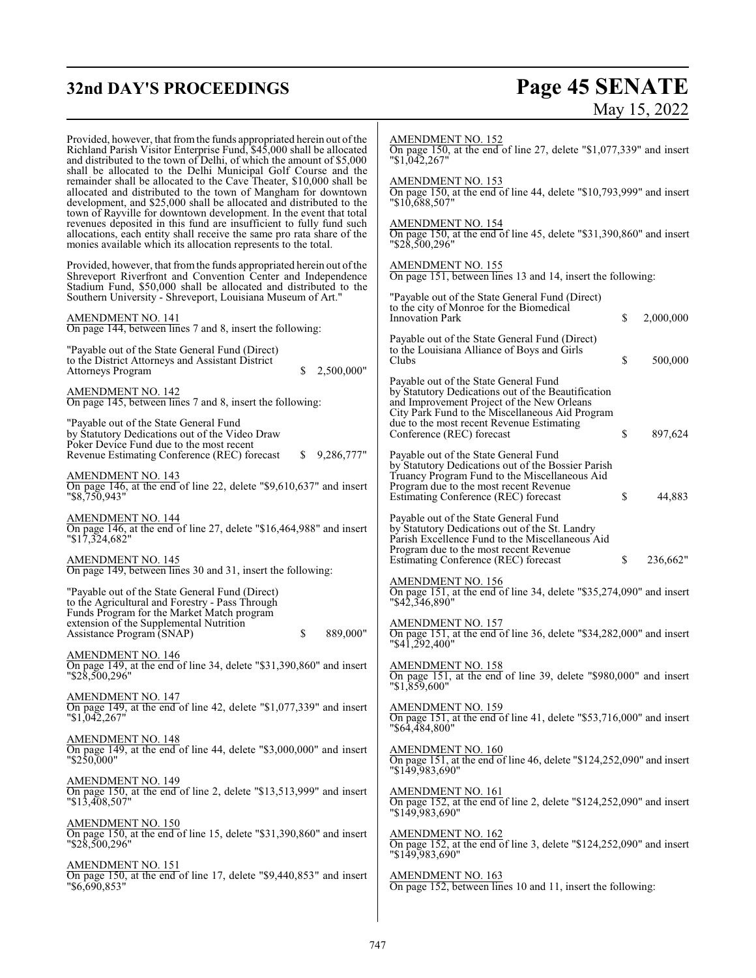# **32nd DAY'S PROCEEDINGS Page 45 SENATE** May 15, 2022

| Provided, however, that from the funds appropriated herein out of the<br>Richland Parish Visitor Enterprise Fund, \$45,000 shall be allocated<br>and distributed to the town of Delhi, of which the amount of \$5,000<br>shall be allocated to the Delhi Municipal Golf Course and the<br>remainder shall be allocated to the Cave Theater, \$10,000 shall be<br>allocated and distributed to the town of Mangham for downtown<br>development, and \$25,000 shall be allocated and distributed to the<br>town of Rayville for downtown development. In the event that total<br>revenues deposited in this fund are insufficient to fully fund such<br>allocations, each entity shall receive the same pro rata share of the<br>monies available which its allocation represents to the total. | AMENDMENT NO. 152<br>On page 150, at the end of line 27, delete "\$1,077,339" and insert<br>"\$1,042,267"<br>AMENDMENT NO. 153<br>On page 150, at the end of line 44, delete "\$10,793,999" and insert<br>$"\$10,688,507"$<br><b>AMENDMENT NO. 154</b><br>On page 150, at the end of line 45, delete "\$31,390,860" and insert<br>"\$28,500,296" |
|-----------------------------------------------------------------------------------------------------------------------------------------------------------------------------------------------------------------------------------------------------------------------------------------------------------------------------------------------------------------------------------------------------------------------------------------------------------------------------------------------------------------------------------------------------------------------------------------------------------------------------------------------------------------------------------------------------------------------------------------------------------------------------------------------|--------------------------------------------------------------------------------------------------------------------------------------------------------------------------------------------------------------------------------------------------------------------------------------------------------------------------------------------------|
| Provided, however, that from the funds appropriated herein out of the<br>Shreveport Riverfront and Convention Center and Independence<br>Stadium Fund, \$50,000 shall be allocated and distributed to the                                                                                                                                                                                                                                                                                                                                                                                                                                                                                                                                                                                     | <b>AMENDMENT NO. 155</b><br>On page 151, between lines 13 and 14, insert the following:                                                                                                                                                                                                                                                          |
| Southern University - Shreveport, Louisiana Museum of Art."<br><b>AMENDMENT NO. 141</b>                                                                                                                                                                                                                                                                                                                                                                                                                                                                                                                                                                                                                                                                                                       | "Payable out of the State General Fund (Direct)<br>to the city of Monroe for the Biomedical<br>\$<br><b>Innovation Park</b><br>2,000,000                                                                                                                                                                                                         |
| On page 144, between lines 7 and 8, insert the following:<br>"Payable out of the State General Fund (Direct)<br>to the District Attorneys and Assistant District<br>2,500,000"<br>Attorneys Program<br>\$                                                                                                                                                                                                                                                                                                                                                                                                                                                                                                                                                                                     | Payable out of the State General Fund (Direct)<br>to the Louisiana Alliance of Boys and Girls<br>\$<br>Clubs<br>500,000                                                                                                                                                                                                                          |
| <b>AMENDMENT NO. 142</b><br>On page 145, between lines 7 and 8, insert the following:<br>"Payable out of the State General Fund"<br>by Statutory Dedications out of the Video Draw                                                                                                                                                                                                                                                                                                                                                                                                                                                                                                                                                                                                            | Payable out of the State General Fund<br>by Statutory Dedications out of the Beautification<br>and Improvement Project of the New Orleans<br>City Park Fund to the Miscellaneous Aid Program<br>due to the most recent Revenue Estimating<br>\$<br>Conference (REC) forecast<br>897,624                                                          |
| Poker Device Fund due to the most recent<br>\$9,286,777"<br>Revenue Estimating Conference (REC) forecast<br>AMENDMENT NO. 143<br>On page 146, at the end of line 22, delete "\$9,610,637" and insert<br>$"$ \$8,750,943 $"$                                                                                                                                                                                                                                                                                                                                                                                                                                                                                                                                                                   | Payable out of the State General Fund<br>by Statutory Dedications out of the Bossier Parish<br>Truancy Program Fund to the Miscellaneous Aid<br>Program due to the most recent Revenue<br>\$<br>Estimating Conference (REC) forecast<br>44,883                                                                                                   |
| <b>AMENDMENT NO. 144</b><br>On page 146, at the end of line 27, delete "\$16,464,988" and insert<br>"\$17,324,682"<br>AMENDMENT NO. 145                                                                                                                                                                                                                                                                                                                                                                                                                                                                                                                                                                                                                                                       | Payable out of the State General Fund<br>by Statutory Dedications out of the St. Landry<br>Parish Excellence Fund to the Miscellaneous Aid<br>Program due to the most recent Revenue<br>\$<br>236,662"<br>Estimating Conference (REC) forecast                                                                                                   |
| On page 149, between lines 30 and 31, insert the following:<br>"Payable out of the State General Fund (Direct)"<br>to the Agricultural and Forestry - Pass Through<br>Funds Program for the Market Match program<br>extension of the Supplemental Nutrition                                                                                                                                                                                                                                                                                                                                                                                                                                                                                                                                   | <b>AMENDMENT NO. 156</b><br>On page 151, at the end of line 34, delete "\$35,274,090" and insert<br>"\$42,346,890"<br><b>AMENDMENT NO. 157</b>                                                                                                                                                                                                   |
| \$<br>889,000"<br>Assistance Program (SNAP)<br>AMENDMENT NO. 146                                                                                                                                                                                                                                                                                                                                                                                                                                                                                                                                                                                                                                                                                                                              | On page 151, at the end of line 36, delete "\$34,282,000" and insert<br>"\$41,292,400"                                                                                                                                                                                                                                                           |
| On page 149, at the end of line 34, delete "\$31,390,860" and insert<br>"\$28,500,296"                                                                                                                                                                                                                                                                                                                                                                                                                                                                                                                                                                                                                                                                                                        | <b>AMENDMENT NO. 158</b><br>On page 151, at the end of line 39, delete "\$980,000" and insert<br>$"\$1,859,600"$                                                                                                                                                                                                                                 |
| <b>AMENDMENT NO. 147</b><br>On page 149, at the end of line 42, delete "\$1,077,339" and insert<br>"\$1,042,267"                                                                                                                                                                                                                                                                                                                                                                                                                                                                                                                                                                                                                                                                              | <b>AMENDMENT NO. 159</b><br>On page 151, at the end of line 41, delete "\$53,716,000" and insert<br>"\$64.484.800"                                                                                                                                                                                                                               |
| AMENDMENT NO. 148<br>On page 149, at the end of line 44, delete "\$3,000,000" and insert<br>$"\$2\overline{50,000"$                                                                                                                                                                                                                                                                                                                                                                                                                                                                                                                                                                                                                                                                           | <b>AMENDMENT NO. 160</b><br>On page 151, at the end of line 46, delete "\$124,252,090" and insert<br>"\$149.983.690"                                                                                                                                                                                                                             |
| <b>AMENDMENT NO. 149</b><br>On page 150, at the end of line 2, delete "\$13,513,999" and insert<br>$"\$1\overline{3}$ , 408, 507"                                                                                                                                                                                                                                                                                                                                                                                                                                                                                                                                                                                                                                                             | <b>AMENDMENT NO. 161</b><br>On page 152, at the end of line 2, delete "\$124,252,090" and insert<br>"\$149,983,690"                                                                                                                                                                                                                              |
| AMENDMENT NO. 150<br>On page 150, at the end of line 15, delete "\$31,390,860" and insert<br>"\$28,500,296"                                                                                                                                                                                                                                                                                                                                                                                                                                                                                                                                                                                                                                                                                   | AMENDMENT NO. 162<br>On page 152, at the end of line 3, delete "\$124,252,090" and insert<br>"\$149,983,690"                                                                                                                                                                                                                                     |
| AMENDMENT NO. 151<br>On page 150, at the end of line 17, delete "\$9,440,853" and insert<br>"\$6,690,853"                                                                                                                                                                                                                                                                                                                                                                                                                                                                                                                                                                                                                                                                                     | <b>AMENDMENT NO. 163</b><br>On page 152, between lines 10 and 11, insert the following:                                                                                                                                                                                                                                                          |
|                                                                                                                                                                                                                                                                                                                                                                                                                                                                                                                                                                                                                                                                                                                                                                                               |                                                                                                                                                                                                                                                                                                                                                  |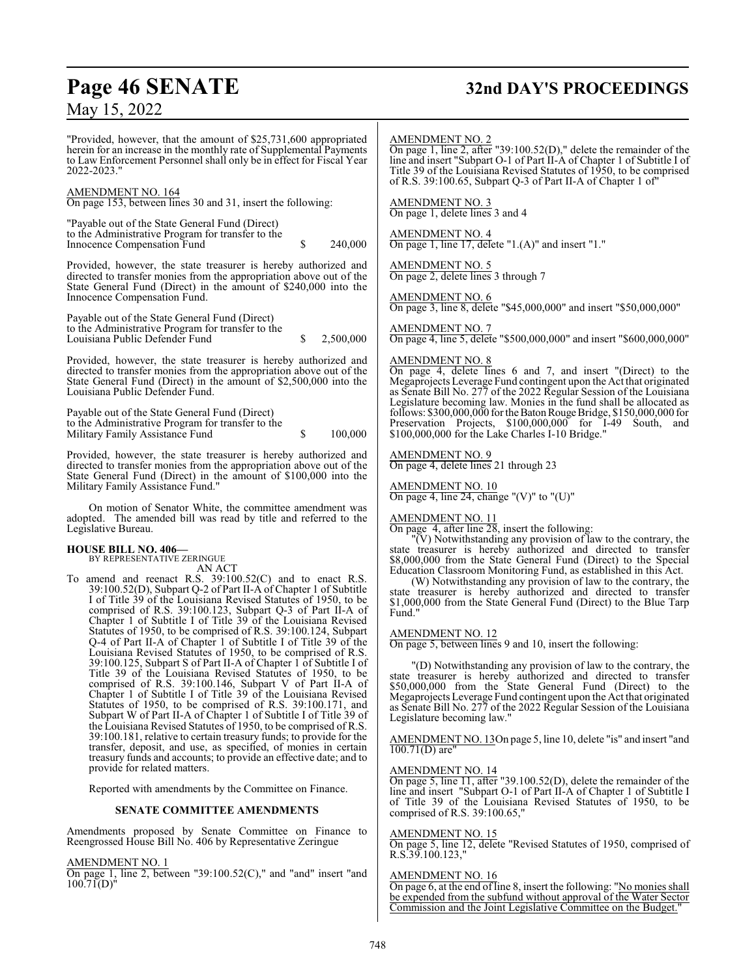# **Page 46 SENATE 32nd DAY'S PROCEEDINGS**

May 15, 2022

"Provided, however, that the amount of \$25,731,600 appropriated herein for an increase in the monthly rate of Supplemental Payments to Law Enforcement Personnel shall only be in effect for Fiscal Year 2022-2023."

#### AMENDMENT NO. 164

On page 153, between lines 30 and 31, insert the following:

"Payable out of the State General Fund (Direct) to the Administrative Program for transfer to the Innocence Compensation Fund  $\qquad \qquad$  \$ 240,000

Provided, however, the state treasurer is hereby authorized and directed to transfer monies from the appropriation above out of the State General Fund (Direct) in the amount of \$240,000 into the Innocence Compensation Fund.

Payable out of the State General Fund (Direct) to the Administrative Program for transfer to the Louisiana Public Defender Fund \$ 2,500,000

Provided, however, the state treasurer is hereby authorized and directed to transfer monies from the appropriation above out of the State General Fund (Direct) in the amount of \$2,500,000 into the Louisiana Public Defender Fund.

Payable out of the State General Fund (Direct) to the Administrative Program for transfer to the Military Family Assistance Fund  $\qquad \qquad$  \$ 100,000

Provided, however, the state treasurer is hereby authorized and directed to transfer monies from the appropriation above out of the State General Fund (Direct) in the amount of \$100,000 into the Military Family Assistance Fund."

On motion of Senator White, the committee amendment was adopted. The amended bill was read by title and referred to the Legislative Bureau.

#### **HOUSE BILL NO. 406—**

BY REPRESENTATIVE ZERINGUE

AN ACT

To amend and reenact R.S. 39:100.52(C) and to enact R.S. 39:100.52(D), Subpart Q-2 of Part II-A of Chapter 1 of Subtitle I of Title 39 of the Louisiana Revised Statutes of 1950, to be comprised of R.S. 39:100.123, Subpart Q-3 of Part II-A of Chapter 1 of Subtitle I of Title 39 of the Louisiana Revised Statutes of 1950, to be comprised of R.S. 39:100.124, Subpart Q-4 of Part II-A of Chapter 1 of Subtitle I of Title 39 of the Louisiana Revised Statutes of 1950, to be comprised of R.S. 39:100.125, Subpart S of Part II-A of Chapter 1 of Subtitle I of Title 39 of the Louisiana Revised Statutes of 1950, to be comprised of R.S. 39:100.146, Subpart V of Part II-A of Chapter 1 of Subtitle I of Title 39 of the Louisiana Revised Statutes of 1950, to be comprised of R.S. 39:100.171, and Subpart W of Part II-A of Chapter 1 of Subtitle I of Title 39 of the Louisiana Revised Statutes of 1950, to be comprised of R.S. 39:100.181, relative to certain treasury funds; to provide for the transfer, deposit, and use, as specified, of monies in certain treasury funds and accounts; to provide an effective date; and to provide for related matters.

Reported with amendments by the Committee on Finance.

#### **SENATE COMMITTEE AMENDMENTS**

Amendments proposed by Senate Committee on Finance to Reengrossed House Bill No. 406 by Representative Zeringue

### AMENDMENT NO. 1

On page 1, line 2, between "39:100.52(C)," and "and" insert "and  $100.71(D)$ "

#### AMENDMENT NO. 2

On page 1, line 2, after "39:100.52(D)," delete the remainder of the line and insert "Subpart O-1 of Part II-A of Chapter 1 of Subtitle I of Title 39 of the Louisiana Revised Statutes of 1950, to be comprised of R.S. 39:100.65, Subpart Q-3 of Part II-A of Chapter 1 of"

AMENDMENT NO. 3 On page 1, delete lines 3 and 4

AMENDMENT NO. 4 On page 1, line 17, delete "1.(A)" and insert "1."

AMENDMENT NO. 5 On page 2, delete lines 3 through 7

AMENDMENT NO. 6 On page 3, line 8, delete "\$45,000,000" and insert "\$50,000,000"

#### AMENDMENT NO. 7 On page 4, line 5, delete "\$500,000,000" and insert "\$600,000,000"

#### AMENDMENT NO. 8

On page 4, delete lines 6 and 7, and insert "(Direct) to the Megaprojects Leverage Fund contingent upon the Act that originated as Senate Bill No. 277 of the 2022 Regular Session of the Louisiana Legislature becoming law. Monies in the fund shall be allocated as follows: \$300,000,000 for the BatonRouge Bridge, \$150,000,000 for Preservation Projects, \$100,000,000 for I-49 South, and \$100,000,000 for the Lake Charles I-10 Bridge."

#### AMENDMENT NO. 9

On page 4, delete lines 21 through 23

#### AMENDMENT NO. 10

On page 4, line 24, change " $(V)$ " to " $(U)$ "

#### AMENDMENT NO. 11

On page 4, after line 28, insert the following:

"(V) Notwithstanding any provision of law to the contrary, the state treasurer is hereby authorized and directed to transfer \$8,000,000 from the State General Fund (Direct) to the Special Education Classroom Monitoring Fund, as established in this Act.

(W) Notwithstanding any provision of law to the contrary, the state treasurer is hereby authorized and directed to transfer \$1,000,000 from the State General Fund (Direct) to the Blue Tarp Fund."

#### AMENDMENT NO. 12

On page 5, between lines 9 and 10, insert the following:

"(D) Notwithstanding any provision of law to the contrary, the state treasurer is hereby authorized and directed to transfer \$50,000,000 from the State General Fund (Direct) to the Megaprojects Leverage Fund contingent upon the Act that originated as Senate Bill No. 277 of the 2022 Regular Session of the Louisiana Legislature becoming law."

AMENDMENT NO. 13On page 5, line 10, delete "is" and insert "and 100.71(D) are"

#### AMENDMENT NO. 14

On page 5, line 11, after "39.100.52(D), delete the remainder of the line and insert "Subpart O-1 of Part II-A of Chapter 1 of Subtitle I of Title 39 of the Louisiana Revised Statutes of 1950, to be comprised of R.S. 39:100.65,"

#### AMENDMENT NO. 15

On page 5, line 12, delete "Revised Statutes of 1950, comprised of R.S.39.100.123,"

#### AMENDMENT NO. 16

On page 6, at the end of line 8, insert the following: "No monies shall be expended from the subfund without approval of the Water Sector Commission and the Joint Legislative Committee on the Budget.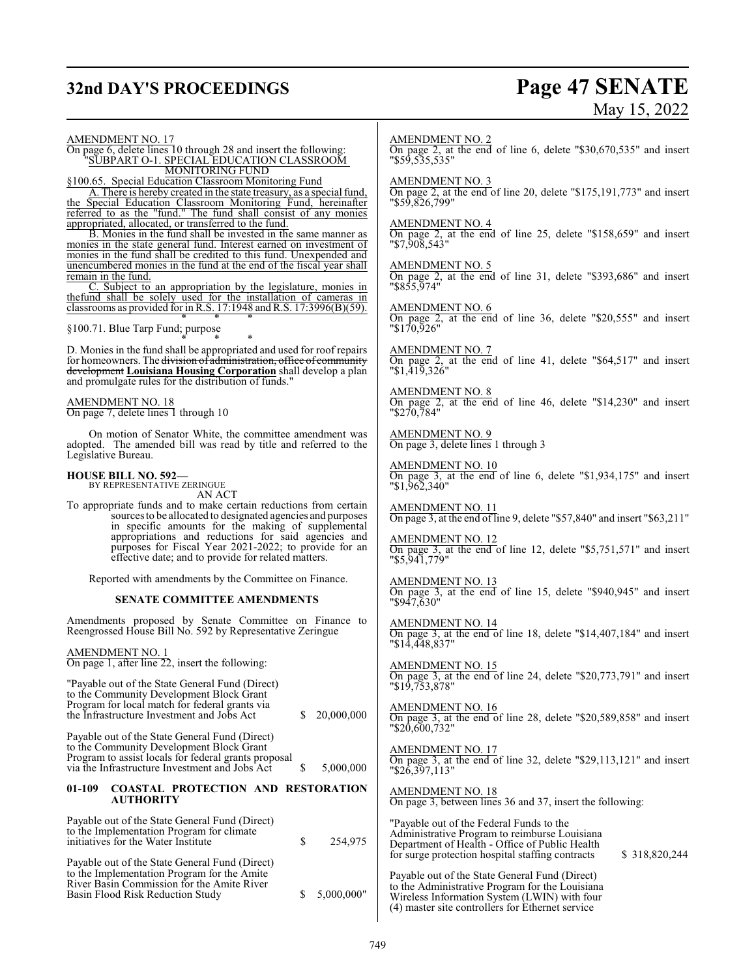# **32nd DAY'S PROCEEDINGS Page 47 SENATE**

# May 15, 2022

AMENDMENT NO. 17 On page 6, delete lines 10 through 28 and insert the following:

"SUBPART O-1. SPECIAL EDUCATION CLASSROOM MONITORING FUND

§100.65. Special Education Classroom Monitoring Fund

A. There is hereby created in the state treasury, as a special fund, the Special Education Classroom Monitoring Fund, hereinafter referred to as the "fund." The fund shall consist of any monies appropriated, allocated, or transferred to the fund.

B. Monies in the fund shall be invested in the same manner as monies in the state general fund. Interest earned on investment of monies in the fund shall be credited to this fund. Unexpended and unencumbered monies in the fund at the end of the fiscal year shall remain in the fund.

C. Subject to an appropriation by the legislature, monies in thefund shall be solely used for the installation of cameras in classrooms as provided for in R.S.  $17:1948$  and R.S.  $17:3996(B)(59)$ . \* \* \*

§100.71. Blue Tarp Fund; purpose

\* \* \* D. Monies in the fund shall be appropriated and used for roof repairs for homeowners. The division of administration, office of community development **Louisiana Housing Corporation** shall develop a plan and promulgate rules for the distribution of funds."

AMENDMENT NO. 18 On page 7, delete lines 1 through 10

On motion of Senator White, the committee amendment was adopted. The amended bill was read by title and referred to the Legislative Bureau.

## **HOUSE BILL NO. 592—**

BY REPRESENTATIVE ZERINGUE AN ACT

To appropriate funds and to make certain reductions from certain sources to be allocated to designated agencies and purposes in specific amounts for the making of supplemental appropriations and reductions for said agencies and purposes for Fiscal Year 2021-2022; to provide for an effective date; and to provide for related matters.

Reported with amendments by the Committee on Finance.

#### **SENATE COMMITTEE AMENDMENTS**

Amendments proposed by Senate Committee on Finance to Reengrossed House Bill No. 592 by Representative Zeringue

AMENDMENT NO. 1

On page 1, after line 22, insert the following:

| "Payable out of the State General Fund (Direct)"<br>to the Community Development Block Grant<br>Program for local match for federal grants via<br>the Infrastructure Investment and Jobs Act         | S | 20,000,000 |
|------------------------------------------------------------------------------------------------------------------------------------------------------------------------------------------------------|---|------------|
| Payable out of the State General Fund (Direct)<br>to the Community Development Block Grant<br>Program to assist locals for federal grants proposal<br>via the Infrastructure Investment and Jobs Act | S | 5,000,000  |
| <b>COASTAL PROTECTION AND RESTORATION</b><br>$01-109$<br><b>AUTHORITY</b>                                                                                                                            |   |            |
| Payable out of the State General Fund (Direct)<br>to the Implementation Program for climate<br>initiatives for the Water Institute                                                                   | S | 254,975    |

Payable out of the State General Fund (Direct) to the Implementation Program for the Amite River Basin Commission for the Amite River Basin Flood Risk Reduction Study \$ 5,000,000"

#### AMENDMENT NO. 2

On page 2, at the end of line 6, delete "\$30,670,535" and insert "\$59,535,535"

AMENDMENT NO. 3

On page 2, at the end of line 20, delete "\$175,191,773" and insert "\$59,826,799"

#### AMENDMENT NO. 4

On page 2, at the end of line 25, delete "\$158,659" and insert "\$7,908,543"

AMENDMENT NO. 5

On page 2, at the end of line 31, delete "\$393,686" and insert "\$855,974"

AMENDMENT NO. 6 On page 2, at the end of line 36, delete "\$20,555" and insert "\$170,926"

AMENDMENT NO. 7 On page 2, at the end of line 41, delete "\$64,517" and insert "\$1,419,326"

AMENDMENT NO. 8 On page 2, at the end of line 46, delete "\$14,230" and insert "\$270,784"

AMENDMENT NO. 9 On page 3, delete lines 1 through 3

AMENDMENT NO. 10 On page 3, at the end of line 6, delete "\$1,934,175" and insert "\$1,962,340"

AMENDMENT NO. 11 On page 3, at the end of line 9, delete "\$57,840" and insert "\$63,211"

AMENDMENT NO. 12 On page 3, at the end of line 12, delete "\$5,751,571" and insert "\$5,941,779"

AMENDMENT NO. 13 On page 3, at the end of line 15, delete "\$940,945" and insert "\$947,630"

AMENDMENT NO. 14 On page 3, at the end of line 18, delete "\$14,407,184" and insert "\$14,448,837"

AMENDMENT NO. 15 On page 3, at the end of line 24, delete "\$20,773,791" and insert "\$19,753,878"

AMENDMENT NO. 16 On page 3, at the end of line 28, delete "\$20,589,858" and insert "\$20,600,732"

AMENDMENT NO. 17 On page 3, at the end of line 32, delete "\$29,113,121" and insert "\$26,397,113"

AMENDMENT NO. 18 On page 3, between lines 36 and 37, insert the following:

"Payable out of the Federal Funds to the Administrative Program to reimburse Louisiana Department of Health - Office of Public Health for surge protection hospital staffing contracts \$ 318,820,244 Payable out of the State General Fund (Direct)

to the Administrative Program for the Louisiana Wireless Information System (LWIN) with four (4) master site controllers for Ethernet service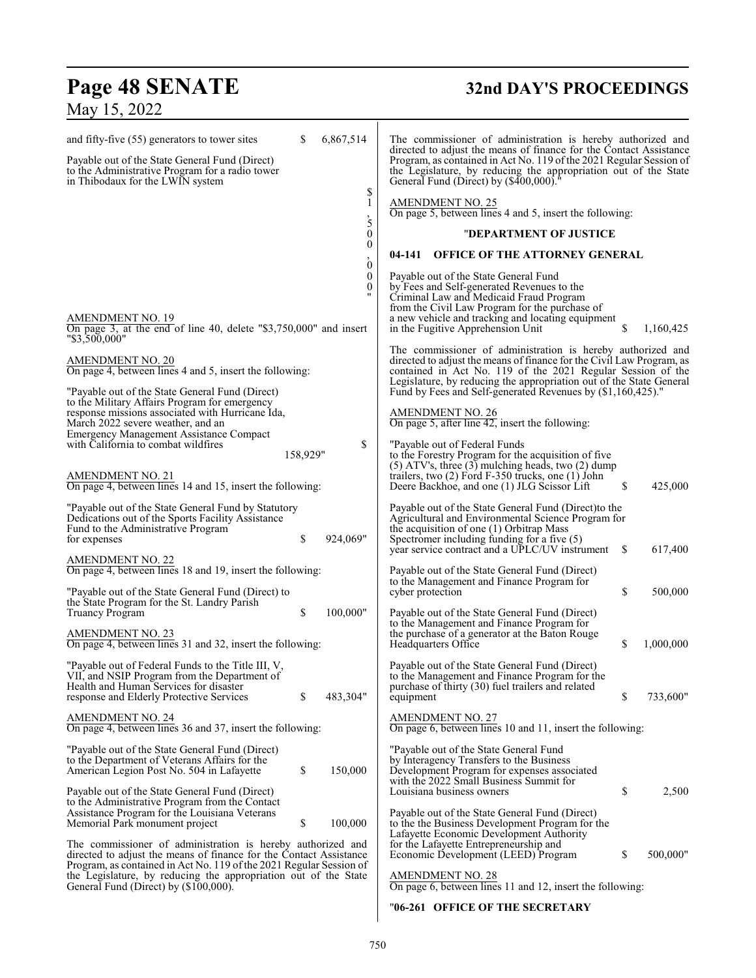# **Page 48 SENATE 32nd DAY'S PROCEEDINGS**

# May 15, 2022

| and fifty-five (55) generators to tower sites<br>Payable out of the State General Fund (Direct)                                                                                                                                            | S        | 6,867,514             | The commissioner of administration is hereby authorized and<br>directed to adjust the means of finance for the Contact Assistance<br>Program, as contained in Act No. 119 of the 2021 Regular Session of                                                                          |           |
|--------------------------------------------------------------------------------------------------------------------------------------------------------------------------------------------------------------------------------------------|----------|-----------------------|-----------------------------------------------------------------------------------------------------------------------------------------------------------------------------------------------------------------------------------------------------------------------------------|-----------|
| to the Administrative Program for a radio tower<br>in Thibodaux for the LWIN system                                                                                                                                                        |          | \$                    | the Legislature, by reducing the appropriation out of the State<br>General Fund (Direct) by (\$400,000)."                                                                                                                                                                         |           |
|                                                                                                                                                                                                                                            |          | 1<br>,<br>5           | <b>AMENDMENT NO. 25</b><br>On page 5, between lines 4 and 5, insert the following:                                                                                                                                                                                                |           |
|                                                                                                                                                                                                                                            |          | $\boldsymbol{0}$      | "DEPARTMENT OF JUSTICE                                                                                                                                                                                                                                                            |           |
|                                                                                                                                                                                                                                            |          | 0<br>$\dot{0}$        | <b>OFFICE OF THE ATTORNEY GENERAL</b><br>04-141                                                                                                                                                                                                                                   |           |
| AMENDMENT NO. 19<br>On page 3, at the end of line 40, delete $\degree$ \$3,750,000" and insert<br>"\$3,500,000"                                                                                                                            |          | $\boldsymbol{0}$<br>0 | Payable out of the State General Fund<br>by Fees and Self-generated Revenues to the<br>Criminal Law and Medicaid Fraud Program<br>from the Civil Law Program for the purchase of<br>a new vehicle and tracking and locating equipment<br>\$.<br>in the Fugitive Apprehension Unit | 1,160,425 |
| AMENDMENT NO. 20<br>On page 4, between lines 4 and 5, insert the following:                                                                                                                                                                |          |                       | The commissioner of administration is hereby authorized and<br>directed to adjust the means of finance for the Civil Law Program, as<br>contained in Act No. 119 of the 2021 Regular Session of the<br>Legislature, by reducing the appropriation out of the State General        |           |
| "Payable out of the State General Fund (Direct)<br>to the Military Affairs Program for emergency<br>response missions associated with Hurricane Ida,<br>March 2022 severe weather, and an                                                  |          |                       | Fund by Fees and Self-generated Revenues by (\$1,160,425)."<br><b>AMENDMENT NO. 26</b><br>On page 5, after line $42$ , insert the following:                                                                                                                                      |           |
| <b>Emergency Management Assistance Compact</b><br>with California to combat wildfires                                                                                                                                                      | 158,929" | \$                    | "Payable out of Federal Funds<br>to the Forestry Program for the acquisition of five<br>$(5)$ ATV's, three $(3)$ mulching heads, two $(2)$ dump                                                                                                                                   |           |
| <b>AMENDMENT NO. 21</b><br>On page 4, between lines 14 and 15, insert the following:                                                                                                                                                       |          |                       | trailers, two $(2)$ Ford F-350 trucks, one $(1)$ John<br>\$<br>Deere Backhoe, and one (1) JLG Scissor Lift                                                                                                                                                                        | 425,000   |
| "Payable out of the State General Fund by Statutory<br>Dedications out of the Sports Facility Assistance<br>Fund to the Administrative Program<br>for expenses                                                                             | \$       | 924,069"              | Payable out of the State General Fund (Direct) to the<br>Agricultural and Environmental Science Program for<br>the acquisition of one $(1)$ Orbitrap Mass<br>Spectromer including funding for a five $(5)$                                                                        |           |
| <b>AMENDMENT NO. 22</b><br>On page 4, between lines 18 and 19, insert the following:                                                                                                                                                       |          |                       | year service contract and a UPLC/UV instrument<br>\$<br>Payable out of the State General Fund (Direct)                                                                                                                                                                            | 617,400   |
| "Payable out of the State General Fund (Direct) to<br>the State Program for the St. Landry Parish                                                                                                                                          |          |                       | to the Management and Finance Program for<br>\$<br>cyber protection                                                                                                                                                                                                               | 500,000   |
| <b>Truancy Program</b><br><b>AMENDMENT NO. 23</b><br>On page 4, between lines 31 and 32, insert the following:                                                                                                                             | \$       | 100,000"              | Payable out of the State General Fund (Direct)<br>to the Management and Finance Program for<br>the purchase of a generator at the Baton Rouge<br>\$<br>Headquarters Office                                                                                                        | 1,000,000 |
| "Payable out of Federal Funds to the Title III, V,<br>VII, and NSIP Program from the Department of<br>Health and Human Services for disaster<br>response and Elderly Protective Services                                                   | \$       | 483,304"              | Payable out of the State General Fund (Direct)<br>to the Management and Finance Program for the<br>purchase of thirty (30) fuel trailers and related<br>\$<br>equipment                                                                                                           | 733,600"  |
| AMENDMENT NO. 24<br>On page 4, between lines 36 and 37, insert the following:                                                                                                                                                              |          |                       | <b>AMENDMENT NO. 27</b><br>On page 6, between lines 10 and 11, insert the following:                                                                                                                                                                                              |           |
| "Payable out of the State General Fund (Direct)<br>to the Department of Veterans Affairs for the<br>American Legion Post No. 504 in Lafayette                                                                                              | \$       | 150,000               | "Payable out of the State General Fund<br>by Interagency Transfers to the Business<br>Development Program for expenses associated<br>with the 2022 Small Business Summit for                                                                                                      |           |
| Payable out of the State General Fund (Direct)<br>to the Administrative Program from the Contact<br>Assistance Program for the Louisiana Veterans                                                                                          | \$       | 100,000               | \$<br>Louisiana business owners<br>Payable out of the State General Fund (Direct)                                                                                                                                                                                                 | 2,500     |
| Memorial Park monument project<br>The commissioner of administration is hereby authorized and<br>directed to adjust the means of finance for the Contact Assistance<br>Program, as contained in Act No. 119 of the 2021 Regular Session of |          |                       | to the the Business Development Program for the<br>Lafayette Economic Development Authority<br>for the Lafayette Entrepreneurship and<br>\$<br>Economic Development (LEED) Program                                                                                                | 500,000"  |
| the Legislature, by reducing the appropriation out of the State<br>General Fund (Direct) by (\$100,000).                                                                                                                                   |          |                       | <b>AMENDMENT NO. 28</b><br>On page 6, between lines 11 and 12, insert the following:                                                                                                                                                                                              |           |

## "**06-261 OFFICE OF THE SECRETARY**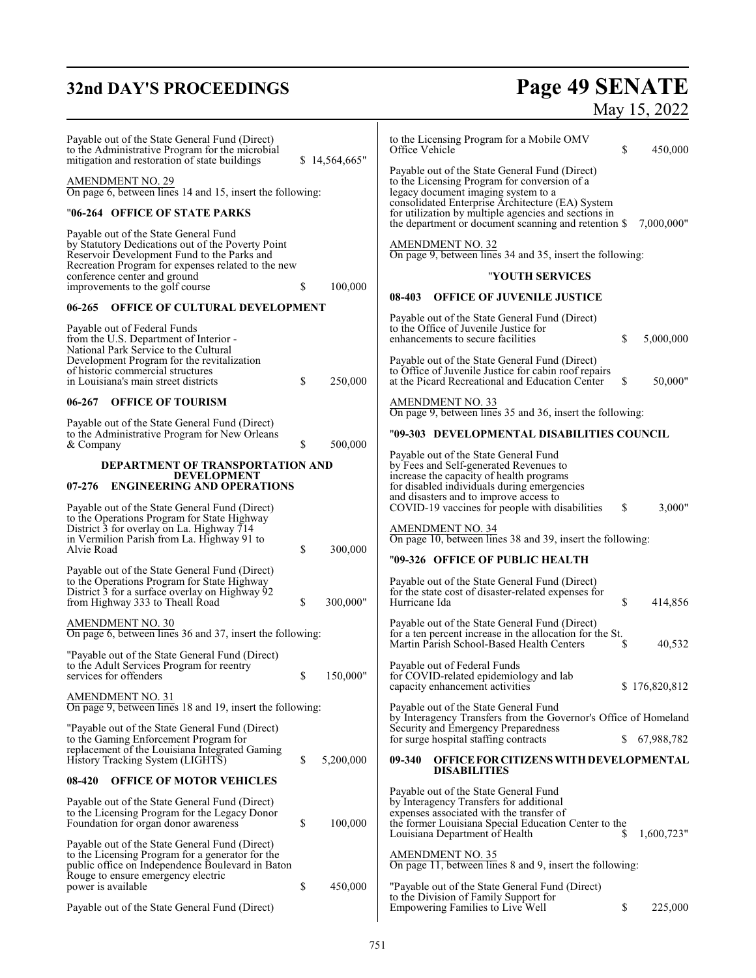# **32nd DAY'S PROCEEDINGS**

# **Page 49 SENATE**<br>May 15, 2022

| Payable out of the State General Fund (Direct)<br>to the Administrative Program for the microbial<br>mitigation and restoration of state buildings                                              | \$14,564,665"   | to the Licensing Program for a Mobile OMV<br>Office Vehicle<br>\$<br>450,000                                                                                                                                                              |
|-------------------------------------------------------------------------------------------------------------------------------------------------------------------------------------------------|-----------------|-------------------------------------------------------------------------------------------------------------------------------------------------------------------------------------------------------------------------------------------|
| <b>AMENDMENT NO. 29</b><br>On page 6, between lines 14 and 15, insert the following:                                                                                                            |                 | Payable out of the State General Fund (Direct)<br>to the Licensing Program for conversion of a<br>legacy document imaging system to a<br>consolidated Enterprise Architecture (EA) System                                                 |
| "06-264   OFFICE OF STATE PARKS                                                                                                                                                                 |                 | for utilization by multiple agencies and sections in<br>the department or document scanning and retention \$<br>7,000,000"                                                                                                                |
| Payable out of the State General Fund<br>by Statutory Dedications out of the Poverty Point<br>Reservoir Development Fund to the Parks and<br>Recreation Program for expenses related to the new |                 | <b>AMENDMENT NO. 32</b><br>On page 9, between lines 34 and 35, insert the following:                                                                                                                                                      |
| conference center and ground                                                                                                                                                                    |                 | "YOUTH SERVICES                                                                                                                                                                                                                           |
| improvements to the golf course                                                                                                                                                                 | \$<br>100,000   | <b>OFFICE OF JUVENILE JUSTICE</b><br>08-403                                                                                                                                                                                               |
| OFFICE OF CULTURAL DEVELOPMENT<br>$06 - 265$                                                                                                                                                    |                 | Payable out of the State General Fund (Direct)                                                                                                                                                                                            |
| Payable out of Federal Funds<br>from the U.S. Department of Interior -<br>National Park Service to the Cultural                                                                                 |                 | to the Office of Juvenile Justice for<br>S<br>enhancements to secure facilities<br>5,000,000                                                                                                                                              |
| Development Program for the revitalization<br>of historic commercial structures<br>in Louisiana's main street districts                                                                         | \$<br>250,000   | Payable out of the State General Fund (Direct)<br>to Office of Juvenile Justice for cabin roof repairs<br>50,000"<br>at the Picard Recreational and Education Center<br>\$                                                                |
| $06 - 267$<br><b>OFFICE OF TOURISM</b>                                                                                                                                                          |                 | <b>AMENDMENT NO. 33</b><br>On page 9, between lines 35 and 36, insert the following:                                                                                                                                                      |
| Payable out of the State General Fund (Direct)<br>to the Administrative Program for New Orleans                                                                                                 |                 | "09-303 DEVELOPMENTAL DISABILITIES COUNCIL                                                                                                                                                                                                |
| & Company                                                                                                                                                                                       | \$<br>500,000   | Payable out of the State General Fund                                                                                                                                                                                                     |
| DEPARTMENT OF TRANSPORTATION AND<br><b>DEVELOPMENT</b><br><b>ENGINEERING AND OPERATIONS</b><br>$07 - 276$                                                                                       |                 | by Fees and Self-generated Revenues to<br>increase the capacity of health programs<br>for disabled individuals during emergencies<br>and disasters and to improve access to                                                               |
| Payable out of the State General Fund (Direct)<br>to the Operations Program for State Highway<br>District 3 for overlay on La. Highway 714                                                      |                 | \$<br>3,000"<br>COVID-19 vaccines for people with disabilities<br><b>AMENDMENT NO. 34</b>                                                                                                                                                 |
| in Vermilion Parish from La. Highway 91 to<br>Alvie Road                                                                                                                                        | \$<br>300,000   | On page 10, between lines 38 and 39, insert the following:                                                                                                                                                                                |
| Payable out of the State General Fund (Direct)                                                                                                                                                  |                 | "09-326   OFFICE OF PUBLIC HEALTH                                                                                                                                                                                                         |
| to the Operations Program for State Highway<br>District 3 for a surface overlay on Highway 92<br>from Highway 333 to Theall Road                                                                | \$<br>300,000"  | Payable out of the State General Fund (Direct)<br>for the state cost of disaster-related expenses for<br>\$<br>414,856<br>Hurricane Ida                                                                                                   |
| <b>AMENDMENT NO. 30</b><br>On page 6, between lines 36 and 37, insert the following:                                                                                                            |                 | Payable out of the State General Fund (Direct)<br>for a ten percent increase in the allocation for the St.<br>Martin Parish School-Based Health Centers<br>40,532<br>-S                                                                   |
| "Payable out of the State General Fund (Direct)<br>to the Adult Services Program for reentry<br>services for offenders                                                                          | \$<br>150,000"  | Payable out of Federal Funds<br>for COVID-related epidemiology and lab<br>capacity enhancement activities<br>\$176,820,812                                                                                                                |
| <b>AMENDMENT NO. 31</b><br>On page 9, between lines 18 and 19, insert the following:                                                                                                            |                 | Payable out of the State General Fund<br>by Interagency Transfers from the Governor's Office of Homeland                                                                                                                                  |
| "Payable out of the State General Fund (Direct)<br>to the Gaming Enforcement Program for                                                                                                        |                 | Security and Emergency Preparedness<br>for surge hospital staffing contracts<br>S.<br>67,988,782                                                                                                                                          |
| replacement of the Louisiana Integrated Gaming<br>History Tracking System (LIGHTS)                                                                                                              | \$<br>5,200,000 | OFFICE FOR CITIZENS WITH DEVELOPMENTAL<br>09-340                                                                                                                                                                                          |
| 08-420<br><b>OFFICE OF MOTOR VEHICLES</b>                                                                                                                                                       |                 | <b>DISABILITIES</b>                                                                                                                                                                                                                       |
| Payable out of the State General Fund (Direct)<br>to the Licensing Program for the Legacy Donor<br>Foundation for organ donor awareness                                                         | \$<br>100,000   | Payable out of the State General Fund<br>by Interagency Transfers for additional<br>expenses associated with the transfer of<br>the former Louisiana Special Education Center to the<br>1,600,723"<br>Louisiana Department of Health<br>S |
| Payable out of the State General Fund (Direct)<br>to the Licensing Program for a generator for the<br>public office on Independence Boulevard in Baton                                          |                 | <b>AMENDMENT NO. 35</b><br>On page 11, between lines 8 and 9, insert the following:                                                                                                                                                       |
| Rouge to ensure emergency electric<br>power is available                                                                                                                                        | \$<br>450,000   | "Payable out of the State General Fund (Direct)<br>to the Division of Family Support for                                                                                                                                                  |
| Payable out of the State General Fund (Direct)                                                                                                                                                  |                 | \$<br>225,000<br>Empowering Families to Live Well                                                                                                                                                                                         |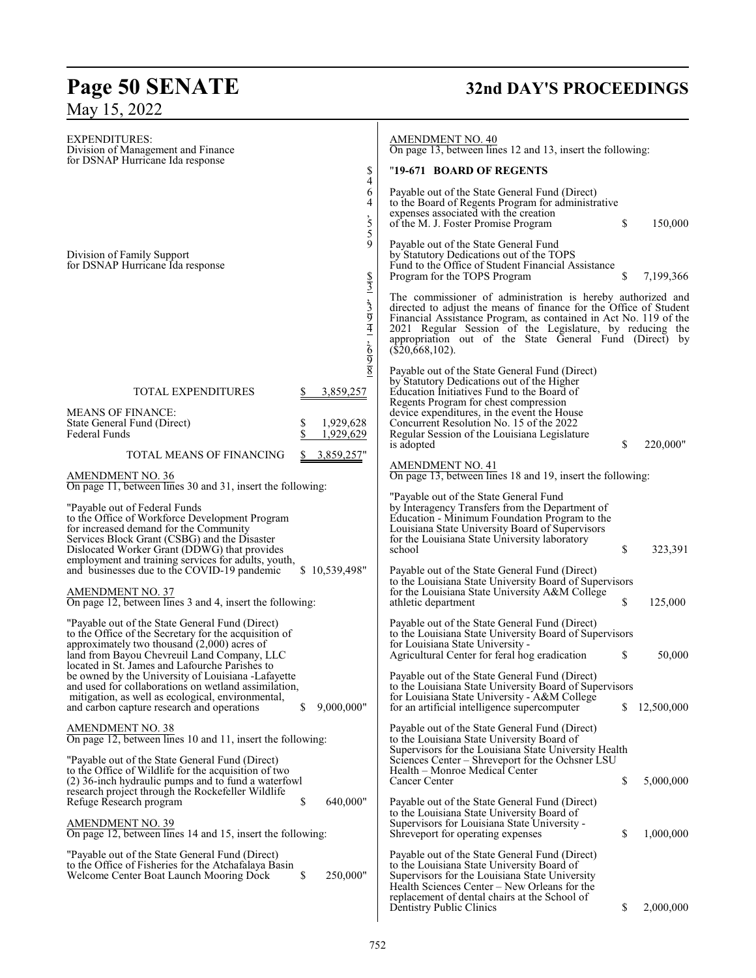# **Page 50 SENATE 32nd DAY'S PROCEEDINGS** May 15, 2022

| <b>EXPENDITURES:</b><br>Division of Management and Finance<br>for DSNAP Hurricane Ida response                                                                                                                                                                                   | \$                                                  | <b>AMENDMENT NO. 40</b><br>On page 13, between lines 12 and 13, insert the following:<br>"19-671 BOARD OF REGENTS                                                                                                                                                                                                                                 |    |              |
|----------------------------------------------------------------------------------------------------------------------------------------------------------------------------------------------------------------------------------------------------------------------------------|-----------------------------------------------------|---------------------------------------------------------------------------------------------------------------------------------------------------------------------------------------------------------------------------------------------------------------------------------------------------------------------------------------------------|----|--------------|
|                                                                                                                                                                                                                                                                                  | 4<br>6<br>4<br>$\frac{1}{5}$<br>5                   | Payable out of the State General Fund (Direct)<br>to the Board of Regents Program for administrative<br>expenses associated with the creation<br>of the M. J. Foster Promise Program                                                                                                                                                              | \$ | 150,000      |
| Division of Family Support<br>for DSNAP Hurricane Ida response                                                                                                                                                                                                                   | 9                                                   | Payable out of the State General Fund<br>by Statutory Dedications out of the TOPS<br>Fund to the Office of Student Financial Assistance<br>Program for the TOPS Program                                                                                                                                                                           | S  | 7,199,366    |
|                                                                                                                                                                                                                                                                                  | $\frac{$37}{3}$ , $\frac{$37}{3}$ , $\frac{$78}{3}$ | The commissioner of administration is hereby authorized and<br>directed to adjust the means of finance for the Office of Student<br>Financial Assistance Program, as contained in Act No. 119 of the<br>2021 Regular Session of the Legislature, by reducing the<br>appropriation out of the State General Fund (Direct) by<br>$(\$20,668,102)$ . |    |              |
| TOTAL EXPENDITURES                                                                                                                                                                                                                                                               | 3,859,257                                           | Payable out of the State General Fund (Direct)<br>by Statutory Dedications out of the Higher<br>Education Initiatives Fund to the Board of<br>Regents Program for chest compression                                                                                                                                                               |    |              |
| <b>MEANS OF FINANCE:</b><br>State General Fund (Direct)<br>Federal Funds                                                                                                                                                                                                         | \$<br>1,929,628<br>\$<br>1,929,629                  | device expenditures, in the event the House<br>Concurrent Resolution No. 15 of the 2022<br>Regular Session of the Louisiana Legislature<br>is adopted                                                                                                                                                                                             | \$ | 220,000"     |
| TOTAL MEANS OF FINANCING<br><b>AMENDMENT NO. 36</b>                                                                                                                                                                                                                              | 3,859,257"                                          | <b>AMENDMENT NO. 41</b><br>On page 13, between lines 18 and 19, insert the following:                                                                                                                                                                                                                                                             |    |              |
| On page 11, between lines 30 and 31, insert the following:                                                                                                                                                                                                                       |                                                     |                                                                                                                                                                                                                                                                                                                                                   |    |              |
| "Payable out of Federal Funds<br>to the Office of Workforce Development Program<br>for increased demand for the Community<br>Services Block Grant (CSBG) and the Disaster<br>Dislocated Worker Grant (DDWG) that provides<br>employment and training services for adults, youth, |                                                     | "Payable out of the State General Fund<br>by Interagency Transfers from the Department of<br>Education - Minimum Foundation Program to the<br>Louisiana State University Board of Supervisors<br>for the Louisiana State University laboratory<br>school                                                                                          | \$ | 323,391      |
| and businesses due to the COVID-19 pandemic<br><b>AMENDMENT NO. 37</b><br>On page 12, between lines 3 and 4, insert the following:                                                                                                                                               | \$10,539,498"                                       | Payable out of the State General Fund (Direct)<br>to the Louisiana State University Board of Supervisors<br>for the Louisiana State University A&M College<br>athletic department                                                                                                                                                                 | \$ | 125,000      |
| "Payable out of the State General Fund (Direct)<br>to the Office of the Secretary for the acquisition of<br>approximately two thousand (2,000) acres of<br>land from Bayou Chevreuil Land Company, LLC                                                                           |                                                     | Payable out of the State General Fund (Direct)<br>to the Louisiana State University Board of Supervisors<br>for Louisiana State University -<br>Agricultural Center for feral hog eradication                                                                                                                                                     | \$ | 50,000       |
| located in St. James and Lafourche Parishes to<br>be owned by the University of Louisiana -Lafayette<br>and used for collaborations on wetland assimilation,<br>mitigation, as well as ecological, environmental,<br>and carbon capture research and operations                  | 9,000,000"<br>\$                                    | Payable out of the State General Fund (Direct)<br>to the Louisiana State University Board of Supervisors<br>for Louisiana State University - A&M College<br>for an artificial intelligence supercomputer                                                                                                                                          |    | \$12,500,000 |
| <b>AMENDMENT NO. 38</b><br>On page 12, between lines 10 and 11, insert the following:                                                                                                                                                                                            |                                                     | Payable out of the State General Fund (Direct)<br>to the Louisiana State University Board of<br>Supervisors for the Louisiana State University Health                                                                                                                                                                                             |    |              |
| "Payable out of the State General Fund (Direct)<br>to the Office of Wildlife for the acquisition of two<br>(2) 36-inch hydraulic pumps and to fund a waterfowl<br>research project through the Rockefeller Wildlife                                                              |                                                     | Sciences Center – Shreveport for the Ochsner LSU<br>Health – Monroe Medical Center<br>Cancer Center                                                                                                                                                                                                                                               | \$ | 5,000,000    |
| Refuge Research program<br><b>AMENDMENT NO. 39</b><br>On page 12, between lines 14 and 15, insert the following:                                                                                                                                                                 | \$<br>640,000"                                      | Payable out of the State General Fund (Direct)<br>to the Louisiana State University Board of<br>Supervisors for Louisiana State University -<br>Shreveport for operating expenses                                                                                                                                                                 | \$ | 1,000,000    |
| "Payable out of the State General Fund (Direct)<br>to the Office of Fisheries for the Atchatalaya Basin<br>Welcome Center Boat Launch Mooring Dock                                                                                                                               | 250,000"<br>\$                                      | Payable out of the State General Fund (Direct)<br>to the Louisiana State University Board of<br>Supervisors for the Louisiana State University<br>Health Sciences Center – New Orleans for the                                                                                                                                                    |    |              |
|                                                                                                                                                                                                                                                                                  |                                                     | replacement of dental chairs at the School of<br>Dentistry Public Clinics                                                                                                                                                                                                                                                                         | \$ | 2,000,000    |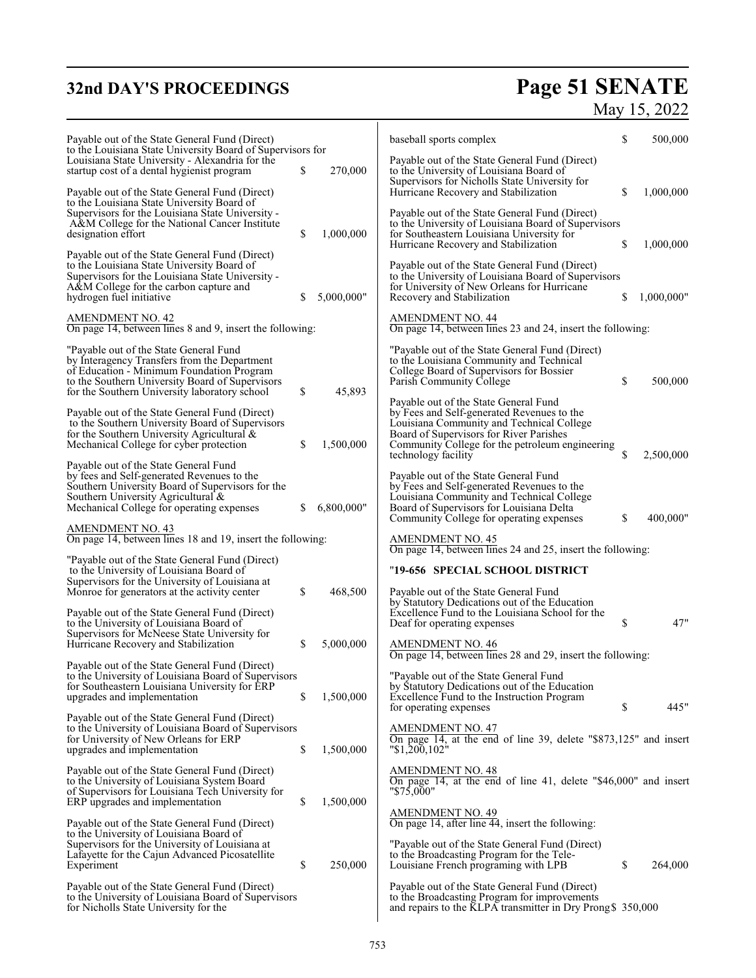# **32nd DAY'S PROCEEDINGS Page 51 SENATE**

| v<br>ıя |  |
|---------|--|
|         |  |

| Payable out of the State General Fund (Direct)<br>to the Louisiana State University Board of Supervisors for                                           |    |            | baseball sports complex                                                                                                                                                         | \$<br>500,000    |
|--------------------------------------------------------------------------------------------------------------------------------------------------------|----|------------|---------------------------------------------------------------------------------------------------------------------------------------------------------------------------------|------------------|
| Louisiana State University - Alexandria for the<br>startup cost of a dental hygienist program                                                          | \$ | 270,000    | Payable out of the State General Fund (Direct)<br>to the University of Louisiana Board of<br>Supervisors for Nicholls State University for                                      |                  |
| Payable out of the State General Fund (Direct)<br>to the Louisiana State University Board of<br>Supervisors for the Louisiana State University -       |    |            | Hurricane Recovery and Stabilization<br>Payable out of the State General Fund (Direct)                                                                                          | \$<br>1,000,000  |
| A&M College for the National Cancer Institute<br>designation effort                                                                                    | \$ | 1,000,000  | to the University of Louisiana Board of Supervisors<br>for Southeastern Louisiana University for                                                                                | \$<br>1,000,000  |
| Payable out of the State General Fund (Direct)<br>to the Louisiana State University Board of                                                           |    |            | Hurricane Recovery and Stabilization<br>Payable out of the State General Fund (Direct)                                                                                          |                  |
| Supervisors for the Louisiana State University -<br>A&M College for the carbon capture and<br>hydrogen fuel initiative                                 |    | 5,000,000" | to the University of Louisiana Board of Supervisors<br>for University of New Orleans for Hurricane<br>Recovery and Stabilization                                                | \$<br>1,000,000" |
| <b>AMENDMENT NO. 42</b><br>On page 14, between lines 8 and 9, insert the following:                                                                    |    |            | <b>AMENDMENT NO. 44</b><br>On page 14, between lines 23 and 24, insert the following:                                                                                           |                  |
| "Payable out of the State General Fund"<br>by Interagency Transfers from the Department                                                                |    |            | "Payable out of the State General Fund (Direct)<br>to the Louisiana Community and Technical                                                                                     |                  |
| of Education - Minimum Foundation Program<br>to the Southern University Board of Supervisors<br>for the Southern University laboratory school          | \$ | 45,893     | College Board of Supervisors for Bossier<br>Parish Community College                                                                                                            | \$<br>500,000    |
| Payable out of the State General Fund (Direct)<br>to the Southern University Board of Supervisors                                                      |    |            | Payable out of the State General Fund<br>by Fees and Self-generated Revenues to the<br>Louisiana Community and Technical College                                                |                  |
| for the Southern University Agricultural &<br>Mechanical College for cyber protection                                                                  | \$ | 1,500,000  | Board of Supervisors for River Parishes<br>Community College for the petroleum engineering<br>technology facility                                                               | \$<br>2,500,000  |
| Payable out of the State General Fund<br>by fees and Self-generated Revenues to the                                                                    |    |            | Payable out of the State General Fund                                                                                                                                           |                  |
| Southern University Board of Supervisors for the<br>Southern University Agricultural &<br>Mechanical College for operating expenses                    | S. | 6,800,000" | by Fees and Self-generated Revenues to the<br>Louisiana Community and Technical College<br>Board of Supervisors for Louisiana Delta<br>Community College for operating expenses | \$<br>400,000"   |
| AMENDMENT NO. 43<br>On page 14, between lines 18 and 19, insert the following:                                                                         |    |            | <b>AMENDMENT NO. 45</b><br>On page 14, between lines 24 and 25, insert the following:                                                                                           |                  |
| "Payable out of the State General Fund (Direct)<br>to the University of Louisiana Board of                                                             |    |            | "19-656   SPECIAL SCHOOL DISTRICT                                                                                                                                               |                  |
| Supervisors for the University of Louisiana at<br>Monroe for generators at the activity center                                                         | \$ | 468,500    | Payable out of the State General Fund<br>by Statutory Dedications out of the Education                                                                                          |                  |
| Payable out of the State General Fund (Direct)<br>to the University of Louisiana Board of                                                              |    |            | Excellence Fund to the Louisiana School for the<br>Deaf for operating expenses                                                                                                  | \$<br>47"        |
| Supervisors for McNeese State University for<br>Hurricane Recovery and Stabilization                                                                   | \$ | 5,000,000  | <b>AMENDMENT NO. 46</b><br>On page 14, between lines 28 and 29, insert the following:                                                                                           |                  |
| Payable out of the State General Fund (Direct)<br>to the University of Louisiana Board of Supervisors<br>for Southeastern Louisiana University for ERP |    |            | "Payable out of the State General Fund<br>by Statutory Dedications out of the Education                                                                                         |                  |
| upgrades and implementation                                                                                                                            | \$ | 1,500,000  | Excellence Fund to the Instruction Program<br>for operating expenses                                                                                                            | \$<br>445"       |
| Payable out of the State General Fund (Direct)<br>to the University of Louisiana Board of Supervisors<br>for University of New Orleans for ERP         |    |            | <b>AMENDMENT NO. 47</b><br>On page 14, at the end of line 39, delete "\$873,125" and insert                                                                                     |                  |
| upgrades and implementation<br>Payable out of the State General Fund (Direct)                                                                          | \$ | 1,500,000  | "\$1,200,102"<br><b>AMENDMENT NO. 48</b>                                                                                                                                        |                  |
| to the University of Louisiana System Board<br>of Supervisors for Louisiana Tech University for<br>ERP upgrades and implementation                     | \$ | 1,500,000  | On page 14, at the end of line 41, delete "\$46,000" and insert<br>"\$75,000"                                                                                                   |                  |
| Payable out of the State General Fund (Direct)<br>to the University of Louisiana Board of                                                              |    |            | <b>AMENDMENT NO. 49</b><br>On page 14, after line 44, insert the following:                                                                                                     |                  |
| Supervisors for the University of Louisiana at<br>Lafayette for the Cajun Advanced Picosatellite<br>Experiment                                         | \$ | 250,000    | "Payable out of the State General Fund (Direct)<br>to the Broadcasting Program for the Tele-<br>Louisiane French programing with LPB                                            | \$<br>264,000    |
| Payable out of the State General Fund (Direct)<br>to the University of Louisiana Board of Supervisors<br>for Nicholls State University for the         |    |            | Payable out of the State General Fund (Direct)<br>to the Broadcasting Program for improvements<br>and repairs to the KLPA transmitter in Dry Prong \$350,000                    |                  |
|                                                                                                                                                        |    |            |                                                                                                                                                                                 |                  |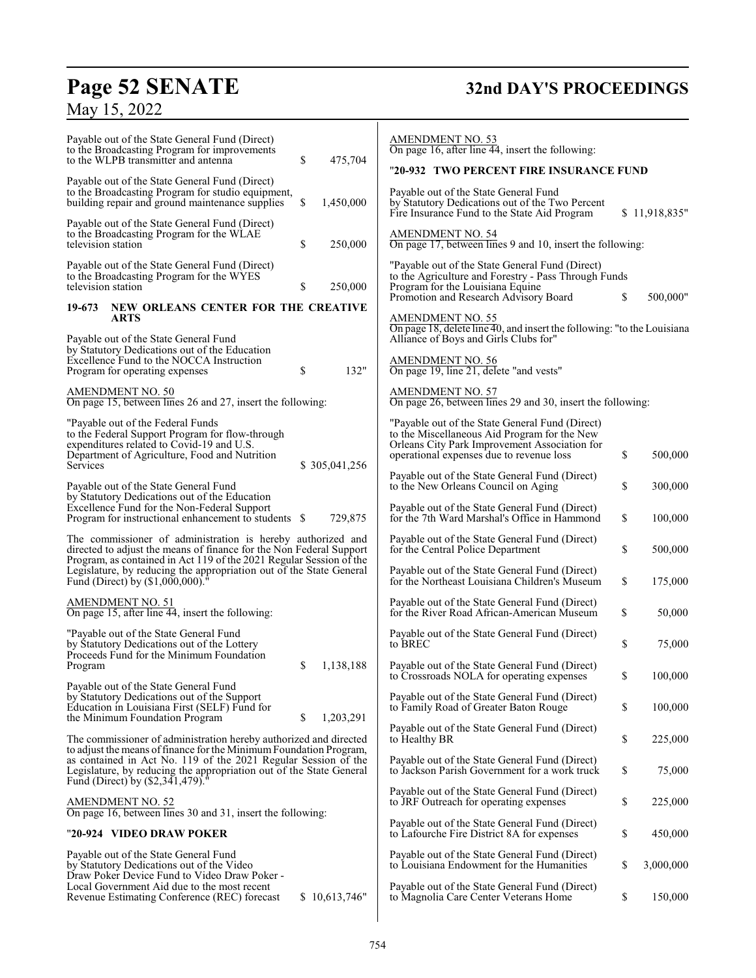# **Page 52 SENATE**<br>May 15, 2022

# **32nd DAY'S PROCEEDINGS**

| Payable out of the State General Fund (Direct)<br>to the Broadcasting Program for improvements<br>\$<br>to the WLPB transmitter and antenna<br>475,704<br>Payable out of the State General Fund (Direct)<br>to the Broadcasting Program for studio equipment,<br>\$<br>building repair and ground maintenance supplies<br>1,450,000<br>Payable out of the State General Fund (Direct)<br>to the Broadcasting Program for the WLAE<br>\$<br>television station<br>250,000<br>Payable out of the State General Fund (Direct)<br>to the Broadcasting Program for the WYES<br>\$<br>television station<br>250,000<br>NEW ORLEANS CENTER FOR THE CREATIVE<br>19-673<br><b>ARTS</b> | <b>AMENDMENT NO. 53</b><br>On page 16, after line 44, insert the following:<br>"20-932 TWO PERCENT FIRE INSURANCE FUND<br>Payable out of the State General Fund<br>by Statutory Dedications out of the Two Percent<br>\$11,918,835"<br>Fire Insurance Fund to the State Aid Program<br><b>AMENDMENT NO. 54</b><br>On page 17, between lines 9 and 10, insert the following:<br>"Payable out of the State General Fund (Direct)<br>to the Agriculture and Forestry - Pass Through Funds<br>Program for the Louisiana Equine<br>Promotion and Research Advisory Board<br>\$<br>500,000"<br><b>AMENDMENT NO. 55</b><br>On page 18, delete line 40, and insert the following: "to the Louisiana" |
|-------------------------------------------------------------------------------------------------------------------------------------------------------------------------------------------------------------------------------------------------------------------------------------------------------------------------------------------------------------------------------------------------------------------------------------------------------------------------------------------------------------------------------------------------------------------------------------------------------------------------------------------------------------------------------|----------------------------------------------------------------------------------------------------------------------------------------------------------------------------------------------------------------------------------------------------------------------------------------------------------------------------------------------------------------------------------------------------------------------------------------------------------------------------------------------------------------------------------------------------------------------------------------------------------------------------------------------------------------------------------------------|
| Payable out of the State General Fund<br>by Statutory Dedications out of the Education<br>Excellence Fund to the NOCCA Instruction<br>132"<br>\$<br>Program for operating expenses<br>AMENDMENT NO. 50<br>On page 15, between lines 26 and 27, insert the following:                                                                                                                                                                                                                                                                                                                                                                                                          | Alliance of Boys and Girls Clubs for"<br><b>AMENDMENT NO. 56</b><br>On page 19, line 21, delete "and vests"<br>AMENDMENT NO. 57<br>On page 26, between lines 29 and 30, insert the following:                                                                                                                                                                                                                                                                                                                                                                                                                                                                                                |
| "Payable out of the Federal Funds<br>to the Federal Support Program for flow-through<br>expenditures related to Covid-19 and U.S.<br>Department of Agriculture, Food and Nutrition<br>Services<br>\$ 305,041,256                                                                                                                                                                                                                                                                                                                                                                                                                                                              | "Payable out of the State General Fund (Direct)<br>to the Miscellaneous Aid Program for the New<br>Orleans City Park Improvement Association for<br>\$<br>operational expenses due to revenue loss<br>500,000                                                                                                                                                                                                                                                                                                                                                                                                                                                                                |
| Payable out of the State General Fund<br>by Statutory Dedications out of the Education<br>Excellence Fund for the Non-Federal Support<br>729,875<br>Program for instructional enhancement to students \$                                                                                                                                                                                                                                                                                                                                                                                                                                                                      | Payable out of the State General Fund (Direct)<br>\$<br>to the New Orleans Council on Aging<br>300,000<br>Payable out of the State General Fund (Direct)<br>\$<br>for the 7th Ward Marshal's Office in Hammond<br>100,000                                                                                                                                                                                                                                                                                                                                                                                                                                                                    |
| The commissioner of administration is hereby authorized and<br>directed to adjust the means of finance for the Non Federal Support<br>Program, as contained in Act 119 of the 2021 Regular Session of the<br>Legislature, by reducing the appropriation out of the State General<br>Fund (Direct) by $(\$1,000,000)$ <sup>"</sup>                                                                                                                                                                                                                                                                                                                                             | Payable out of the State General Fund (Direct)<br>\$<br>for the Central Police Department<br>500,000<br>Payable out of the State General Fund (Direct)<br>for the Northeast Louisiana Children's Museum<br>\$<br>175,000                                                                                                                                                                                                                                                                                                                                                                                                                                                                     |
| <b>AMENDMENT NO. 51</b><br>On page 15, after line 44, insert the following:                                                                                                                                                                                                                                                                                                                                                                                                                                                                                                                                                                                                   | Payable out of the State General Fund (Direct)<br>for the River Road African-American Museum<br>\$<br>50,000                                                                                                                                                                                                                                                                                                                                                                                                                                                                                                                                                                                 |
| "Payable out of the State General Fund<br>by Statutory Dedications out of the Lottery<br>Proceeds Fund for the Minimum Foundation                                                                                                                                                                                                                                                                                                                                                                                                                                                                                                                                             | Payable out of the State General Fund (Direct)<br>to BREC<br>\$<br>75,000                                                                                                                                                                                                                                                                                                                                                                                                                                                                                                                                                                                                                    |
| \$<br>Program<br>1,138,188<br>Payable out of the State General Fund                                                                                                                                                                                                                                                                                                                                                                                                                                                                                                                                                                                                           | Payable out of the State General Fund (Direct)<br>\$<br>100,000<br>to Crossroads NOLA for operating expenses                                                                                                                                                                                                                                                                                                                                                                                                                                                                                                                                                                                 |
| by Statutory Dedications out of the Support<br>Education in Louisiana First (SELF) Fund for<br>\$<br>1,203,291<br>the Minimum Foundation Program                                                                                                                                                                                                                                                                                                                                                                                                                                                                                                                              | Payable out of the State General Fund (Direct)<br>\$<br>100,000<br>to Family Road of Greater Baton Rouge                                                                                                                                                                                                                                                                                                                                                                                                                                                                                                                                                                                     |
| The commissioner of administration hereby authorized and directed<br>to adjust the means of finance for the Minimum Foundation Program,                                                                                                                                                                                                                                                                                                                                                                                                                                                                                                                                       | Payable out of the State General Fund (Direct)<br>\$<br>225,000<br>to Healthy BR                                                                                                                                                                                                                                                                                                                                                                                                                                                                                                                                                                                                             |
| as contained in Act No. 119 of the 2021 Regular Session of the<br>Legislature, by reducing the appropriation out of the State General<br>Fund (Direct) by (\$2,341,479)."                                                                                                                                                                                                                                                                                                                                                                                                                                                                                                     | Payable out of the State General Fund (Direct)<br>to Jackson Parish Government for a work truck<br>\$<br>75,000                                                                                                                                                                                                                                                                                                                                                                                                                                                                                                                                                                              |
| <b>AMENDMENT NO. 52</b><br>On page 16, between lines 30 and 31, insert the following:                                                                                                                                                                                                                                                                                                                                                                                                                                                                                                                                                                                         | Payable out of the State General Fund (Direct)<br>\$<br>to JRF Outreach for operating expenses<br>225,000                                                                                                                                                                                                                                                                                                                                                                                                                                                                                                                                                                                    |
| "20-924 VIDEO DRAW POKER                                                                                                                                                                                                                                                                                                                                                                                                                                                                                                                                                                                                                                                      | Payable out of the State General Fund (Direct)<br>\$<br>450,000<br>to Lafourche Fire District 8A for expenses                                                                                                                                                                                                                                                                                                                                                                                                                                                                                                                                                                                |
| Payable out of the State General Fund<br>by Statutory Dedications out of the Video<br>Draw Poker Device Fund to Video Draw Poker -                                                                                                                                                                                                                                                                                                                                                                                                                                                                                                                                            | Payable out of the State General Fund (Direct)<br>\$<br>to Louisiana Endowment for the Humanities<br>3,000,000                                                                                                                                                                                                                                                                                                                                                                                                                                                                                                                                                                               |
| Local Government Aid due to the most recent<br>Revenue Estimating Conference (REC) forecast<br>\$10,613,746"                                                                                                                                                                                                                                                                                                                                                                                                                                                                                                                                                                  | Payable out of the State General Fund (Direct)<br>\$<br>to Magnolia Care Center Veterans Home<br>150,000                                                                                                                                                                                                                                                                                                                                                                                                                                                                                                                                                                                     |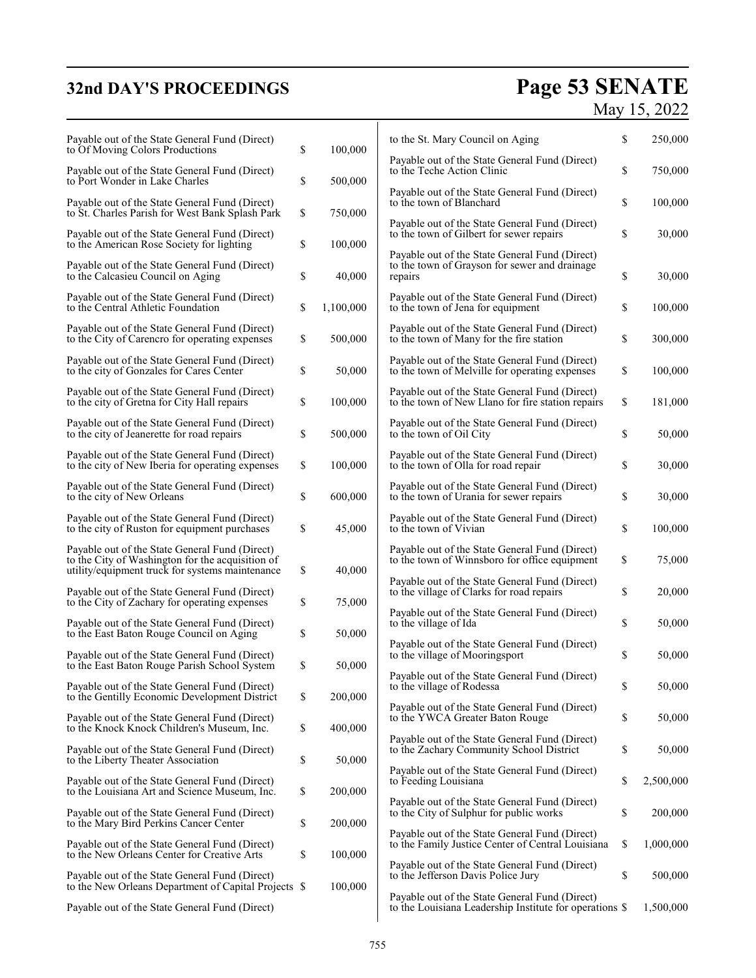# **32nd DAY'S PROCEEDINGS**

# **Page 53 SENATE**<br>May 15, 2022

| Payable out of the State General Fund (Direct)<br>to Of Moving Colors Productions                                                                     | \$<br>100,000   | to the St. Mary Council on Aging                                                                           | \$<br>250,000   |
|-------------------------------------------------------------------------------------------------------------------------------------------------------|-----------------|------------------------------------------------------------------------------------------------------------|-----------------|
| Payable out of the State General Fund (Direct)<br>to Port Wonder in Lake Charles                                                                      | \$<br>500,000   | Payable out of the State General Fund (Direct)<br>to the Teche Action Clinic                               | \$<br>750,000   |
| Payable out of the State General Fund (Direct)<br>to St. Charles Parish for West Bank Splash Park                                                     | \$<br>750,000   | Payable out of the State General Fund (Direct)<br>to the town of Blanchard                                 | \$<br>100,000   |
| Payable out of the State General Fund (Direct)<br>to the American Rose Society for lighting                                                           | \$<br>100,000   | Payable out of the State General Fund (Direct)<br>to the town of Gilbert for sewer repairs                 | \$<br>30,000    |
| Payable out of the State General Fund (Direct)<br>to the Calcasieu Council on Aging                                                                   | \$<br>40,000    | Payable out of the State General Fund (Direct)<br>to the town of Grayson for sewer and drainage<br>repairs | \$<br>30,000    |
| Payable out of the State General Fund (Direct)<br>to the Central Athletic Foundation                                                                  | \$<br>1,100,000 | Payable out of the State General Fund (Direct)<br>to the town of Jena for equipment                        | \$<br>100,000   |
| Payable out of the State General Fund (Direct)<br>to the City of Carencro for operating expenses                                                      | \$<br>500,000   | Payable out of the State General Fund (Direct)<br>to the town of Many for the fire station                 | \$<br>300,000   |
| Payable out of the State General Fund (Direct)<br>to the city of Gonzales for Cares Center                                                            | \$<br>50,000    | Payable out of the State General Fund (Direct)<br>to the town of Melville for operating expenses           | \$<br>100,000   |
| Payable out of the State General Fund (Direct)<br>to the city of Gretna for City Hall repairs                                                         | \$<br>100,000   | Payable out of the State General Fund (Direct)<br>to the town of New Llano for fire station repairs        | \$<br>181,000   |
| Payable out of the State General Fund (Direct)<br>to the city of Jeanerette for road repairs                                                          | \$<br>500,000   | Payable out of the State General Fund (Direct)<br>to the town of Oil City                                  | \$<br>50,000    |
| Payable out of the State General Fund (Direct)<br>to the city of New Iberia for operating expenses                                                    | \$<br>100,000   | Payable out of the State General Fund (Direct)<br>to the town of Olla for road repair                      | \$<br>30,000    |
| Payable out of the State General Fund (Direct)<br>to the city of New Orleans                                                                          | \$<br>600,000   | Payable out of the State General Fund (Direct)<br>to the town of Urania for sewer repairs                  | \$<br>30,000    |
| Payable out of the State General Fund (Direct)<br>to the city of Ruston for equipment purchases                                                       | \$<br>45,000    | Payable out of the State General Fund (Direct)<br>to the town of Vivian                                    | \$<br>100,000   |
| Payable out of the State General Fund (Direct)<br>to the City of Washington for the acquisition of<br>utility/equipment truck for systems maintenance | \$<br>40,000    | Payable out of the State General Fund (Direct)<br>to the town of Winnsboro for office equipment            | \$<br>75,000    |
| Payable out of the State General Fund (Direct)<br>to the City of Zachary for operating expenses                                                       | \$<br>75,000    | Payable out of the State General Fund (Direct)<br>to the village of Clarks for road repairs                | \$<br>20,000    |
| Payable out of the State General Fund (Direct)<br>to the East Baton Rouge Council on Aging                                                            | \$<br>50,000    | Payable out of the State General Fund (Direct)<br>to the village of Ida                                    | \$<br>50,000    |
| Payable out of the State General Fund (Direct)<br>to the East Baton Rouge Parish School System                                                        | \$<br>50,000    | Payable out of the State General Fund (Direct)<br>to the village of Mooringsport                           | \$<br>50,000    |
| Payable out of the State General Fund (Direct)<br>to the Gentilly Economic Development District                                                       | \$<br>200,000   | Payable out of the State General Fund (Direct)<br>to the village of Rodessa                                | \$<br>50,000    |
| Payable out of the State General Fund (Direct)<br>to the Knock Knock Children's Museum, Inc.                                                          | \$<br>400,000   | Payable out of the State General Fund (Direct)<br>to the YWCA Greater Baton Rouge                          | \$<br>50,000    |
| Payable out of the State General Fund (Direct)<br>to the Liberty Theater Association                                                                  | \$<br>50,000    | Payable out of the State General Fund (Direct)<br>to the Zachary Community School District                 | \$<br>50,000    |
| Payable out of the State General Fund (Direct)<br>to the Louisiana Art and Science Museum, Inc.                                                       | \$<br>200,000   | Payable out of the State General Fund (Direct)<br>to Feeding Louisiana                                     | \$<br>2,500,000 |
| Payable out of the State General Fund (Direct)<br>to the Mary Bird Perkins Cancer Center                                                              | \$<br>200,000   | Payable out of the State General Fund (Direct)<br>to the City of Sulphur for public works                  | \$<br>200,000   |
| Payable out of the State General Fund (Direct)<br>to the New Orleans Center for Creative Arts                                                         | \$<br>100,000   | Payable out of the State General Fund (Direct)<br>to the Family Justice Center of Central Louisiana        | \$<br>1,000,000 |
| Payable out of the State General Fund (Direct)<br>to the New Orleans Department of Capital Projects \$                                                | 100,000         | Payable out of the State General Fund (Direct)<br>to the Jefferson Davis Police Jury                       | \$<br>500,000   |
| Payable out of the State General Fund (Direct)                                                                                                        |                 | Payable out of the State General Fund (Direct)<br>to the Louisiana Leadership Institute for operations \$  | 1,500,000       |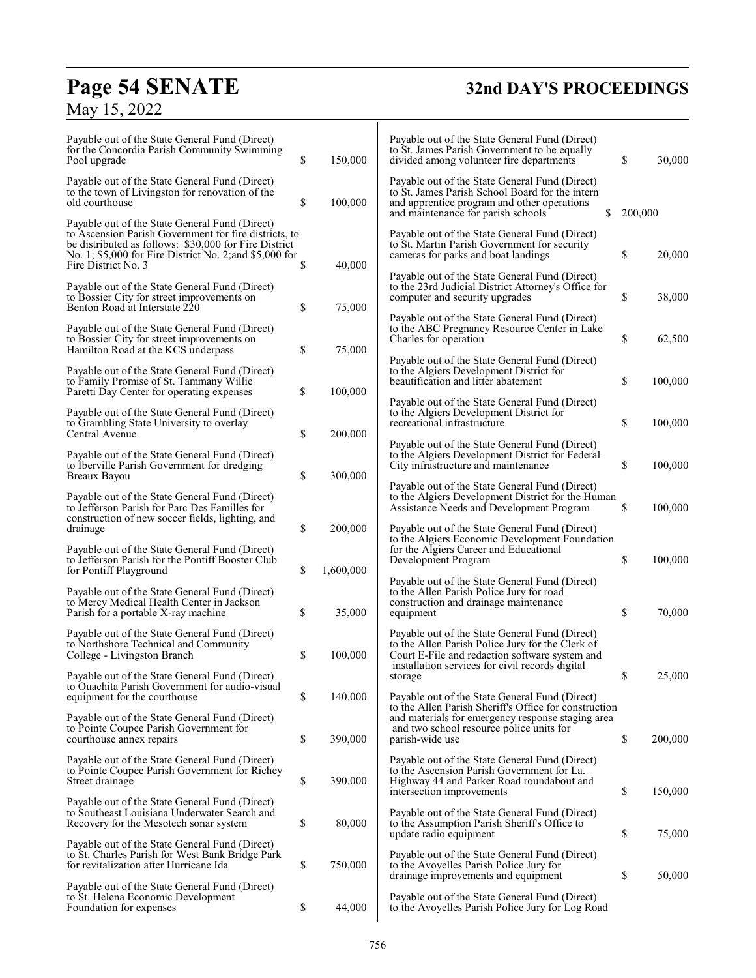# **Page 54 SENATE**<br>May 15, 2022

# **32nd DAY'S PROCEEDINGS**

| Payable out of the State General Fund (Direct)<br>for the Concordia Parish Community Swimming<br>Pool upgrade                                                                                                                                      | \$<br>150,000   | Payable out of the State General Fund (Direct)<br>to St. James Parish Government to be equally<br>divided among volunteer fire departments                                                        | \$      | 30,000  |
|----------------------------------------------------------------------------------------------------------------------------------------------------------------------------------------------------------------------------------------------------|-----------------|---------------------------------------------------------------------------------------------------------------------------------------------------------------------------------------------------|---------|---------|
| Payable out of the State General Fund (Direct)<br>to the town of Livingston for renovation of the<br>old courthouse                                                                                                                                | \$<br>100,000   | Payable out of the State General Fund (Direct)<br>to St. James Parish School Board for the intern<br>and apprentice program and other operations<br>\$<br>and maintenance for parish schools      | 200,000 |         |
| Payable out of the State General Fund (Direct)<br>to Ascension Parish Government for fire districts, to<br>be distributed as follows: \$30,000 for Fire District<br>No. 1; \$5,000 for Fire District No. 2; and \$5,000 for<br>Fire District No. 3 | \$<br>40,000    | Payable out of the State General Fund (Direct)<br>to St. Martin Parish Government for security<br>cameras for parks and boat landings                                                             | \$      | 20,000  |
| Payable out of the State General Fund (Direct)<br>to Bossier City for street improvements on<br>Benton Road at Interstate 220                                                                                                                      | \$<br>75,000    | Payable out of the State General Fund (Direct)<br>to the 23rd Judicial District Attorney's Office for<br>computer and security upgrades                                                           | \$      | 38,000  |
| Payable out of the State General Fund (Direct)<br>to Bossier City for street improvements on<br>Hamilton Road at the KCS underpass                                                                                                                 | \$<br>75,000    | Payable out of the State General Fund (Direct)<br>to the ABC Pregnancy Resource Center in Lake<br>Charles for operation                                                                           | \$      | 62,500  |
| Payable out of the State General Fund (Direct)<br>to Family Promise of St. Tammany Willie<br>Paretti Day Center for operating expenses                                                                                                             | \$<br>100,000   | Payable out of the State General Fund (Direct)<br>to the Algiers Development District for<br>beautification and litter abatement                                                                  | \$      | 100,000 |
| Payable out of the State General Fund (Direct)<br>to Grambling State University to overlay<br>Central Avenue                                                                                                                                       | \$<br>200,000   | Payable out of the State General Fund (Direct)<br>to the Algiers Development District for<br>recreational infrastructure                                                                          | \$      | 100,000 |
| Payable out of the State General Fund (Direct)<br>to Iberville Parish Government for dredging<br>Breaux Bayou                                                                                                                                      | \$<br>300,000   | Payable out of the State General Fund (Direct)<br>to the Algiers Development District for Federal<br>City infrastructure and maintenance                                                          | \$      | 100,000 |
| Payable out of the State General Fund (Direct)<br>to Jefferson Parish for Parc Des Familles for<br>construction of new soccer fields, lighting, and<br>drainage                                                                                    | \$<br>200,000   | Payable out of the State General Fund (Direct)<br>to the Algiers Development District for the Human<br>Assistance Needs and Development Program<br>Payable out of the State General Fund (Direct) | \$      | 100,000 |
| Payable out of the State General Fund (Direct)<br>to Jefferson Parish for the Pontiff Booster Club<br>for Pontiff Playground                                                                                                                       | \$<br>1,600,000 | to the Algiers Economic Development Foundation<br>for the Algiers Career and Educational<br>Development Program                                                                                   | \$      | 100,000 |
| Payable out of the State General Fund (Direct)<br>to Mercy Medical Health Center in Jackson<br>Parish for a portable X-ray machine                                                                                                                 | \$<br>35,000    | Payable out of the State General Fund (Direct)<br>to the Allen Parish Police Jury for road<br>construction and drainage maintenance<br>equipment                                                  | \$      | 70,000  |
| Payable out of the State General Fund (Direct)<br>to Northshore Technical and Community<br>College - Livingston Branch                                                                                                                             | \$<br>100,000   | Payable out of the State General Fund (Direct)<br>to the Allen Parish Police Jury for the Clerk of<br>Court E-File and redaction software system and                                              |         |         |
| Payable out of the State General Fund (Direct)<br>to Ouachita Parish Government for audio-visual<br>equipment for the courthouse                                                                                                                   | \$<br>140,000   | installation services for civil records digital<br>storage<br>Payable out of the State General Fund (Direct)<br>to the Allen Parish Sheriff's Office for construction                             | \$      | 25.000  |
| Payable out of the State General Fund (Direct)<br>to Pointe Coupee Parish Government for<br>courthouse annex repairs                                                                                                                               | \$<br>390,000   | and materials for emergency response staging area<br>and two school resource police units for<br>parish-wide use                                                                                  | \$      | 200,000 |
| Payable out of the State General Fund (Direct)<br>to Pointe Coupee Parish Government for Richey<br>Street drainage                                                                                                                                 | \$<br>390,000   | Payable out of the State General Fund (Direct)<br>to the Ascension Parish Government for La.<br>Highway 44 and Parker Road roundabout and<br>intersection improvements                            | \$      | 150,000 |
| Payable out of the State General Fund (Direct)<br>to Southeast Louisiana Underwater Search and<br>Recovery for the Mesotech sonar system                                                                                                           | \$<br>80,000    | Payable out of the State General Fund (Direct)<br>to the Assumption Parish Sheriff's Office to<br>update radio equipment                                                                          | \$      | 75,000  |
| Payable out of the State General Fund (Direct)<br>to St. Charles Parish for West Bank Bridge Park<br>for revitalization after Hurricane Ida                                                                                                        | \$<br>750,000   | Payable out of the State General Fund (Direct)<br>to the Avoyelles Parish Police Jury for<br>drainage improvements and equipment                                                                  | \$      | 50,000  |
| Payable out of the State General Fund (Direct)<br>to St. Helena Economic Development<br>Foundation for expenses                                                                                                                                    | \$<br>44,000    | Payable out of the State General Fund (Direct)<br>to the Avoyelles Parish Police Jury for Log Road                                                                                                |         |         |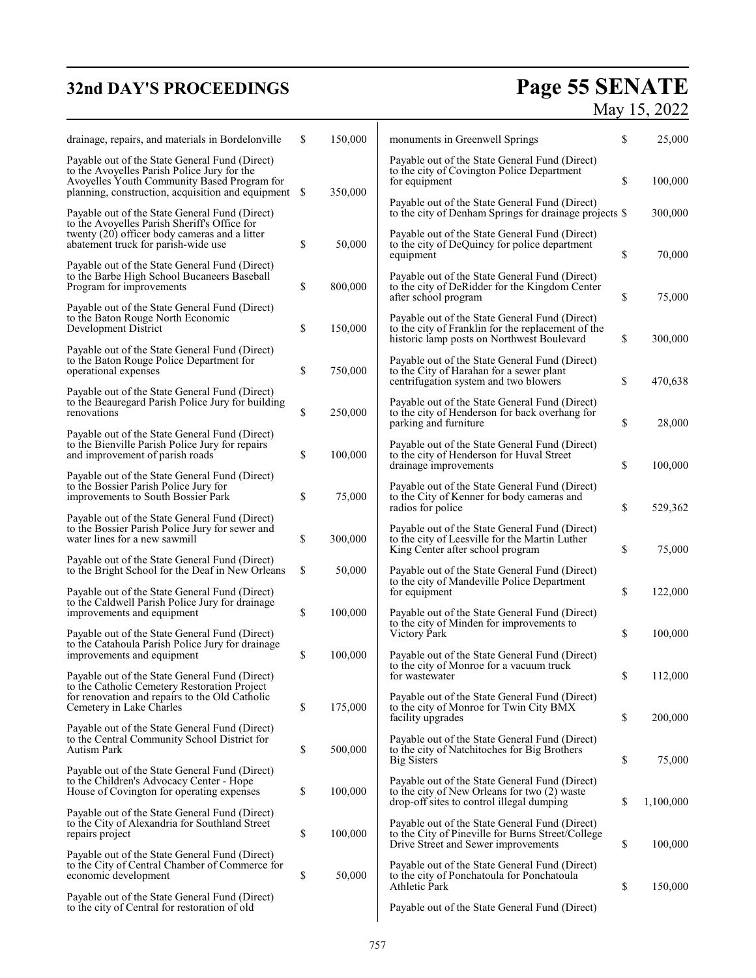# **32nd DAY'S PROCEEDINGS**

# **Page 55 SENATE**<br>May 15, 2022

| drainage, repairs, and materials in Bordelonville                                                                                                                                                 | \$<br>150,000 | monuments in Greenwell Springs                                                                                                                            | \$       | 25,000            |
|---------------------------------------------------------------------------------------------------------------------------------------------------------------------------------------------------|---------------|-----------------------------------------------------------------------------------------------------------------------------------------------------------|----------|-------------------|
| Payable out of the State General Fund (Direct)<br>to the Avoyelles Parish Police Jury for the<br>Avoyelles Youth Community Based Program for<br>planning, construction, acquisition and equipment | \$<br>350,000 | Payable out of the State General Fund (Direct)<br>to the city of Covington Police Department<br>for equipment                                             | \$       | 100,000           |
| Payable out of the State General Fund (Direct)                                                                                                                                                    |               | Payable out of the State General Fund (Direct)<br>to the city of Denham Springs for drainage projects \$                                                  |          | 300,000           |
| to the Avoyelles Parish Sheriff's Office for<br>twenty (20) officer body cameras and a litter<br>abatement truck for parish-wide use                                                              | \$<br>50,000  | Payable out of the State General Fund (Direct)<br>to the city of DeQuincy for police department<br>equipment                                              | \$       | 70,000            |
| Payable out of the State General Fund (Direct)<br>to the Barbe High School Bucaneers Baseball<br>Program for improvements                                                                         | \$<br>800,000 | Payable out of the State General Fund (Direct)<br>to the city of DeRidder for the Kingdom Center<br>after school program                                  | \$       | 75,000            |
| Payable out of the State General Fund (Direct)<br>to the Baton Rouge North Economic<br>Development District                                                                                       | \$<br>150,000 | Payable out of the State General Fund (Direct)<br>to the city of Franklin for the replacement of the<br>historic lamp posts on Northwest Boulevard        | \$       | 300,000           |
| Payable out of the State General Fund (Direct)<br>to the Baton Rouge Police Department for<br>operational expenses                                                                                | \$<br>750,000 | Payable out of the State General Fund (Direct)<br>to the City of Harahan for a sewer plant<br>centrifugation system and two blowers                       | \$       | 470,638           |
| Payable out of the State General Fund (Direct)<br>to the Beauregard Parish Police Jury for building<br>renovations                                                                                | \$<br>250,000 | Payable out of the State General Fund (Direct)<br>to the city of Henderson for back overhang for<br>parking and furniture                                 | \$       | 28,000            |
| Payable out of the State General Fund (Direct)<br>to the Bienville Parish Police Jury for repairs<br>and improvement of parish roads                                                              | \$<br>100,000 | Payable out of the State General Fund (Direct)<br>to the city of Henderson for Huval Street<br>drainage improvements                                      | \$       | 100,000           |
| Payable out of the State General Fund (Direct)<br>to the Bossier Parish Police Jury for<br>improvements to South Bossier Park                                                                     | \$<br>75,000  | Payable out of the State General Fund (Direct)<br>to the City of Kenner for body cameras and                                                              |          |                   |
| Payable out of the State General Fund (Direct)<br>to the Bossier Parish Police Jury for sewer and<br>water lines for a new sawmill                                                                | \$<br>300,000 | radios for police<br>Payable out of the State General Fund (Direct)<br>to the city of Leesville for the Martin Luther<br>King Center after school program | \$<br>\$ | 529,362<br>75,000 |
| Payable out of the State General Fund (Direct)<br>to the Bright School for the Deaf in New Orleans                                                                                                | \$<br>50,000  | Payable out of the State General Fund (Direct)<br>to the city of Mandeville Police Department                                                             |          |                   |
| Payable out of the State General Fund (Direct)<br>to the Caldwell Parish Police Jury for drainage<br>improvements and equipment                                                                   | \$<br>100,000 | for equipment<br>Payable out of the State General Fund (Direct)                                                                                           | \$       | 122,000           |
| Payable out of the State General Fund (Direct)<br>to the Catahoula Parish Police Jury for drainage                                                                                                |               | to the city of Minden for improvements to<br>Victory Park                                                                                                 | \$       | 100,000           |
| improvements and equipment<br>Payable out of the State General Fund (Direct)                                                                                                                      | \$<br>100,000 | Payable out of the State General Fund (Direct)<br>to the city of Monroe for a vacuum truck<br>for wastewater                                              | \$       | 112,000           |
| to the Catholic Cemetery Restoration Project<br>for renovation and repairs to the Old Catholic<br>Cemetery in Lake Charles                                                                        | \$<br>175,000 | Payable out of the State General Fund (Direct)<br>to the city of Monroe for Twin City BMX<br>facility upgrades                                            | \$       | 200,000           |
| Payable out of the State General Fund (Direct)<br>to the Central Community School District for<br>Autism Park                                                                                     | \$<br>500,000 | Payable out of the State General Fund (Direct)<br>to the city of Natchitoches for Big Brothers<br><b>Big Sisters</b>                                      | \$       | 75,000            |
| Payable out of the State General Fund (Direct)<br>to the Children's Advocacy Center - Hope<br>House of Covington for operating expenses                                                           | \$<br>100,000 | Payable out of the State General Fund (Direct)<br>to the city of New Orleans for two (2) waste<br>drop-off sites to control illegal dumping               | \$       | 1,100,000         |
| Payable out of the State General Fund (Direct)<br>to the City of Alexandria for Southland Street<br>repairs project                                                                               | \$<br>100,000 | Payable out of the State General Fund (Direct)<br>to the City of Pineville for Burns Street/College                                                       | \$       | 100,000           |
| Payable out of the State General Fund (Direct)<br>to the City of Central Chamber of Commerce for<br>economic development                                                                          | \$<br>50,000  | Drive Street and Sewer improvements<br>Payable out of the State General Fund (Direct)<br>to the city of Ponchatoula for Ponchatoula                       |          |                   |
| Payable out of the State General Fund (Direct)<br>to the city of Central for restoration of old                                                                                                   |               | Athletic Park<br>Payable out of the State General Fund (Direct)                                                                                           | \$       | 150,000           |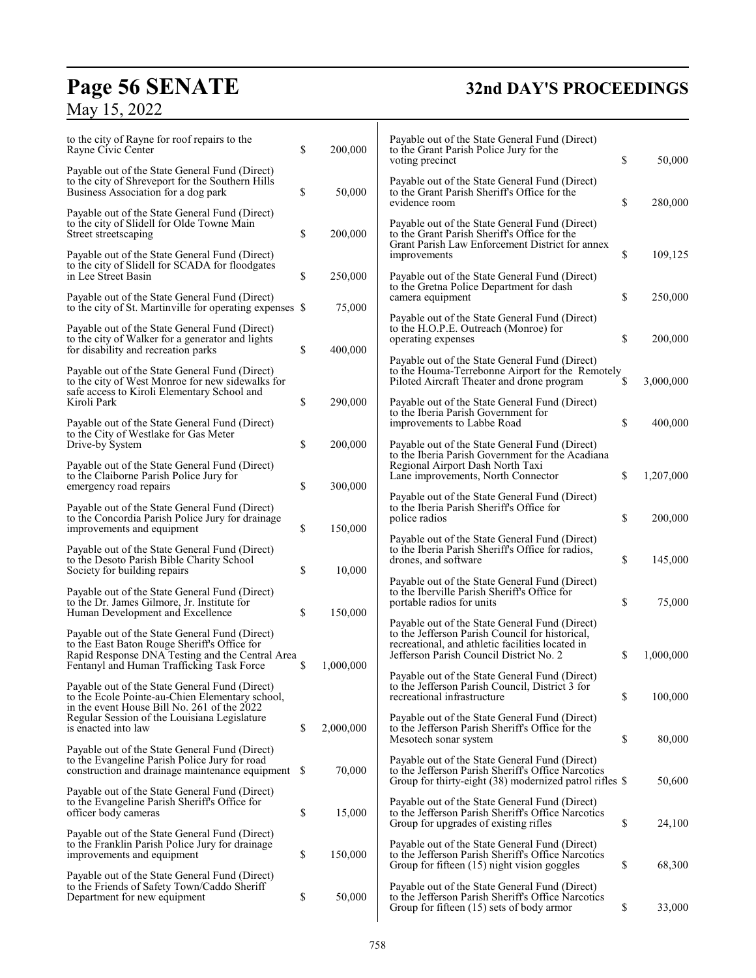# **Page 56 SENATE 32nd DAY'S PROCEEDINGS**

# May 15, 2022

| to the city of Rayne for roof repairs to the<br>Rayne Civic Center                                                                                 | \$ | 200,000   | Payable out of the State General Fund (Direct)<br>to the Grant Parish Police Jury for the<br>voting precinct                                                                                     | \$          | 50,000    |
|----------------------------------------------------------------------------------------------------------------------------------------------------|----|-----------|--------------------------------------------------------------------------------------------------------------------------------------------------------------------------------------------------|-------------|-----------|
| Payable out of the State General Fund (Direct)<br>to the city of Shreveport for the Southern Hills<br>Business Association for a dog park          | \$ | 50,000    | Payable out of the State General Fund (Direct)<br>to the Grant Parish Sheriff's Office for the                                                                                                   |             |           |
| Payable out of the State General Fund (Direct)<br>to the city of Slidell for Olde Towne Main<br>Street streetscaping                               | \$ | 200,000   | evidence room<br>Payable out of the State General Fund (Direct)<br>to the Grant Parish Sheriff's Office for the                                                                                  | \$          | 280,000   |
| Payable out of the State General Fund (Direct)<br>to the city of Slidell for SCADA for floodgates<br>in Lee Street Basin                           | \$ | 250,000   | Grant Parish Law Enforcement District for annex<br>improvements<br>Payable out of the State General Fund (Direct)                                                                                | \$          | 109,125   |
| Payable out of the State General Fund (Direct)<br>to the city of St. Martinville for operating expenses \$                                         |    | 75,000    | to the Gretna Police Department for dash<br>camera equipment                                                                                                                                     | \$          | 250,000   |
| Payable out of the State General Fund (Direct)<br>to the city of Walker for a generator and lights<br>for disability and recreation parks          | \$ | 400,000   | Payable out of the State General Fund (Direct)<br>to the H.O.P.E. Outreach (Monroe) for<br>operating expenses                                                                                    | \$          | 200,000   |
| Payable out of the State General Fund (Direct)<br>to the city of West Monroe for new sidewalks for<br>safe access to Kiroli Elementary School and  |    |           | Payable out of the State General Fund (Direct)<br>to the Houma-Terrebonne Airport for the Remotely<br>Piloted Aircraft Theater and drone program                                                 | \$          | 3,000,000 |
| Kiroli Park<br>Payable out of the State General Fund (Direct)                                                                                      | \$ | 290,000   | Payable out of the State General Fund (Direct)<br>to the Iberia Parish Government for<br>improvements to Labbe Road                                                                              | \$          | 400,000   |
| to the City of Westlake for Gas Meter<br>Drive-by System<br>Payable out of the State General Fund (Direct)                                         | \$ | 200,000   | Payable out of the State General Fund (Direct)<br>to the Iberia Parish Government for the Acadiana<br>Regional Airport Dash North Taxi                                                           |             |           |
| to the Claiborne Parish Police Jury for<br>emergency road repairs                                                                                  | \$ | 300,000   | Lane improvements, North Connector<br>Payable out of the State General Fund (Direct)                                                                                                             | \$          | 1,207,000 |
| Payable out of the State General Fund (Direct)<br>to the Concordia Parish Police Jury for drainage<br>improvements and equipment                   | \$ | 150,000   | to the Iberia Parish Sheriff's Office for<br>police radios                                                                                                                                       | \$          | 200,000   |
| Payable out of the State General Fund (Direct)<br>to the Desoto Parish Bible Charity School<br>Society for building repairs                        | \$ | 10,000    | Payable out of the State General Fund (Direct)<br>to the Iberia Parish Sheriff's Office for radios,<br>drones, and software                                                                      | \$          | 145,000   |
| Payable out of the State General Fund (Direct)<br>to the Dr. James Gilmore, Jr. Institute for<br>Human Development and Excellence                  | \$ | 150,000   | Payable out of the State General Fund (Direct)<br>to the Iberville Parish Sheriff's Office for<br>portable radios for units                                                                      | \$          | 75,000    |
| Payable out of the State General Fund (Direct)<br>to the East Baton Rouge Sheriff's Office for<br>Rapid Response DNA Testing and the Central Area  |    |           | Payable out of the State General Fund (Direct)<br>to the Jefferson Parish Council for historical,<br>recreational, and athletic facilities located in<br>Jefferson Parish Council District No. 2 | S           | 1,000,000 |
| Fentanyl and Human Trafficking Task Force<br>Payable out of the State General Fund (Direct)<br>to the Ecole Pointe-au-Chien Elementary school,     | \$ | 1,000,000 | Payable out of the State General Fund (Direct)<br>to the Jefferson Parish Council, District 3 for<br>recreational infrastructure                                                                 | \$          | 100,000   |
| in the event House Bill No. 261 of the 2022<br>Regular Session of the Louisiana Legislature<br>is enacted into law                                 | \$ | 2,000,000 | Payable out of the State General Fund (Direct)<br>to the Jefferson Parish Sheriff's Office for the<br>Mesotech sonar system                                                                      | \$          | 80,000    |
| Payable out of the State General Fund (Direct)<br>to the Evangeline Parish Police Jury for road<br>construction and drainage maintenance equipment | -S | 70,000    | Payable out of the State General Fund (Direct)<br>to the Jefferson Parish Sheriff's Office Narcotics<br>Group for thirty-eight (38) modernized patrol rifles \$                                  |             | 50,600    |
| Payable out of the State General Fund (Direct)<br>to the Evangeline Parish Sheriff's Office for<br>officer body cameras                            | \$ | 15,000    | Payable out of the State General Fund (Direct)<br>to the Jefferson Parish Sheriff's Office Narcotics                                                                                             | \$          |           |
| Payable out of the State General Fund (Direct)<br>to the Franklin Parish Police Jury for drainage<br>improvements and equipment                    | \$ | 150,000   | Group for upgrades of existing rifles<br>Payable out of the State General Fund (Direct)<br>to the Jefferson Parish Sheriff's Office Narcotics                                                    |             | 24,100    |
| Payable out of the State General Fund (Direct)<br>to the Friends of Safety Town/Caddo Sheriff<br>Department for new equipment                      | \$ | 50,000    | Group for fifteen (15) night vision goggles<br>Payable out of the State General Fund (Direct)<br>to the Jefferson Parish Sheriff's Office Narcotics                                              | \$          | 68,300    |
|                                                                                                                                                    |    |           | Group for fifteen (15) sets of body armor                                                                                                                                                        | $\mathbb S$ | 33,000    |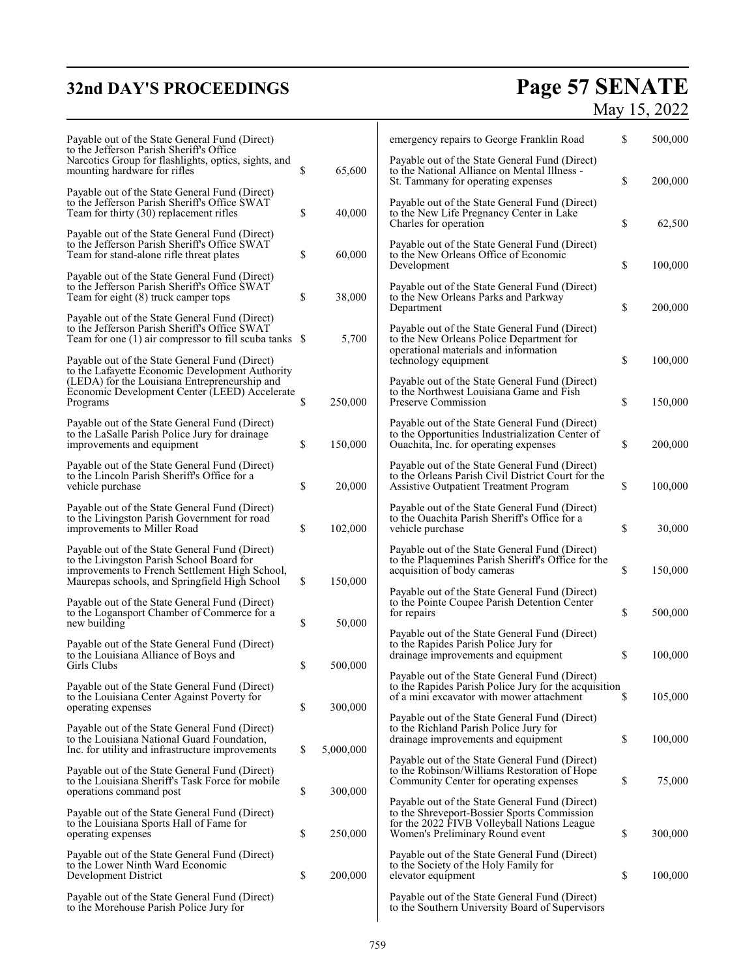# **32nd DAY'S PROCEEDINGS**

# **Page 57 SENATE**<br>May 15, 2022

| Payable out of the State General Fund (Direct)<br>to the Jefferson Parish Sheriff's Office                                                                                                     |                 | emergency repairs to George Franklin Road                                                                                                                                       | \$ | 500,000 |
|------------------------------------------------------------------------------------------------------------------------------------------------------------------------------------------------|-----------------|---------------------------------------------------------------------------------------------------------------------------------------------------------------------------------|----|---------|
| Narcotics Group for flashlights, optics, sights, and<br>mounting hardware for rifles                                                                                                           | \$<br>65,600    | Payable out of the State General Fund (Direct)<br>to the National Alliance on Mental Illness -<br>St. Tammany for operating expenses                                            | \$ | 200,000 |
| Payable out of the State General Fund (Direct)<br>to the Jefferson Parish Sheriff's Office SWAT<br>Team for thirty (30) replacement rifles                                                     | \$<br>40,000    | Payable out of the State General Fund (Direct)<br>to the New Life Pregnancy Center in Lake<br>Charles for operation                                                             | \$ | 62,500  |
| Payable out of the State General Fund (Direct)<br>to the Jefferson Parish Sheriff's Office SWAT<br>Team for stand-alone rifle threat plates                                                    | \$<br>60,000    | Payable out of the State General Fund (Direct)<br>to the New Orleans Office of Economic<br>Development                                                                          | \$ | 100,000 |
| Payable out of the State General Fund (Direct)<br>to the Jefferson Parish Sheriff's Office SWAT<br>Team for eight (8) truck camper tops                                                        | \$<br>38,000    | Payable out of the State General Fund (Direct)<br>to the New Orleans Parks and Parkway<br>Department                                                                            | \$ | 200,000 |
| Payable out of the State General Fund (Direct)<br>to the Jefferson Parish Sheriff's Office SWAT<br>Team for one $(1)$ air compressor to fill scuba tanks $\$                                   | 5,700           | Payable out of the State General Fund (Direct)<br>to the New Orleans Police Department for<br>operational materials and information                                             |    |         |
| Payable out of the State General Fund (Direct)<br>to the Lafayette Economic Development Authority<br>(LEDA) for the Louisiana Entrepreneurship and                                             |                 | technology equipment<br>Payable out of the State General Fund (Direct)                                                                                                          | \$ | 100,000 |
| Economic Development Center (LEED) Accelerate<br>Programs                                                                                                                                      | \$<br>250,000   | to the Northwest Louisiana Game and Fish<br>Preserve Commission                                                                                                                 | \$ | 150,000 |
| Payable out of the State General Fund (Direct)<br>to the LaSalle Parish Police Jury for drainage<br>improvements and equipment                                                                 | \$<br>150,000   | Payable out of the State General Fund (Direct)<br>to the Opportunities Industrialization Center of<br>Ouachita, Inc. for operating expenses                                     | \$ | 200,000 |
| Payable out of the State General Fund (Direct)<br>to the Lincoln Parish Sheriff's Office for a<br>vehicle purchase                                                                             | \$<br>20,000    | Payable out of the State General Fund (Direct)<br>to the Orleans Parish Civil District Court for the<br><b>Assistive Outpatient Treatment Program</b>                           | \$ | 100,000 |
| Payable out of the State General Fund (Direct)<br>to the Livingston Parish Government for road<br>improvements to Miller Road                                                                  | \$<br>102,000   | Payable out of the State General Fund (Direct)<br>to the Ouachita Parish Sheriff's Office for a<br>vehicle purchase                                                             | \$ | 30,000  |
| Payable out of the State General Fund (Direct)<br>to the Livingston Parish School Board for<br>improvements to French Settlement High School,<br>Maurepas schools, and Springfield High School | \$<br>150,000   | Payable out of the State General Fund (Direct)<br>to the Plaquemines Parish Sheriff's Office for the<br>acquisition of body cameras                                             | \$ | 150,000 |
| Payable out of the State General Fund (Direct)<br>to the Logansport Chamber of Commerce for a<br>new building                                                                                  | \$<br>50,000    | Payable out of the State General Fund (Direct)<br>to the Pointe Coupee Parish Detention Center<br>for repairs                                                                   | \$ | 500,000 |
| Payable out of the State General Fund (Direct)<br>to the Louisiana Alliance of Boys and<br>Girls Clubs                                                                                         | \$<br>500,000   | Payable out of the State General Fund (Direct)<br>to the Rapides Parish Police Jury for<br>drainage improvements and equipment                                                  | \$ | 100,000 |
| Payable out of the State General Fund (Direct)<br>to the Louisiana Center Against Poverty for<br>operating expenses                                                                            | \$<br>300,000   | Payable out of the State General Fund (Direct)<br>to the Rapides Parish Police Jury for the acquisition<br>of a mini excavator with mower attachment                            | S  | 105,000 |
| Payable out of the State General Fund (Direct)<br>to the Louisiana National Guard Foundation,<br>Inc. for utility and infrastructure improvements                                              | \$<br>5,000,000 | Payable out of the State General Fund (Direct)<br>to the Richland Parish Police Jury for<br>drainage improvements and equipment                                                 | \$ | 100,000 |
| Payable out of the State General Fund (Direct)<br>to the Louisiana Sheriff's Task Force for mobile<br>operations command post                                                                  | \$<br>300,000   | Payable out of the State General Fund (Direct)<br>to the Robinson/Williams Restoration of Hope<br>Community Center for operating expenses                                       | \$ | 75,000  |
| Payable out of the State General Fund (Direct)<br>to the Louisiana Sports Hall of Fame for<br>operating expenses                                                                               | \$<br>250,000   | Payable out of the State General Fund (Direct)<br>to the Shreveport-Bossier Sports Commission<br>for the 2022 FIVB Volleyball Nations League<br>Women's Preliminary Round event | \$ | 300,000 |
| Payable out of the State General Fund (Direct)<br>to the Lower Ninth Ward Economic<br>Development District                                                                                     | \$<br>200,000   | Payable out of the State General Fund (Direct)<br>to the Society of the Holy Family for<br>elevator equipment                                                                   | \$ | 100,000 |
| Payable out of the State General Fund (Direct)<br>to the Morehouse Parish Police Jury for                                                                                                      |                 | Payable out of the State General Fund (Direct)<br>to the Southern University Board of Supervisors                                                                               |    |         |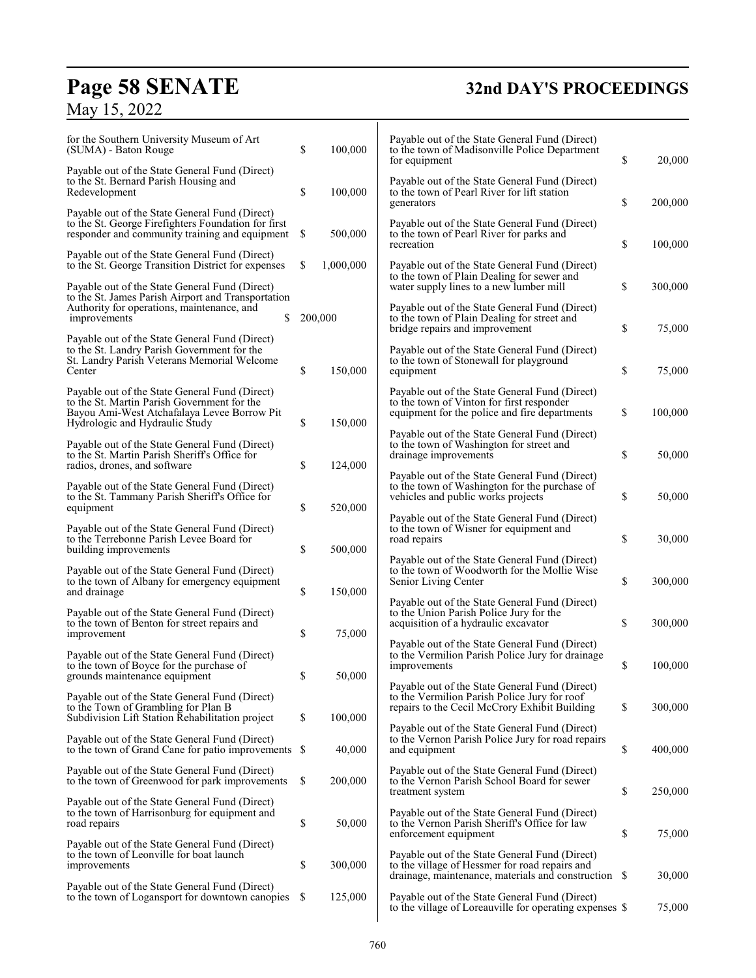# **Page 58 SENATE**<br>May 15, 2022

# **32nd DAY'S PROCEEDINGS**

| for the Southern University Museum of Art<br>(SUMA) - Baton Rouge                                                                                                              | \$  | 100,000   | Payable out of the State General Fund (Direct)<br>to the town of Madisonville Police Department<br>for equipment                                         | \$<br>20,000  |
|--------------------------------------------------------------------------------------------------------------------------------------------------------------------------------|-----|-----------|----------------------------------------------------------------------------------------------------------------------------------------------------------|---------------|
| Payable out of the State General Fund (Direct)<br>to the St. Bernard Parish Housing and<br>Redevelopment                                                                       | \$  | 100,000   | Payable out of the State General Fund (Direct)<br>to the town of Pearl River for lift station                                                            |               |
| Payable out of the State General Fund (Direct)<br>to the St. George Firefighters Foundation for first<br>responder and community training and equipment                        | \$  | 500,000   | generators<br>Payable out of the State General Fund (Direct)<br>to the town of Pearl River for parks and                                                 | \$<br>200,000 |
| Payable out of the State General Fund (Direct)<br>to the St. George Transition District for expenses                                                                           | \$  | 1,000,000 | recreation<br>Payable out of the State General Fund (Direct)                                                                                             | \$<br>100,000 |
| Payable out of the State General Fund (Direct)<br>to the St. James Parish Airport and Transportation                                                                           |     |           | to the town of Plain Dealing for sewer and<br>water supply lines to a new lumber mill                                                                    | \$<br>300,000 |
| Authority for operations, maintenance, and<br>\$<br>improvements                                                                                                               |     | 200,000   | Payable out of the State General Fund (Direct)<br>to the town of Plain Dealing for street and<br>bridge repairs and improvement                          | \$<br>75,000  |
| Payable out of the State General Fund (Direct)<br>to the St. Landry Parish Government for the<br>St. Landry Parish Veterans Memorial Welcome<br>Center                         | \$  | 150,000   | Payable out of the State General Fund (Direct)<br>to the town of Stonewall for playground<br>equipment                                                   | \$<br>75,000  |
| Payable out of the State General Fund (Direct)<br>to the St. Martin Parish Government for the<br>Bayou Ami-West Atchafalaya Levee Borrow Pit<br>Hydrologic and Hydraulic Study | \$  | 150,000   | Payable out of the State General Fund (Direct)<br>to the town of Vinton for first responder<br>equipment for the police and fire departments             | \$<br>100,000 |
| Payable out of the State General Fund (Direct)<br>to the St. Martin Parish Sheriff's Office for<br>radios, drones, and software                                                | \$  | 124,000   | Payable out of the State General Fund (Direct)<br>to the town of Washington for street and<br>drainage improvements                                      | \$<br>50,000  |
| Payable out of the State General Fund (Direct)<br>to the St. Tammany Parish Sheriff's Office for<br>equipment                                                                  | \$  | 520,000   | Payable out of the State General Fund (Direct)<br>to the town of Washington for the purchase of<br>vehicles and public works projects                    | \$<br>50,000  |
| Payable out of the State General Fund (Direct)<br>to the Terrebonne Parish Levee Board for<br>building improvements                                                            | \$  | 500,000   | Payable out of the State General Fund (Direct)<br>to the town of Wisner for equipment and<br>road repairs                                                | \$<br>30,000  |
| Payable out of the State General Fund (Direct)<br>to the town of Albany for emergency equipment<br>and drainage                                                                | \$  | 150,000   | Payable out of the State General Fund (Direct)<br>to the town of Woodworth for the Mollie Wise<br>Senior Living Center                                   | \$<br>300,000 |
| Payable out of the State General Fund (Direct)<br>to the town of Benton for street repairs and<br>improvement                                                                  | \$  | 75,000    | Payable out of the State General Fund (Direct)<br>to the Union Parish Police Jury for the<br>acquisition of a hydraulic excavator                        | \$<br>300,000 |
| Payable out of the State General Fund (Direct)<br>to the town of Boyce for the purchase of<br>grounds maintenance equipment                                                    | \$  | 50,000    | Payable out of the State General Fund (Direct)<br>to the Vermilion Parish Police Jury for drainage<br>improvements                                       | \$<br>100,000 |
| Payable out of the State General Fund (Direct)<br>to the Town of Grambling for Plan B<br>Subdivision Lift Station Rehabilitation project                                       | \$  | 100,000   | Payable out of the State General Fund (Direct)<br>to the Vermilion Parish Police Jury for roof<br>repairs to the Cecil McCrory Exhibit Building          | \$<br>300,000 |
| Payable out of the State General Fund (Direct)<br>to the town of Grand Cane for patio improvements                                                                             | \$  | 40,000    | Payable out of the State General Fund (Direct)<br>to the Vernon Parish Police Jury for road repairs<br>and equipment                                     | \$<br>400,000 |
| Payable out of the State General Fund (Direct)<br>to the town of Greenwood for park improvements                                                                               | \$  | 200,000   | Payable out of the State General Fund (Direct)<br>to the Vernon Parish School Board for sewer<br>treatment system                                        | \$<br>250,000 |
| Payable out of the State General Fund (Direct)<br>to the town of Harrisonburg for equipment and<br>road repairs                                                                | \$  | 50,000    | Payable out of the State General Fund (Direct)<br>to the Vernon Parish Sheriff's Office for law<br>enforcement equipment                                 | \$<br>75,000  |
| Payable out of the State General Fund (Direct)<br>to the town of Leonville for boat launch<br>improvements                                                                     | \$  | 300,000   | Payable out of the State General Fund (Direct)<br>to the village of Hessmer for road repairs and<br>drainage, maintenance, materials and construction \$ | 30,000        |
| Payable out of the State General Fund (Direct)<br>to the town of Logansport for downtown canopies                                                                              | \$. | 125,000   | Payable out of the State General Fund (Direct)<br>to the village of Loreauville for operating expenses \$                                                | 75,000        |
|                                                                                                                                                                                |     |           |                                                                                                                                                          |               |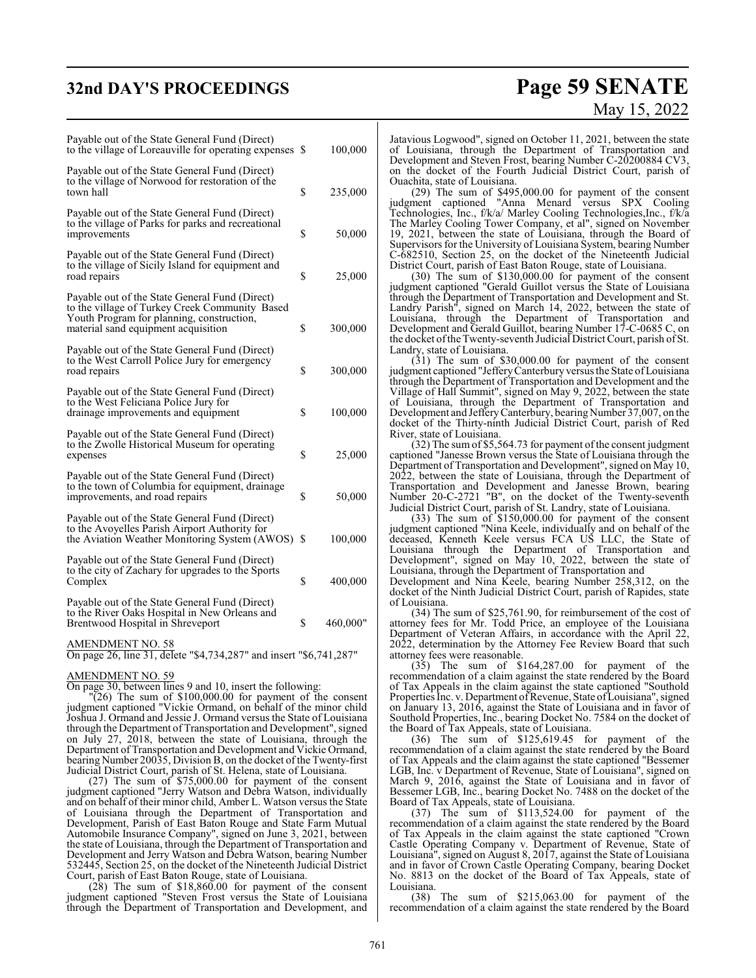## **32nd DAY'S PROCEEDINGS Page 59 SENATE**

# May 15, 2022

| Payable out of the State General Fund (Direct)<br>to the village of Loreauville for operating expenses \$                                                                            | 100,000        |
|--------------------------------------------------------------------------------------------------------------------------------------------------------------------------------------|----------------|
| Payable out of the State General Fund (Direct)<br>to the village of Norwood for restoration of the<br>town hall                                                                      | \$<br>235,000  |
| Payable out of the State General Fund (Direct)<br>to the village of Parks for parks and recreational<br>improvements                                                                 | \$<br>50,000   |
| Payable out of the State General Fund (Direct)<br>to the village of Sicily Island for equipment and<br>road repairs                                                                  | \$<br>25,000   |
| Payable out of the State General Fund (Direct)<br>to the village of Turkey Creek Community Based<br>Youth Program for planning, construction,<br>material sand equipment acquisition | \$<br>300,000  |
| Payable out of the State General Fund (Direct)<br>to the West Carroll Police Jury for emergency<br>road repairs                                                                      | \$<br>300,000  |
| Payable out of the State General Fund (Direct)<br>to the West Feliciana Police Jury for<br>drainage improvements and equipment                                                       | \$<br>100,000  |
| Payable out of the State General Fund (Direct)<br>to the Zwolle Historical Museum for operating<br>expenses                                                                          | \$<br>25,000   |
| Payable out of the State General Fund (Direct)<br>to the town of Columbia for equipment, drainage<br>improvements, and road repairs                                                  | \$<br>50,000   |
| Payable out of the State General Fund (Direct)<br>to the Avoyelles Parish Airport Authority for<br>the Aviation Weather Monitoring System (AWOS) \$                                  | 100,000        |
| Payable out of the State General Fund (Direct)<br>to the city of Zachary for upgrades to the Sports<br>Complex                                                                       | \$<br>400,000  |
| Payable out of the State General Fund (Direct)<br>to the River Oaks Hospital in New Orleans and<br>Brentwood Hospital in Shreveport                                                  | \$<br>460,000" |
| AMENDMENT NO. 58<br>$\frac{1}{40}$ of $\frac{10}{4}$ $\frac{72}{4}$ $\frac{20}{10}$ and income $\frac{10}{4}$ $\frac{741}{207}$<br>max26                                             |                |

On page 26, line 31, delete "\$4,734,287" and insert "\$6,741,287"

AMENDMENT NO. 59

On page 30, between lines 9 and 10, insert the following:

 $(26)$  The sum of \$100,000.00 for payment of the consent judgment captioned "Vickie Ormand, on behalf of the minor child Joshua J. Ormand and Jessie J. Ormand versus the State of Louisiana through the Department of Transportation and Development", signed on July 27, 2018, between the state of Louisiana, through the Department of Transportation and Development and Vickie Ormand, bearing Number 20035, Division B, on the docket of the Twenty-first Judicial District Court, parish of St. Helena, state of Louisiana.

(27) The sum of \$75,000.00 for payment of the consent judgment captioned "Jerry Watson and Debra Watson, individually and on behalf of their minor child, Amber L. Watson versusthe State of Louisiana through the Department of Transportation and Development, Parish of East Baton Rouge and State Farm Mutual Automobile Insurance Company", signed on June 3, 2021, between the state of Louisiana, through the Department of Transportation and Development and Jerry Watson and Debra Watson, bearing Number 532445, Section 25, on the docket of the Nineteenth Judicial District Court, parish of East Baton Rouge, state of Louisiana.

(28) The sum of \$18,860.00 for payment of the consent judgment captioned "Steven Frost versus the State of Louisiana through the Department of Transportation and Development, and Jatavious Logwood", signed on October 11, 2021, between the state of Louisiana, through the Department of Transportation and Development and Steven Frost, bearing Number C-20200884 CV3, on the docket of the Fourth Judicial District Court, parish of Ouachita, state of Louisiana.

(29) The sum of \$495,000.00 for payment of the consent judgment captioned "Anna Menard versus SPX Cooling Technologies, Inc., f/k/a/ Marley Cooling Technologies,Inc., f/k/a The Marley Cooling Tower Company, et al", signed on November 19, 2021, between the state of Louisiana, through the Board of Supervisors for the University of Louisiana System, bearing Number C-682510, Section 25, on the docket of the Nineteenth Judicial District Court, parish of East Baton Rouge, state of Louisiana.

(30) The sum of \$130,000.00 for payment of the consent judgment captioned "Gerald Guillot versus the State of Louisiana through the Department of Transportation and Development and St. Landry Parish", signed on March 14, 2022, between the state of Louisiana, through the Department of Transportation and Development and Gerald Guillot, bearing Number 17-C-0685 C, on the docket oftheTwenty-seventh Judicial District Court, parish of St. Landry, state of Louisiana.

(31) The sum of \$30,000.00 for payment of the consent judgment captioned "Jeffery Canterbury versus the State of Louisiana through the Department of Transportation and Development and the Village of Hall Summit", signed on May 9, 2022, between the state of Louisiana, through the Department of Transportation and Development and Jeffery Canterbury, bearing Number 37,007, on the docket of the Thirty-ninth Judicial District Court, parish of Red River, state of Louisiana.

(32) The sum of \$5,564.73 for payment of the consent judgment captioned "Janesse Brown versus the State of Louisiana through the Department of Transportation and Development", signed on May 10, 2022, between the state of Louisiana, through the Department of Transportation and Development and Janesse Brown, bearing Number 20-C-2721 "B", on the docket of the Twenty-seventh Judicial District Court, parish of St. Landry, state of Louisiana.

(33) The sum of \$150,000.00 for payment of the consent judgment captioned "Nina Keele, individually and on behalf of the deceased, Kenneth Keele versus FCA US LLC, the State of Louisiana through the Department of Transportation and Development", signed on May 10, 2022, between the state of Louisiana, through the Department of Transportation and

Development and Nina Keele, bearing Number 258,312, on the docket of the Ninth Judicial District Court, parish of Rapides, state of Louisiana.

(34) The sum of \$25,761.90, for reimbursement of the cost of attorney fees for Mr. Todd Price, an employee of the Louisiana Department of Veteran Affairs, in accordance with the April 22, 2022, determination by the Attorney Fee Review Board that such attorney fees were reasonable.

(35) The sum of \$164,287.00 for payment of the recommendation of a claim against the state rendered by the Board of Tax Appeals in the claim against the state captioned "Southold Properties Inc. v. Department of Revenue, State of Louisiana", signed on January 13, 2016, against the State of Louisiana and in favor of Southold Properties, Inc., bearing Docket No. 7584 on the docket of the Board of Tax Appeals, state of Louisiana.

(36) The sum of \$125,619.45 for payment of the recommendation of a claim against the state rendered by the Board of Tax Appeals and the claim against the state captioned "Bessemer LGB, Inc. v Department of Revenue, State of Louisiana", signed on March 9, 2016, against the State of Louisiana and in favor of Bessemer LGB, Inc., bearing Docket No. 7488 on the docket of the Board of Tax Appeals, state of Louisiana.

(37) The sum of \$113,524.00 for payment of the recommendation of a claim against the state rendered by the Board of Tax Appeals in the claim against the state captioned "Crown Castle Operating Company v. Department of Revenue, State of Louisiana", signed on August 8, 2017, against the State of Louisiana and in favor of Crown Castle Operating Company, bearing Docket No. 8813 on the docket of the Board of Tax Appeals, state of Louisiana.

(38) The sum of \$215,063.00 for payment of the recommendation of a claim against the state rendered by the Board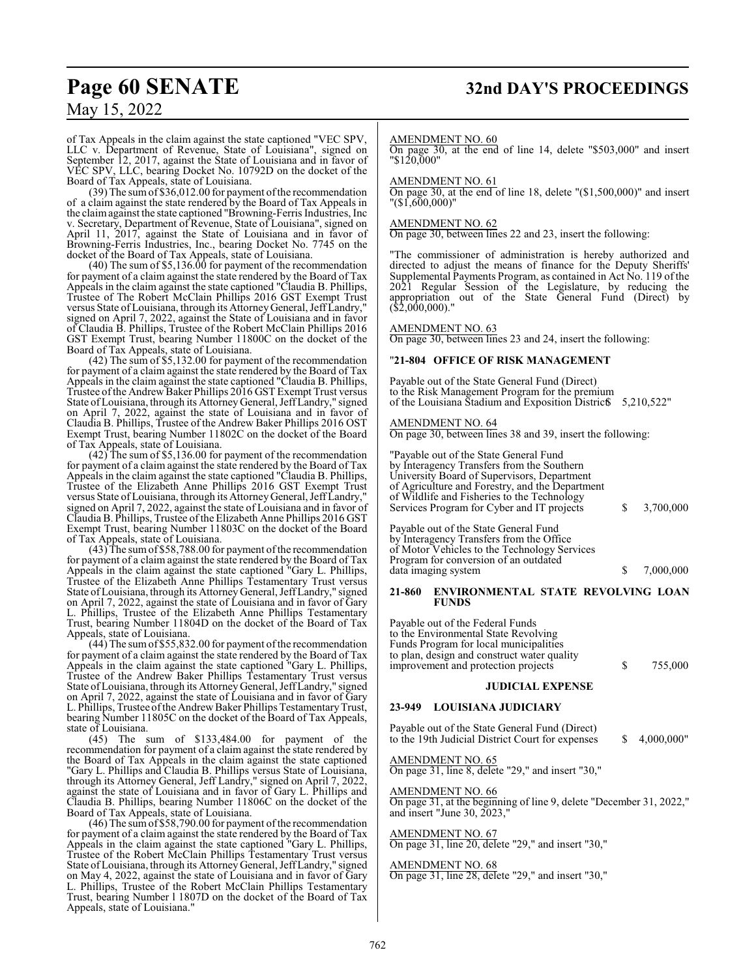# **Page 60 SENATE 32nd DAY'S PROCEEDINGS**

## May 15, 2022

of Tax Appeals in the claim against the state captioned "VEC SPV, LLC v. Department of Revenue, State of Louisiana", signed on September 12, 2017, against the State of Louisiana and in favor of VEC SPV, LLC, bearing Docket No. 10792D on the docket of the Board of Tax Appeals, state of Louisiana.

 $(39)$  The sum of  $$36,012.00$  for payment of the recommendation of a claim against the state rendered by the Board of Tax Appeals in the claimagainst the state captioned "Browning-Ferris Industries, Inc v. Secretary, Department of Revenue, State of Louisiana", signed on April 11, 2017, against the State of Louisiana and in favor of Browning-Ferris Industries, Inc., bearing Docket No. 7745 on the docket of the Board of Tax Appeals, state of Louisiana.

(40) The sum of \$5,136.00 for payment of the recommendation for payment of a claim against the state rendered by the Board of Tax Appeals in the claim against the state captioned "Claudia B. Phillips, Trustee of The Robert McClain Phillips 2016 GST Exempt Trust versus State of Louisiana, through its AttorneyGeneral, JeffLandry," signed on April 7, 2022, against the State of Louisiana and in favor of Claudia B. Phillips, Trustee of the Robert McClain Phillips 2016 GST Exempt Trust, bearing Number 11800C on the docket of the Board of Tax Appeals, state of Louisiana.

(42) The sum of \$5,132.00 for payment of the recommendation for payment of a claim against the state rendered by the Board of Tax Appeals in the claim against the state captioned "Claudia B. Phillips, Trustee ofthe Andrew Baker Phillips 2016 GST Exempt Trust versus State ofLouisiana, through its AttorneyGeneral, JeffLandry," signed on April 7, 2022, against the state of Louisiana and in favor of Claudia B. Phillips, Trustee of the Andrew Baker Phillips 2016 OST Exempt Trust, bearing Number 11802C on the docket of the Board of Tax Appeals, state of Louisiana.

(42) The sum of \$5,136.00 for payment of the recommendation for payment of a claim against the state rendered by the Board of Tax Appeals in the claim against the state captioned "Claudia B. Phillips, Trustee of the Elizabeth Anne Phillips 2016 GST Exempt Trust versus State of Louisiana, through its AttorneyGeneral, JeffLandry," signed on April 7, 2022, against the state of Louisiana and in favor of Claudia B. Phillips, Trustee ofthe Elizabeth Anne Phillips 2016 GST Exempt Trust, bearing Number 11803C on the docket of the Board of Tax Appeals, state of Louisiana.

 $(43)$  The sum of \$58,788.00 for payment of the recommendation for payment of a claim against the state rendered by the Board of Tax Appeals in the claim against the state captioned "Gary L. Phillips, Trustee of the Elizabeth Anne Phillips Testamentary Trust versus State ofLouisiana, through its AttorneyGeneral, JeffLandry," signed on April 7, 2022, against the state of Louisiana and in favor of Gary L. Phillips, Trustee of the Elizabeth Anne Phillips Testamentary Trust, bearing Number 11804D on the docket of the Board of Tax Appeals, state of Louisiana.

 $(44)$  The sum of \$55,832.00 for payment of the recommendation for payment of a claim against the state rendered by the Board of Tax Appeals in the claim against the state captioned "Gary L. Phillips, Trustee of the Andrew Baker Phillips Testamentary Trust versus State ofLouisiana, through its AttorneyGeneral, JeffLandry," signed on April 7, 2022, against the state of Louisiana and in favor of Gary L. Phillips, Trustee of the Andrew Baker Phillips Testamentary Trust, bearing Number 11805C on the docket of the Board of Tax Appeals, state of Louisiana.

(45) The sum of \$133,484.00 for payment of the recommendation for payment of a claim against the state rendered by the Board of Tax Appeals in the claim against the state captioned "Gary L. Phillips and Claudia B. Phillips versus State of Louisiana, through its Attorney General, Jeff Landry," signed on April 7, 2022, against the state of Louisiana and in favor of Gary L. Phillips and Claudia B. Phillips, bearing Number 11806C on the docket of the Board of Tax Appeals, state of Louisiana.

(46) The sum of \$58,790.00 for payment of the recommendation for payment of a claim against the state rendered by the Board of Tax Appeals in the claim against the state captioned "Gary L. Phillips, Trustee of the Robert McClain Phillips Testamentary Trust versus State of Louisiana, through its Attorney General, Jeff Landry," signed on May 4, 2022, against the state of Louisiana and in favor of Gary L. Phillips, Trustee of the Robert McClain Phillips Testamentary Trust, bearing Number l 1807D on the docket of the Board of Tax Appeals, state of Louisiana."

#### AMENDMENT NO. 60

On page 30, at the end of line 14, delete "\$503,000" and insert "\$120,000"

#### AMENDMENT NO. 61

On page 30, at the end of line 18, delete "(\$1,500,000)" and insert "(\$1,600,000)"

#### AMENDMENT NO. 62

On page 30, between lines 22 and 23, insert the following:

The commissioner of administration is hereby authorized and directed to adjust the means of finance for the Deputy Sheriffs' Supplemental Payments Program, as contained in Act No. 119 of the 2021 Regular Session of the Legislature, by reducing the appropriation out of the State General Fund (Direct) by (\$2,000,000)."

AMENDMENT NO. 63

On page 30, between lines 23 and 24, insert the following:

#### "**21-804 OFFICE OF RISK MANAGEMENT**

Payable out of the State General Fund (Direct) to the Risk Management Program for the premium of the Louisiana Stadium and Exposition Distric \$5,210,522"

AMENDMENT NO. 64 On page 30, between lines 38 and 39, insert the following:

"Payable out of the State General Fund by Interagency Transfers from the Southern University Board of Supervisors, Department of Agriculture and Forestry, and the Department of Wildlife and Fisheries to the Technology Services Program for Cyber and IT projects  $\qquad \qquad$  \$ 3,700,000

Payable out of the State General Fund by Interagency Transfers from the Office of Motor Vehicles to the Technology Services Program for conversion of an outdated data imaging system  $$7,000,000$ 

#### **21-860 ENVIRONMENTAL STATE REVOLVING LOAN FUNDS**

Payable out of the Federal Funds to the Environmental State Revolving Funds Program for local municipalities to plan, design and construct water quality improvement and protection projects \$ 755,000

#### **JUDICIAL EXPENSE**

#### **23-949 LOUISIANA JUDICIARY**

Payable out of the State General Fund (Direct) to the 19th Judicial District Court for expenses  $$ 4,000,000"$ 

AMENDMENT NO. 65 On page 31, line 8, delete "29," and insert "30,"

AMENDMENT NO. 66 On page 31, at the beginning of line 9, delete "December 31, 2022," and insert "June 30, 2023,"

## AMENDMENT NO. 67

On page 31, line 20, delete "29," and insert "30,"

#### AMENDMENT NO. 68

On page 31, line 28, delete "29," and insert "30,"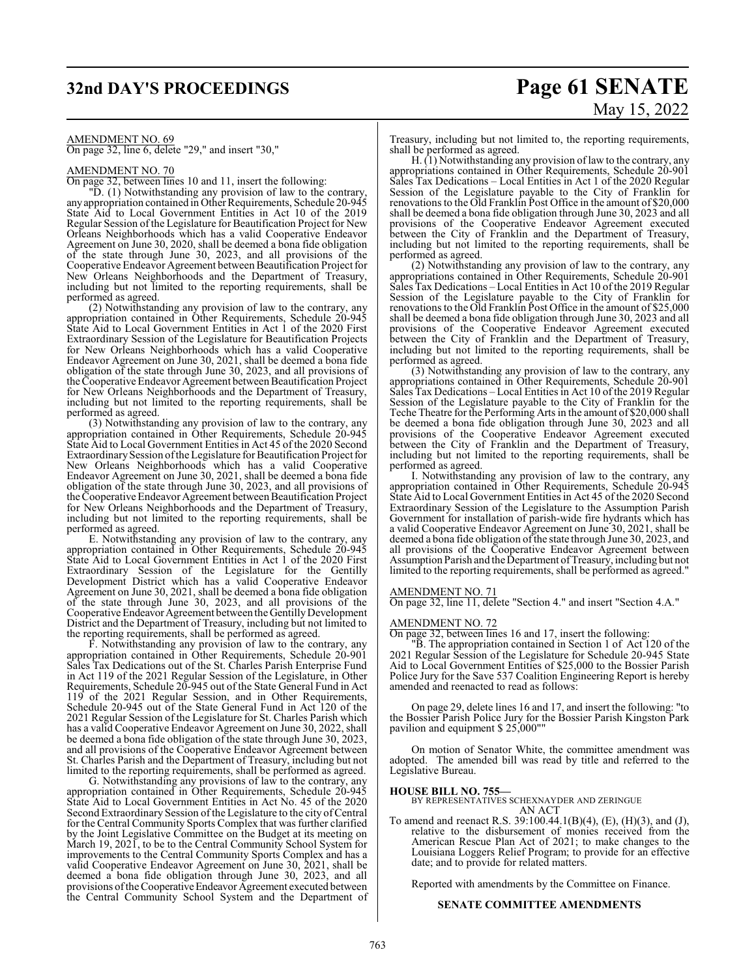# **32nd DAY'S PROCEEDINGS Page 61 SENATE** May 15, 2022

AMENDMENT NO. 69 On page 32, line 6, delete "29," and insert "30,"

#### AMENDMENT NO. 70

On page 32, between lines 10 and 11, insert the following:

"D. (1) Notwithstanding any provision of law to the contrary, anyappropriation contained in Other Requirements, Schedule 20-945 State Aid to Local Government Entities in Act 10 of the 2019 Regular Session of the Legislature for Beautification Project for New Orleans Neighborhoods which has a valid Cooperative Endeavor Agreement on June 30, 2020, shall be deemed a bona fide obligation of the state through June 30, 2023, and all provisions of the Cooperative Endeavor Agreement between Beautification Project for New Orleans Neighborhoods and the Department of Treasury, including but not limited to the reporting requirements, shall be performed as agreed.

(2) Notwithstanding any provision of law to the contrary, any appropriation contained in Other Requirements, Schedule 20-945 State Aid to Local Government Entities in Act 1 of the 2020 First Extraordinary Session of the Legislature for Beautification Projects for New Orleans Neighborhoods which has a valid Cooperative Endeavor Agreement on June 30, 2021, shall be deemed a bona fide obligation of the state through June 30, 2023, and all provisions of the Cooperative Endeavor Agreement between Beautification Project for New Orleans Neighborhoods and the Department of Treasury, including but not limited to the reporting requirements, shall be performed as agreed.

(3) Notwithstanding any provision of law to the contrary, any appropriation contained in Other Requirements, Schedule 20-945 State Aid to Local Government Entities in Act 45 of the 2020 Second Extraordinary Session of the Legislature for Beautification Project for New Orleans Neighborhoods which has a valid Cooperative Endeavor Agreement on June 30, 2021, shall be deemed a bona fide obligation of the state through June 30, 2023, and all provisions of the Cooperative Endeavor Agreement between Beautification Project for New Orleans Neighborhoods and the Department of Treasury, including but not limited to the reporting requirements, shall be performed as agreed.

E. Notwithstanding any provision of law to the contrary, any appropriation contained in Other Requirements, Schedule 20-945 State Aid to Local Government Entities in Act 1 of the 2020 First Extraordinary Session of the Legislature for the Gentilly Development District which has a valid Cooperative Endeavor Agreement on June 30, 2021, shall be deemed a bona fide obligation of the state through June 30, 2023, and all provisions of the Cooperative Endeavor Agreement between the Gentilly Development District and the Department of Treasury, including but not limited to the reporting requirements, shall be performed as agreed.

F. Notwithstanding any provision of law to the contrary, any appropriation contained in Other Requirements, Schedule 20-901 Sales Tax Dedications out of the St. Charles Parish Enterprise Fund in Act 119 of the 2021 Regular Session of the Legislature, in Other Requirements, Schedule 20-945 out of the State General Fund in Act 119 of the 2021 Regular Session, and in Other Requirements, Schedule 20-945 out of the State General Fund in Act 120 of the 2021 Regular Session of the Legislature for St. Charles Parish which has a valid Cooperative Endeavor Agreement on June 30, 2022, shall be deemed a bona fide obligation of the state through June 30, 2023, and all provisions of the Cooperative Endeavor Agreement between St. Charles Parish and the Department of Treasury, including but not limited to the reporting requirements, shall be performed as agreed.

G. Notwithstanding any provisions of law to the contrary, any appropriation contained in Other Requirements, Schedule 20-945 State Aid to Local Government Entities in Act No. 45 of the 2020 Second Extraordinary Session of the Legislature to the city of Central for the Central Community Sports Complex that was further clarified by the Joint Legislative Committee on the Budget at its meeting on March 19, 2021, to be to the Central Community School System for improvements to the Central Community Sports Complex and has a valid Cooperative Endeavor Agreement on June 30, 2021, shall be deemed a bona fide obligation through June 30, 2023, and all provisions of the Cooperative Endeavor Agreement executed between the Central Community School System and the Department of Treasury, including but not limited to, the reporting requirements, shall be performed as agreed.

H. (1) Notwithstanding any provision oflaw to the contrary, any appropriations contained in Other Requirements, Schedule 20-901 Sales Tax Dedications – Local Entities in Act 1 of the 2020 Regular Session of the Legislature payable to the City of Franklin for renovations to the Old Franklin Post Office in the amount of \$20,000 shall be deemed a bona fide obligation through June 30, 2023 and all provisions of the Cooperative Endeavor Agreement executed between the City of Franklin and the Department of Treasury, including but not limited to the reporting requirements, shall be performed as agreed.

(2) Notwithstanding any provision of law to the contrary, any appropriations contained in Other Requirements, Schedule 20-901 Sales Tax Dedications – Local Entities in Act 10 of the 2019 Regular Session of the Legislature payable to the City of Franklin for renovations to the Old Franklin Post Office in the amount of \$25,000 shall be deemed a bona fide obligation through June 30, 2023 and all provisions of the Cooperative Endeavor Agreement executed between the City of Franklin and the Department of Treasury, including but not limited to the reporting requirements, shall be performed as agreed.

(3) Notwithstanding any provision of law to the contrary, any appropriations contained in Other Requirements, Schedule 20-901 Sales Tax Dedications – Local Entities in Act 10 of the 2019 Regular Session of the Legislature payable to the City of Franklin for the Teche Theatre for the Performing Arts in the amount of \$20,000 shall be deemed a bona fide obligation through June 30, 2023 and all provisions of the Cooperative Endeavor Agreement executed between the City of Franklin and the Department of Treasury, including but not limited to the reporting requirements, shall be performed as agreed.

I. Notwithstanding any provision of law to the contrary, any appropriation contained in Other Requirements, Schedule 20-945 State Aid to Local Government Entities in Act 45 of the 2020 Second Extraordinary Session of the Legislature to the Assumption Parish Government for installation of parish-wide fire hydrants which has a valid Cooperative Endeavor Agreement on June 30, 2021, shall be deemed a bona fide obligation of the state through June 30, 2023, and all provisions of the Cooperative Endeavor Agreement between Assumption Parish and the Department of Treasury, including but not limited to the reporting requirements, shall be performed as agreed."

#### AMENDMENT NO. 71

On page 32, line 11, delete "Section 4." and insert "Section 4.A."

### AMENDMENT NO. 72

On page 32, between lines 16 and 17, insert the following:

"B. The appropriation contained in Section 1 of Act 120 of the 2021 Regular Session of the Legislature for Schedule 20-945 State Aid to Local Government Entities of \$25,000 to the Bossier Parish Police Jury for the Save 537 Coalition Engineering Report is hereby amended and reenacted to read as follows:

On page 29, delete lines 16 and 17, and insert the following: "to the Bossier Parish Police Jury for the Bossier Parish Kingston Park pavilion and equipment \$ 25,000""

On motion of Senator White, the committee amendment was adopted. The amended bill was read by title and referred to the Legislative Bureau.

**HOUSE BILL NO. 755—** BY REPRESENTATIVES SCHEXNAYDER AND ZERINGUE AN ACT

To amend and reenact R.S. 39:100.44.1(B)(4), (E), (H)(3), and (J), relative to the disbursement of monies received from the American Rescue Plan Act of 2021; to make changes to the Louisiana Loggers Relief Program; to provide for an effective date; and to provide for related matters.

Reported with amendments by the Committee on Finance.

#### **SENATE COMMITTEE AMENDMENTS**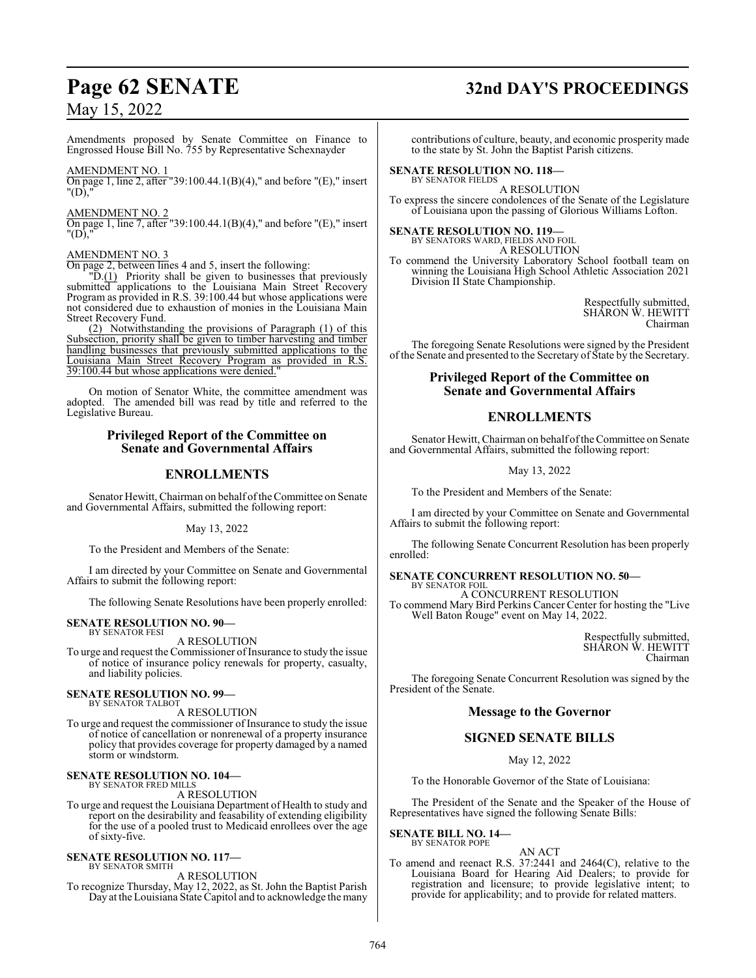Amendments proposed by Senate Committee on Finance to Engrossed House Bill No. 755 by Representative Schexnayder

#### AMENDMENT NO. 1

On page 1, line 2, after "39:100.44.1(B)(4)," and before "(E)," insert "(D),

#### AMENDMENT NO. 2

On page 1, line 7, after "39:100.44.1(B)(4)," and before "(E)," insert "(D),"

#### AMENDMENT NO. 3

On page 2, between lines 4 and 5, insert the following:

"D.(1) Priority shall be given to businesses that previously submitted applications to the Louisiana Main Street Recovery Program as provided in R.S. 39:100.44 but whose applications were not considered due to exhaustion of monies in the Louisiana Main Street Recovery Fund.

(2) Notwithstanding the provisions of Paragraph (1) of this Subsection, priority shall be given to timber harvesting and timber handling businesses that previously submitted applications to the Louisiana Main Street Recovery Program as provided in R.S. 39:100.44 but whose applications were denied."

On motion of Senator White, the committee amendment was adopted. The amended bill was read by title and referred to the Legislative Bureau.

### **Privileged Report of the Committee on Senate and Governmental Affairs**

### **ENROLLMENTS**

Senator Hewitt, Chairman on behalf of the Committee on Senate and Governmental Affairs, submitted the following report:

May 13, 2022

To the President and Members of the Senate:

I am directed by your Committee on Senate and Governmental Affairs to submit the following report:

The following Senate Resolutions have been properly enrolled:

#### **SENATE RESOLUTION NO. 90—** BY SENATOR FESI

A RESOLUTION

To urge and request the Commissioner of Insurance to study the issue of notice of insurance policy renewals for property, casualty, and liability policies.

#### **SENATE RESOLUTION NO. 99—** BY SENATOR TALBOT

A RESOLUTION

To urge and request the commissioner of Insurance to study the issue of notice of cancellation or nonrenewal of a property insurance policy that provides coverage for property damaged by a named storm or windstorm.

#### **SENATE RESOLUTION NO. 104—** BY SENATOR FRED MILLS

A RESOLUTION

To urge and request the Louisiana Department of Health to study and report on the desirability and feasability of extending eligibility for the use of a pooled trust to Medicaid enrollees over the age of sixty-five.

#### **SENATE RESOLUTION NO. 117—**

BY SENATOR SMITH A RESOLUTION

To recognize Thursday, May 12, 2022, as St. John the Baptist Parish Day at the Louisiana State Capitol and to acknowledge the many

# **Page 62 SENATE 32nd DAY'S PROCEEDINGS**

contributions of culture, beauty, and economic prosperity made to the state by St. John the Baptist Parish citizens.

#### **SENATE RESOLUTION NO. 118—** BY SENATOR FIELDS

A RESOLUTION To express the sincere condolences of the Senate of the Legislature of Louisiana upon the passing of Glorious Williams Lofton.

#### **SENATE RESOLUTION NO. 119—** BY SENATORS WARD, FIELDS AND FOIL

A RESOLUTION

To commend the University Laboratory School football team on winning the Louisiana High School Athletic Association 2021 Division II State Championship.

> Respectfully submitted, SHARON W. HEWITT Chairman

The foregoing Senate Resolutions were signed by the President of the Senate and presented to the Secretary of State by the Secretary.

## **Privileged Report of the Committee on Senate and Governmental Affairs**

## **ENROLLMENTS**

Senator Hewitt, Chairman on behalf of the Committee on Senate and Governmental Affairs, submitted the following report:

May 13, 2022

To the President and Members of the Senate:

I am directed by your Committee on Senate and Governmental Affairs to submit the following report:

The following Senate Concurrent Resolution has been properly enrolled:

#### **SENATE CONCURRENT RESOLUTION NO. 50—** BY SENATOR FOIL

A CONCURRENT RESOLUTION To commend Mary Bird Perkins Cancer Center for hosting the "Live Well Baton Rouge" event on May 14, 2022.

> Respectfully submitted, SHARON W. HEWITT Chairman

The foregoing Senate Concurrent Resolution was signed by the President of the Senate.

#### **Message to the Governor**

## **SIGNED SENATE BILLS**

May 12, 2022

To the Honorable Governor of the State of Louisiana:

The President of the Senate and the Speaker of the House of Representatives have signed the following Senate Bills:

**SENATE BILL NO. 14—** BY SENATOR POPE

## AN ACT

To amend and reenact R.S. 37:2441 and 2464(C), relative to the Louisiana Board for Hearing Aid Dealers; to provide for registration and licensure; to provide legislative intent; to provide for applicability; and to provide for related matters.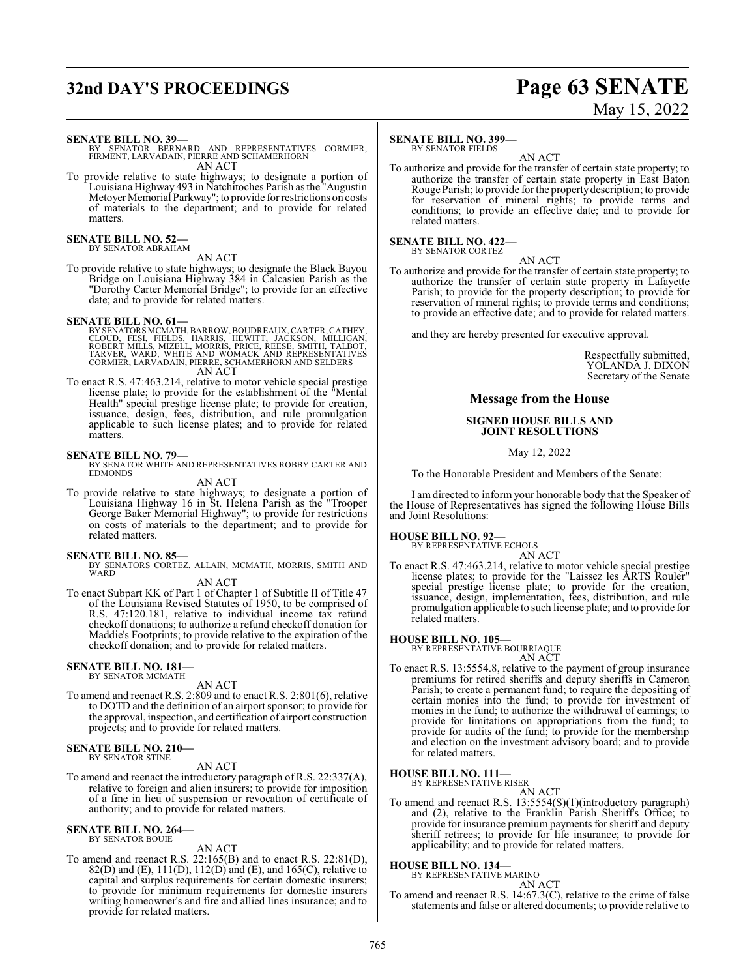# **32nd DAY'S PROCEEDINGS Page 63 SENATE**

# May 15, 2022

#### **SENATE BILL NO. 39—**

BY SENATOR BERNARD AND REPRESENTATIVES CORMIER, FIRMENT, LARVADAIN, PIERRE AND SCHAMERHORN AN ACT

To provide relative to state highways; to designate a portion of Louisiana Highway 493 in Natchitoches Parish as the "Augustin Metoyer Memorial Parkway"; to provide for restrictions on costs of materials to the department; and to provide for related matters.

#### **SENATE BILL NO. 52—** BY SENATOR ABRAHAM

AN ACT

To provide relative to state highways; to designate the Black Bayou Bridge on Louisiana Highway 384 in Calcasieu Parish as the "Dorothy Carter Memorial Bridge"; to provide for an effective date; and to provide for related matters.

**SENATE BILL NO. 61—**<br>BY SENATORS MCMATH, BARROW, BOUDREAUX, CARTER, CATHEY,<br>CLOUD, FESI, FIELDS, HARRIS, HEWITT, JACKSON, MILLIGAN,<br>ROBERT MILLS, MIZELL, MORRIS, PRICE, REESE, SMITH, TALBOT,<br>TARVER, MARD, WHITE AND WOMACK AN ACT

To enact R.S. 47:463.214, relative to motor vehicle special prestige license plate; to provide for the establishment of the "Mental Health" special prestige license plate; to provide for creation, issuance, design, fees, distribution, and rule promulgation applicable to such license plates; and to provide for related matters.

#### **SENATE BILL NO. 79—**

BY SENATOR WHITE AND REPRESENTATIVES ROBBY CARTER AND EDMONDS

AN ACT To provide relative to state highways; to designate a portion of

Louisiana Highway 16 in St. Helena Parish as the "Trooper George Baker Memorial Highway"; to provide for restrictions on costs of materials to the department; and to provide for related matters.

- **SENATE BILL NO. 85—** BY SENATORS CORTEZ, ALLAIN, MCMATH, MORRIS, SMITH AND **WARD** 
	- AN ACT
- To enact Subpart KK of Part 1 of Chapter 1 of Subtitle II of Title 47 of the Louisiana Revised Statutes of 1950, to be comprised of R.S. 47:120.181, relative to individual income tax refund checkoff donations; to authorize a refund checkoff donation for Maddie's Footprints; to provide relative to the expiration of the checkoff donation; and to provide for related matters.

## **SENATE BILL NO. 181—** BY SENATOR MCMATH

AN ACT

To amend and reenact R.S. 2:809 and to enact R.S. 2:801(6), relative to DOTD and the definition of an airport sponsor; to provide for the approval, inspection, and certification of airport construction projects; and to provide for related matters.

#### **SENATE BILL NO. 210—** BY SENATOR STINE

AN ACT

To amend and reenact the introductory paragraph of R.S. 22:337(A), relative to foreign and alien insurers; to provide for imposition of a fine in lieu of suspension or revocation of certificate of authority; and to provide for related matters.

#### **SENATE BILL NO. 264—** BY SENATOR BOUIE

## AN ACT

To amend and reenact R.S. 22:165(B) and to enact R.S. 22:81(D), 82(D) and (E), 111(D), 112(D) and (E), and 165(C), relative to capital and surplus requirements for certain domestic insurers; to provide for minimum requirements for domestic insurers writing homeowner's and fire and allied lines insurance; and to provide for related matters.

#### **SENATE BILL NO. 399—**

BY SENATOR FIELDS

AN ACT To authorize and provide for the transfer of certain state property; to authorize the transfer of certain state property in East Baton Rouge Parish; to provide for the property description; to provide for reservation of mineral rights; to provide terms and conditions; to provide an effective date; and to provide for related matters.

## **SENATE BILL NO. 422—** BY SENATOR CORTEZ

AN ACT

To authorize and provide for the transfer of certain state property; to authorize the transfer of certain state property in Lafayette Parish; to provide for the property description; to provide for reservation of mineral rights; to provide terms and conditions; to provide an effective date; and to provide for related matters.

and they are hereby presented for executive approval.

Respectfully submitted, YOLANDA J. DIXON Secretary of the Senate

## **Message from the House**

#### **SIGNED HOUSE BILLS AND JOINT RESOLUTIONS**

May 12, 2022

To the Honorable President and Members of the Senate:

I am directed to inform your honorable body that the Speaker of the House of Representatives has signed the following House Bills and Joint Resolutions:

#### **HOUSE BILL NO. 92—**

BY REPRESENTATIVE ECHOLS

AN ACT To enact R.S. 47:463.214, relative to motor vehicle special prestige license plates; to provide for the "Laissez les ARTS Rouler" special prestige license plate; to provide for the creation, issuance, design, implementation, fees, distribution, and rule promulgation applicable to such license plate; and to provide for related matters.

#### **HOUSE BILL NO. 105—**

BY REPRESENTATIVE BOURRIAQUE

- AN ACT
- To enact R.S. 13:5554.8, relative to the payment of group insurance premiums for retired sheriffs and deputy sheriffs in Cameron Parish; to create a permanent fund; to require the depositing of certain monies into the fund; to provide for investment of monies in the fund; to authorize the withdrawal of earnings; to provide for limitations on appropriations from the fund; to provide for audits of the fund; to provide for the membership and election on the investment advisory board; and to provide for related matters.

### **HOUSE BILL NO. 111—**

BY REPRESENTATIVE RISER AN ACT

To amend and reenact R.S. 13:5554(S)(1)(introductory paragraph) and (2), relative to the Franklin Parish Sheriff's Office; to provide for insurance premium payments for sheriff and deputy sheriff retirees; to provide for life insurance; to provide for applicability; and to provide for related matters.

## **HOUSE BILL NO. 134—** BY REPRESENTATIVE MARINO

AN ACT

To amend and reenact R.S. 14:67.3(C), relative to the crime of false statements and false or altered documents; to provide relative to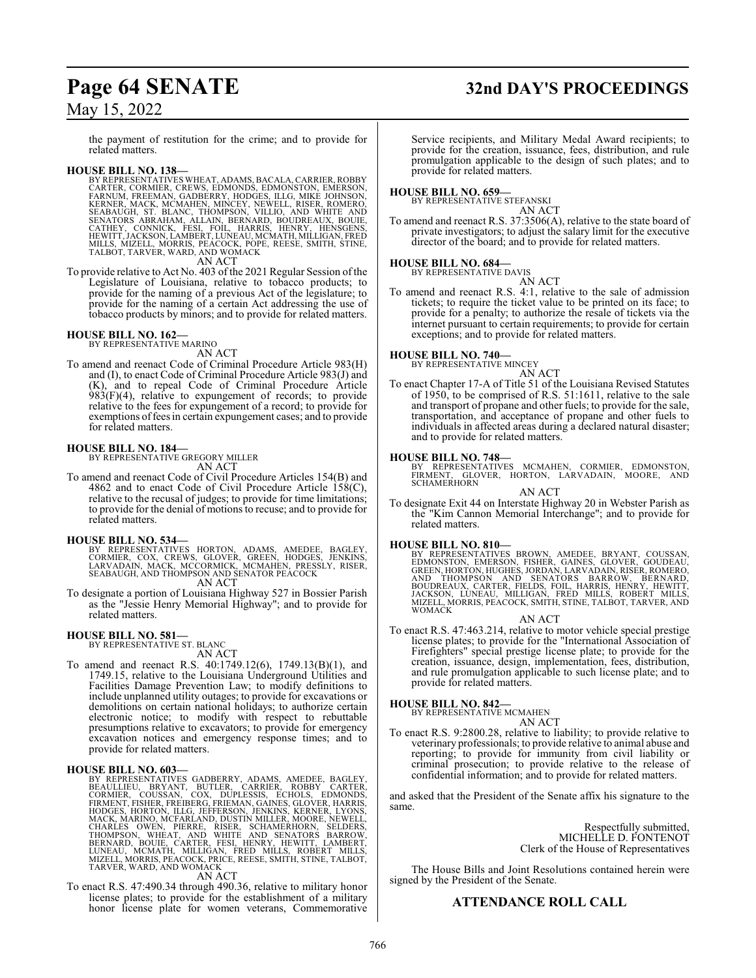# **Page 64 SENATE 32nd DAY'S PROCEEDINGS**

## May 15, 2022

the payment of restitution for the crime; and to provide for related matters.

### **HOUSE BILL NO. 138—**

BY REPRESENTATIVES WHEAT, ADAMS, BACALA, CARRIER, ROBBY<br>CARTER, CORMIER, CREWS, EDMONDS, EDMONSTON, EMERSON,<br>FARNUM, FREEMAN, GADBERRY, HODGES, ILLG, MIKE JOHNSON,<br>KERNER, MACK, MCMAHEN, MINCEY, NEWELL, RISER, ROMERO,<br>SEAB

AN ACT

To provide relative to Act No. 403 of the 2021 Regular Session ofthe Legislature of Louisiana, relative to tobacco products; to provide for the naming of a previous Act of the legislature; to provide for the naming of a certain Act addressing the use of tobacco products by minors; and to provide for related matters.

#### **HOUSE BILL NO. 162—** BY REPRESENTATIVE MARINO

AN ACT

To amend and reenact Code of Criminal Procedure Article 983(H) and (I), to enact Code of Criminal Procedure Article 983(J) and (K), and to repeal Code of Criminal Procedure Article  $983(F)(4)$ , relative to expungement of records; to provide relative to the fees for expungement of a record; to provide for exemptions of fees in certain expungement cases; and to provide for related matters.

**HOUSE BILL NO. 184—** BY REPRESENTATIVE GREGORY MILLER AN ACT

To amend and reenact Code of Civil Procedure Articles 154(B) and 4862 and to enact Code of Civil Procedure Article  $158(C)$ , relative to the recusal of judges; to provide for time limitations; to provide for the denial of motions to recuse; and to provide for related matters.

#### **HOUSE BILL NO. 534—**

BY REPRESENTATIVES HORTON, ADAMS, AMEDEE, BAGLEY,<br>CORMIER, COX, CREWS, GLOVER, GREEN, HODGES, JENKINS,<br>LARVADAIN, MACK, MCCORMICK, MCMAHEN, PRESSLY, RISER,<br>SEABAUGH, AND THOMPSON AND SENATOR PEACOCK<br>AN ACT

To designate a portion of Louisiana Highway 527 in Bossier Parish as the "Jessie Henry Memorial Highway"; and to provide for related matters.

#### **HOUSE BILL NO. 581—**

BY REPRESENTATIVE ST. BLANC

- AN ACT
- To amend and reenact R.S. 40:1749.12(6), 1749.13(B)(1), and 1749.15, relative to the Louisiana Underground Utilities and Facilities Damage Prevention Law; to modify definitions to include unplanned utility outages; to provide for excavations or demolitions on certain national holidays; to authorize certain electronic notice; to modify with respect to rebuttable presumptions relative to excavators; to provide for emergency excavation notices and emergency response times; and to provide for related matters.

HOUSE BILL NO. 603-<br>BY REPRESENTATIVES GADBERRY, ADAMS, AMEDEE, BAGLEY, BEAULLIEU, BRYANT, BUTLER, CARRIER, ROBBY CARTER,<br>CORMIER, COUSSAN, COX, DUPLESSIS, ECHOLS, EDMONDS,<br>FIRMENT, FISHER, FREIBERG, FREMAN, GANES, GLOVER,

AN ACT

To enact R.S. 47:490.34 through 490.36, relative to military honor license plates; to provide for the establishment of a military honor license plate for women veterans, Commemorative

Service recipients, and Military Medal Award recipients; to provide for the creation, issuance, fees, distribution, and rule promulgation applicable to the design of such plates; and to provide for related matters.

#### **HOUSE BILL NO. 659—**

BY REPRESENTATIVE STEFANSKI

AN ACT To amend and reenact R.S. 37:3506(A), relative to the state board of private investigators; to adjust the salary limit for the executive director of the board; and to provide for related matters.

### **HOUSE BILL NO. 684—**

BY REPRESENTATIVE DAVIS

AN ACT

To amend and reenact R.S. 4:1, relative to the sale of admission tickets; to require the ticket value to be printed on its face; to provide for a penalty; to authorize the resale of tickets via the internet pursuant to certain requirements; to provide for certain exceptions; and to provide for related matters.

#### **HOUSE BILL NO. 740—** BY REPRESENTATIVE MINCEY

AN ACT

To enact Chapter 17-A of Title 51 of the Louisiana Revised Statutes of 1950, to be comprised of R.S. 51:1611, relative to the sale and transport of propane and other fuels; to provide for the sale, transportation, and acceptance of propane and other fuels to individuals in affected areas during a declared natural disaster; and to provide for related matters.

**HOUSE BILL NO. 748—** BY REPRESENTATIVES MCMAHEN, CORMIER, EDMONSTON, FIRMENT, GLOVER, HORTON, LARVADAIN, MOORE, AND SCHAMERHORN

AN ACT

To designate Exit 44 on Interstate Highway 20 in Webster Parish as the "Kim Cannon Memorial Interchange"; and to provide for related matters.

**HOUSE BILL NO. 810—**<br>BY REPRESENTATIVES BROWN, AMEDEE, BRYANT, COUSSAN,<br>EDMONSTON, EMERSON, FISHER, GAINES, GLOVER, GOUDEAU,<br>GREEN, HORTON, HUGHES, JORDAN, LARVADAIN, RISER, ROMERO,<br>AND THOMPSON AND SENATORS BARROW, BERNA

#### AN ACT

To enact R.S. 47:463.214, relative to motor vehicle special prestige license plates; to provide for the "International Association of Firefighters" special prestige license plate; to provide for the creation, issuance, design, implementation, fees, distribution, and rule promulgation applicable to such license plate; and to provide for related matters.

#### **HOUSE BILL NO. 842—** BY REPRESENTATIVE MCMAHEN

AN ACT

To enact R.S. 9:2800.28, relative to liability; to provide relative to veterinary professionals; to provide relative to animal abuse and reporting; to provide for immunity from civil liability or criminal prosecution; to provide relative to the release of confidential information; and to provide for related matters.

and asked that the President of the Senate affix his signature to the same.

> Respectfully submitted, MICHELLE D. FONTENOT Clerk of the House of Representatives

The House Bills and Joint Resolutions contained herein were signed by the President of the Senate.

### **ATTENDANCE ROLL CALL**